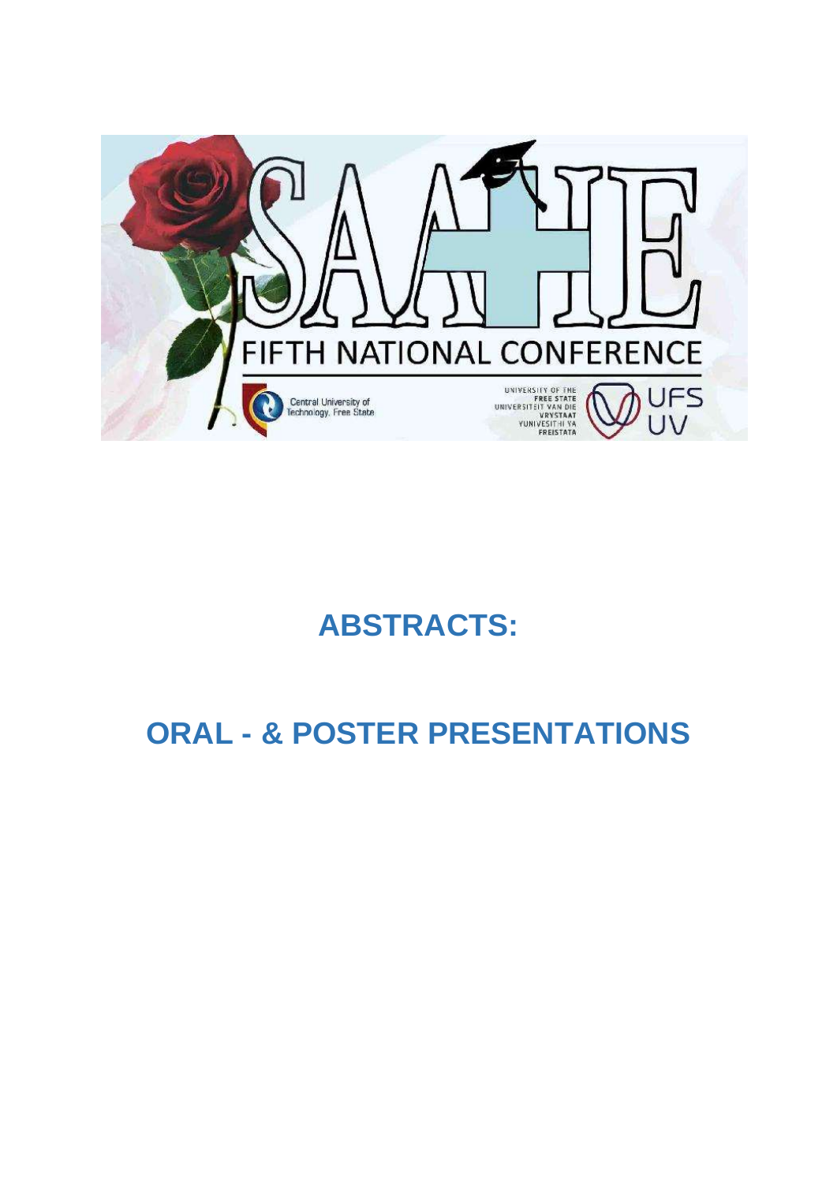

# **ABSTRACTS:**

# **ORAL - & POSTER PRESENTATIONS**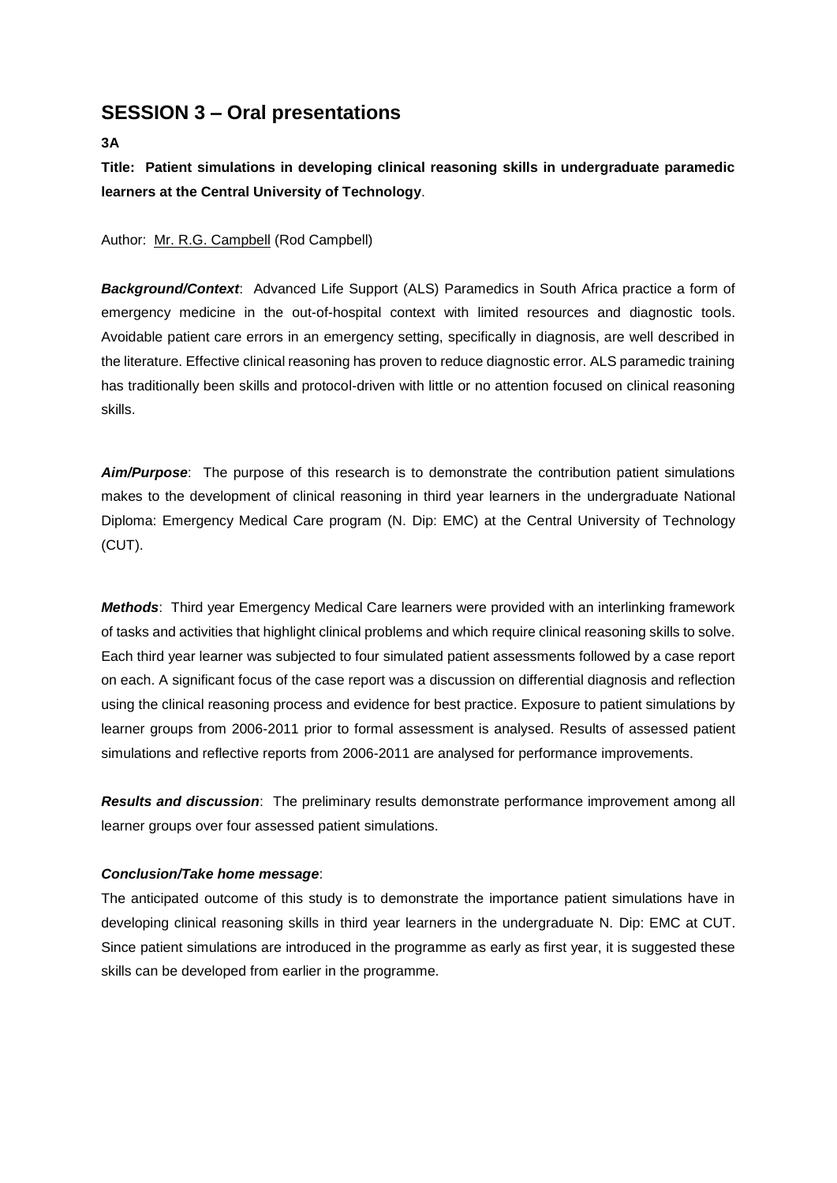# **SESSION 3 – Oral presentations**

# **3A**

**Title: Patient simulations in developing clinical reasoning skills in undergraduate paramedic learners at the Central University of Technology**.

# Author: Mr. R.G. Campbell (Rod Campbell)

*Background/Context*: Advanced Life Support (ALS) Paramedics in South Africa practice a form of emergency medicine in the out-of-hospital context with limited resources and diagnostic tools. Avoidable patient care errors in an emergency setting, specifically in diagnosis, are well described in the literature. Effective clinical reasoning has proven to reduce diagnostic error. ALS paramedic training has traditionally been skills and protocol-driven with little or no attention focused on clinical reasoning skills.

*Aim/Purpose*: The purpose of this research is to demonstrate the contribution patient simulations makes to the development of clinical reasoning in third year learners in the undergraduate National Diploma: Emergency Medical Care program (N. Dip: EMC) at the Central University of Technology (CUT).

*Methods*: Third year Emergency Medical Care learners were provided with an interlinking framework of tasks and activities that highlight clinical problems and which require clinical reasoning skills to solve. Each third year learner was subjected to four simulated patient assessments followed by a case report on each. A significant focus of the case report was a discussion on differential diagnosis and reflection using the clinical reasoning process and evidence for best practice. Exposure to patient simulations by learner groups from 2006-2011 prior to formal assessment is analysed. Results of assessed patient simulations and reflective reports from 2006-2011 are analysed for performance improvements.

*Results and discussion*: The preliminary results demonstrate performance improvement among all learner groups over four assessed patient simulations.

# *Conclusion/Take home message*:

The anticipated outcome of this study is to demonstrate the importance patient simulations have in developing clinical reasoning skills in third year learners in the undergraduate N. Dip: EMC at CUT. Since patient simulations are introduced in the programme as early as first year, it is suggested these skills can be developed from earlier in the programme.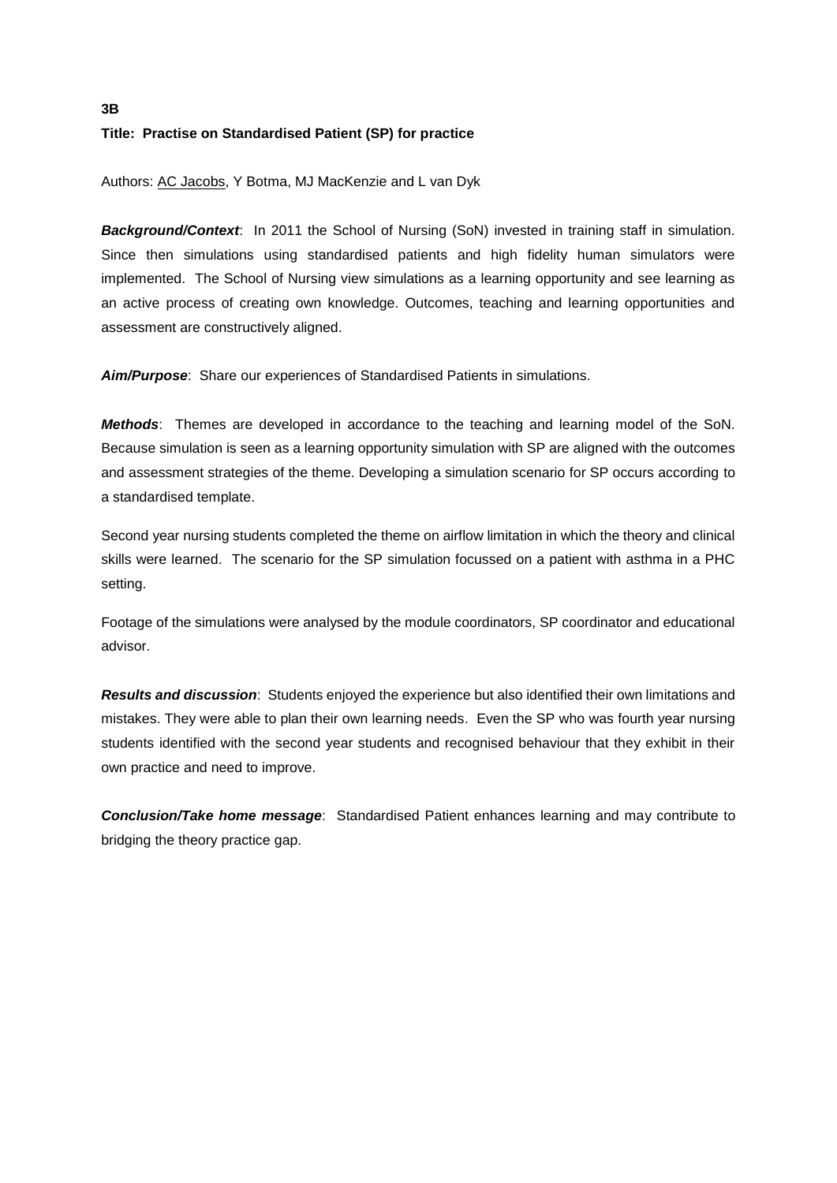# **3B Title: Practise on Standardised Patient (SP) for practice**

Authors: AC Jacobs, Y Botma, MJ MacKenzie and L van Dyk

*Background/Context*: In 2011 the School of Nursing (SoN) invested in training staff in simulation. Since then simulations using standardised patients and high fidelity human simulators were implemented. The School of Nursing view simulations as a learning opportunity and see learning as an active process of creating own knowledge. Outcomes, teaching and learning opportunities and assessment are constructively aligned.

*Aim/Purpose*: Share our experiences of Standardised Patients in simulations.

*Methods*: Themes are developed in accordance to the teaching and learning model of the SoN. Because simulation is seen as a learning opportunity simulation with SP are aligned with the outcomes and assessment strategies of the theme. Developing a simulation scenario for SP occurs according to a standardised template.

Second year nursing students completed the theme on airflow limitation in which the theory and clinical skills were learned. The scenario for the SP simulation focussed on a patient with asthma in a PHC setting.

Footage of the simulations were analysed by the module coordinators, SP coordinator and educational advisor.

*Results and discussion*: Students enjoyed the experience but also identified their own limitations and mistakes. They were able to plan their own learning needs. Even the SP who was fourth year nursing students identified with the second year students and recognised behaviour that they exhibit in their own practice and need to improve.

*Conclusion/Take home message*: Standardised Patient enhances learning and may contribute to bridging the theory practice gap.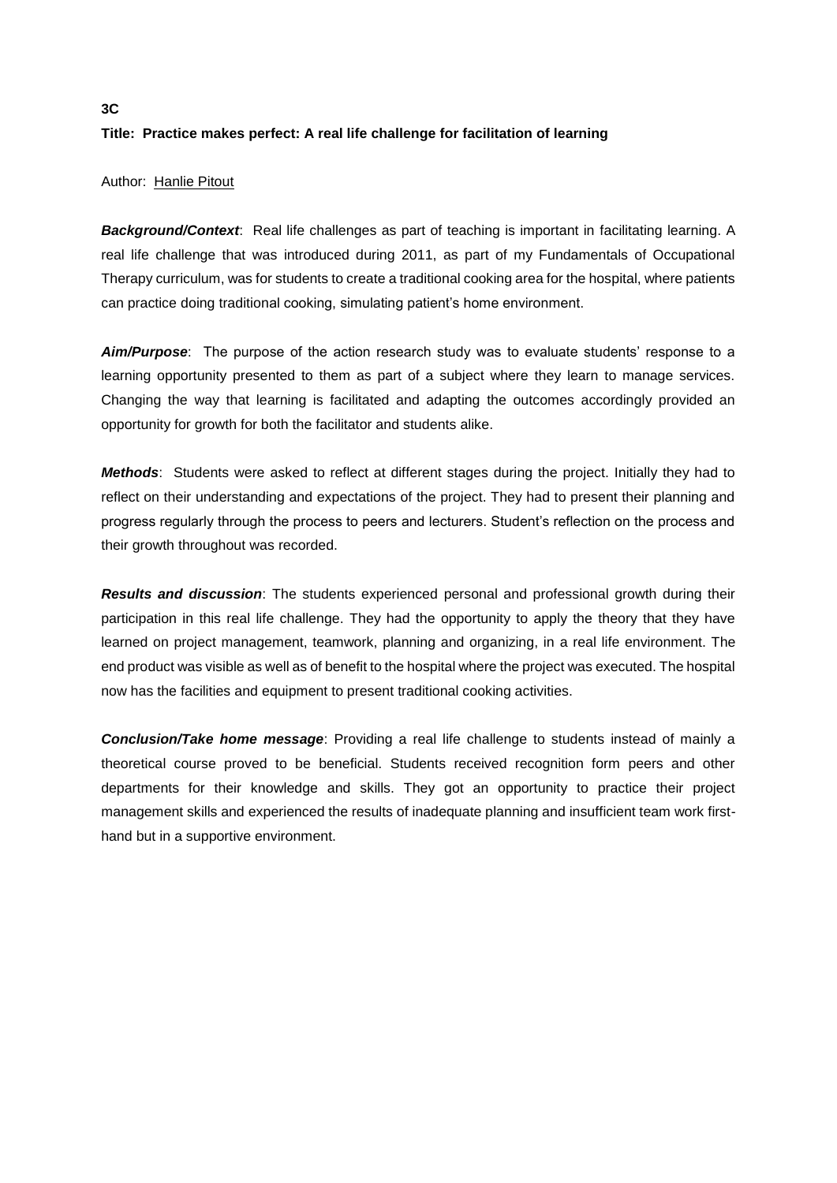# **3C Title: Practice makes perfect: A real life challenge for facilitation of learning**

## Author: Hanlie Pitout

*Background/Context*: Real life challenges as part of teaching is important in facilitating learning. A real life challenge that was introduced during 2011, as part of my Fundamentals of Occupational Therapy curriculum, was for students to create a traditional cooking area for the hospital, where patients can practice doing traditional cooking, simulating patient's home environment.

*Aim/Purpose*: The purpose of the action research study was to evaluate students' response to a learning opportunity presented to them as part of a subject where they learn to manage services. Changing the way that learning is facilitated and adapting the outcomes accordingly provided an opportunity for growth for both the facilitator and students alike.

*Methods*: Students were asked to reflect at different stages during the project. Initially they had to reflect on their understanding and expectations of the project. They had to present their planning and progress regularly through the process to peers and lecturers. Student's reflection on the process and their growth throughout was recorded.

*Results and discussion*: The students experienced personal and professional growth during their participation in this real life challenge. They had the opportunity to apply the theory that they have learned on project management, teamwork, planning and organizing, in a real life environment. The end product was visible as well as of benefit to the hospital where the project was executed. The hospital now has the facilities and equipment to present traditional cooking activities.

*Conclusion/Take home message*: Providing a real life challenge to students instead of mainly a theoretical course proved to be beneficial. Students received recognition form peers and other departments for their knowledge and skills. They got an opportunity to practice their project management skills and experienced the results of inadequate planning and insufficient team work firsthand but in a supportive environment.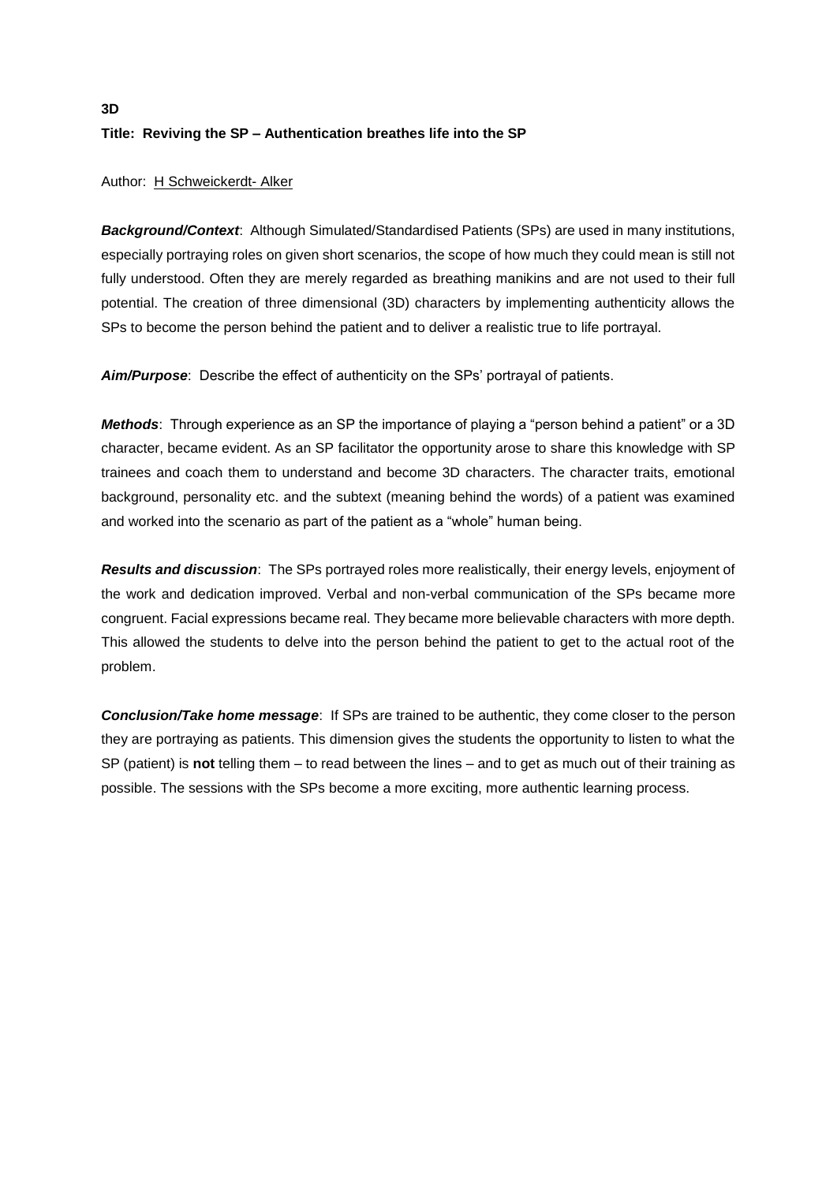# **Title: Reviving the SP – Authentication breathes life into the SP**

Author: H Schweickerdt- Alker

*Background/Context*: Although Simulated/Standardised Patients (SPs) are used in many institutions, especially portraying roles on given short scenarios, the scope of how much they could mean is still not fully understood. Often they are merely regarded as breathing manikins and are not used to their full potential. The creation of three dimensional (3D) characters by implementing authenticity allows the SPs to become the person behind the patient and to deliver a realistic true to life portrayal.

*Aim/Purpose*: Describe the effect of authenticity on the SPs' portrayal of patients.

*Methods*: Through experience as an SP the importance of playing a "person behind a patient" or a 3D character, became evident. As an SP facilitator the opportunity arose to share this knowledge with SP trainees and coach them to understand and become 3D characters. The character traits, emotional background, personality etc. and the subtext (meaning behind the words) of a patient was examined and worked into the scenario as part of the patient as a "whole" human being.

*Results and discussion*: The SPs portrayed roles more realistically, their energy levels, enjoyment of the work and dedication improved. Verbal and non-verbal communication of the SPs became more congruent. Facial expressions became real. They became more believable characters with more depth. This allowed the students to delve into the person behind the patient to get to the actual root of the problem.

*Conclusion/Take home message*: If SPs are trained to be authentic, they come closer to the person they are portraying as patients. This dimension gives the students the opportunity to listen to what the SP (patient) is **not** telling them – to read between the lines – and to get as much out of their training as possible. The sessions with the SPs become a more exciting, more authentic learning process.

**3D**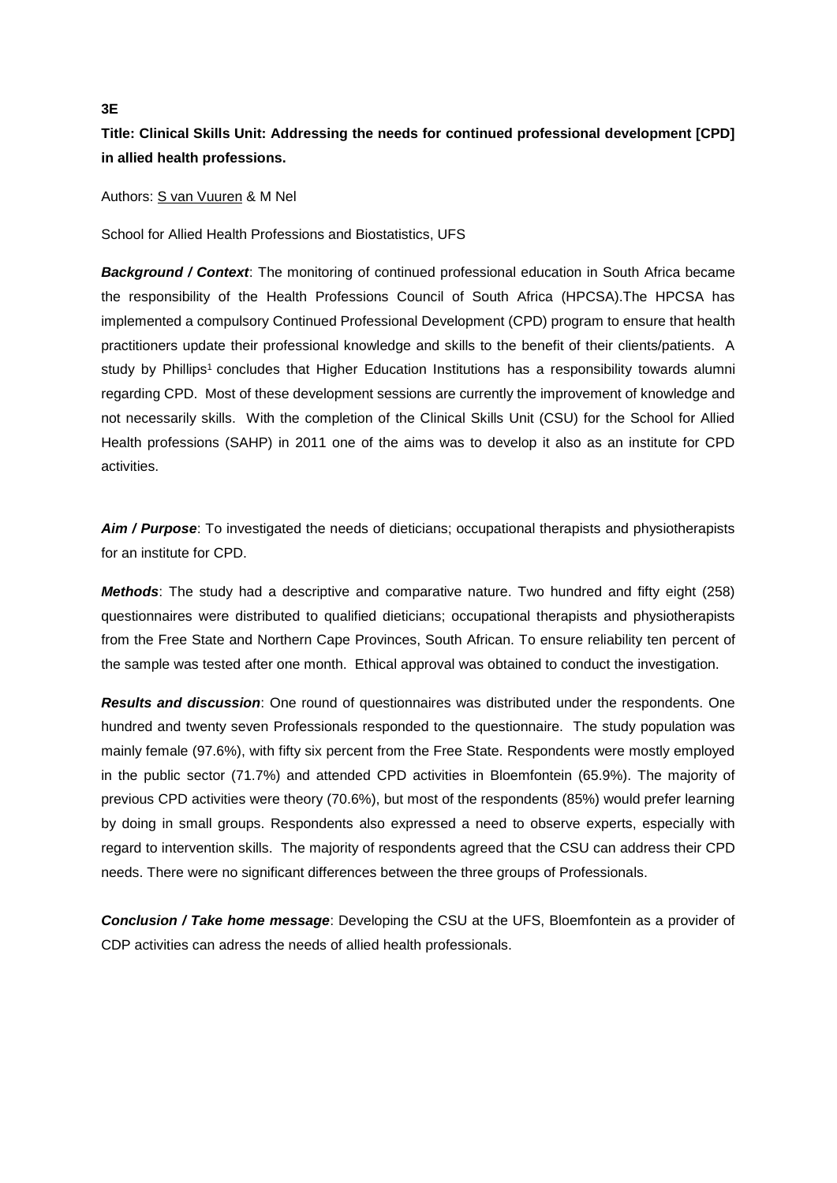#### **3E**

# **Title: Clinical Skills Unit: Addressing the needs for continued professional development [CPD] in allied health professions.**

Authors: S van Vuuren & M Nel

School for Allied Health Professions and Biostatistics, UFS

*Background / Context*: The monitoring of continued professional education in South Africa became the responsibility of the Health Professions Council of South Africa (HPCSA).The HPCSA has implemented a compulsory Continued Professional Development (CPD) program to ensure that health practitioners update their professional knowledge and skills to the benefit of their clients/patients. A study by Phillips<sup>1</sup> concludes that Higher Education Institutions has a responsibility towards alumni regarding CPD. Most of these development sessions are currently the improvement of knowledge and not necessarily skills. With the completion of the Clinical Skills Unit (CSU) for the School for Allied Health professions (SAHP) in 2011 one of the aims was to develop it also as an institute for CPD activities.

*Aim / Purpose*: To investigated the needs of dieticians; occupational therapists and physiotherapists for an institute for CPD.

*Methods*: The study had a descriptive and comparative nature. Two hundred and fifty eight (258) questionnaires were distributed to qualified dieticians; occupational therapists and physiotherapists from the Free State and Northern Cape Provinces, South African. To ensure reliability ten percent of the sample was tested after one month. Ethical approval was obtained to conduct the investigation.

*Results and discussion*: One round of questionnaires was distributed under the respondents. One hundred and twenty seven Professionals responded to the questionnaire. The study population was mainly female (97.6%), with fifty six percent from the Free State. Respondents were mostly employed in the public sector (71.7%) and attended CPD activities in Bloemfontein (65.9%). The majority of previous CPD activities were theory (70.6%), but most of the respondents (85%) would prefer learning by doing in small groups. Respondents also expressed a need to observe experts, especially with regard to intervention skills. The majority of respondents agreed that the CSU can address their CPD needs. There were no significant differences between the three groups of Professionals.

*Conclusion / Take home message*: Developing the CSU at the UFS, Bloemfontein as a provider of CDP activities can adress the needs of allied health professionals.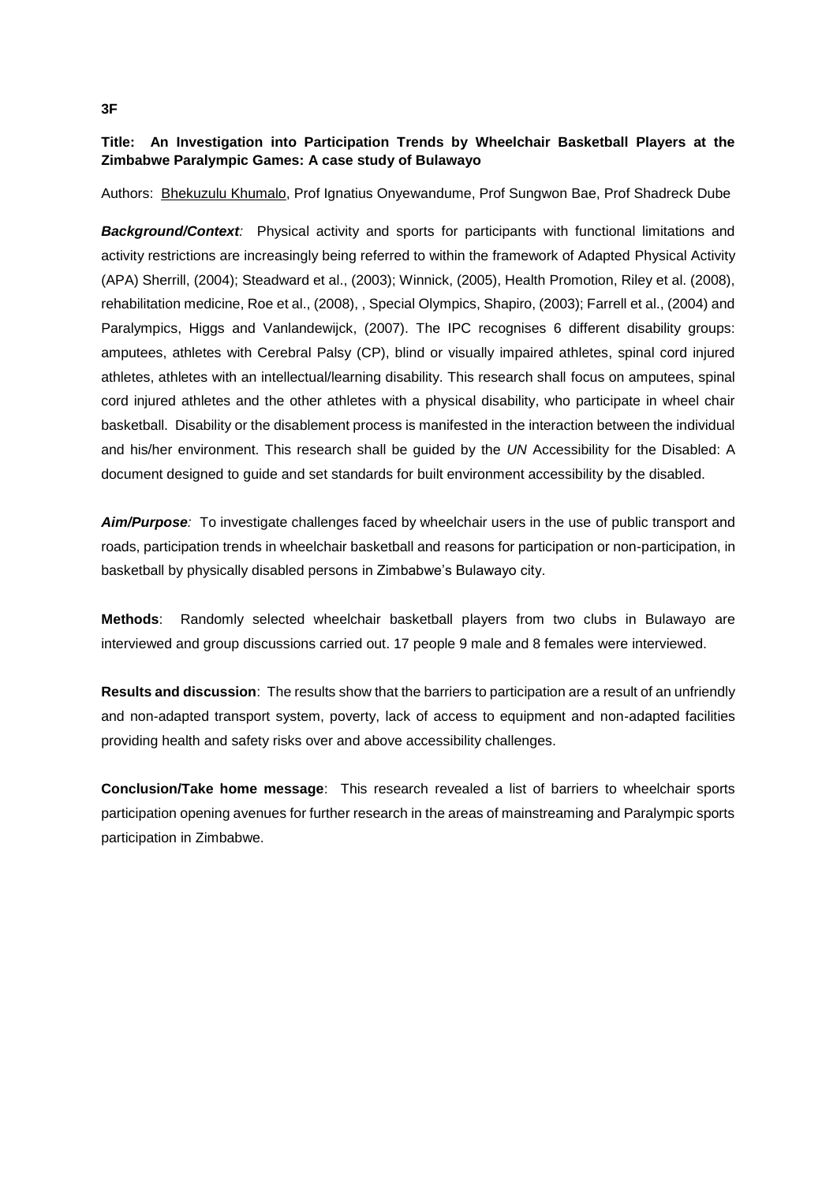# **Title: An Investigation into Participation Trends by Wheelchair Basketball Players at the Zimbabwe Paralympic Games: A case study of Bulawayo**

Authors: Bhekuzulu Khumalo, Prof Ignatius Onyewandume, Prof Sungwon Bae, Prof Shadreck Dube

*Background/Context:* Physical activity and sports for participants with functional limitations and activity restrictions are increasingly being referred to within the framework of Adapted Physical Activity (APA) Sherrill, (2004); Steadward et al., (2003); Winnick, (2005), Health Promotion, Riley et al. (2008), rehabilitation medicine, Roe et al., (2008), , Special Olympics, Shapiro, (2003); Farrell et al., (2004) and Paralympics, Higgs and Vanlandewijck, (2007). The IPC recognises 6 different disability groups: amputees, athletes with Cerebral Palsy (CP), blind or visually impaired athletes, spinal cord injured athletes, athletes with an intellectual/learning disability. This research shall focus on amputees, spinal cord injured athletes and the other athletes with a physical disability, who participate in wheel chair basketball. Disability or the disablement process is manifested in the interaction between the individual and his/her environment. This research shall be guided by the *UN* Accessibility for the Disabled: A document designed to guide and set standards for built environment accessibility by the disabled.

*Aim/Purpose:* To investigate challenges faced by wheelchair users in the use of public transport and roads, participation trends in wheelchair basketball and reasons for participation or non-participation, in basketball by physically disabled persons in Zimbabwe's Bulawayo city.

**Methods**: Randomly selected wheelchair basketball players from two clubs in Bulawayo are interviewed and group discussions carried out. 17 people 9 male and 8 females were interviewed.

**Results and discussion**: The results show that the barriers to participation are a result of an unfriendly and non-adapted transport system, poverty, lack of access to equipment and non-adapted facilities providing health and safety risks over and above accessibility challenges.

**Conclusion/Take home message**: This research revealed a list of barriers to wheelchair sports participation opening avenues for further research in the areas of mainstreaming and Paralympic sports participation in Zimbabwe.

**3F**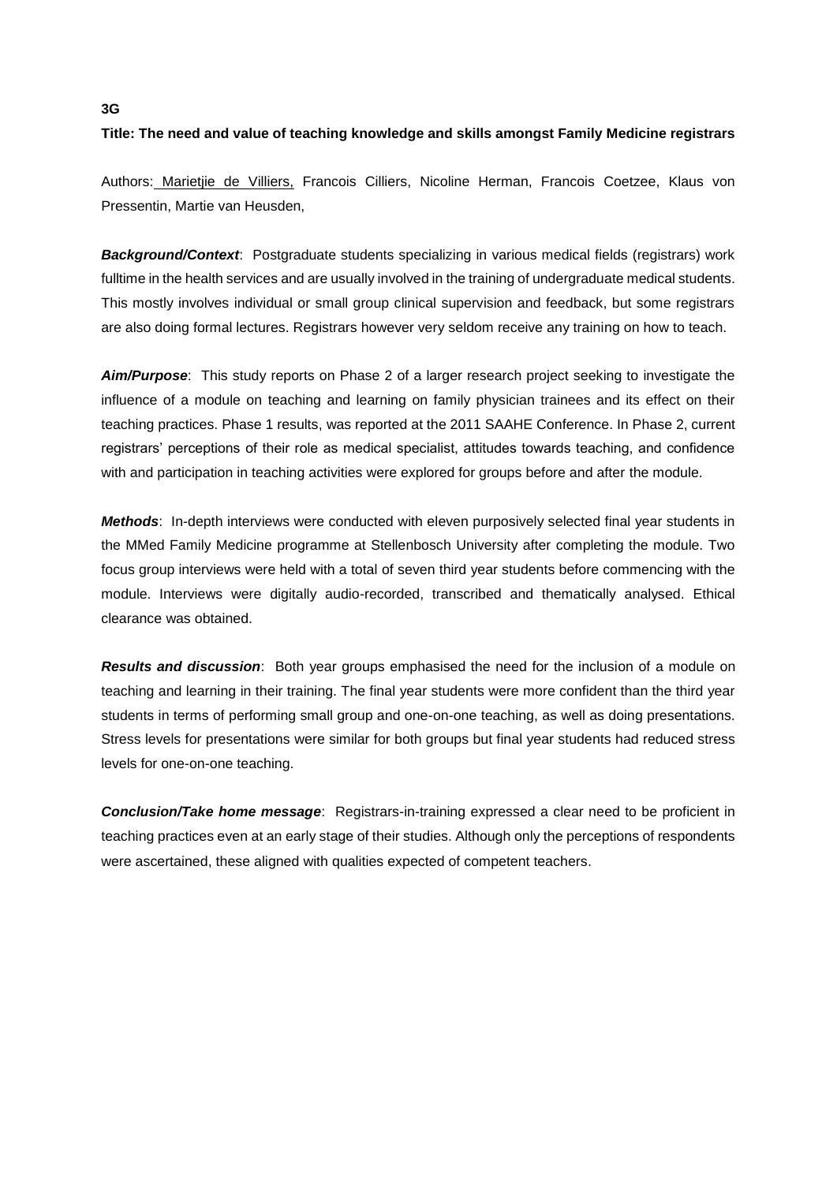# **Title: The need and value of teaching knowledge and skills amongst Family Medicine registrars**

Authors: Marietjie de Villiers, Francois Cilliers, Nicoline Herman, Francois Coetzee, Klaus von Pressentin, Martie van Heusden,

**Background/Context:** Postgraduate students specializing in various medical fields (registrars) work fulltime in the health services and are usually involved in the training of undergraduate medical students. This mostly involves individual or small group clinical supervision and feedback, but some registrars are also doing formal lectures. Registrars however very seldom receive any training on how to teach.

*Aim/Purpose*: This study reports on Phase 2 of a larger research project seeking to investigate the influence of a module on teaching and learning on family physician trainees and its effect on their teaching practices. Phase 1 results, was reported at the 2011 SAAHE Conference. In Phase 2, current registrars' perceptions of their role as medical specialist, attitudes towards teaching, and confidence with and participation in teaching activities were explored for groups before and after the module.

*Methods*: In-depth interviews were conducted with eleven purposively selected final year students in the MMed Family Medicine programme at Stellenbosch University after completing the module. Two focus group interviews were held with a total of seven third year students before commencing with the module. Interviews were digitally audio-recorded, transcribed and thematically analysed. Ethical clearance was obtained.

*Results and discussion*: Both year groups emphasised the need for the inclusion of a module on teaching and learning in their training. The final year students were more confident than the third year students in terms of performing small group and one-on-one teaching, as well as doing presentations. Stress levels for presentations were similar for both groups but final year students had reduced stress levels for one-on-one teaching.

*Conclusion/Take home message*: Registrars-in-training expressed a clear need to be proficient in teaching practices even at an early stage of their studies. Although only the perceptions of respondents were ascertained, these aligned with qualities expected of competent teachers.

### **3G**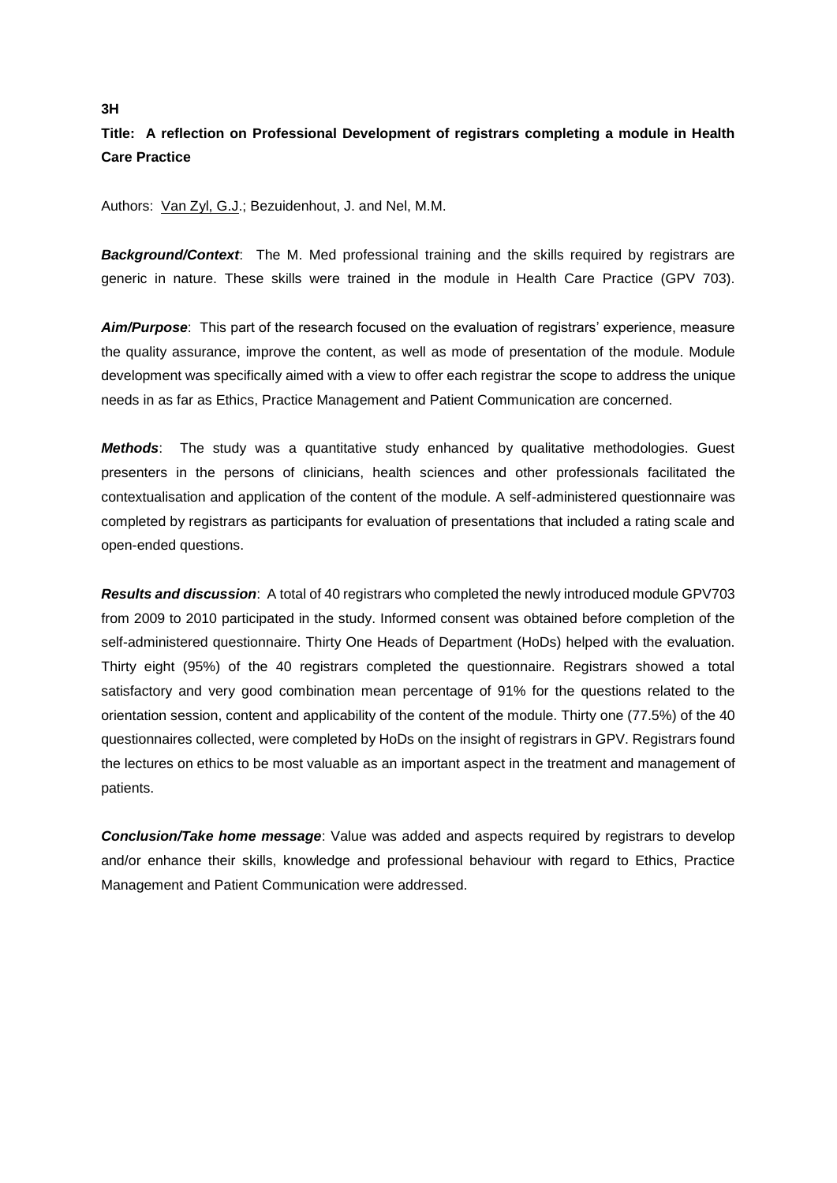# **Title: A reflection on Professional Development of registrars completing a module in Health Care Practice**

Authors:Van Zyl, G.J.; Bezuidenhout, J. and Nel, M.M.

**Background/Context:** The M. Med professional training and the skills required by registrars are generic in nature. These skills were trained in the module in Health Care Practice (GPV 703).

*Aim/Purpose*: This part of the research focused on the evaluation of registrars' experience, measure the quality assurance, improve the content, as well as mode of presentation of the module. Module development was specifically aimed with a view to offer each registrar the scope to address the unique needs in as far as Ethics, Practice Management and Patient Communication are concerned.

*Methods*: The study was a quantitative study enhanced by qualitative methodologies. Guest presenters in the persons of clinicians, health sciences and other professionals facilitated the contextualisation and application of the content of the module. A self-administered questionnaire was completed by registrars as participants for evaluation of presentations that included a rating scale and open-ended questions.

*Results and discussion*: A total of 40 registrars who completed the newly introduced module GPV703 from 2009 to 2010 participated in the study. Informed consent was obtained before completion of the self-administered questionnaire. Thirty One Heads of Department (HoDs) helped with the evaluation. Thirty eight (95%) of the 40 registrars completed the questionnaire. Registrars showed a total satisfactory and very good combination mean percentage of 91% for the questions related to the orientation session, content and applicability of the content of the module. Thirty one (77.5%) of the 40 questionnaires collected, were completed by HoDs on the insight of registrars in GPV. Registrars found the lectures on ethics to be most valuable as an important aspect in the treatment and management of patients.

*Conclusion/Take home message*: Value was added and aspects required by registrars to develop and/or enhance their skills, knowledge and professional behaviour with regard to Ethics, Practice Management and Patient Communication were addressed.

## **3H**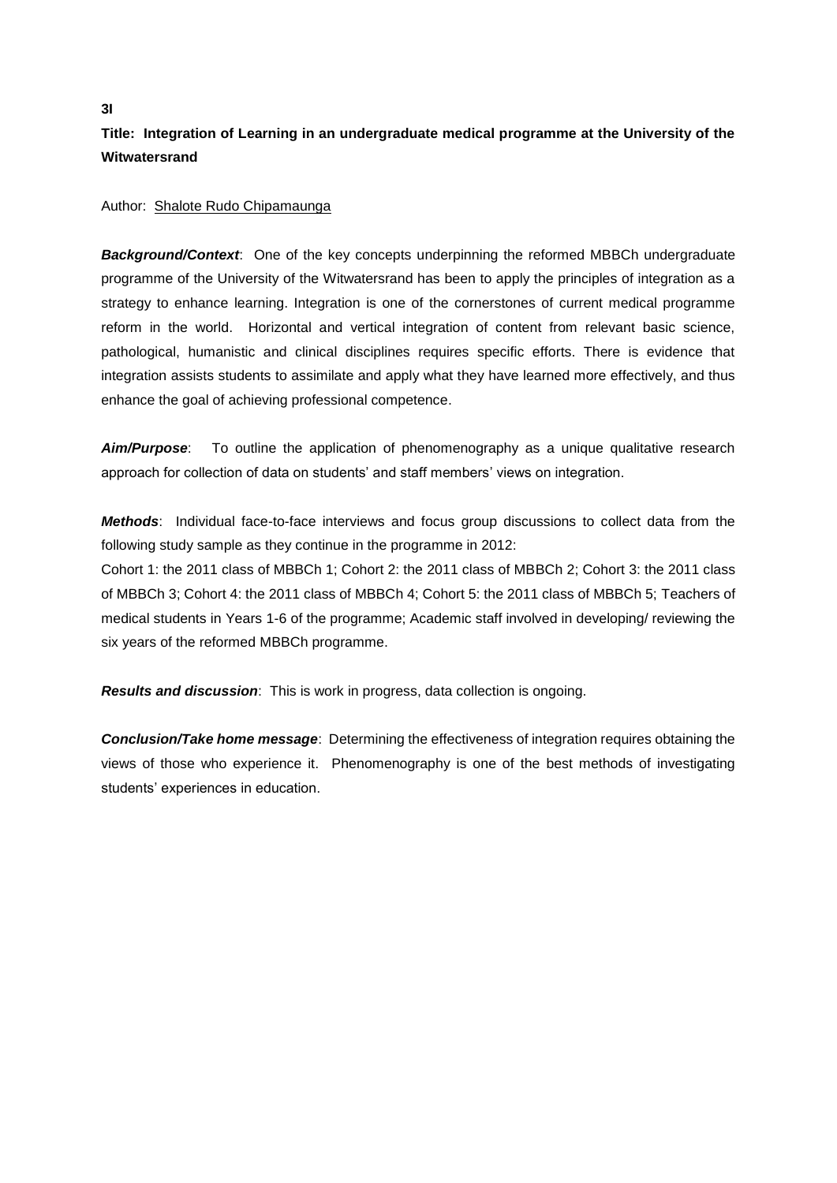# **Title: Integration of Learning in an undergraduate medical programme at the University of the Witwatersrand**

## Author:Shalote Rudo Chipamaunga

**Background/Context:** One of the key concepts underpinning the reformed MBBCh undergraduate programme of the University of the Witwatersrand has been to apply the principles of integration as a strategy to enhance learning. Integration is one of the cornerstones of current medical programme reform in the world. Horizontal and vertical integration of content from relevant basic science, pathological, humanistic and clinical disciplines requires specific efforts. There is evidence that integration assists students to assimilate and apply what they have learned more effectively, and thus enhance the goal of achieving professional competence.

*Aim/Purpose*: To outline the application of phenomenography as a unique qualitative research approach for collection of data on students' and staff members' views on integration.

*Methods*: Individual face-to-face interviews and focus group discussions to collect data from the following study sample as they continue in the programme in 2012:

Cohort 1: the 2011 class of MBBCh 1; Cohort 2: the 2011 class of MBBCh 2; Cohort 3: the 2011 class of MBBCh 3; Cohort 4: the 2011 class of MBBCh 4; Cohort 5: the 2011 class of MBBCh 5; Teachers of medical students in Years 1-6 of the programme; Academic staff involved in developing/ reviewing the six years of the reformed MBBCh programme.

*Results and discussion*: This is work in progress, data collection is ongoing.

*Conclusion/Take home message*: Determining the effectiveness of integration requires obtaining the views of those who experience it. Phenomenography is one of the best methods of investigating students' experiences in education.

**3I**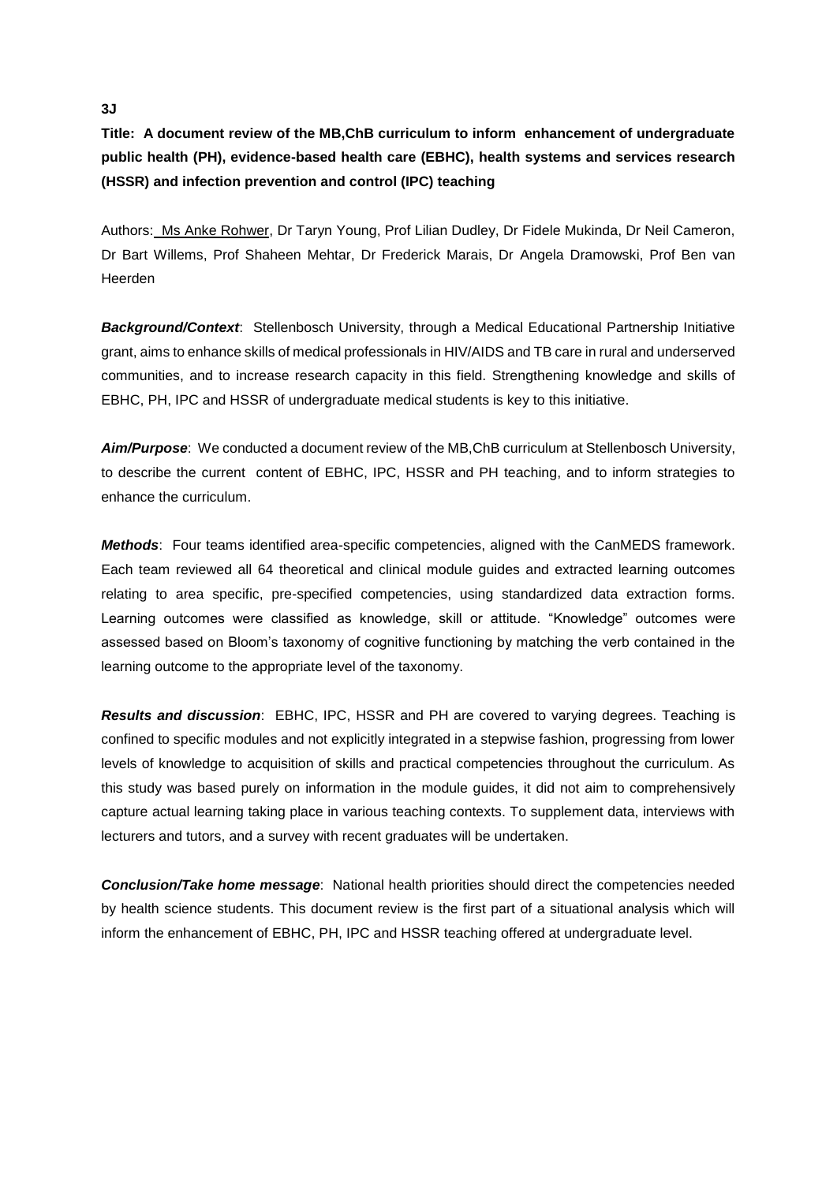# **3J**

**Title: A document review of the MB,ChB curriculum to inform enhancement of undergraduate public health (PH), evidence-based health care (EBHC), health systems and services research (HSSR) and infection prevention and control (IPC) teaching**

Authors: Ms Anke Rohwer, Dr Taryn Young, Prof Lilian Dudley, Dr Fidele Mukinda, Dr Neil Cameron, Dr Bart Willems, Prof Shaheen Mehtar, Dr Frederick Marais, Dr Angela Dramowski, Prof Ben van Heerden

*Background/Context*: Stellenbosch University, through a Medical Educational Partnership Initiative grant, aims to enhance skills of medical professionals in HIV/AIDS and TB care in rural and underserved communities, and to increase research capacity in this field. Strengthening knowledge and skills of EBHC, PH, IPC and HSSR of undergraduate medical students is key to this initiative.

*Aim/Purpose*: We conducted a document review of the MB,ChB curriculum at Stellenbosch University, to describe the current content of EBHC, IPC, HSSR and PH teaching, and to inform strategies to enhance the curriculum.

*Methods*: Four teams identified area-specific competencies, aligned with the CanMEDS framework. Each team reviewed all 64 theoretical and clinical module guides and extracted learning outcomes relating to area specific, pre-specified competencies, using standardized data extraction forms. Learning outcomes were classified as knowledge, skill or attitude. "Knowledge" outcomes were assessed based on Bloom's taxonomy of cognitive functioning by matching the verb contained in the learning outcome to the appropriate level of the taxonomy.

*Results and discussion*: EBHC, IPC, HSSR and PH are covered to varying degrees. Teaching is confined to specific modules and not explicitly integrated in a stepwise fashion, progressing from lower levels of knowledge to acquisition of skills and practical competencies throughout the curriculum. As this study was based purely on information in the module guides, it did not aim to comprehensively capture actual learning taking place in various teaching contexts. To supplement data, interviews with lecturers and tutors, and a survey with recent graduates will be undertaken.

*Conclusion/Take home message*: National health priorities should direct the competencies needed by health science students. This document review is the first part of a situational analysis which will inform the enhancement of EBHC, PH, IPC and HSSR teaching offered at undergraduate level.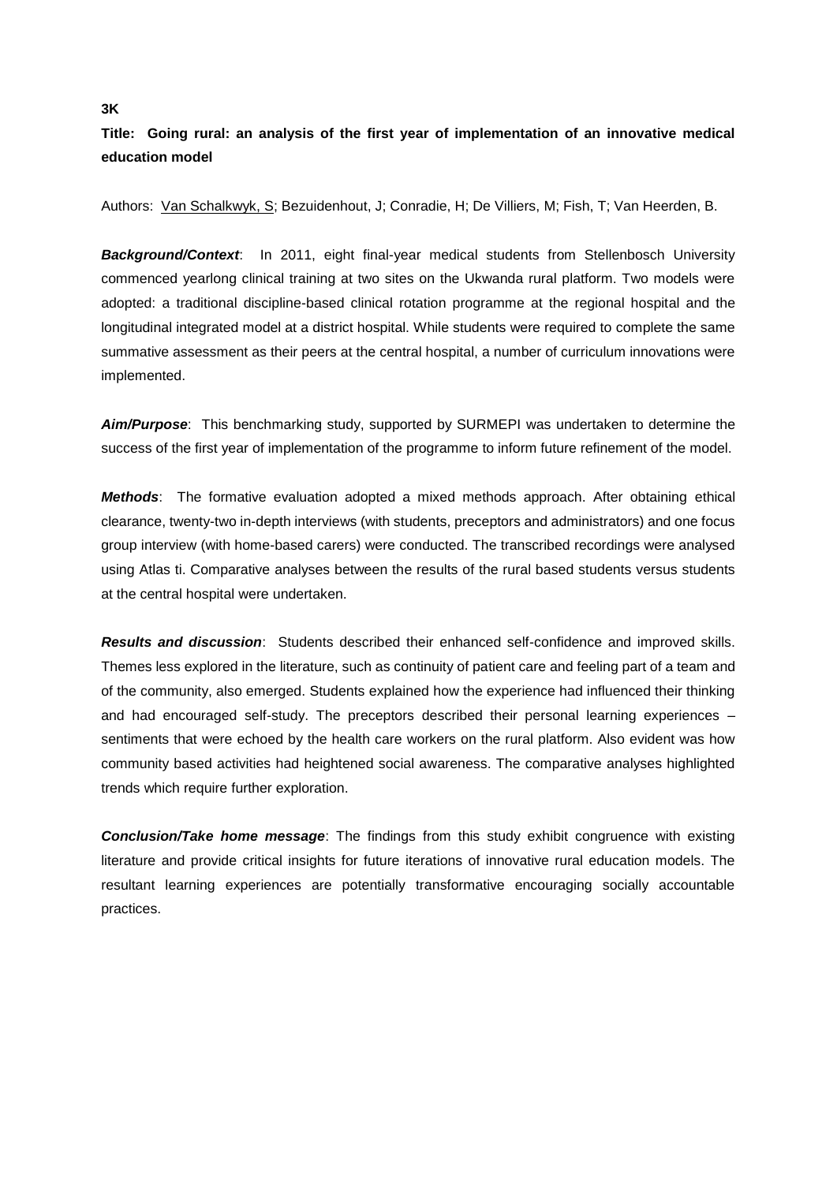# **Title: Going rural: an analysis of the first year of implementation of an innovative medical education model**

Authors: Van Schalkwyk, S; Bezuidenhout, J; Conradie, H; De Villiers, M; Fish, T; Van Heerden, B.

*Background/Context*: In 2011, eight final-year medical students from Stellenbosch University commenced yearlong clinical training at two sites on the Ukwanda rural platform. Two models were adopted: a traditional discipline-based clinical rotation programme at the regional hospital and the longitudinal integrated model at a district hospital. While students were required to complete the same summative assessment as their peers at the central hospital, a number of curriculum innovations were implemented.

*Aim/Purpose*: This benchmarking study, supported by SURMEPI was undertaken to determine the success of the first year of implementation of the programme to inform future refinement of the model.

*Methods*: The formative evaluation adopted a mixed methods approach. After obtaining ethical clearance, twenty-two in-depth interviews (with students, preceptors and administrators) and one focus group interview (with home-based carers) were conducted. The transcribed recordings were analysed using Atlas ti. Comparative analyses between the results of the rural based students versus students at the central hospital were undertaken.

*Results and discussion*: Students described their enhanced self-confidence and improved skills. Themes less explored in the literature, such as continuity of patient care and feeling part of a team and of the community, also emerged. Students explained how the experience had influenced their thinking and had encouraged self-study. The preceptors described their personal learning experiences – sentiments that were echoed by the health care workers on the rural platform. Also evident was how community based activities had heightened social awareness. The comparative analyses highlighted trends which require further exploration.

*Conclusion/Take home message*: The findings from this study exhibit congruence with existing literature and provide critical insights for future iterations of innovative rural education models. The resultant learning experiences are potentially transformative encouraging socially accountable practices.

**3K**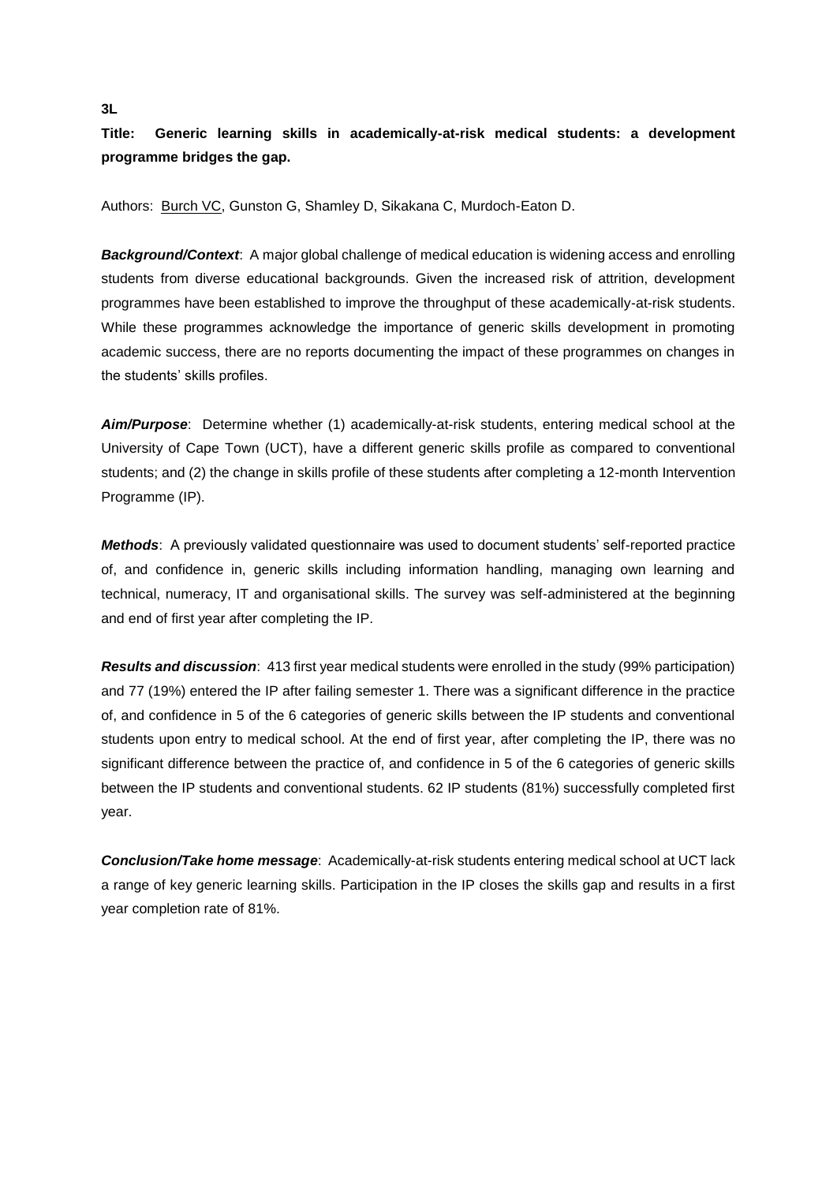# **Title: Generic learning skills in academically-at-risk medical students: a development programme bridges the gap.**

Authors: Burch VC, Gunston G, Shamley D, Sikakana C, Murdoch-Eaton D.

**Background/Context:** A major global challenge of medical education is widening access and enrolling students from diverse educational backgrounds. Given the increased risk of attrition, development programmes have been established to improve the throughput of these academically-at-risk students. While these programmes acknowledge the importance of generic skills development in promoting academic success, there are no reports documenting the impact of these programmes on changes in the students' skills profiles.

*Aim/Purpose*: Determine whether (1) academically-at-risk students, entering medical school at the University of Cape Town (UCT), have a different generic skills profile as compared to conventional students; and (2) the change in skills profile of these students after completing a 12-month Intervention Programme (IP).

*Methods*: A previously validated questionnaire was used to document students' self-reported practice of, and confidence in, generic skills including information handling, managing own learning and technical, numeracy, IT and organisational skills. The survey was self-administered at the beginning and end of first year after completing the IP.

*Results and discussion*: 413 first year medical students were enrolled in the study (99% participation) and 77 (19%) entered the IP after failing semester 1. There was a significant difference in the practice of, and confidence in 5 of the 6 categories of generic skills between the IP students and conventional students upon entry to medical school. At the end of first year, after completing the IP, there was no significant difference between the practice of, and confidence in 5 of the 6 categories of generic skills between the IP students and conventional students. 62 IP students (81%) successfully completed first year.

*Conclusion/Take home message*: Academically-at-risk students entering medical school at UCT lack a range of key generic learning skills. Participation in the IP closes the skills gap and results in a first year completion rate of 81%.

**3L**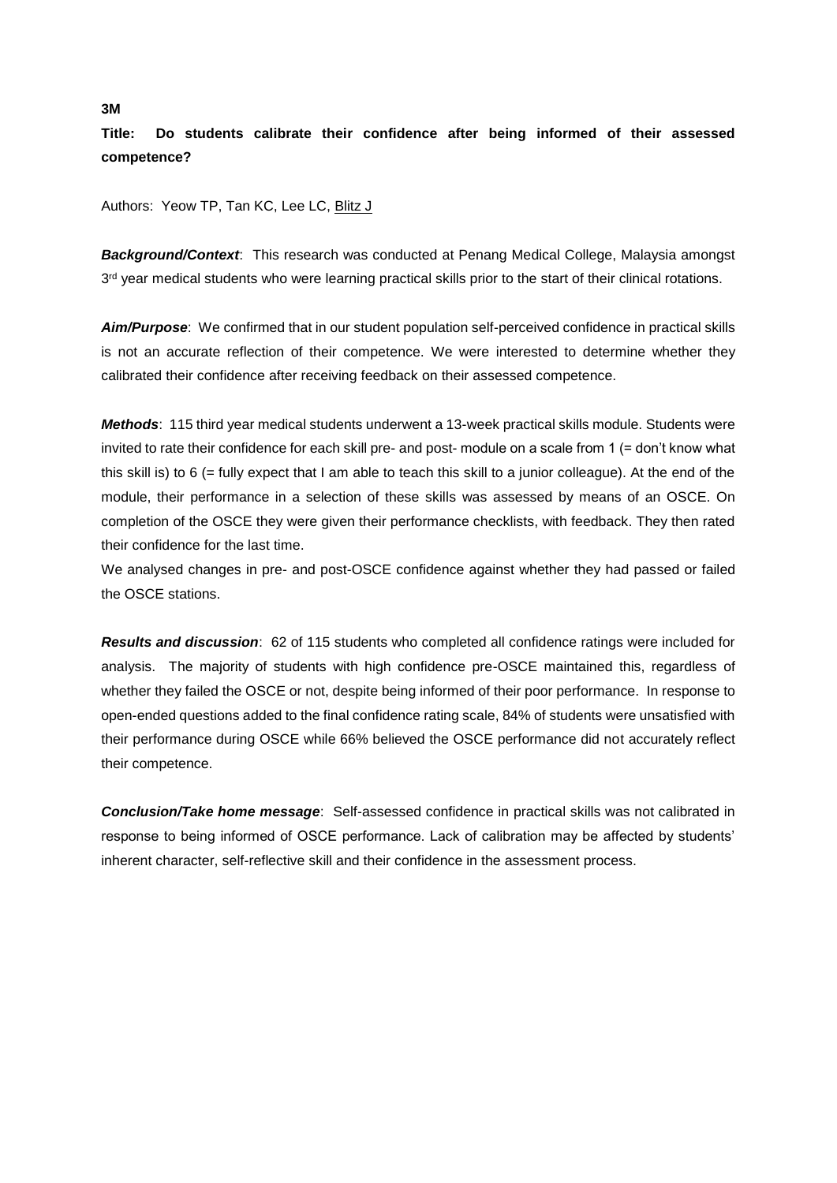**Title: Do students calibrate their confidence after being informed of their assessed competence?**

Authors: Yeow TP, Tan KC, Lee LC, Blitz J

*Background/Context*: This research was conducted at Penang Medical College, Malaysia amongst 3<sup>rd</sup> year medical students who were learning practical skills prior to the start of their clinical rotations.

*Aim/Purpose*: We confirmed that in our student population self-perceived confidence in practical skills is not an accurate reflection of their competence. We were interested to determine whether they calibrated their confidence after receiving feedback on their assessed competence.

*Methods*: 115 third year medical students underwent a 13-week practical skills module. Students were invited to rate their confidence for each skill pre- and post- module on a scale from 1 (= don't know what this skill is) to 6 (= fully expect that I am able to teach this skill to a junior colleague). At the end of the module, their performance in a selection of these skills was assessed by means of an OSCE. On completion of the OSCE they were given their performance checklists, with feedback. They then rated their confidence for the last time.

We analysed changes in pre- and post-OSCE confidence against whether they had passed or failed the OSCE stations.

*Results and discussion*: 62 of 115 students who completed all confidence ratings were included for analysis. The majority of students with high confidence pre-OSCE maintained this, regardless of whether they failed the OSCE or not, despite being informed of their poor performance. In response to open-ended questions added to the final confidence rating scale, 84% of students were unsatisfied with their performance during OSCE while 66% believed the OSCE performance did not accurately reflect their competence.

*Conclusion/Take home message*: Self-assessed confidence in practical skills was not calibrated in response to being informed of OSCE performance. Lack of calibration may be affected by students' inherent character, self-reflective skill and their confidence in the assessment process.

#### **3M**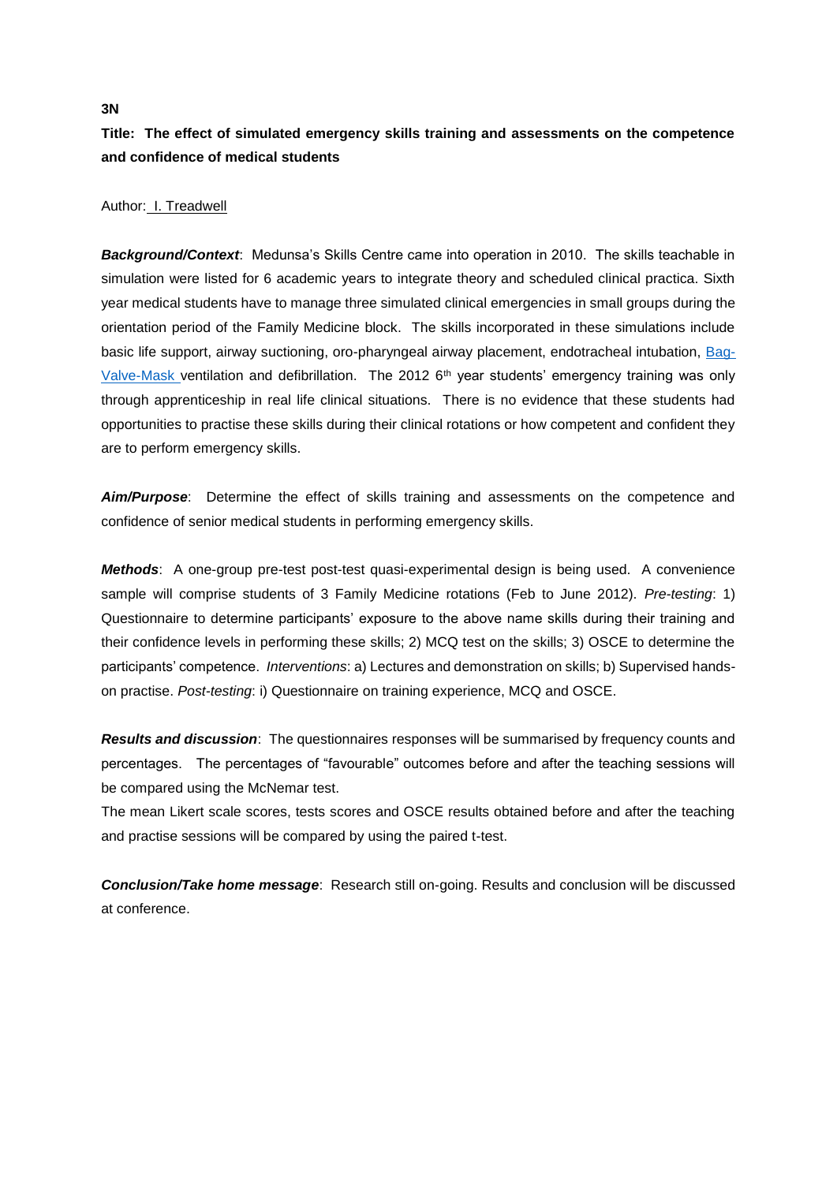# **Title: The effect of simulated emergency skills training and assessments on the competence and confidence of medical students**

## Author: I. Treadwell

*Background/Context*: Medunsa's Skills Centre came into operation in 2010. The skills teachable in simulation were listed for 6 academic years to integrate theory and scheduled clinical practica. Sixth year medical students have to manage three simulated clinical emergencies in small groups during the orientation period of the Family Medicine block. The skills incorporated in these simulations include basic life support, airway suctioning, oro-pharyngeal airway placement, endotracheal intubation, [Bag-](http://emedicine.medscape.com/article/80184-overview)[Valve-Mask v](http://emedicine.medscape.com/article/80184-overview)entilation and defibrillation. The 2012 6<sup>th</sup> year students' emergency training was only through apprenticeship in real life clinical situations. There is no evidence that these students had opportunities to practise these skills during their clinical rotations or how competent and confident they are to perform emergency skills.

*Aim/Purpose*: Determine the effect of skills training and assessments on the competence and confidence of senior medical students in performing emergency skills.

*Methods*: A one-group pre-test post-test quasi-experimental design is being used. A convenience sample will comprise students of 3 Family Medicine rotations (Feb to June 2012). *Pre-testing*: 1) Questionnaire to determine participants' exposure to the above name skills during their training and their confidence levels in performing these skills; 2) MCQ test on the skills; 3) OSCE to determine the participants' competence. *Interventions*: a) Lectures and demonstration on skills; b) Supervised handson practise. *Post-testing*: i) Questionnaire on training experience, MCQ and OSCE.

*Results and discussion*: The questionnaires responses will be summarised by frequency counts and percentages. The percentages of "favourable" outcomes before and after the teaching sessions will be compared using the McNemar test.

The mean Likert scale scores, tests scores and OSCE results obtained before and after the teaching and practise sessions will be compared by using the paired t-test.

*Conclusion/Take home message*: Research still on-going. Results and conclusion will be discussed at conference.

## **3N**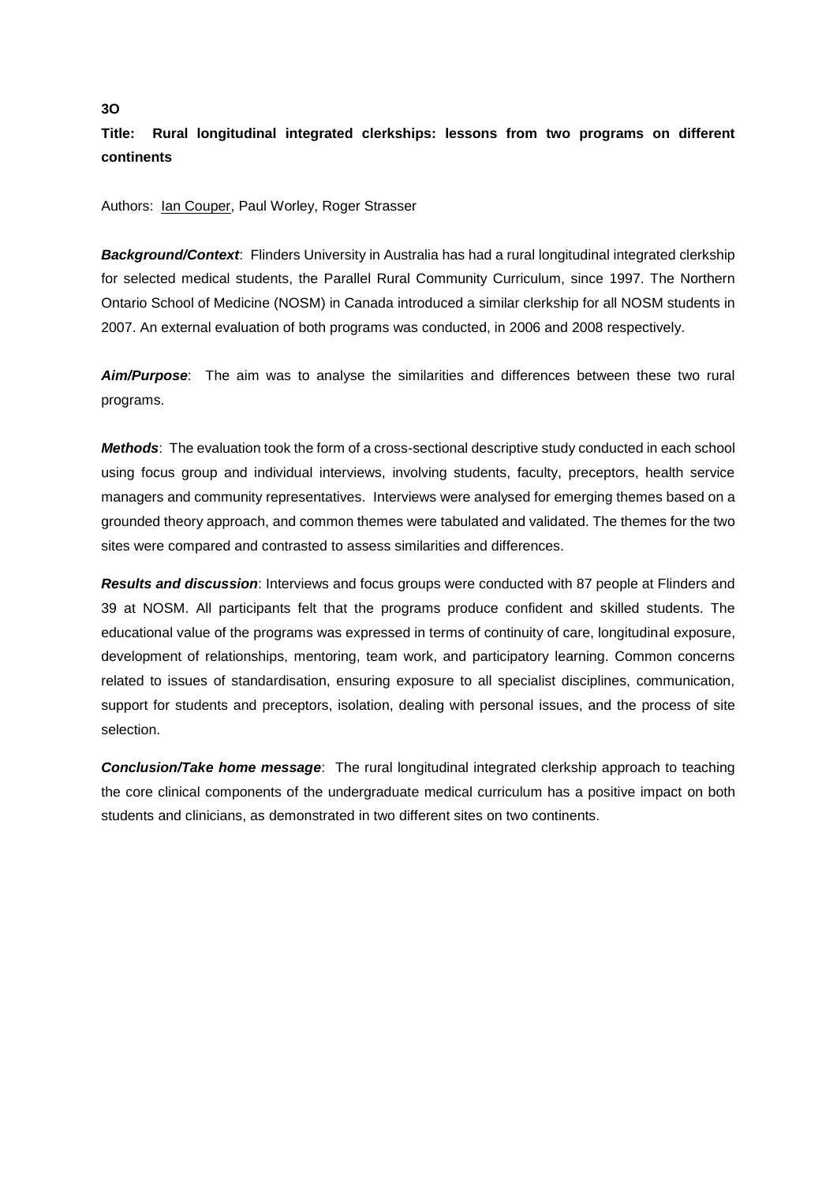# **Title: Rural longitudinal integrated clerkships: lessons from two programs on different continents**

Authors: Ian Couper, Paul Worley, Roger Strasser

*Background/Context*: Flinders University in Australia has had a rural longitudinal integrated clerkship for selected medical students, the Parallel Rural Community Curriculum, since 1997. The Northern Ontario School of Medicine (NOSM) in Canada introduced a similar clerkship for all NOSM students in 2007. An external evaluation of both programs was conducted, in 2006 and 2008 respectively.

*Aim/Purpose*: The aim was to analyse the similarities and differences between these two rural programs.

*Methods*: The evaluation took the form of a cross-sectional descriptive study conducted in each school using focus group and individual interviews, involving students, faculty, preceptors, health service managers and community representatives. Interviews were analysed for emerging themes based on a grounded theory approach, and common themes were tabulated and validated. The themes for the two sites were compared and contrasted to assess similarities and differences.

*Results and discussion*: Interviews and focus groups were conducted with 87 people at Flinders and 39 at NOSM. All participants felt that the programs produce confident and skilled students. The educational value of the programs was expressed in terms of continuity of care, longitudinal exposure, development of relationships, mentoring, team work, and participatory learning. Common concerns related to issues of standardisation, ensuring exposure to all specialist disciplines, communication, support for students and preceptors, isolation, dealing with personal issues, and the process of site selection.

*Conclusion/Take home message*: The rural longitudinal integrated clerkship approach to teaching the core clinical components of the undergraduate medical curriculum has a positive impact on both students and clinicians, as demonstrated in two different sites on two continents.

## **3O**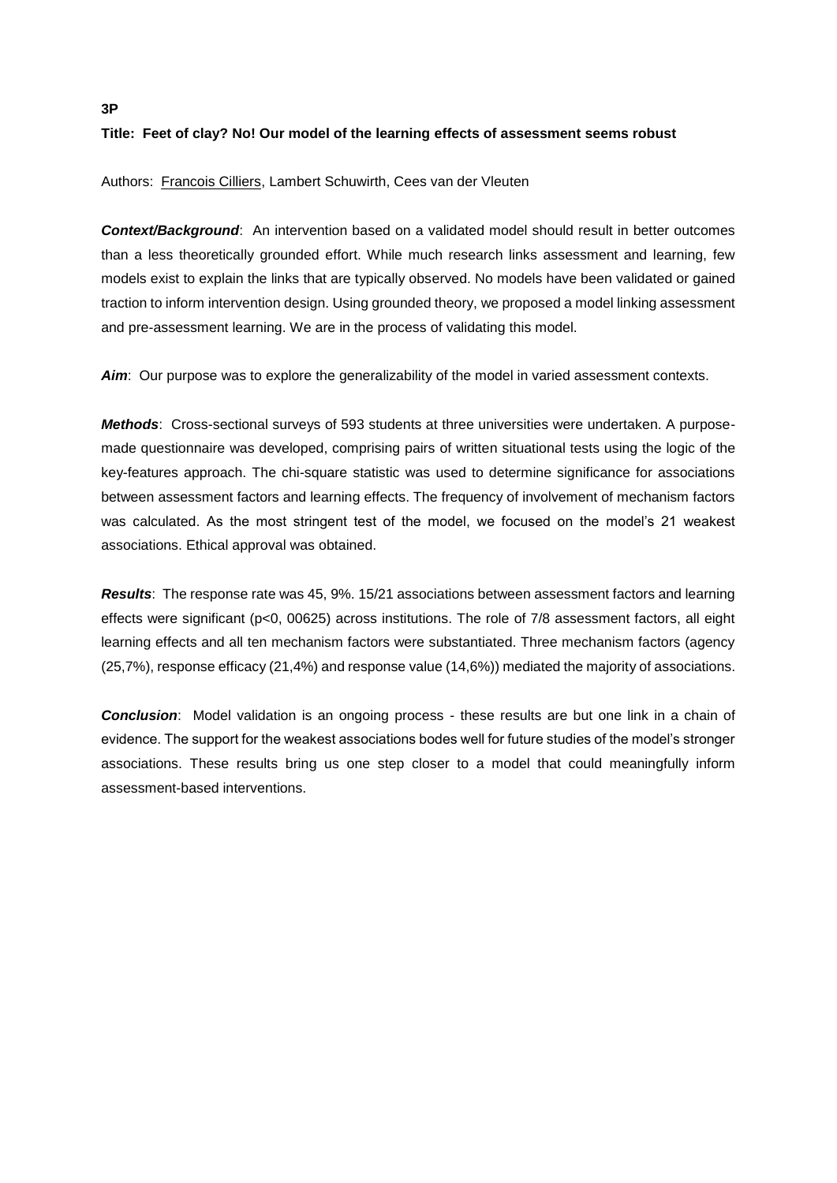# **Title: Feet of clay? No! Our model of the learning effects of assessment seems robust**

Authors: Francois Cilliers, Lambert Schuwirth, Cees van der Vleuten

**3P**

*Context/Background*: An intervention based on a validated model should result in better outcomes than a less theoretically grounded effort. While much research links assessment and learning, few models exist to explain the links that are typically observed. No models have been validated or gained traction to inform intervention design. Using grounded theory, we proposed a model linking assessment and pre-assessment learning. We are in the process of validating this model.

Aim: Our purpose was to explore the generalizability of the model in varied assessment contexts.

*Methods*: Cross-sectional surveys of 593 students at three universities were undertaken. A purposemade questionnaire was developed, comprising pairs of written situational tests using the logic of the key-features approach. The chi-square statistic was used to determine significance for associations between assessment factors and learning effects. The frequency of involvement of mechanism factors was calculated. As the most stringent test of the model, we focused on the model's 21 weakest associations. Ethical approval was obtained.

*Results*: The response rate was 45, 9%. 15/21 associations between assessment factors and learning effects were significant (p<0, 00625) across institutions. The role of 7/8 assessment factors, all eight learning effects and all ten mechanism factors were substantiated. Three mechanism factors (agency (25,7%), response efficacy (21,4%) and response value (14,6%)) mediated the majority of associations.

*Conclusion*: Model validation is an ongoing process - these results are but one link in a chain of evidence. The support for the weakest associations bodes well for future studies of the model's stronger associations. These results bring us one step closer to a model that could meaningfully inform assessment-based interventions.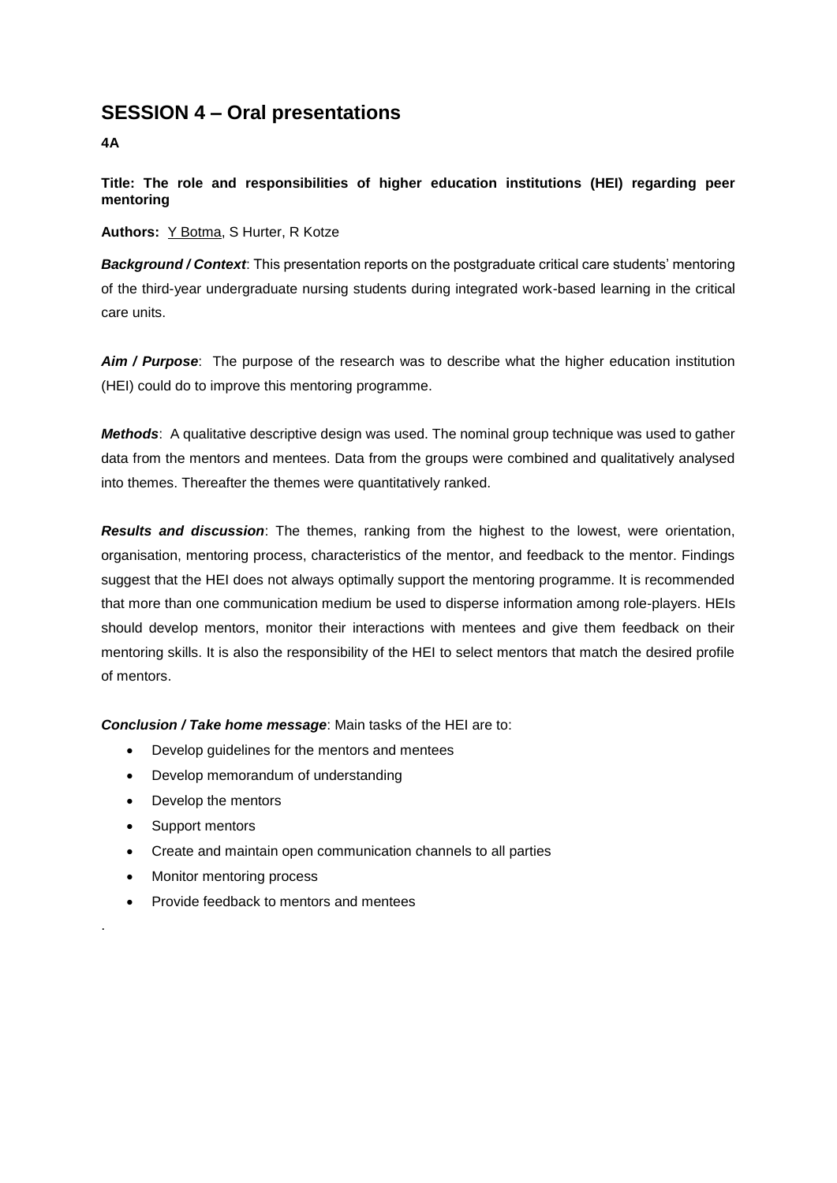# **SESSION 4 – Oral presentations**

**4A**

# **Title: The role and responsibilities of higher education institutions (HEI) regarding peer mentoring**

**Authors:** Y Botma, S Hurter, R Kotze

*Background / Context*: This presentation reports on the postgraduate critical care students' mentoring of the third-year undergraduate nursing students during integrated work-based learning in the critical care units.

*Aim / Purpose*: The purpose of the research was to describe what the higher education institution (HEI) could do to improve this mentoring programme.

*Methods*: A qualitative descriptive design was used. The nominal group technique was used to gather data from the mentors and mentees. Data from the groups were combined and qualitatively analysed into themes. Thereafter the themes were quantitatively ranked.

*Results and discussion*: The themes, ranking from the highest to the lowest, were orientation, organisation, mentoring process, characteristics of the mentor, and feedback to the mentor. Findings suggest that the HEI does not always optimally support the mentoring programme. It is recommended that more than one communication medium be used to disperse information among role-players. HEIs should develop mentors, monitor their interactions with mentees and give them feedback on their mentoring skills. It is also the responsibility of the HEI to select mentors that match the desired profile of mentors.

*Conclusion / Take home message*: Main tasks of the HEI are to:

- Develop guidelines for the mentors and mentees
- Develop memorandum of understanding
- Develop the mentors
- Support mentors

.

- Create and maintain open communication channels to all parties
- Monitor mentoring process
- Provide feedback to mentors and mentees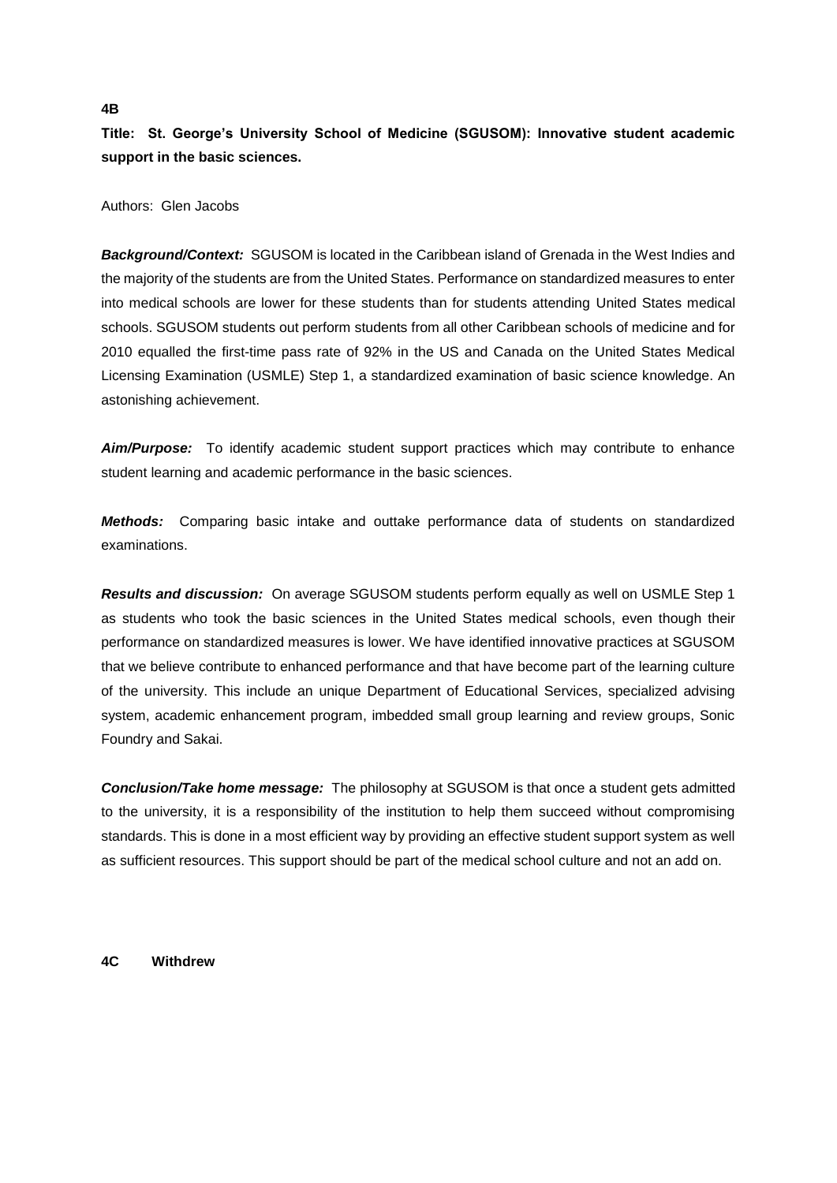**Title: St. George's University School of Medicine (SGUSOM): Innovative student academic support in the basic sciences.**

Authors: Glen Jacobs

**Background/Context:** SGUSOM is located in the Caribbean island of Grenada in the West Indies and the majority of the students are from the United States. Performance on standardized measures to enter into medical schools are lower for these students than for students attending United States medical schools. SGUSOM students out perform students from all other Caribbean schools of medicine and for 2010 equalled the first-time pass rate of 92% in the US and Canada on the United States Medical Licensing Examination (USMLE) Step 1, a standardized examination of basic science knowledge. An astonishing achievement.

*Aim/Purpose:*To identify academic student support practices which may contribute to enhance student learning and academic performance in the basic sciences.

*Methods:*Comparing basic intake and outtake performance data of students on standardized examinations.

**Results and discussion:** On average SGUSOM students perform equally as well on USMLE Step 1 as students who took the basic sciences in the United States medical schools, even though their performance on standardized measures is lower. We have identified innovative practices at SGUSOM that we believe contribute to enhanced performance and that have become part of the learning culture of the university. This include an unique Department of Educational Services, specialized advising system, academic enhancement program, imbedded small group learning and review groups, Sonic Foundry and Sakai.

*Conclusion/Take home message:* The philosophy at SGUSOM is that once a student gets admitted to the university, it is a responsibility of the institution to help them succeed without compromising standards. This is done in a most efficient way by providing an effective student support system as well as sufficient resources. This support should be part of the medical school culture and not an add on.

**4C Withdrew**

## **4B**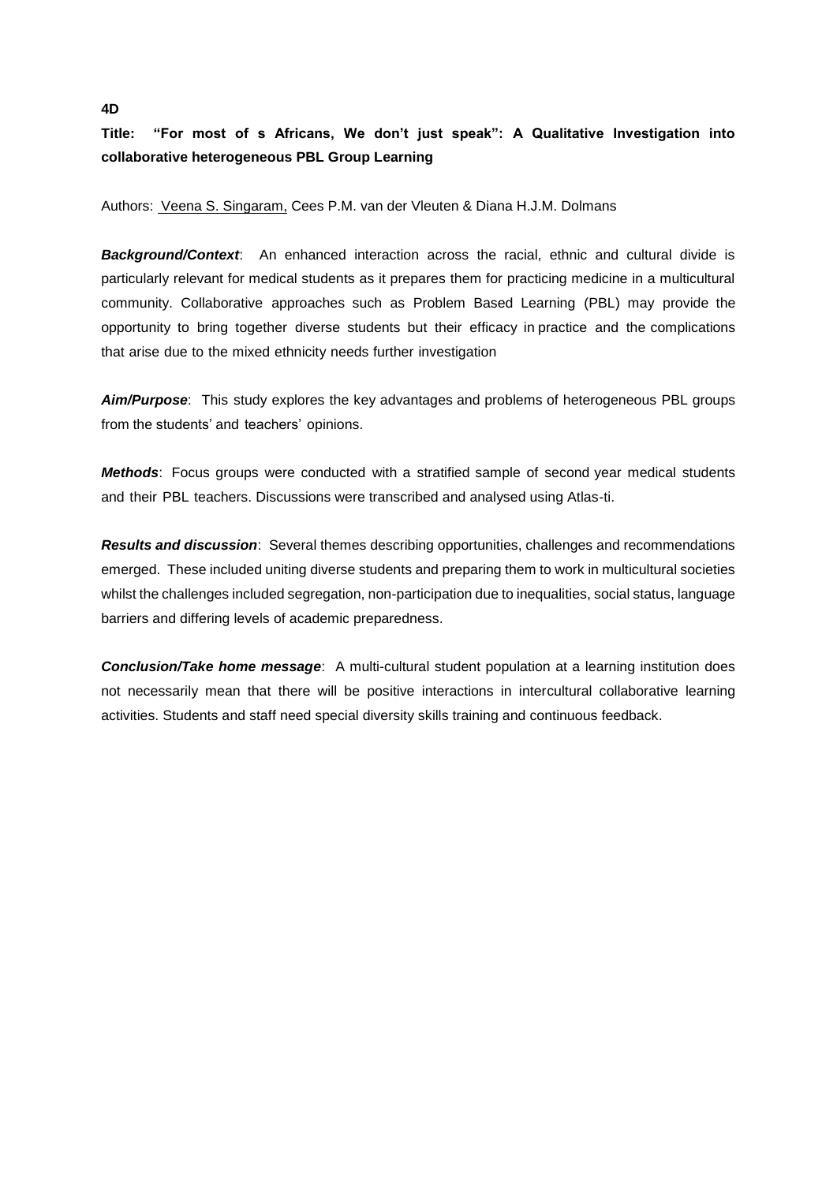**Title: "For most of s Africans, We don't just speak": A Qualitative Investigation into collaborative heterogeneous PBL Group Learning**

Authors: Veena S. Singaram, Cees P.M. van der Vleuten & Diana H.J.M. Dolmans

*Background/Context*: An enhanced interaction across the racial, ethnic and cultural divide is particularly relevant for medical students as it prepares them for practicing medicine in a multicultural community. Collaborative approaches such as Problem Based Learning (PBL) may provide the opportunity to bring together diverse students but their efficacy in practice and the complications that arise due to the mixed ethnicity needs further investigation

*Aim/Purpose*: This study explores the key advantages and problems of heterogeneous PBL groups from the students' and teachers' opinions.

*Methods*: Focus groups were conducted with a stratified sample of second year medical students and their PBL teachers. Discussions were transcribed and analysed using Atlas-ti.

*Results and discussion*: Several themes describing opportunities, challenges and recommendations emerged. These included uniting diverse students and preparing them to work in multicultural societies whilst the challenges included segregation, non-participation due to inequalities, social status, language barriers and differing levels of academic preparedness.

*Conclusion/Take home message*: A multi-cultural student population at a learning institution does not necessarily mean that there will be positive interactions in intercultural collaborative learning activities. Students and staff need special diversity skills training and continuous feedback.

**4D**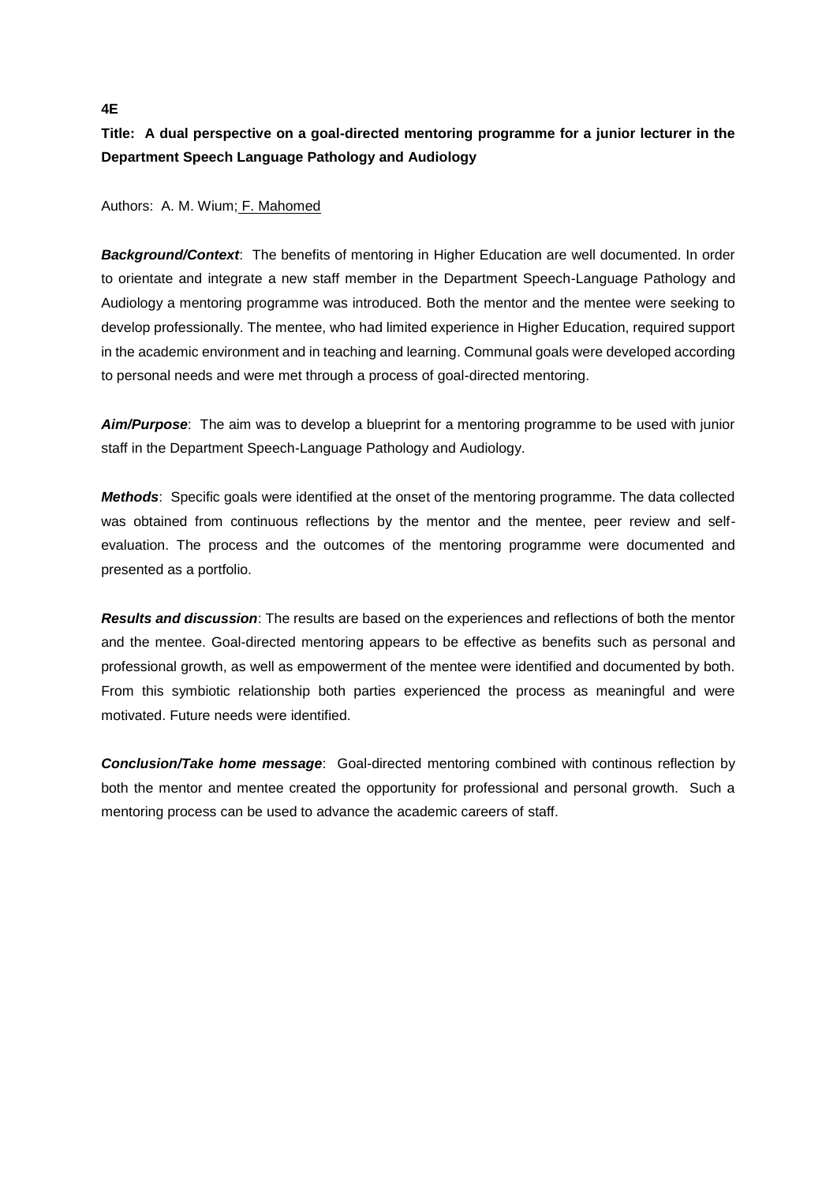# **Title: A dual perspective on a goal-directed mentoring programme for a junior lecturer in the Department Speech Language Pathology and Audiology**

# Authors: A. M. Wium; F. Mahomed

*Background/Context*: The benefits of mentoring in Higher Education are well documented. In order to orientate and integrate a new staff member in the Department Speech-Language Pathology and Audiology a mentoring programme was introduced. Both the mentor and the mentee were seeking to develop professionally. The mentee, who had limited experience in Higher Education, required support in the academic environment and in teaching and learning. Communal goals were developed according to personal needs and were met through a process of goal-directed mentoring.

*Aim/Purpose*: The aim was to develop a blueprint for a mentoring programme to be used with junior staff in the Department Speech-Language Pathology and Audiology.

*Methods*: Specific goals were identified at the onset of the mentoring programme. The data collected was obtained from continuous reflections by the mentor and the mentee, peer review and selfevaluation. The process and the outcomes of the mentoring programme were documented and presented as a portfolio.

*Results and discussion*: The results are based on the experiences and reflections of both the mentor and the mentee. Goal-directed mentoring appears to be effective as benefits such as personal and professional growth, as well as empowerment of the mentee were identified and documented by both. From this symbiotic relationship both parties experienced the process as meaningful and were motivated. Future needs were identified.

*Conclusion/Take home message*: Goal-directed mentoring combined with continous reflection by both the mentor and mentee created the opportunity for professional and personal growth. Such a mentoring process can be used to advance the academic careers of staff.

**4E**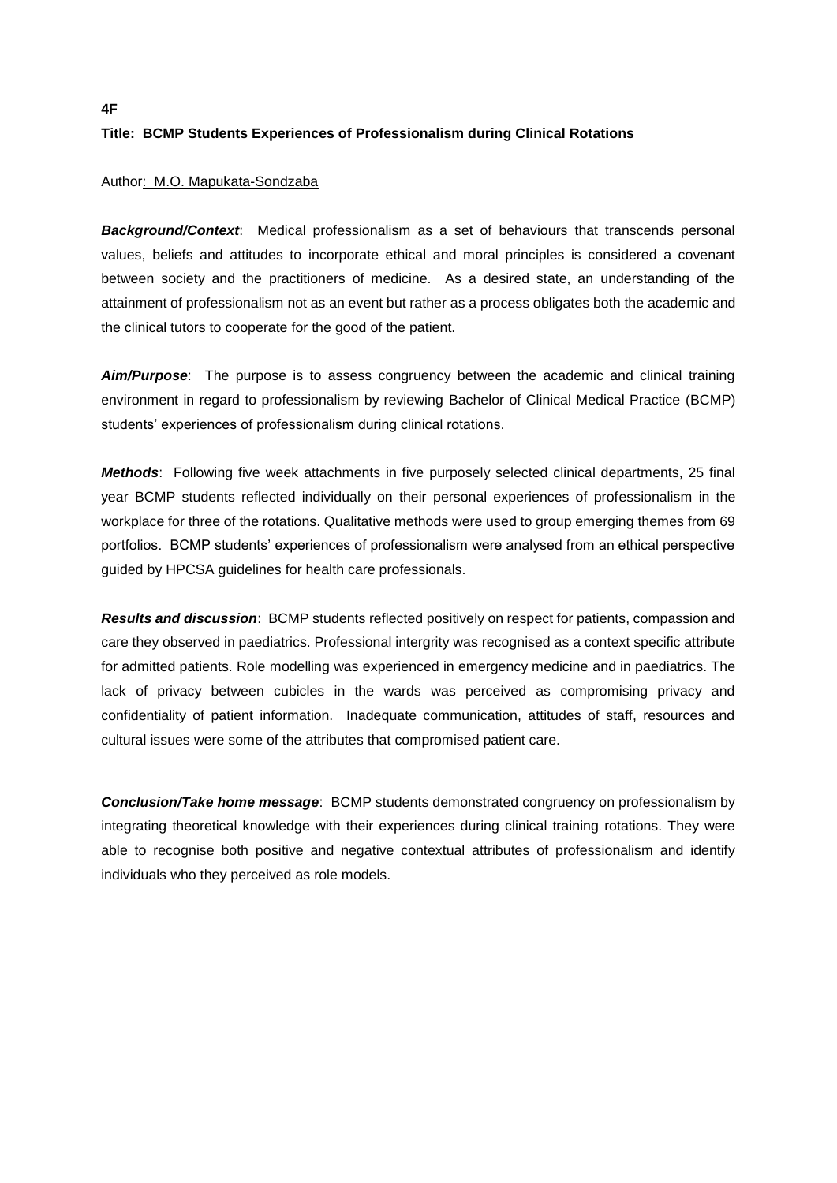# **Title: BCMP Students Experiences of Professionalism during Clinical Rotations**

## Author: M.O. Mapukata-Sondzaba

*Background/Context*: Medical professionalism as a set of behaviours that transcends personal values, beliefs and attitudes to incorporate ethical and moral principles is considered a covenant between society and the practitioners of medicine. As a desired state, an understanding of the attainment of professionalism not as an event but rather as a process obligates both the academic and the clinical tutors to cooperate for the good of the patient.

*Aim/Purpose*: The purpose is to assess congruency between the academic and clinical training environment in regard to professionalism by reviewing Bachelor of Clinical Medical Practice (BCMP) students' experiences of professionalism during clinical rotations.

*Methods*: Following five week attachments in five purposely selected clinical departments, 25 final year BCMP students reflected individually on their personal experiences of professionalism in the workplace for three of the rotations. Qualitative methods were used to group emerging themes from 69 portfolios. BCMP students' experiences of professionalism were analysed from an ethical perspective guided by HPCSA guidelines for health care professionals.

*Results and discussion*: BCMP students reflected positively on respect for patients, compassion and care they observed in paediatrics. Professional intergrity was recognised as a context specific attribute for admitted patients. Role modelling was experienced in emergency medicine and in paediatrics. The lack of privacy between cubicles in the wards was perceived as compromising privacy and confidentiality of patient information. Inadequate communication, attitudes of staff, resources and cultural issues were some of the attributes that compromised patient care.

*Conclusion/Take home message*: BCMP students demonstrated congruency on professionalism by integrating theoretical knowledge with their experiences during clinical training rotations. They were able to recognise both positive and negative contextual attributes of professionalism and identify individuals who they perceived as role models.

#### **4F**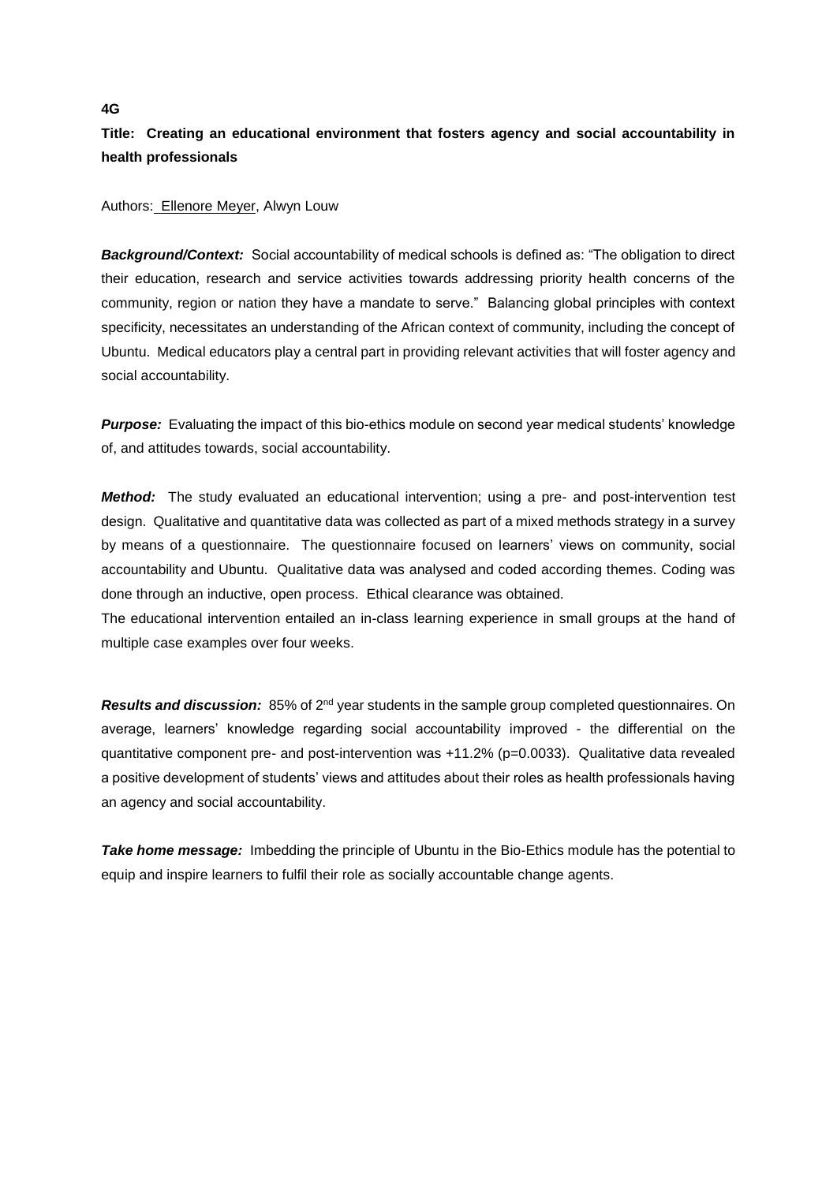# **Title: Creating an educational environment that fosters agency and social accountability in health professionals**

## Authors: Ellenore Meyer, Alwyn Louw

*Background/Context:* Social accountability of medical schools is defined as: "The obligation to direct their education, research and service activities towards addressing priority health concerns of the community, region or nation they have a mandate to serve." Balancing global principles with context specificity, necessitates an understanding of the African context of community, including the concept of Ubuntu. Medical educators play a central part in providing relevant activities that will foster agency and social accountability.

*Purpose:* Evaluating the impact of this bio-ethics module on second year medical students' knowledge of, and attitudes towards, social accountability.

*Method:* The study evaluated an educational intervention; using a pre- and post-intervention test design. Qualitative and quantitative data was collected as part of a mixed methods strategy in a survey by means of a questionnaire. The questionnaire focused on learners' views on community, social accountability and Ubuntu. Qualitative data was analysed and coded according themes. Coding was done through an inductive, open process. Ethical clearance was obtained.

The educational intervention entailed an in-class learning experience in small groups at the hand of multiple case examples over four weeks.

**Results and discussion:** 85% of 2<sup>nd</sup> year students in the sample group completed questionnaires. On average, learners' knowledge regarding social accountability improved - the differential on the quantitative component pre- and post-intervention was +11.2% (p=0.0033). Qualitative data revealed a positive development of students' views and attitudes about their roles as health professionals having an agency and social accountability.

*Take home message:* Imbedding the principle of Ubuntu in the Bio-Ethics module has the potential to equip and inspire learners to fulfil their role as socially accountable change agents.

## **4G**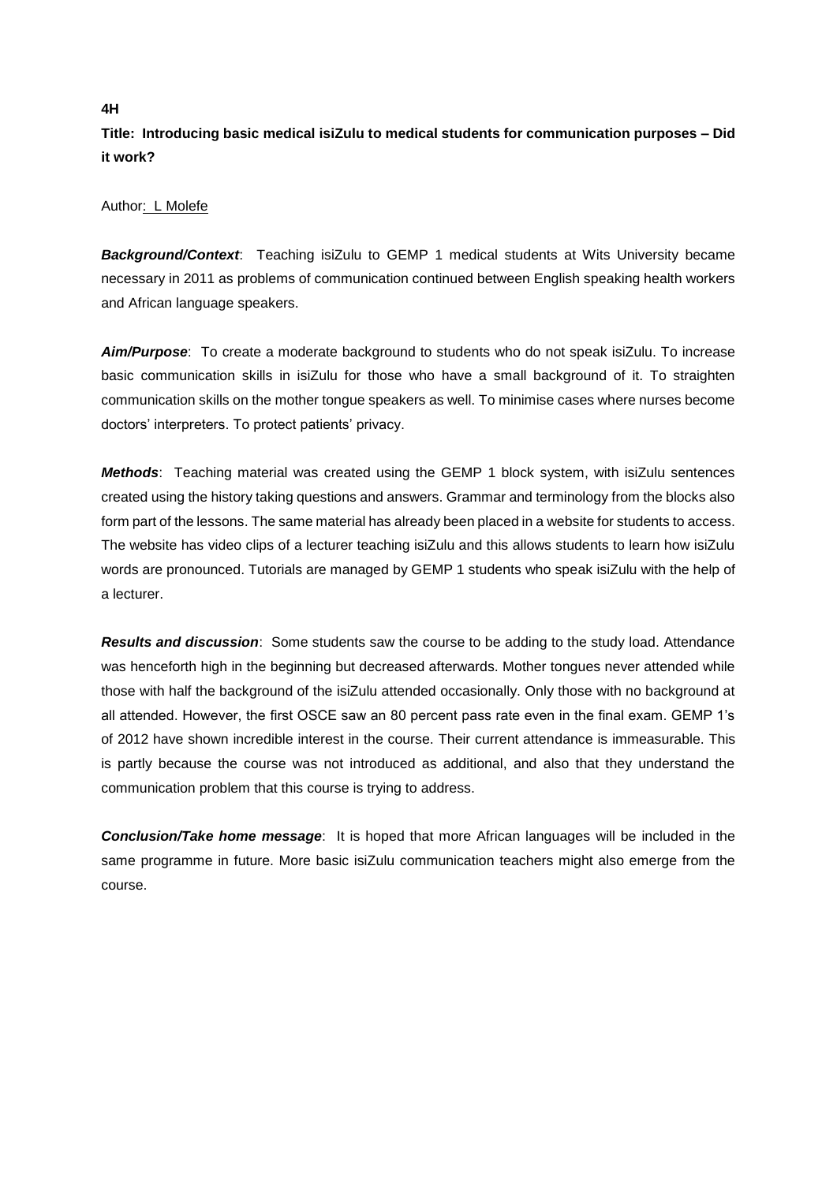# **Title: Introducing basic medical isiZulu to medical students for communication purposes – Did it work?**

## Author: L Molefe

*Background/Context*: Teaching isiZulu to GEMP 1 medical students at Wits University became necessary in 2011 as problems of communication continued between English speaking health workers and African language speakers.

*Aim/Purpose*: To create a moderate background to students who do not speak isiZulu. To increase basic communication skills in isiZulu for those who have a small background of it. To straighten communication skills on the mother tongue speakers as well. To minimise cases where nurses become doctors' interpreters. To protect patients' privacy.

*Methods*: Teaching material was created using the GEMP 1 block system, with isiZulu sentences created using the history taking questions and answers. Grammar and terminology from the blocks also form part of the lessons. The same material has already been placed in a website for students to access. The website has video clips of a lecturer teaching isiZulu and this allows students to learn how isiZulu words are pronounced. Tutorials are managed by GEMP 1 students who speak isiZulu with the help of a lecturer.

*Results and discussion*: Some students saw the course to be adding to the study load. Attendance was henceforth high in the beginning but decreased afterwards. Mother tongues never attended while those with half the background of the isiZulu attended occasionally. Only those with no background at all attended. However, the first OSCE saw an 80 percent pass rate even in the final exam. GEMP 1's of 2012 have shown incredible interest in the course. Their current attendance is immeasurable. This is partly because the course was not introduced as additional, and also that they understand the communication problem that this course is trying to address.

*Conclusion/Take home message*: It is hoped that more African languages will be included in the same programme in future. More basic isiZulu communication teachers might also emerge from the course.

## **4H**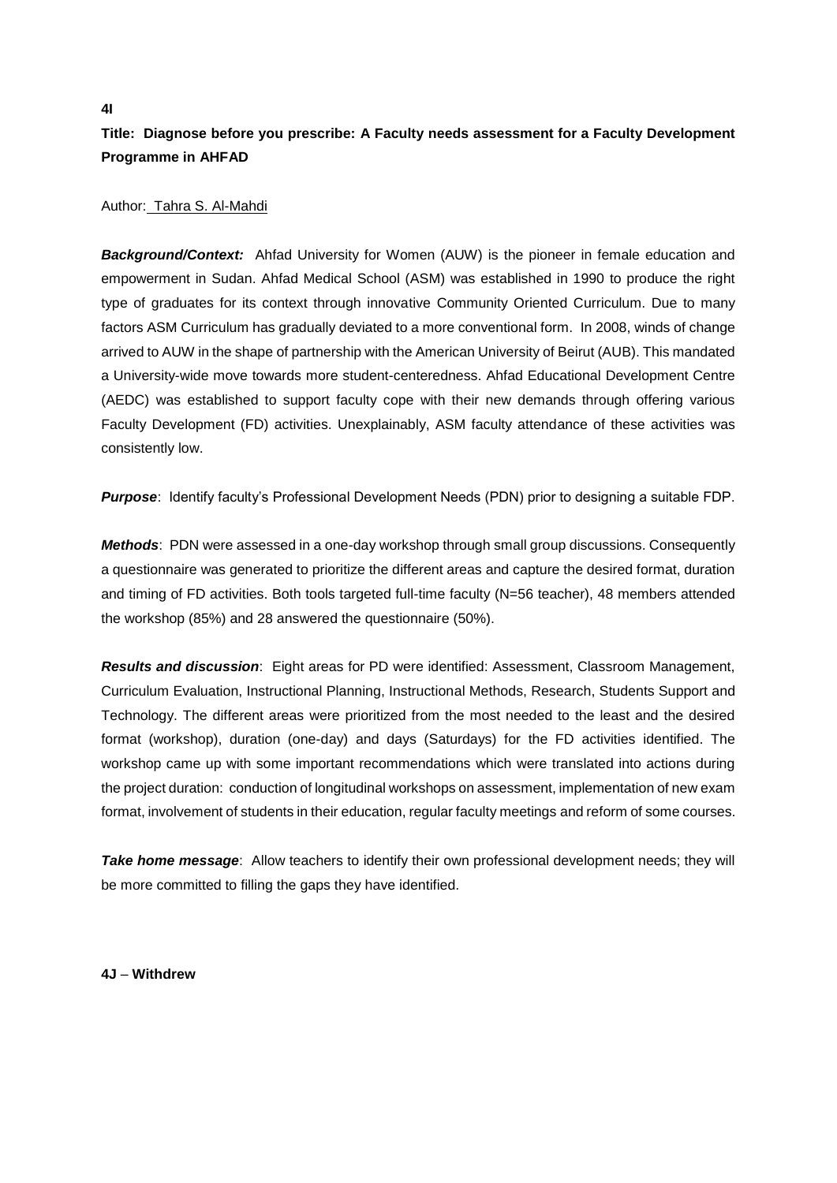# **Title: Diagnose before you prescribe: A Faculty needs assessment for a Faculty Development Programme in AHFAD**

## Author: Tahra S. Al-Mahdi

*Background/Context:* Ahfad University for Women (AUW) is the pioneer in female education and empowerment in Sudan. Ahfad Medical School (ASM) was established in 1990 to produce the right type of graduates for its context through innovative Community Oriented Curriculum. Due to many factors ASM Curriculum has gradually deviated to a more conventional form. In 2008, winds of change arrived to AUW in the shape of partnership with the American University of Beirut (AUB). This mandated a University-wide move towards more student-centeredness. Ahfad Educational Development Centre (AEDC) was established to support faculty cope with their new demands through offering various Faculty Development (FD) activities. Unexplainably, ASM faculty attendance of these activities was consistently low.

*Purpose*: Identify faculty's Professional Development Needs (PDN) prior to designing a suitable FDP.

*Methods*: PDN were assessed in a one-day workshop through small group discussions. Consequently a questionnaire was generated to prioritize the different areas and capture the desired format, duration and timing of FD activities. Both tools targeted full-time faculty (N=56 teacher), 48 members attended the workshop (85%) and 28 answered the questionnaire (50%).

*Results and discussion*: Eight areas for PD were identified: Assessment, Classroom Management, Curriculum Evaluation, Instructional Planning, Instructional Methods, Research, Students Support and Technology. The different areas were prioritized from the most needed to the least and the desired format (workshop), duration (one-day) and days (Saturdays) for the FD activities identified. The workshop came up with some important recommendations which were translated into actions during the project duration: conduction of longitudinal workshops on assessment, implementation of new exam format, involvement of students in their education, regular faculty meetings and reform of some courses.

*Take home message*: Allow teachers to identify their own professional development needs; they will be more committed to filling the gaps they have identified.

**4J** – **Withdrew**

#### **4I**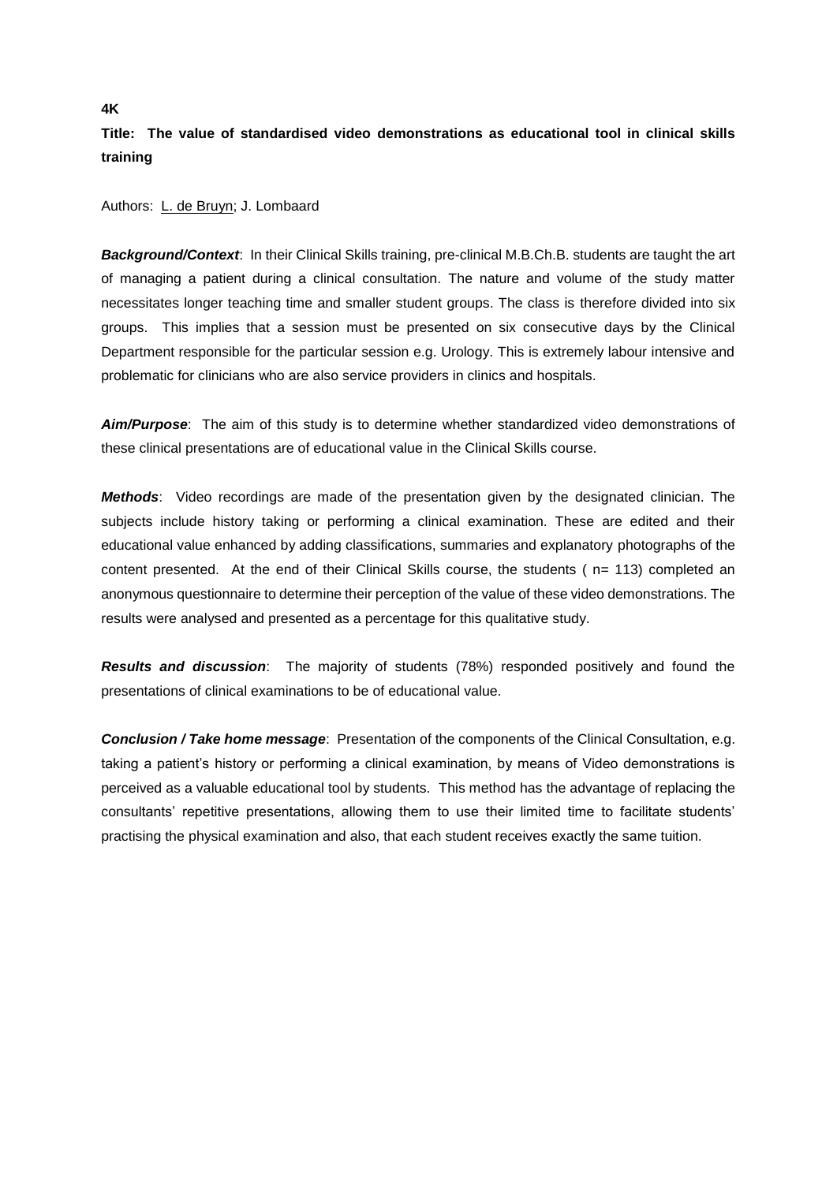# **Title: The value of standardised video demonstrations as educational tool in clinical skills training**

Authors: L. de Bruyn; J. Lombaard

*Background/Context*: In their Clinical Skills training, pre-clinical M.B.Ch.B. students are taught the art of managing a patient during a clinical consultation. The nature and volume of the study matter necessitates longer teaching time and smaller student groups. The class is therefore divided into six groups. This implies that a session must be presented on six consecutive days by the Clinical Department responsible for the particular session e.g. Urology. This is extremely labour intensive and problematic for clinicians who are also service providers in clinics and hospitals.

*Aim/Purpose*: The aim of this study is to determine whether standardized video demonstrations of these clinical presentations are of educational value in the Clinical Skills course.

*Methods*: Video recordings are made of the presentation given by the designated clinician. The subjects include history taking or performing a clinical examination. These are edited and their educational value enhanced by adding classifications, summaries and explanatory photographs of the content presented.At the end of their Clinical Skills course, the students ( n= 113) completed an anonymous questionnaire to determine their perception of the value of these video demonstrations. The results were analysed and presented as a percentage for this qualitative study.

*Results and discussion*: The majority of students (78%) responded positively and found the presentations of clinical examinations to be of educational value.

*Conclusion / Take home message*: Presentation of the components of the Clinical Consultation, e.g. taking a patient's history or performing a clinical examination, by means of Video demonstrations is perceived as a valuable educational tool by students.This method has the advantage of replacing the consultants' repetitive presentations, allowing them to use their limited time to facilitate students' practising the physical examination and also, that each student receives exactly the same tuition.

**4K**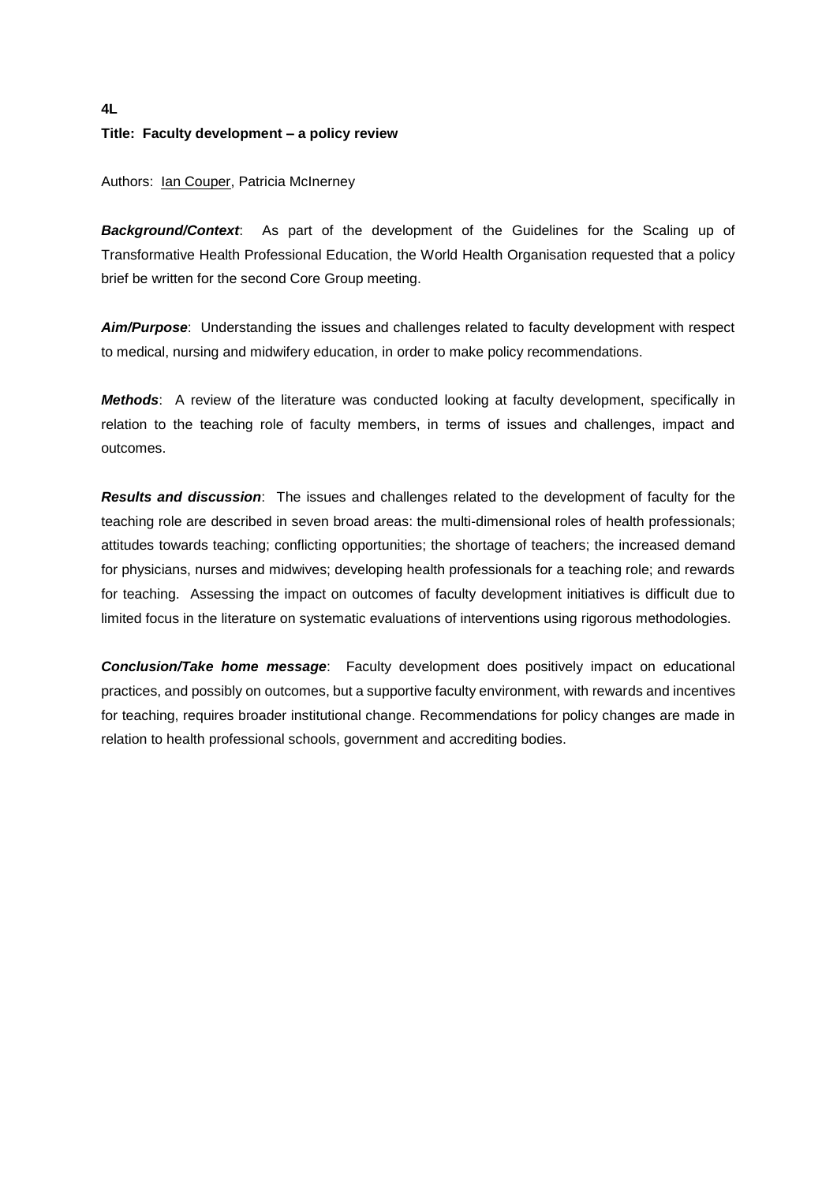# **4L Title: Faculty development – a policy review**

Authors: Ian Couper, Patricia McInerney

*Background/Context*: As part of the development of the Guidelines for the Scaling up of Transformative Health Professional Education, the World Health Organisation requested that a policy brief be written for the second Core Group meeting.

*Aim/Purpose*: Understanding the issues and challenges related to faculty development with respect to medical, nursing and midwifery education, in order to make policy recommendations.

*Methods*: A review of the literature was conducted looking at faculty development, specifically in relation to the teaching role of faculty members, in terms of issues and challenges, impact and outcomes.

*Results and discussion*: The issues and challenges related to the development of faculty for the teaching role are described in seven broad areas: the multi-dimensional roles of health professionals; attitudes towards teaching; conflicting opportunities; the shortage of teachers; the increased demand for physicians, nurses and midwives; developing health professionals for a teaching role; and rewards for teaching. Assessing the impact on outcomes of faculty development initiatives is difficult due to limited focus in the literature on systematic evaluations of interventions using rigorous methodologies.

*Conclusion/Take home message*: Faculty development does positively impact on educational practices, and possibly on outcomes, but a supportive faculty environment, with rewards and incentives for teaching, requires broader institutional change. Recommendations for policy changes are made in relation to health professional schools, government and accrediting bodies.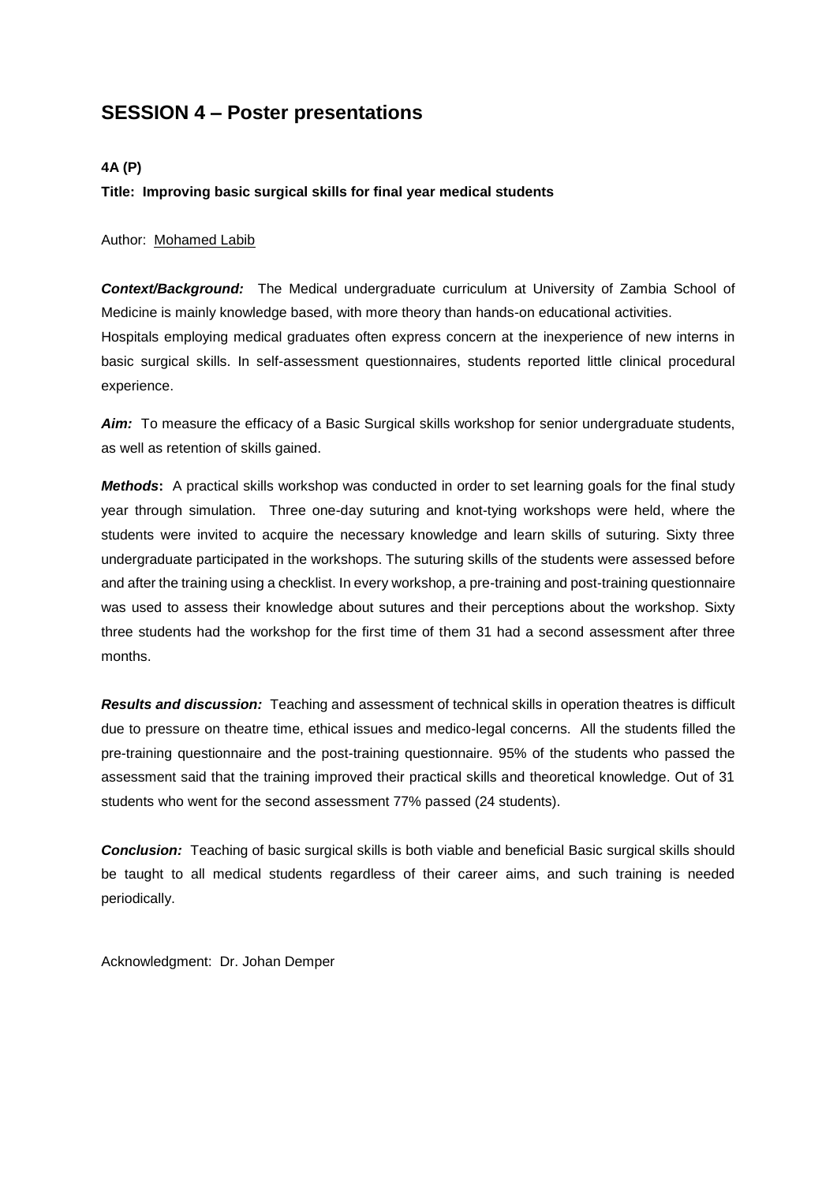# **SESSION 4 – Poster presentations**

# **4A (P)**

## **Title: Improving basic surgical skills for final year medical students**

## Author: Mohamed Labib

*Context/Background:* The Medical undergraduate curriculum at University of Zambia School of Medicine is mainly knowledge based, with more theory than hands-on educational activities. Hospitals employing medical graduates often express concern at the inexperience of new interns in basic surgical skills. In self-assessment questionnaires, students reported little clinical procedural experience.

*Aim:* To measure the efficacy of a Basic Surgical skills workshop for senior undergraduate students, as well as retention of skills gained.

*Methods***:** A practical skills workshop was conducted in order to set learning goals for the final study year through simulation. Three one-day suturing and knot-tying workshops were held, where the students were invited to acquire the necessary knowledge and learn skills of suturing. Sixty three undergraduate participated in the workshops. The suturing skills of the students were assessed before and after the training using a checklist. In every workshop, a pre-training and post-training questionnaire was used to assess their knowledge about sutures and their perceptions about the workshop. Sixty three students had the workshop for the first time of them 31 had a second assessment after three months.

*Results and discussion:* Teaching and assessment of technical skills in operation theatres is difficult due to pressure on theatre time, ethical issues and medico-legal concerns. All the students filled the pre-training questionnaire and the post-training questionnaire. 95% of the students who passed the assessment said that the training improved their practical skills and theoretical knowledge. Out of 31 students who went for the second assessment 77% passed (24 students).

*Conclusion:* Teaching of basic surgical skills is both viable and beneficial Basic surgical skills should be taught to all medical students regardless of their career aims, and such training is needed periodically.

Acknowledgment: Dr. Johan Demper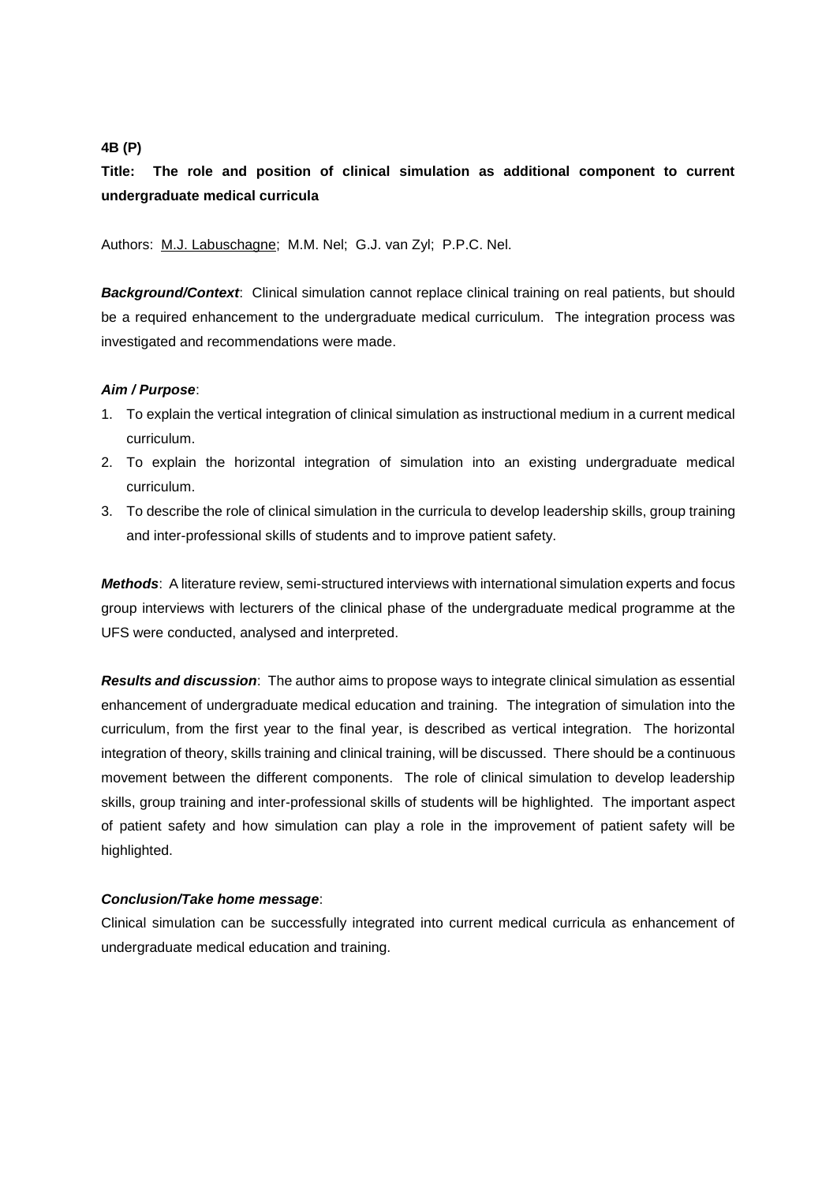# **4B (P)**

**Title: The role and position of clinical simulation as additional component to current undergraduate medical curricula**

Authors: M.J. Labuschagne; M.M. Nel; G.J. van Zyl; P.P.C. Nel.

*Background/Context*: Clinical simulation cannot replace clinical training on real patients, but should be a required enhancement to the undergraduate medical curriculum. The integration process was investigated and recommendations were made.

## *Aim / Purpose*:

- 1. To explain the vertical integration of clinical simulation as instructional medium in a current medical curriculum.
- 2. To explain the horizontal integration of simulation into an existing undergraduate medical curriculum.
- 3. To describe the role of clinical simulation in the curricula to develop leadership skills, group training and inter-professional skills of students and to improve patient safety.

*Methods*: A literature review, semi-structured interviews with international simulation experts and focus group interviews with lecturers of the clinical phase of the undergraduate medical programme at the UFS were conducted, analysed and interpreted.

*Results and discussion*: The author aims to propose ways to integrate clinical simulation as essential enhancement of undergraduate medical education and training. The integration of simulation into the curriculum, from the first year to the final year, is described as vertical integration. The horizontal integration of theory, skills training and clinical training, will be discussed. There should be a continuous movement between the different components. The role of clinical simulation to develop leadership skills, group training and inter-professional skills of students will be highlighted. The important aspect of patient safety and how simulation can play a role in the improvement of patient safety will be highlighted.

## *Conclusion/Take home message*:

Clinical simulation can be successfully integrated into current medical curricula as enhancement of undergraduate medical education and training.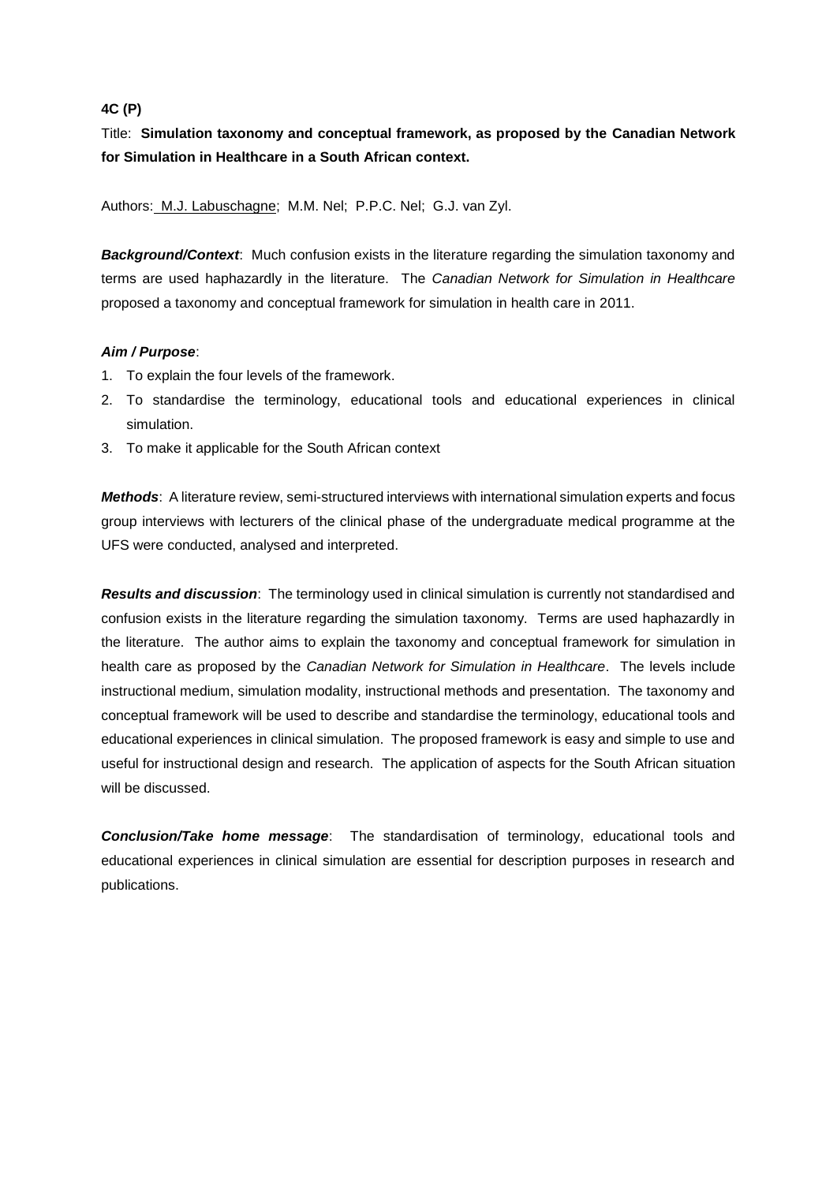## **4C (P)**

Title: **Simulation taxonomy and conceptual framework, as proposed by the Canadian Network for Simulation in Healthcare in a South African context.**

Authors: M.J. Labuschagne; M.M. Nel; P.P.C. Nel; G.J. van Zyl.

*Background/Context*: Much confusion exists in the literature regarding the simulation taxonomy and terms are used haphazardly in the literature. The *Canadian Network for Simulation in Healthcare* proposed a taxonomy and conceptual framework for simulation in health care in 2011.

#### *Aim / Purpose*:

- 1. To explain the four levels of the framework.
- 2. To standardise the terminology, educational tools and educational experiences in clinical simulation.
- 3. To make it applicable for the South African context

*Methods*: A literature review, semi-structured interviews with international simulation experts and focus group interviews with lecturers of the clinical phase of the undergraduate medical programme at the UFS were conducted, analysed and interpreted.

*Results and discussion*: The terminology used in clinical simulation is currently not standardised and confusion exists in the literature regarding the simulation taxonomy. Terms are used haphazardly in the literature. The author aims to explain the taxonomy and conceptual framework for simulation in health care as proposed by the *Canadian Network for Simulation in Healthcare*. The levels include instructional medium, simulation modality, instructional methods and presentation. The taxonomy and conceptual framework will be used to describe and standardise the terminology, educational tools and educational experiences in clinical simulation. The proposed framework is easy and simple to use and useful for instructional design and research. The application of aspects for the South African situation will be discussed.

*Conclusion/Take home message*: The standardisation of terminology, educational tools and educational experiences in clinical simulation are essential for description purposes in research and publications.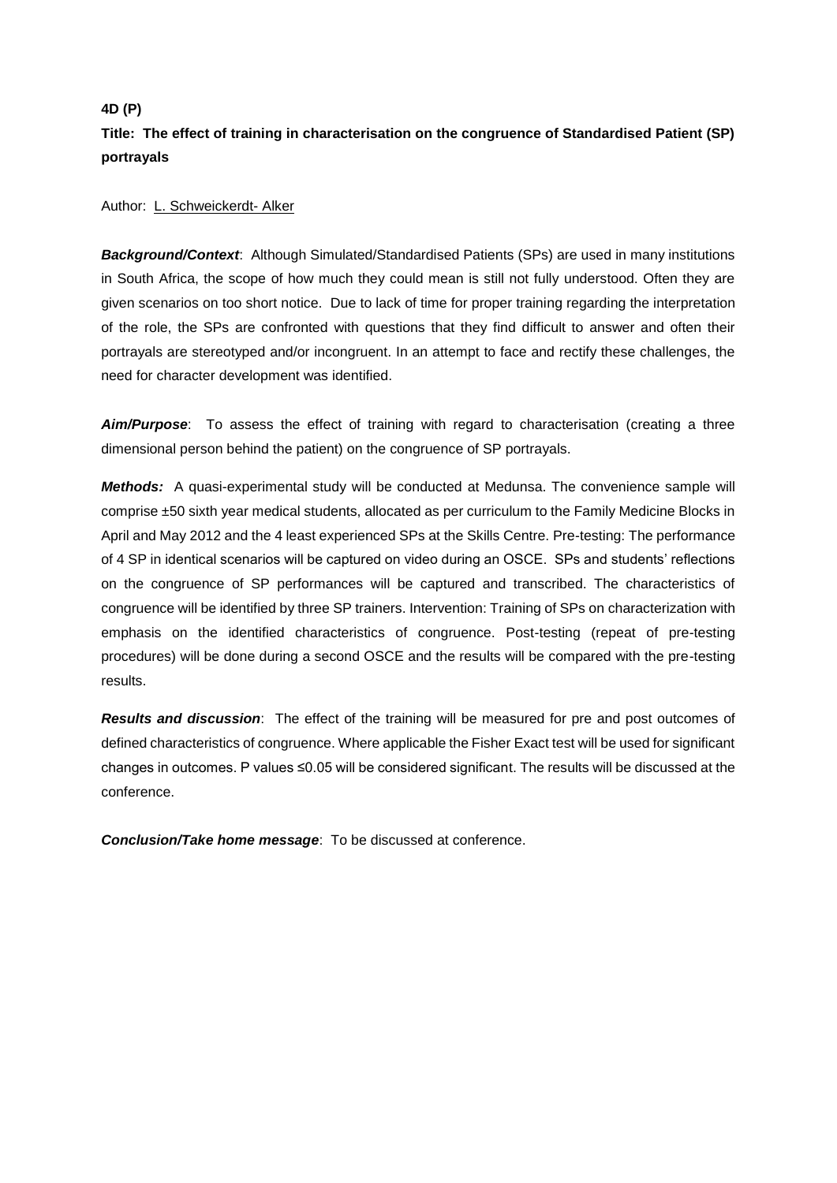## **4D (P) Title: The effect of training in characterisation on the congruence of Standardised Patient (SP) portrayals**

Author: L. Schweickerdt- Alker

*Background/Context*: Although Simulated/Standardised Patients (SPs) are used in many institutions in South Africa, the scope of how much they could mean is still not fully understood. Often they are given scenarios on too short notice. Due to lack of time for proper training regarding the interpretation of the role, the SPs are confronted with questions that they find difficult to answer and often their portrayals are stereotyped and/or incongruent. In an attempt to face and rectify these challenges, the need for character development was identified.

*Aim/Purpose*: To assess the effect of training with regard to characterisation (creating a three dimensional person behind the patient) on the congruence of SP portrayals.

*Methods:* A quasi-experimental study will be conducted at Medunsa. The convenience sample will comprise ±50 sixth year medical students, allocated as per curriculum to the Family Medicine Blocks in April and May 2012 and the 4 least experienced SPs at the Skills Centre. Pre-testing: The performance of 4 SP in identical scenarios will be captured on video during an OSCE. SPs and students' reflections on the congruence of SP performances will be captured and transcribed. The characteristics of congruence will be identified by three SP trainers. Intervention: Training of SPs on characterization with emphasis on the identified characteristics of congruence. Post-testing (repeat of pre-testing procedures) will be done during a second OSCE and the results will be compared with the pre-testing results.

*Results and discussion*: The effect of the training will be measured for pre and post outcomes of defined characteristics of congruence. Where applicable the Fisher Exact test will be used for significant changes in outcomes. P values ≤0.05 will be considered significant. The results will be discussed at the conference.

*Conclusion/Take home message*: To be discussed at conference.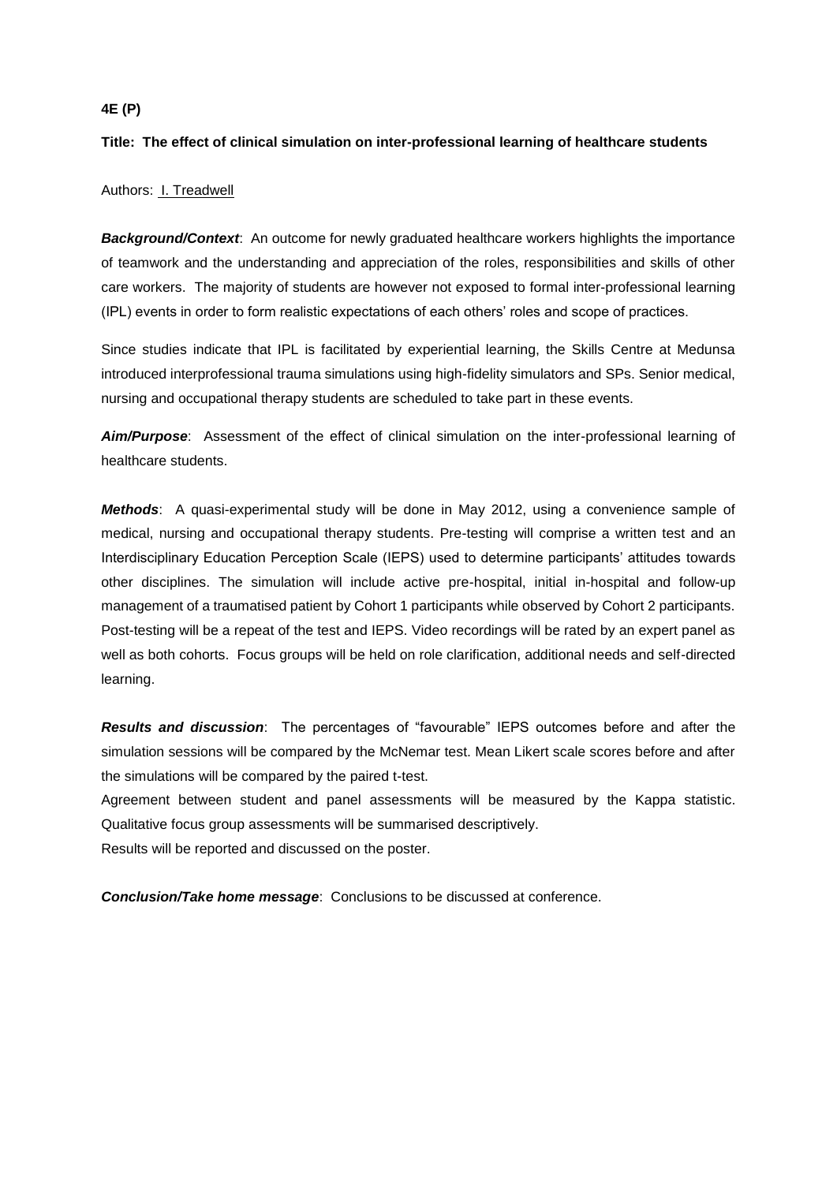#### **4E (P)**

#### **Title: The effect of clinical simulation on inter-professional learning of healthcare students**

#### Authors: I. Treadwell

**Background/Context**: An outcome for newly graduated healthcare workers highlights the importance of teamwork and the understanding and appreciation of the roles, responsibilities and skills of other care workers. The majority of students are however not exposed to formal inter-professional learning (IPL) events in order to form realistic expectations of each others' roles and scope of practices.

Since studies indicate that IPL is facilitated by experiential learning, the Skills Centre at Medunsa introduced interprofessional trauma simulations using high-fidelity simulators and SPs. Senior medical, nursing and occupational therapy students are scheduled to take part in these events.

*Aim/Purpose*: Assessment of the effect of clinical simulation on the inter-professional learning of healthcare students.

*Methods*: A quasi-experimental study will be done in May 2012, using a convenience sample of medical, nursing and occupational therapy students. Pre-testing will comprise a written test and an Interdisciplinary Education Perception Scale (IEPS) used to determine participants' attitudes towards other disciplines. The simulation will include active pre-hospital, initial in-hospital and follow-up management of a traumatised patient by Cohort 1 participants while observed by Cohort 2 participants. Post-testing will be a repeat of the test and IEPS. Video recordings will be rated by an expert panel as well as both cohorts. Focus groups will be held on role clarification, additional needs and self-directed learning.

*Results and discussion*: The percentages of "favourable" IEPS outcomes before and after the simulation sessions will be compared by the McNemar test. Mean Likert scale scores before and after the simulations will be compared by the paired t-test.

Agreement between student and panel assessments will be measured by the Kappa statistic. Qualitative focus group assessments will be summarised descriptively. Results will be reported and discussed on the poster.

*Conclusion/Take home message*: Conclusions to be discussed at conference.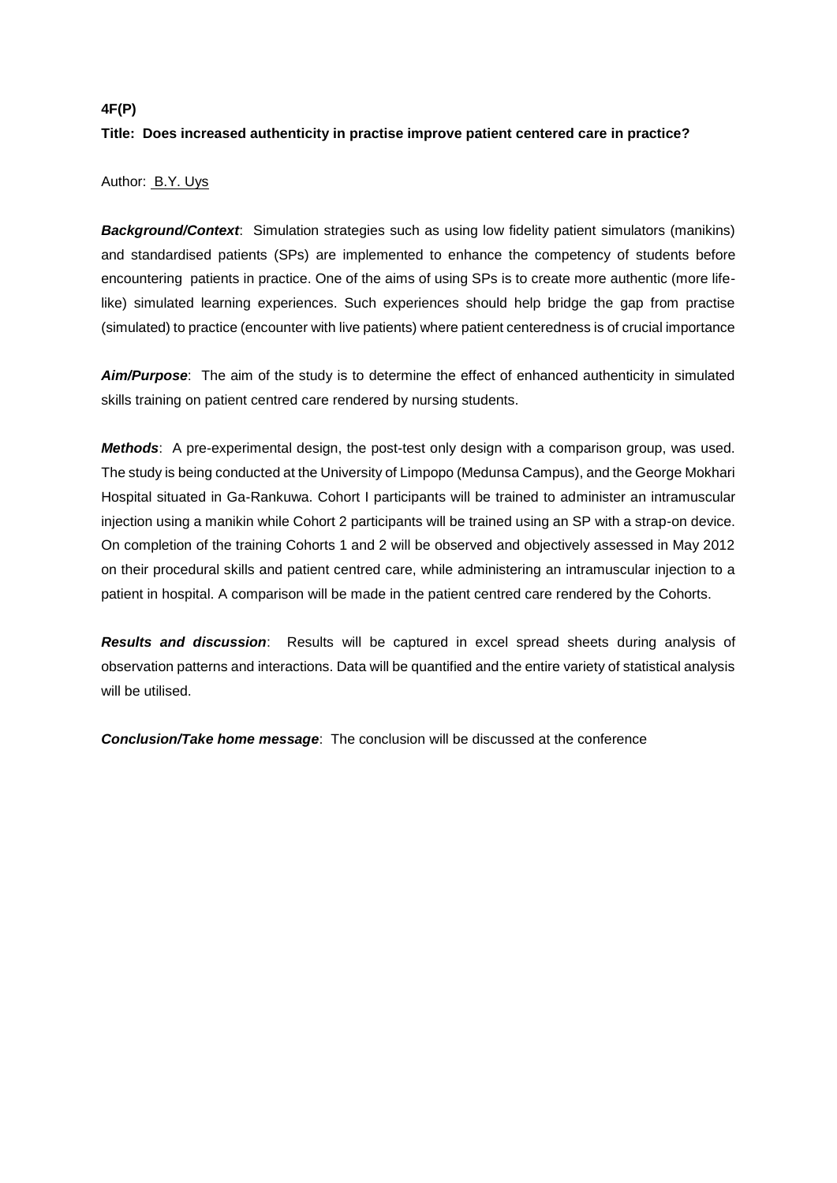# **Title: Does increased authenticity in practise improve patient centered care in practice?**

## Author: B.Y. Uys

**4F(P)**

*Background/Context*: Simulation strategies such as using low fidelity patient simulators (manikins) and standardised patients (SPs) are implemented to enhance the competency of students before encountering patients in practice. One of the aims of using SPs is to create more authentic (more lifelike) simulated learning experiences. Such experiences should help bridge the gap from practise (simulated) to practice (encounter with live patients) where patient centeredness is of crucial importance

*Aim/Purpose*: The aim of the study is to determine the effect of enhanced authenticity in simulated skills training on patient centred care rendered by nursing students.

*Methods*: A pre-experimental design, the post-test only design with a comparison group, was used. The study is being conducted at the University of Limpopo (Medunsa Campus), and the George Mokhari Hospital situated in Ga-Rankuwa. Cohort I participants will be trained to administer an intramuscular injection using a manikin while Cohort 2 participants will be trained using an SP with a strap-on device. On completion of the training Cohorts 1 and 2 will be observed and objectively assessed in May 2012 on their procedural skills and patient centred care, while administering an intramuscular injection to a patient in hospital. A comparison will be made in the patient centred care rendered by the Cohorts.

*Results and discussion*: Results will be captured in excel spread sheets during analysis of observation patterns and interactions. Data will be quantified and the entire variety of statistical analysis will be utilised.

*Conclusion/Take home message*: The conclusion will be discussed at the conference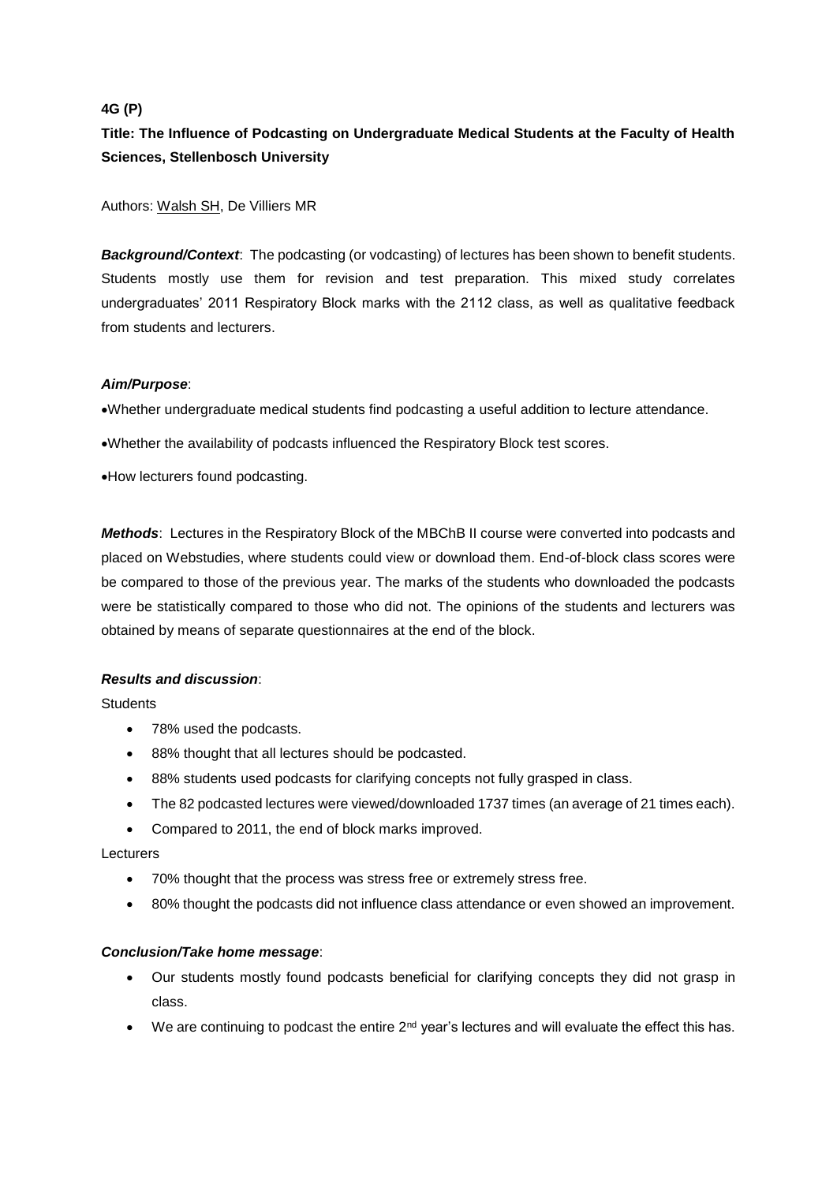## **4G (P)**

## **Title: The Influence of Podcasting on Undergraduate Medical Students at the Faculty of Health Sciences, Stellenbosch University**

Authors: Walsh SH, De Villiers MR

*Background/Context*: The podcasting (or vodcasting) of lectures has been shown to benefit students. Students mostly use them for revision and test preparation. This mixed study correlates undergraduates' 2011 Respiratory Block marks with the 2112 class, as well as qualitative feedback from students and lecturers.

## *Aim/Purpose*:

Whether undergraduate medical students find podcasting a useful addition to lecture attendance.

Whether the availability of podcasts influenced the Respiratory Block test scores.

How lecturers found podcasting.

*Methods*: Lectures in the Respiratory Block of the MBChB II course were converted into podcasts and placed on Webstudies, where students could view or download them. End-of-block class scores were be compared to those of the previous year. The marks of the students who downloaded the podcasts were be statistically compared to those who did not. The opinions of the students and lecturers was obtained by means of separate questionnaires at the end of the block.

### *Results and discussion*:

**Students** 

- 78% used the podcasts.
- 88% thought that all lectures should be podcasted.
- 88% students used podcasts for clarifying concepts not fully grasped in class.
- The 82 podcasted lectures were viewed/downloaded 1737 times (an average of 21 times each).
- Compared to 2011, the end of block marks improved.

### Lecturers

- 70% thought that the process was stress free or extremely stress free.
- 80% thought the podcasts did not influence class attendance or even showed an improvement.

### *Conclusion/Take home message*:

- Our students mostly found podcasts beneficial for clarifying concepts they did not grasp in class.
- $\bullet$  We are continuing to podcast the entire  $2^{nd}$  year's lectures and will evaluate the effect this has.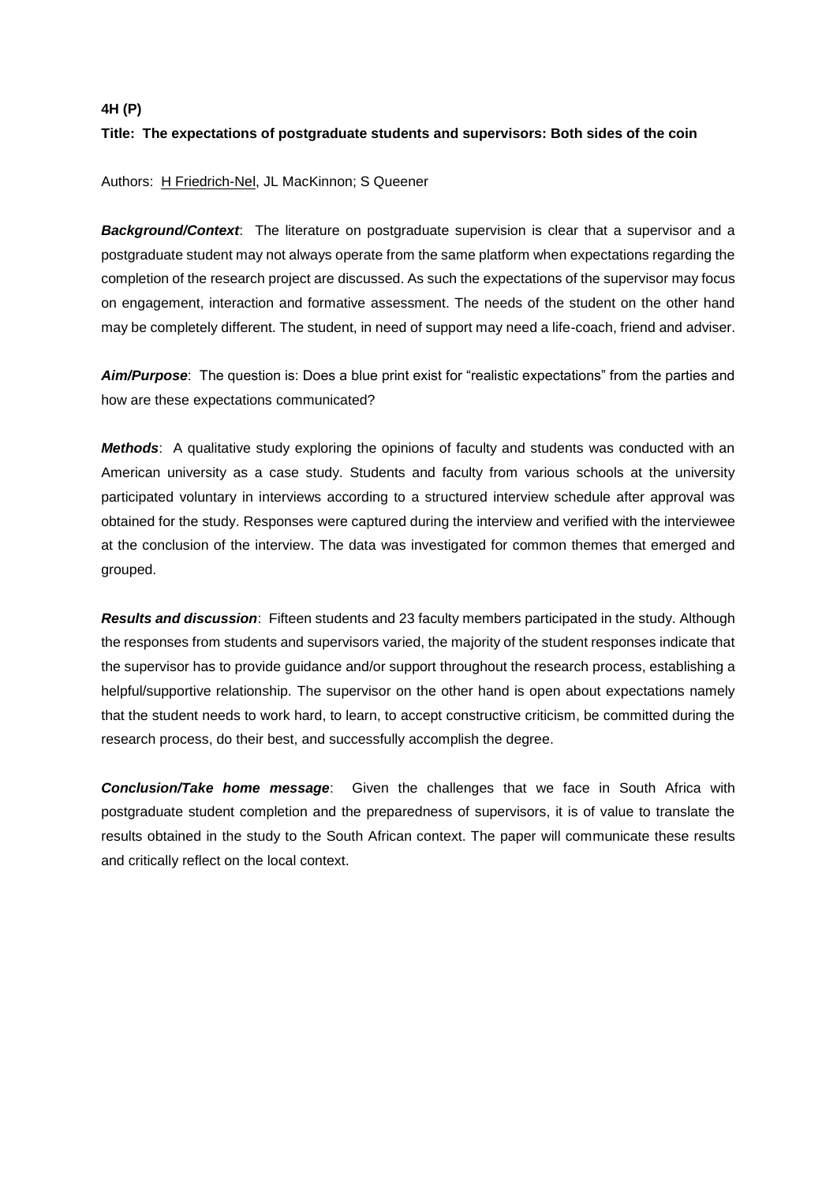#### **4H (P)**

## **Title: The expectations of postgraduate students and supervisors: Both sides of the coin**

Authors:H Friedrich-Nel, JL MacKinnon; S Queener

*Background/Context*: The literature on postgraduate supervision is clear that a supervisor and a postgraduate student may not always operate from the same platform when expectations regarding the completion of the research project are discussed. As such the expectations of the supervisor may focus on engagement, interaction and formative assessment. The needs of the student on the other hand may be completely different. The student, in need of support may need a life-coach, friend and adviser.

*Aim/Purpose*: The question is: Does a blue print exist for "realistic expectations" from the parties and how are these expectations communicated?

*Methods*: A qualitative study exploring the opinions of faculty and students was conducted with an American university as a case study. Students and faculty from various schools at the university participated voluntary in interviews according to a structured interview schedule after approval was obtained for the study. Responses were captured during the interview and verified with the interviewee at the conclusion of the interview. The data was investigated for common themes that emerged and grouped.

*Results and discussion*: Fifteen students and 23 faculty members participated in the study. Although the responses from students and supervisors varied, the majority of the student responses indicate that the supervisor has to provide guidance and/or support throughout the research process, establishing a helpful/supportive relationship. The supervisor on the other hand is open about expectations namely that the student needs to work hard, to learn, to accept constructive criticism, be committed during the research process, do their best, and successfully accomplish the degree.

*Conclusion/Take home message*: Given the challenges that we face in South Africa with postgraduate student completion and the preparedness of supervisors, it is of value to translate the results obtained in the study to the South African context. The paper will communicate these results and critically reflect on the local context.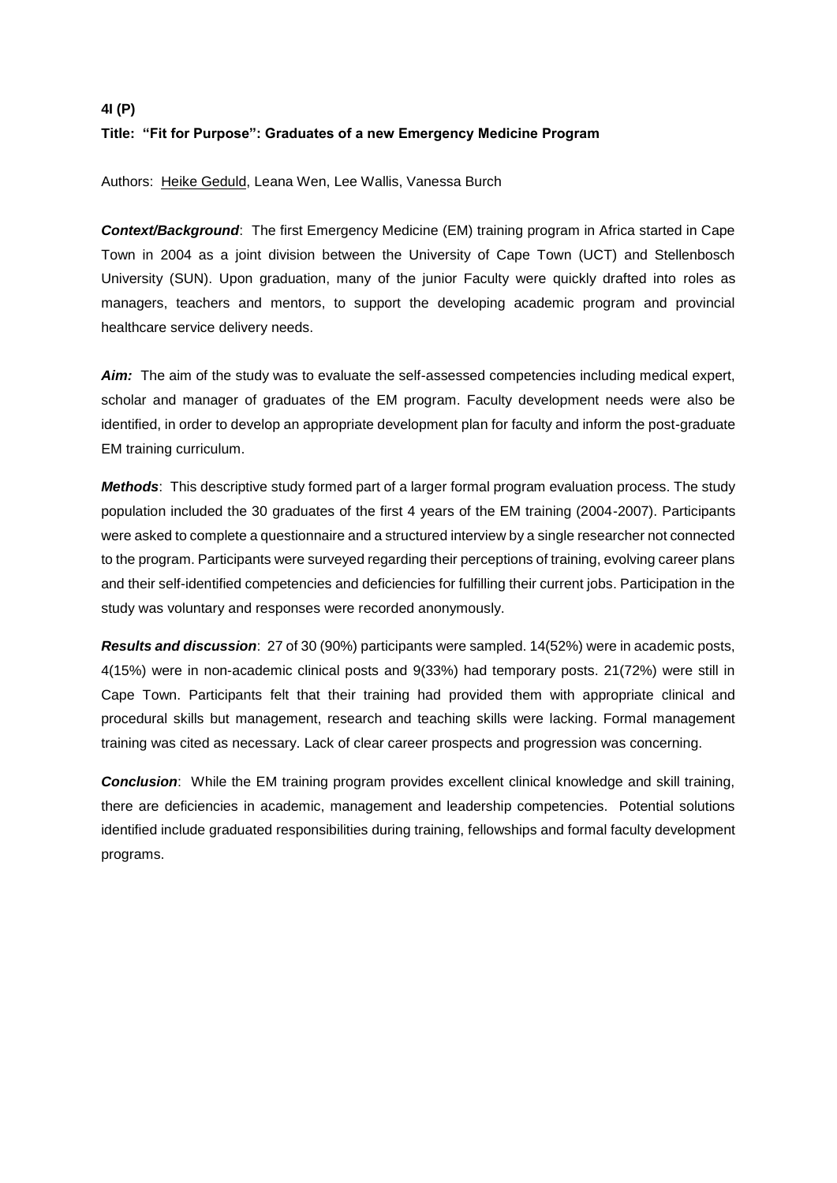## **4I (P) Title: "Fit for Purpose": Graduates of a new Emergency Medicine Program**

Authors: Heike Geduld, Leana Wen, Lee Wallis, Vanessa Burch

*Context/Background*: The first Emergency Medicine (EM) training program in Africa started in Cape Town in 2004 as a joint division between the University of Cape Town (UCT) and Stellenbosch University (SUN). Upon graduation, many of the junior Faculty were quickly drafted into roles as managers, teachers and mentors, to support the developing academic program and provincial healthcare service delivery needs.

Aim: The aim of the study was to evaluate the self-assessed competencies including medical expert, scholar and manager of graduates of the EM program. Faculty development needs were also be identified, in order to develop an appropriate development plan for faculty and inform the post-graduate EM training curriculum.

*Methods*: This descriptive study formed part of a larger formal program evaluation process. The study population included the 30 graduates of the first 4 years of the EM training (2004-2007). Participants were asked to complete a questionnaire and a structured interview by a single researcher not connected to the program. Participants were surveyed regarding their perceptions of training, evolving career plans and their self-identified competencies and deficiencies for fulfilling their current jobs. Participation in the study was voluntary and responses were recorded anonymously.

*Results and discussion*: 27 of 30 (90%) participants were sampled. 14(52%) were in academic posts, 4(15%) were in non-academic clinical posts and 9(33%) had temporary posts. 21(72%) were still in Cape Town. Participants felt that their training had provided them with appropriate clinical and procedural skills but management, research and teaching skills were lacking. Formal management training was cited as necessary. Lack of clear career prospects and progression was concerning.

*Conclusion*: While the EM training program provides excellent clinical knowledge and skill training, there are deficiencies in academic, management and leadership competencies. Potential solutions identified include graduated responsibilities during training, fellowships and formal faculty development programs.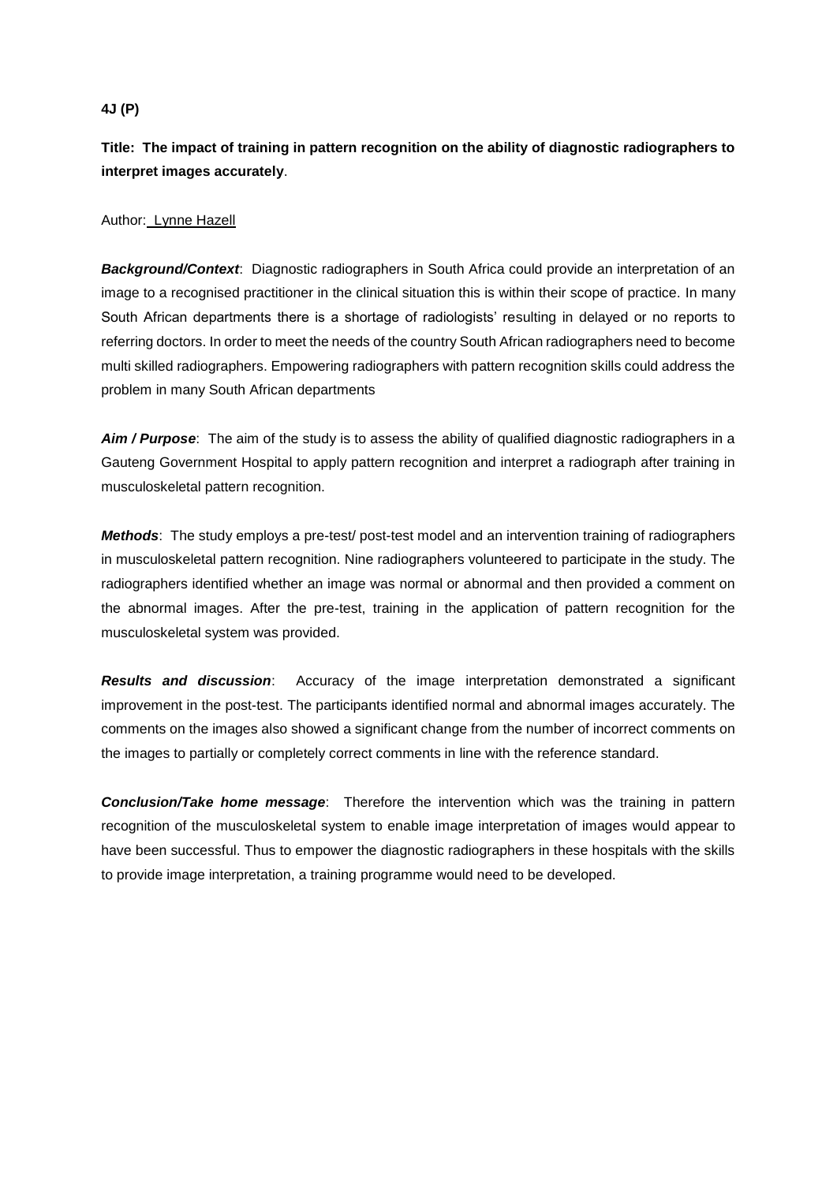## **4J (P)**

**Title: The impact of training in pattern recognition on the ability of diagnostic radiographers to interpret images accurately**.

#### Author: Lynne Hazell

*Background/Context*: Diagnostic radiographers in South Africa could provide an interpretation of an image to a recognised practitioner in the clinical situation this is within their scope of practice. In many South African departments there is a shortage of radiologists' resulting in delayed or no reports to referring doctors. In order to meet the needs of the country South African radiographers need to become multi skilled radiographers. Empowering radiographers with pattern recognition skills could address the problem in many South African departments

*Aim / Purpose*: The aim of the study is to assess the ability of qualified diagnostic radiographers in a Gauteng Government Hospital to apply pattern recognition and interpret a radiograph after training in musculoskeletal pattern recognition.

*Methods*: The study employs a pre-test/ post-test model and an intervention training of radiographers in musculoskeletal pattern recognition. Nine radiographers volunteered to participate in the study. The radiographers identified whether an image was normal or abnormal and then provided a comment on the abnormal images. After the pre-test, training in the application of pattern recognition for the musculoskeletal system was provided.

*Results and discussion*: Accuracy of the image interpretation demonstrated a significant improvement in the post-test. The participants identified normal and abnormal images accurately. The comments on the images also showed a significant change from the number of incorrect comments on the images to partially or completely correct comments in line with the reference standard.

*Conclusion/Take home message*: Therefore the intervention which was the training in pattern recognition of the musculoskeletal system to enable image interpretation of images would appear to have been successful. Thus to empower the diagnostic radiographers in these hospitals with the skills to provide image interpretation, a training programme would need to be developed.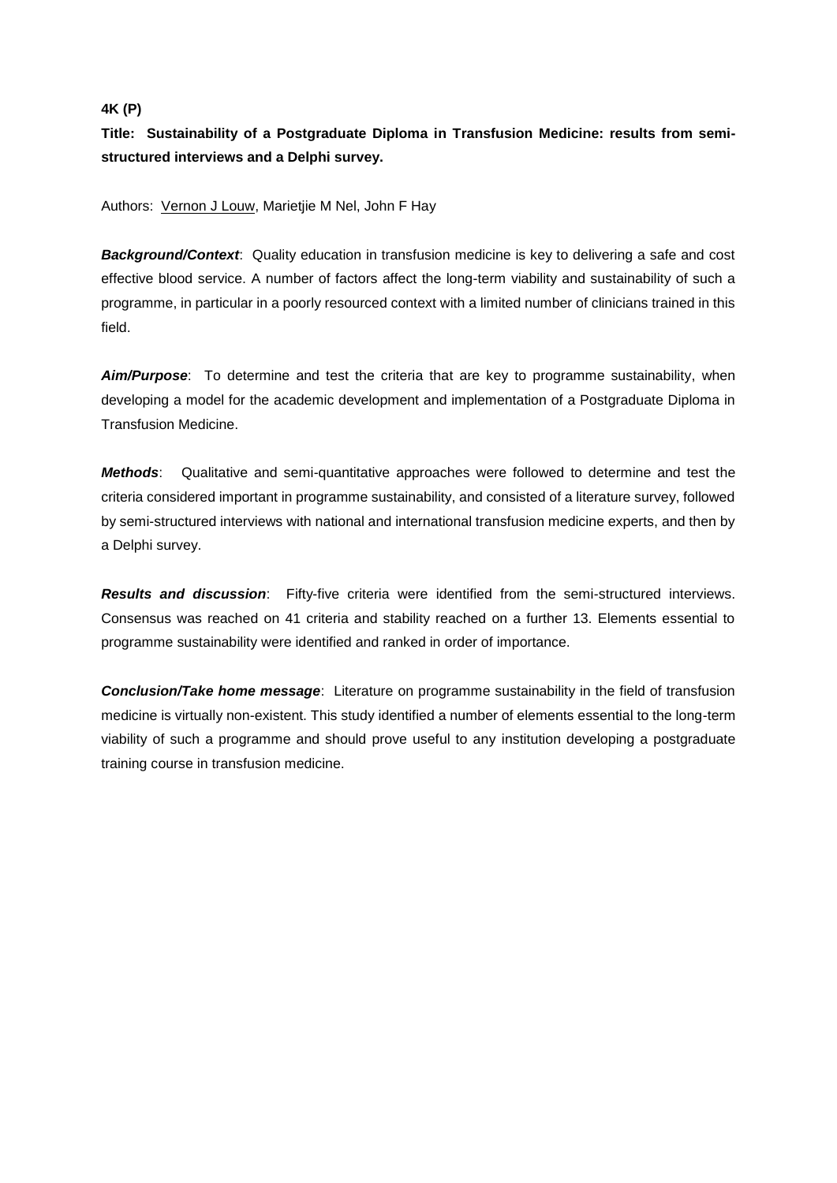## **4K (P)**

**Title: Sustainability of a Postgraduate Diploma in Transfusion Medicine: results from semistructured interviews and a Delphi survey.**

Authors: Vernon J Louw, Marietjie M Nel, John F Hay

*Background/Context*: Quality education in transfusion medicine is key to delivering a safe and cost effective blood service. A number of factors affect the long-term viability and sustainability of such a programme, in particular in a poorly resourced context with a limited number of clinicians trained in this field.

*Aim/Purpose*: To determine and test the criteria that are key to programme sustainability, when developing a model for the academic development and implementation of a Postgraduate Diploma in Transfusion Medicine.

*Methods*: Qualitative and semi-quantitative approaches were followed to determine and test the criteria considered important in programme sustainability, and consisted of a literature survey, followed by semi-structured interviews with national and international transfusion medicine experts, and then by a Delphi survey.

*Results and discussion*: Fifty-five criteria were identified from the semi-structured interviews. Consensus was reached on 41 criteria and stability reached on a further 13. Elements essential to programme sustainability were identified and ranked in order of importance.

*Conclusion/Take home message*: Literature on programme sustainability in the field of transfusion medicine is virtually non-existent. This study identified a number of elements essential to the long-term viability of such a programme and should prove useful to any institution developing a postgraduate training course in transfusion medicine.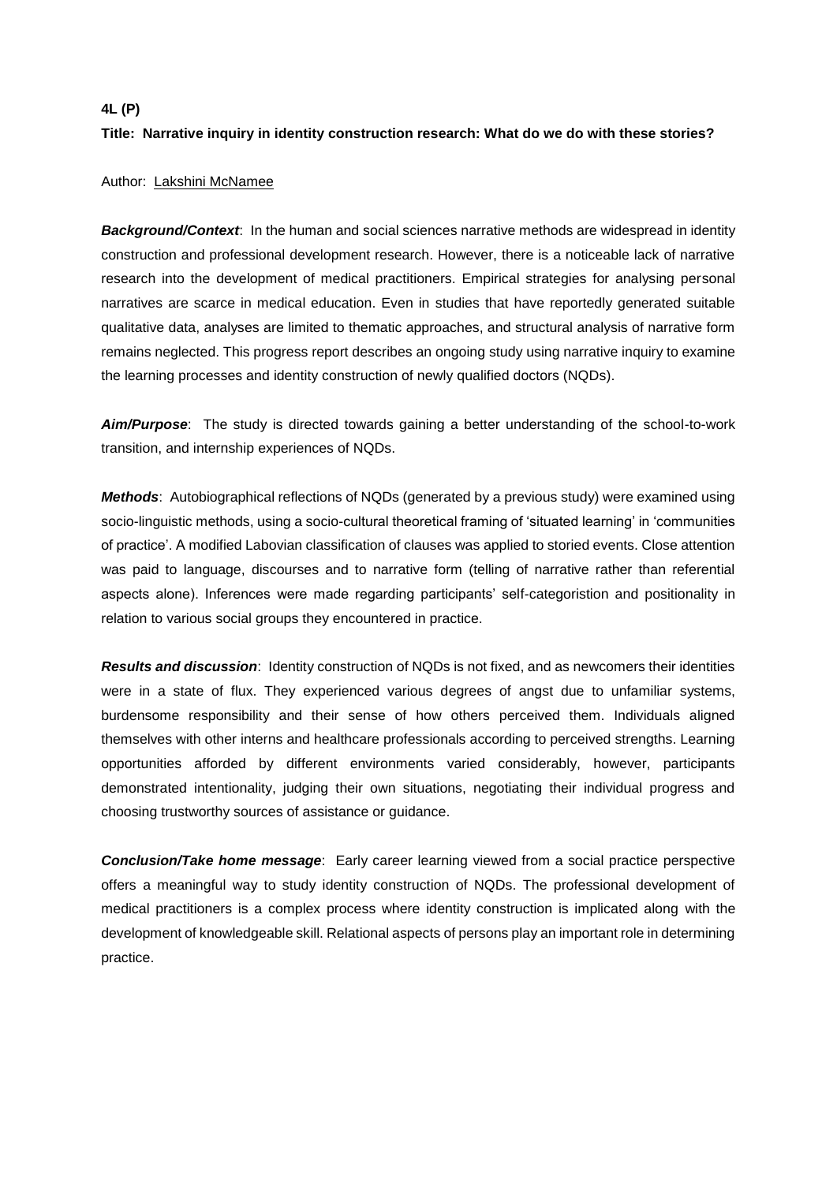#### **4L (P)**

#### **Title: Narrative inquiry in identity construction research: What do we do with these stories?**

Author: Lakshini McNamee

*Background/Context*: In the human and social sciences narrative methods are widespread in identity construction and professional development research. However, there is a noticeable lack of narrative research into the development of medical practitioners. Empirical strategies for analysing personal narratives are scarce in medical education. Even in studies that have reportedly generated suitable qualitative data, analyses are limited to thematic approaches, and structural analysis of narrative form remains neglected. This progress report describes an ongoing study using narrative inquiry to examine the learning processes and identity construction of newly qualified doctors (NQDs).

*Aim/Purpose*: The study is directed towards gaining a better understanding of the school-to-work transition, and internship experiences of NQDs.

*Methods*: Autobiographical reflections of NQDs (generated by a previous study) were examined using socio-linguistic methods, using a socio-cultural theoretical framing of 'situated learning' in 'communities of practice'. A modified Labovian classification of clauses was applied to storied events. Close attention was paid to language, discourses and to narrative form (telling of narrative rather than referential aspects alone). Inferences were made regarding participants' self-categoristion and positionality in relation to various social groups they encountered in practice.

*Results and discussion*: Identity construction of NQDs is not fixed, and as newcomers their identities were in a state of flux. They experienced various degrees of angst due to unfamiliar systems, burdensome responsibility and their sense of how others perceived them. Individuals aligned themselves with other interns and healthcare professionals according to perceived strengths. Learning opportunities afforded by different environments varied considerably, however, participants demonstrated intentionality, judging their own situations, negotiating their individual progress and choosing trustworthy sources of assistance or guidance.

*Conclusion/Take home message*: Early career learning viewed from a social practice perspective offers a meaningful way to study identity construction of NQDs. The professional development of medical practitioners is a complex process where identity construction is implicated along with the development of knowledgeable skill. Relational aspects of persons play an important role in determining practice.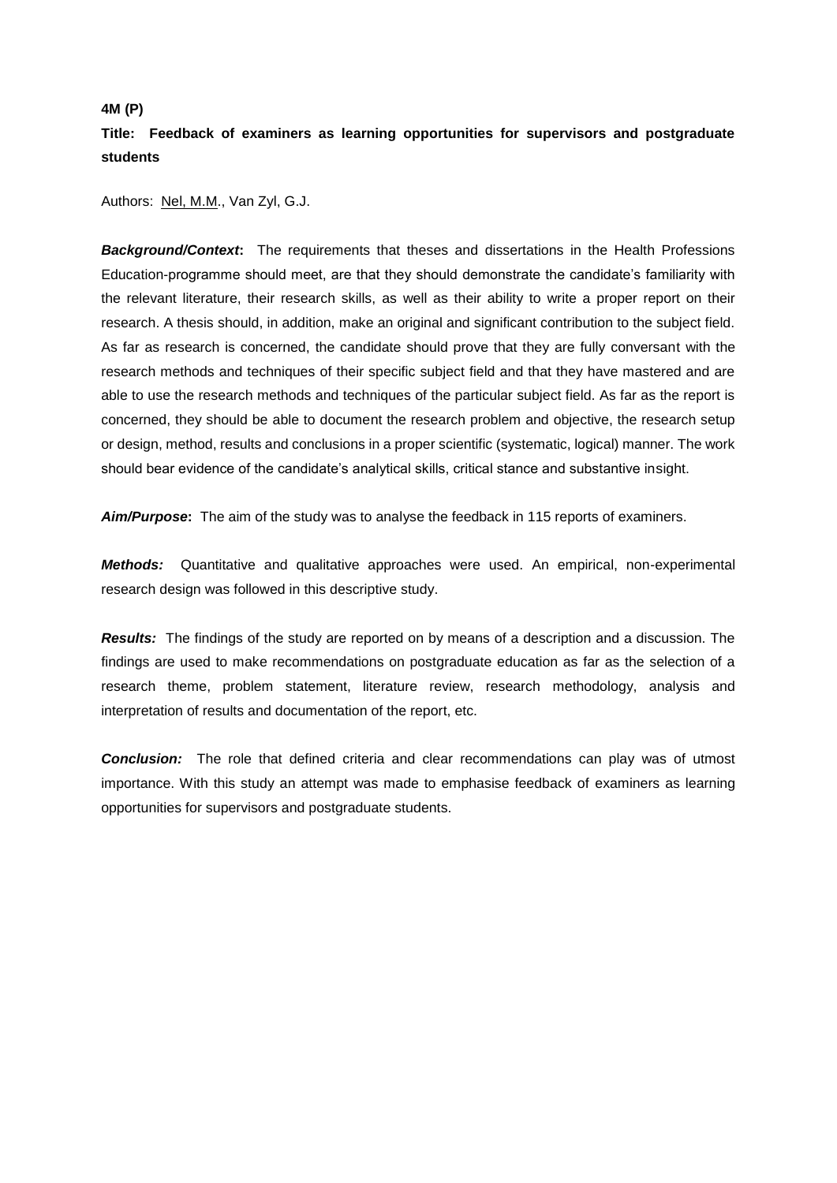#### **4M (P)**

## **Title: Feedback of examiners as learning opportunities for supervisors and postgraduate students**

Authors: Nel, M.M., Van Zyl, G.J.

*Background/Context***:** The requirements that theses and dissertations in the Health Professions Education-programme should meet, are that they should demonstrate the candidate's familiarity with the relevant literature, their research skills, as well as their ability to write a proper report on their research. A thesis should, in addition, make an original and significant contribution to the subject field. As far as research is concerned, the candidate should prove that they are fully conversant with the research methods and techniques of their specific subject field and that they have mastered and are able to use the research methods and techniques of the particular subject field. As far as the report is concerned, they should be able to document the research problem and objective, the research setup or design, method, results and conclusions in a proper scientific (systematic, logical) manner. The work should bear evidence of the candidate's analytical skills, critical stance and substantive insight.

*Aim/Purpose***:** The aim of the study was to analyse the feedback in 115 reports of examiners.

Methods: Quantitative and qualitative approaches were used. An empirical, non-experimental research design was followed in this descriptive study.

*Results:* The findings of the study are reported on by means of a description and a discussion. The findings are used to make recommendations on postgraduate education as far as the selection of a research theme, problem statement, literature review, research methodology, analysis and interpretation of results and documentation of the report, etc.

*Conclusion:* The role that defined criteria and clear recommendations can play was of utmost importance. With this study an attempt was made to emphasise feedback of examiners as learning opportunities for supervisors and postgraduate students.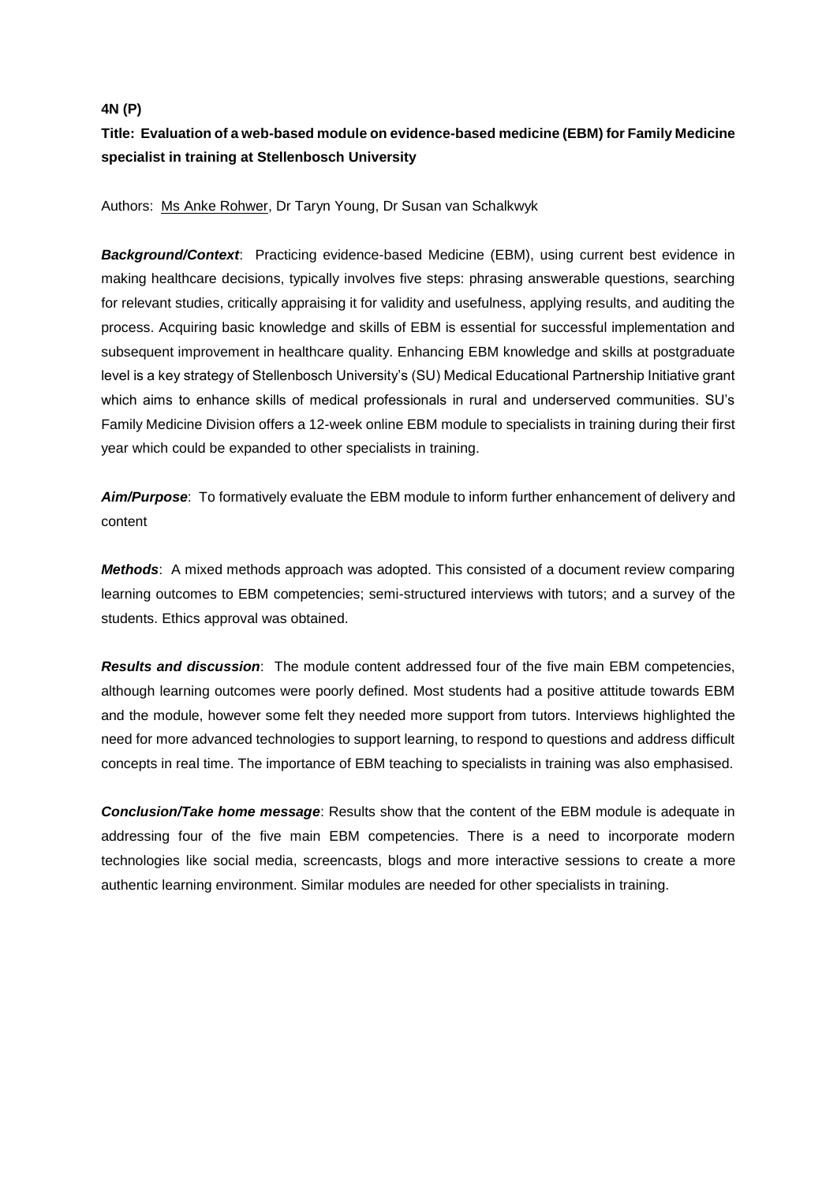#### **4N (P)**

## **Title: Evaluation of a web-based module on evidence-based medicine (EBM) for Family Medicine specialist in training at Stellenbosch University**

Authors: Ms Anke Rohwer, Dr Taryn Young, Dr Susan van Schalkwyk

*Background/Context*: Practicing evidence-based Medicine (EBM), using current best evidence in making healthcare decisions, typically involves five steps: phrasing answerable questions, searching for relevant studies, critically appraising it for validity and usefulness, applying results, and auditing the process. Acquiring basic knowledge and skills of EBM is essential for successful implementation and subsequent improvement in healthcare quality. Enhancing EBM knowledge and skills at postgraduate level is a key strategy of Stellenbosch University's (SU) Medical Educational Partnership Initiative grant which aims to enhance skills of medical professionals in rural and underserved communities. SU's Family Medicine Division offers a 12-week online EBM module to specialists in training during their first year which could be expanded to other specialists in training.

*Aim/Purpose*: To formatively evaluate the EBM module to inform further enhancement of delivery and content

*Methods*: A mixed methods approach was adopted. This consisted of a document review comparing learning outcomes to EBM competencies; semi-structured interviews with tutors; and a survey of the students. Ethics approval was obtained.

*Results and discussion*: The module content addressed four of the five main EBM competencies, although learning outcomes were poorly defined. Most students had a positive attitude towards EBM and the module, however some felt they needed more support from tutors. Interviews highlighted the need for more advanced technologies to support learning, to respond to questions and address difficult concepts in real time. The importance of EBM teaching to specialists in training was also emphasised.

*Conclusion/Take home message*: Results show that the content of the EBM module is adequate in addressing four of the five main EBM competencies. There is a need to incorporate modern technologies like social media, screencasts, blogs and more interactive sessions to create a more authentic learning environment. Similar modules are needed for other specialists in training.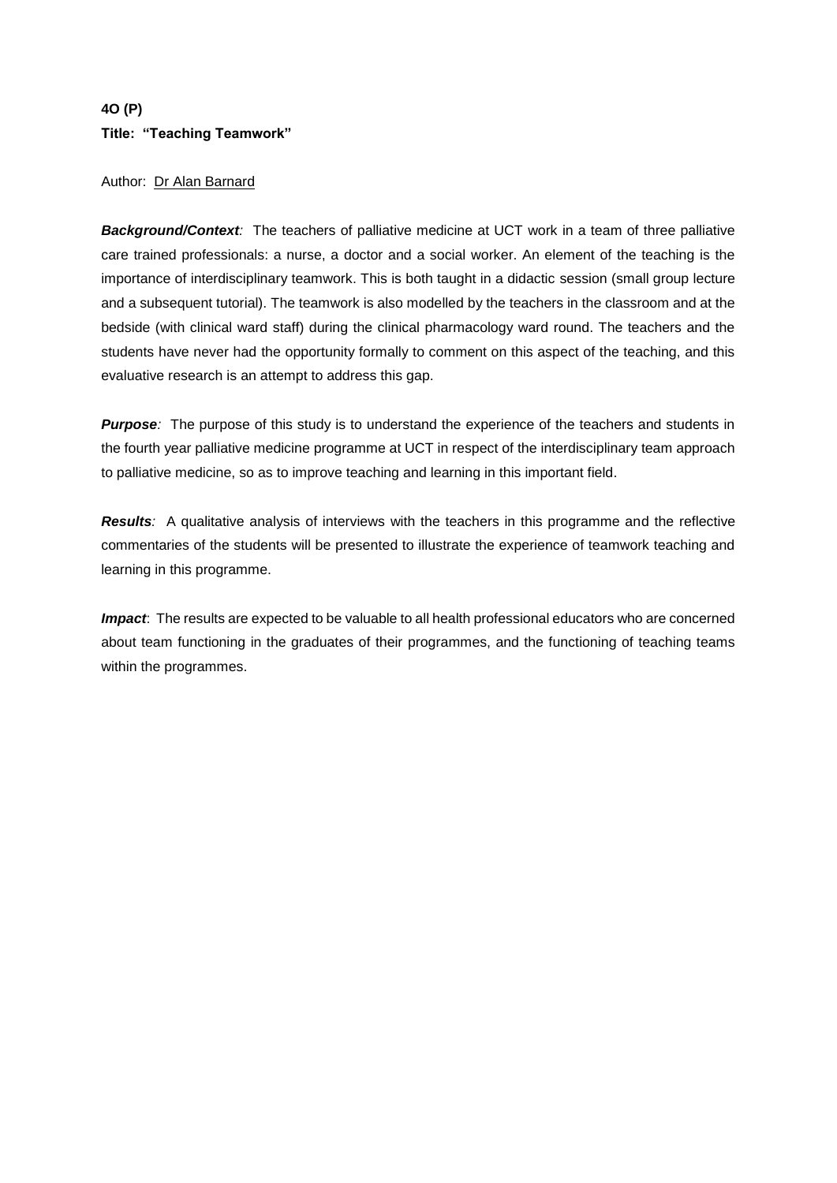## **4O (P) Title: "Teaching Teamwork"**

## Author:Dr Alan Barnard

*Background/Context:* The teachers of palliative medicine at UCT work in a team of three palliative care trained professionals: a nurse, a doctor and a social worker. An element of the teaching is the importance of interdisciplinary teamwork. This is both taught in a didactic session (small group lecture and a subsequent tutorial). The teamwork is also modelled by the teachers in the classroom and at the bedside (with clinical ward staff) during the clinical pharmacology ward round. The teachers and the students have never had the opportunity formally to comment on this aspect of the teaching, and this evaluative research is an attempt to address this gap.

*Purpose:* The purpose of this study is to understand the experience of the teachers and students in the fourth year palliative medicine programme at UCT in respect of the interdisciplinary team approach to palliative medicine, so as to improve teaching and learning in this important field.

*Results:* A qualitative analysis of interviews with the teachers in this programme and the reflective commentaries of the students will be presented to illustrate the experience of teamwork teaching and learning in this programme.

*Impact*: The results are expected to be valuable to all health professional educators who are concerned about team functioning in the graduates of their programmes, and the functioning of teaching teams within the programmes.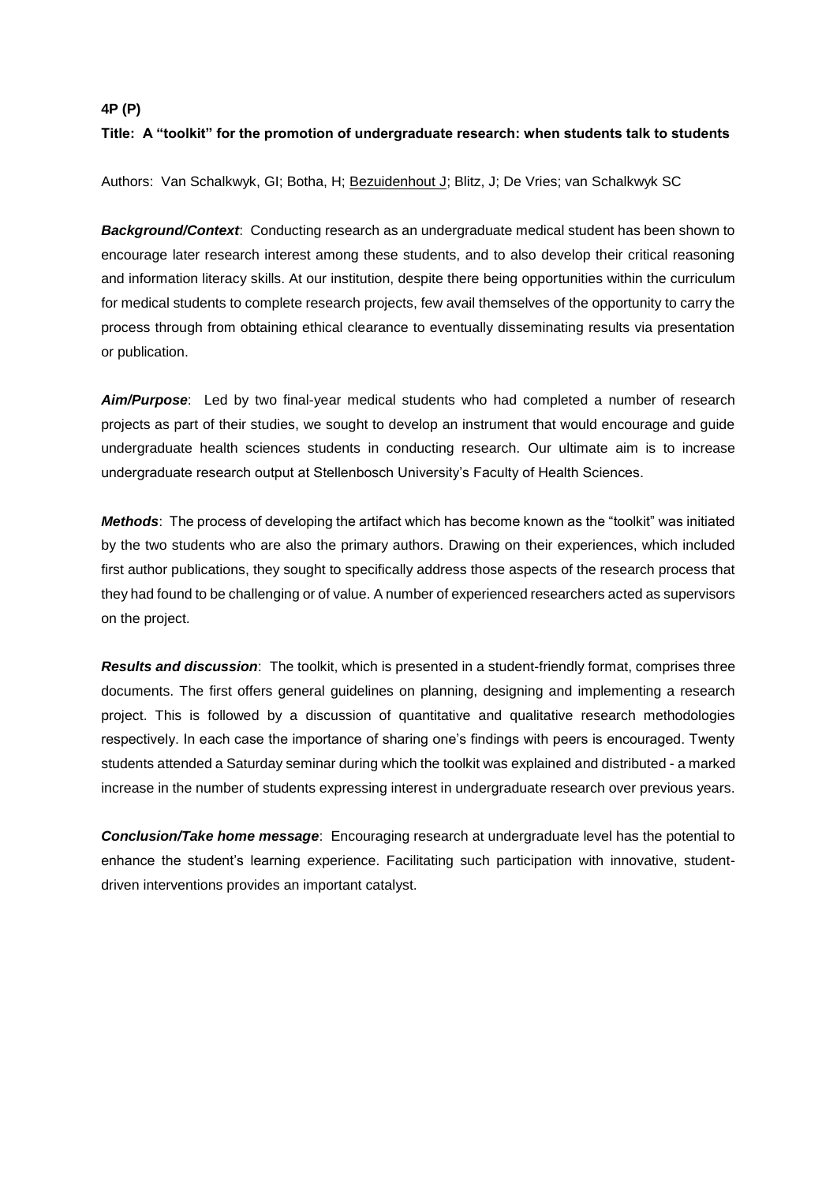### **4P (P)**

## **Title: A "toolkit" for the promotion of undergraduate research: when students talk to students**

Authors: Van Schalkwyk, GI; Botha, H; Bezuidenhout J; Blitz, J; De Vries; van Schalkwyk SC

*Background/Context*: Conducting research as an undergraduate medical student has been shown to encourage later research interest among these students, and to also develop their critical reasoning and information literacy skills. At our institution, despite there being opportunities within the curriculum for medical students to complete research projects, few avail themselves of the opportunity to carry the process through from obtaining ethical clearance to eventually disseminating results via presentation or publication.

*Aim/Purpose*: Led by two final-year medical students who had completed a number of research projects as part of their studies, we sought to develop an instrument that would encourage and guide undergraduate health sciences students in conducting research. Our ultimate aim is to increase undergraduate research output at Stellenbosch University's Faculty of Health Sciences.

*Methods*: The process of developing the artifact which has become known as the "toolkit" was initiated by the two students who are also the primary authors. Drawing on their experiences, which included first author publications, they sought to specifically address those aspects of the research process that they had found to be challenging or of value. A number of experienced researchers acted as supervisors on the project.

*Results and discussion*: The toolkit, which is presented in a student-friendly format, comprises three documents. The first offers general guidelines on planning, designing and implementing a research project. This is followed by a discussion of quantitative and qualitative research methodologies respectively. In each case the importance of sharing one's findings with peers is encouraged. Twenty students attended a Saturday seminar during which the toolkit was explained and distributed - a marked increase in the number of students expressing interest in undergraduate research over previous years.

*Conclusion/Take home message*: Encouraging research at undergraduate level has the potential to enhance the student's learning experience. Facilitating such participation with innovative, studentdriven interventions provides an important catalyst.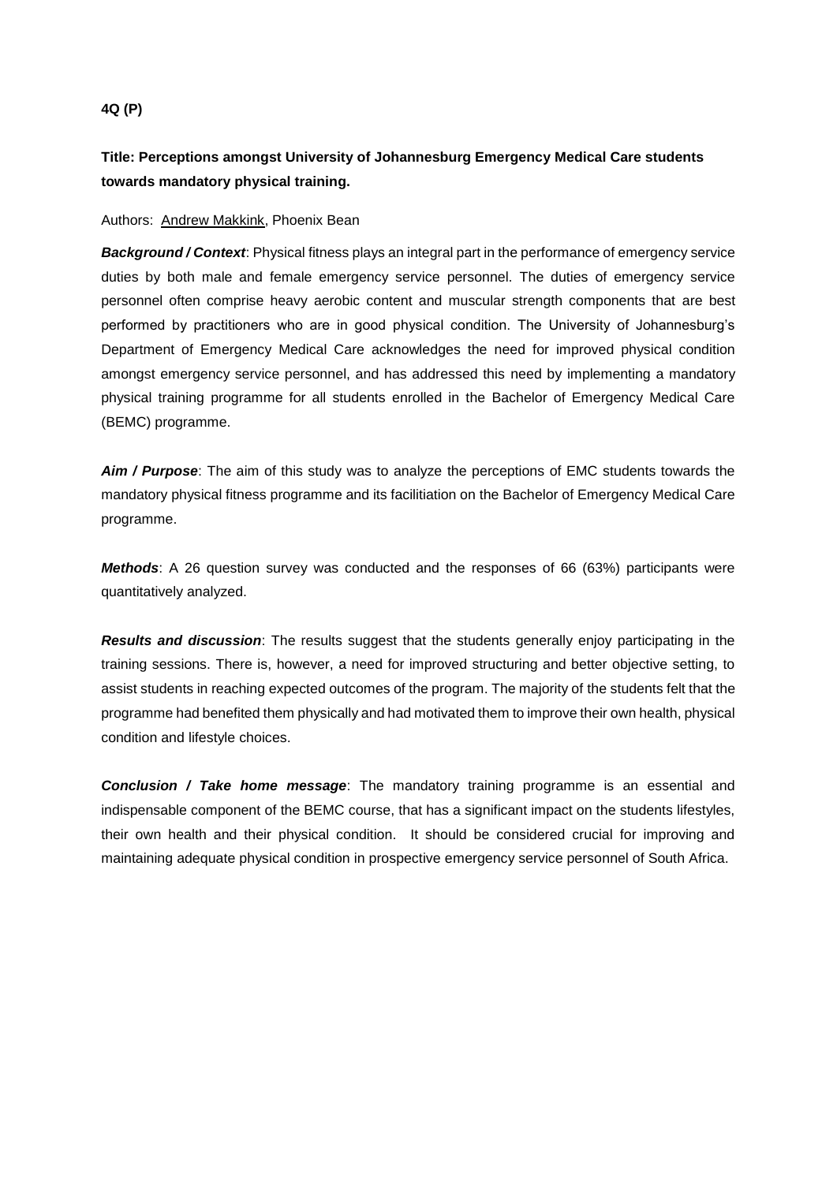## **4Q (P)**

## **Title: Perceptions amongst University of Johannesburg Emergency Medical Care students towards mandatory physical training.**

#### Authors: Andrew Makkink, Phoenix Bean

*Background / Context*: Physical fitness plays an integral part in the performance of emergency service duties by both male and female emergency service personnel. The duties of emergency service personnel often comprise heavy aerobic content and muscular strength components that are best performed by practitioners who are in good physical condition. The University of Johannesburg's Department of Emergency Medical Care acknowledges the need for improved physical condition amongst emergency service personnel, and has addressed this need by implementing a mandatory physical training programme for all students enrolled in the Bachelor of Emergency Medical Care (BEMC) programme.

*Aim / Purpose*: The aim of this study was to analyze the perceptions of EMC students towards the mandatory physical fitness programme and its facilitiation on the Bachelor of Emergency Medical Care programme.

*Methods*: A 26 question survey was conducted and the responses of 66 (63%) participants were quantitatively analyzed.

*Results and discussion*: The results suggest that the students generally enjoy participating in the training sessions. There is, however, a need for improved structuring and better objective setting, to assist students in reaching expected outcomes of the program. The majority of the students felt that the programme had benefited them physically and had motivated them to improve their own health, physical condition and lifestyle choices.

*Conclusion / Take home message*: The mandatory training programme is an essential and indispensable component of the BEMC course, that has a significant impact on the students lifestyles, their own health and their physical condition. It should be considered crucial for improving and maintaining adequate physical condition in prospective emergency service personnel of South Africa.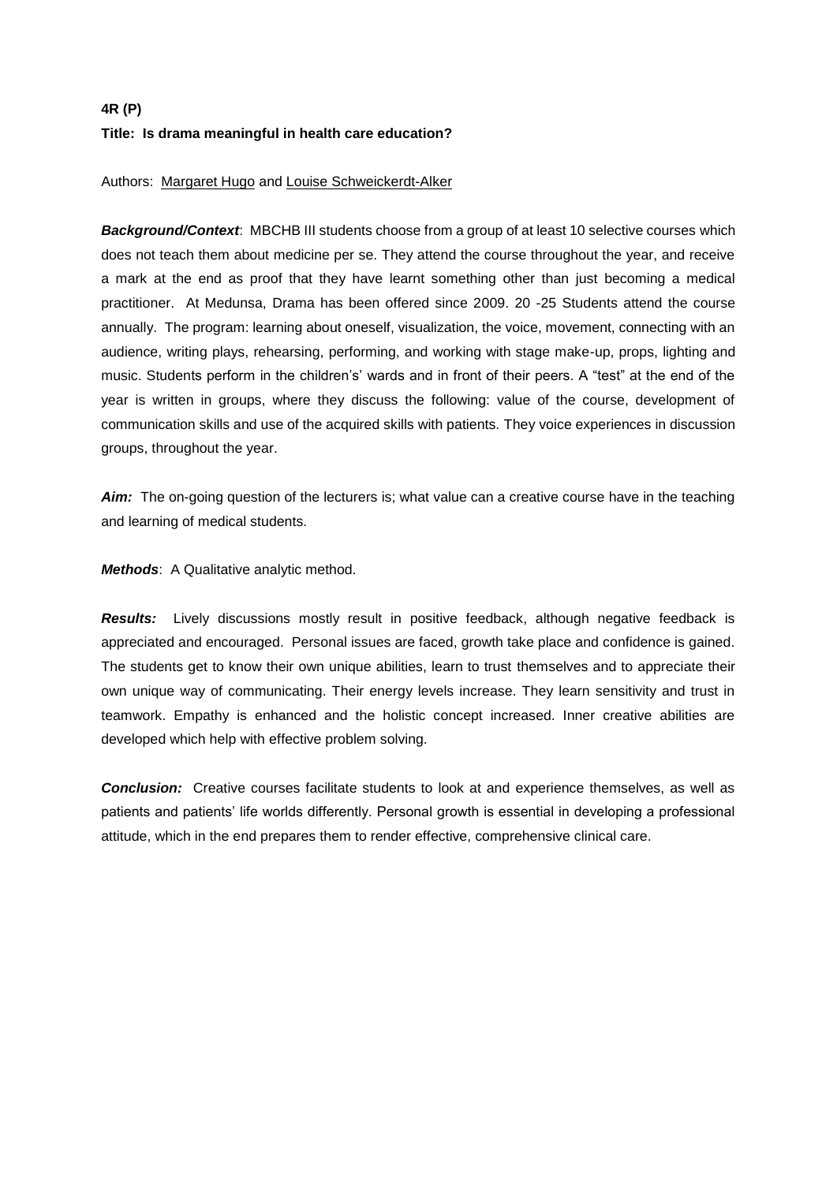# **4R (P) Title: Is drama meaningful in health care education?**

## Authors: Margaret Hugo and Louise Schweickerdt-Alker

*Background/Context*: MBCHB III students choose from a group of at least 10 selective courses which does not teach them about medicine per se. They attend the course throughout the year, and receive a mark at the end as proof that they have learnt something other than just becoming a medical practitioner. At Medunsa, Drama has been offered since 2009. 20 -25 Students attend the course annually. The program: learning about oneself, visualization, the voice, movement, connecting with an audience, writing plays, rehearsing, performing, and working with stage make-up, props, lighting and music. Students perform in the children's' wards and in front of their peers. A "test" at the end of the year is written in groups, where they discuss the following: value of the course, development of communication skills and use of the acquired skills with patients. They voice experiences in discussion groups, throughout the year.

Aim: The on-going question of the lecturers is; what value can a creative course have in the teaching and learning of medical students.

*Methods*: A Qualitative analytic method.

*Results:* Lively discussions mostly result in positive feedback, although negative feedback is appreciated and encouraged. Personal issues are faced, growth take place and confidence is gained. The students get to know their own unique abilities, learn to trust themselves and to appreciate their own unique way of communicating. Their energy levels increase. They learn sensitivity and trust in teamwork. Empathy is enhanced and the holistic concept increased. Inner creative abilities are developed which help with effective problem solving.

*Conclusion:* Creative courses facilitate students to look at and experience themselves, as well as patients and patients' life worlds differently. Personal growth is essential in developing a professional attitude, which in the end prepares them to render effective, comprehensive clinical care.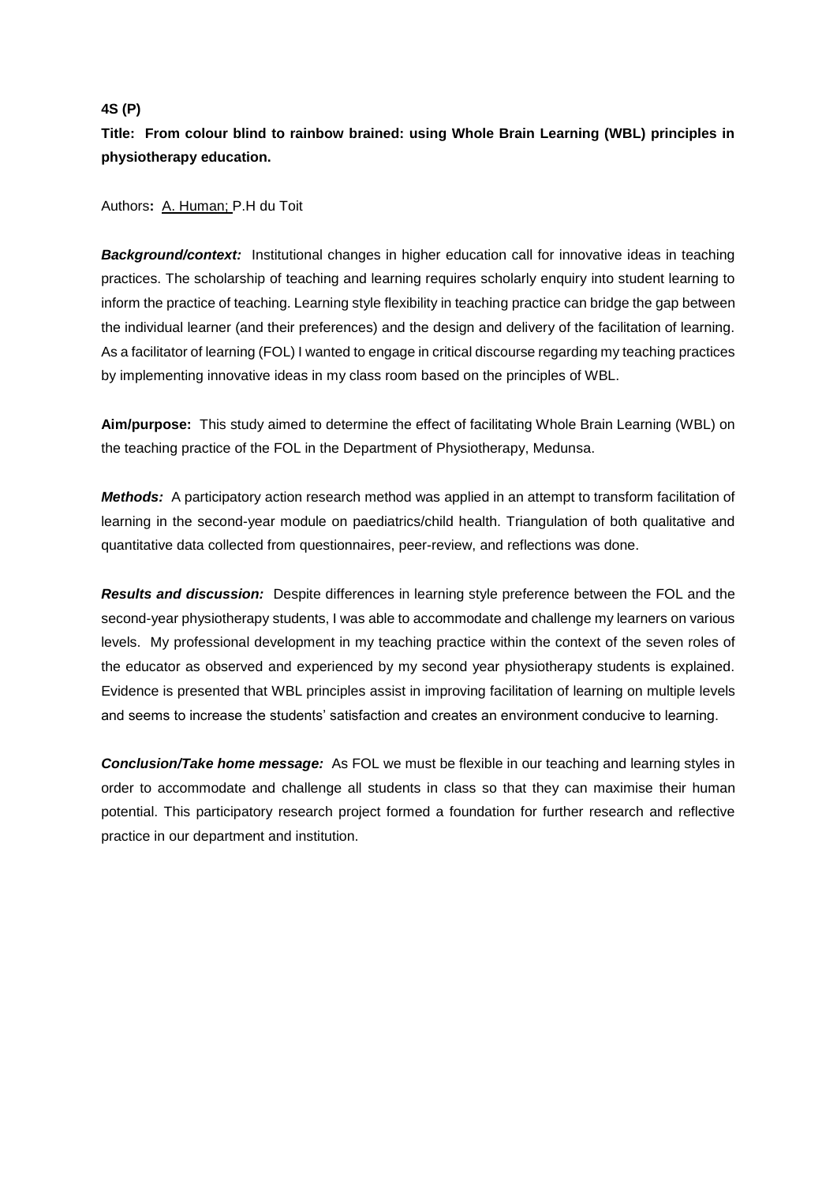## **4S (P)**

## **Title: From colour blind to rainbow brained: using Whole Brain Learning (WBL) principles in physiotherapy education.**

#### Authors**:** A. Human; P.H du Toit

**Background/context:** Institutional changes in higher education call for innovative ideas in teaching practices. The scholarship of teaching and learning requires scholarly enquiry into student learning to inform the practice of teaching. Learning style flexibility in teaching practice can bridge the gap between the individual learner (and their preferences) and the design and delivery of the facilitation of learning. As a facilitator of learning (FOL) I wanted to engage in critical discourse regarding my teaching practices by implementing innovative ideas in my class room based on the principles of WBL.

**Aim/purpose:** This study aimed to determine the effect of facilitating Whole Brain Learning (WBL) on the teaching practice of the FOL in the Department of Physiotherapy, Medunsa.

**Methods:** A participatory action research method was applied in an attempt to transform facilitation of learning in the second-year module on paediatrics/child health. Triangulation of both qualitative and quantitative data collected from questionnaires, peer-review, and reflections was done.

**Results and discussion:** Despite differences in learning style preference between the FOL and the second-year physiotherapy students, I was able to accommodate and challenge my learners on various levels. My professional development in my teaching practice within the context of the seven roles of the educator as observed and experienced by my second year physiotherapy students is explained. Evidence is presented that WBL principles assist in improving facilitation of learning on multiple levels and seems to increase the students' satisfaction and creates an environment conducive to learning.

**Conclusion/Take home message:** As FOL we must be flexible in our teaching and learning styles in order to accommodate and challenge all students in class so that they can maximise their human potential. This participatory research project formed a foundation for further research and reflective practice in our department and institution.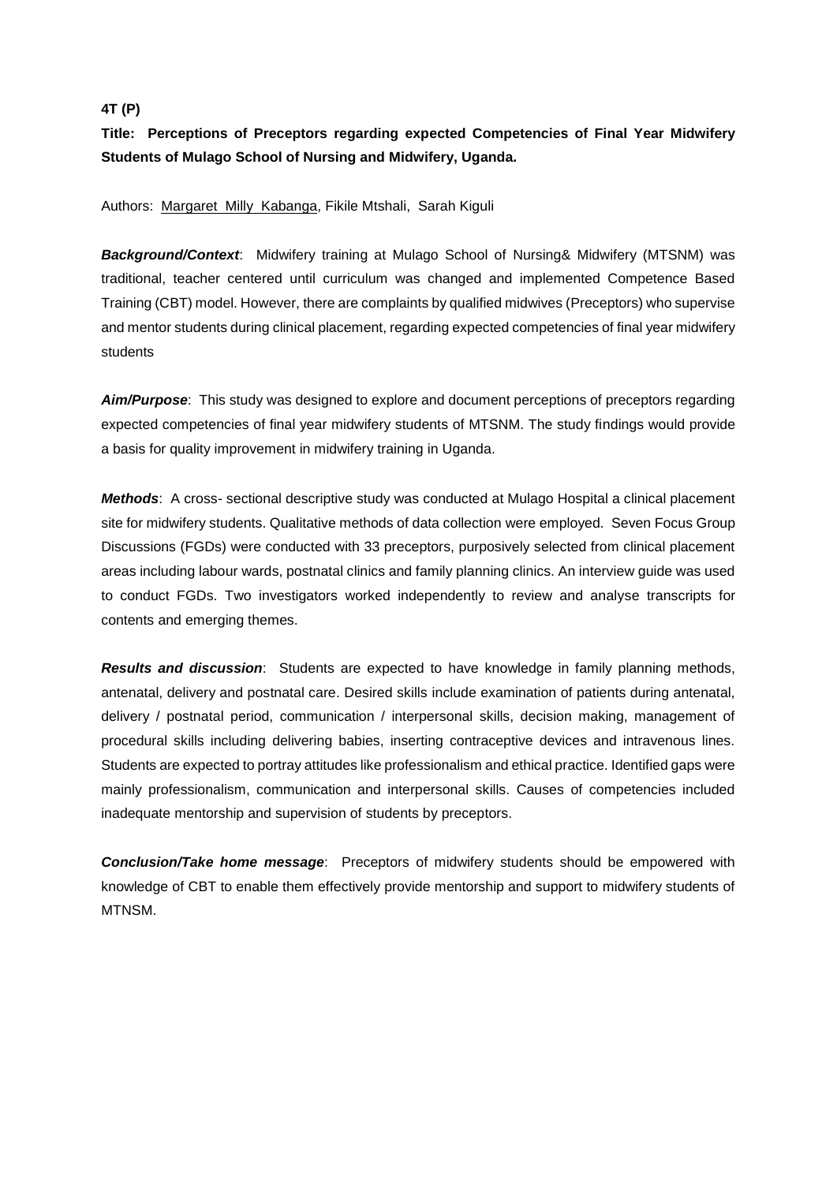## **4T (P)**

**Title: Perceptions of Preceptors regarding expected Competencies of Final Year Midwifery Students of Mulago School of Nursing and Midwifery, Uganda.** 

Authors: Margaret Milly Kabanga, Fikile Mtshali, Sarah Kiguli

*Background/Context*: Midwifery training at Mulago School of Nursing& Midwifery (MTSNM) was traditional, teacher centered until curriculum was changed and implemented Competence Based Training (CBT) model. However, there are complaints by qualified midwives (Preceptors) who supervise and mentor students during clinical placement, regarding expected competencies of final year midwifery students

*Aim/Purpose*: This study was designed to explore and document perceptions of preceptors regarding expected competencies of final year midwifery students of MTSNM. The study findings would provide a basis for quality improvement in midwifery training in Uganda.

*Methods*: A cross- sectional descriptive study was conducted at Mulago Hospital a clinical placement site for midwifery students. Qualitative methods of data collection were employed. Seven Focus Group Discussions (FGDs) were conducted with 33 preceptors, purposively selected from clinical placement areas including labour wards, postnatal clinics and family planning clinics. An interview guide was used to conduct FGDs. Two investigators worked independently to review and analyse transcripts for contents and emerging themes.

*Results and discussion*: Students are expected to have knowledge in family planning methods, antenatal, delivery and postnatal care. Desired skills include examination of patients during antenatal, delivery / postnatal period, communication / interpersonal skills, decision making, management of procedural skills including delivering babies, inserting contraceptive devices and intravenous lines. Students are expected to portray attitudes like professionalism and ethical practice. Identified gaps were mainly professionalism, communication and interpersonal skills. Causes of competencies included inadequate mentorship and supervision of students by preceptors.

*Conclusion/Take home message*: Preceptors of midwifery students should be empowered with knowledge of CBT to enable them effectively provide mentorship and support to midwifery students of MTNSM.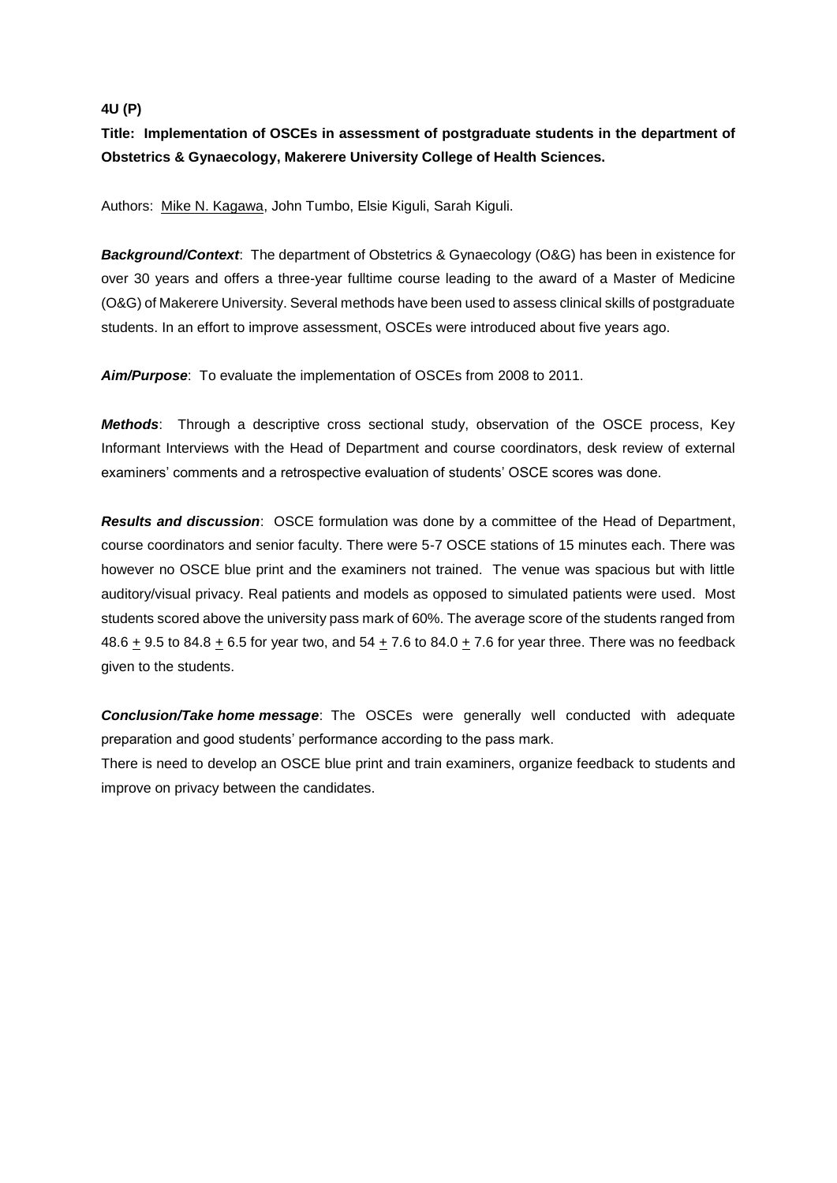### **4U (P)**

**Title: Implementation of OSCEs in assessment of postgraduate students in the department of Obstetrics & Gynaecology, Makerere University College of Health Sciences.**

Authors: Mike N. Kagawa, John Tumbo, Elsie Kiguli, Sarah Kiguli.

*Background/Context*: The department of Obstetrics & Gynaecology (O&G) has been in existence for over 30 years and offers a three-year fulltime course leading to the award of a Master of Medicine (O&G) of Makerere University. Several methods have been used to assess clinical skills of postgraduate students. In an effort to improve assessment, OSCEs were introduced about five years ago.

*Aim/Purpose*: To evaluate the implementation of OSCEs from 2008 to 2011.

*Methods*: Through a descriptive cross sectional study, observation of the OSCE process, Key Informant Interviews with the Head of Department and course coordinators, desk review of external examiners' comments and a retrospective evaluation of students' OSCE scores was done.

*Results and discussion*: OSCE formulation was done by a committee of the Head of Department, course coordinators and senior faculty. There were 5-7 OSCE stations of 15 minutes each. There was however no OSCE blue print and the examiners not trained. The venue was spacious but with little auditory/visual privacy. Real patients and models as opposed to simulated patients were used. Most students scored above the university pass mark of 60%. The average score of the students ranged from 48.6  $\pm$  9.5 to 84.8  $\pm$  6.5 for year two, and 54  $\pm$  7.6 to 84.0  $\pm$  7.6 for year three. There was no feedback given to the students.

*Conclusion/Take home message*: The OSCEs were generally well conducted with adequate preparation and good students' performance according to the pass mark.

There is need to develop an OSCE blue print and train examiners, organize feedback to students and improve on privacy between the candidates.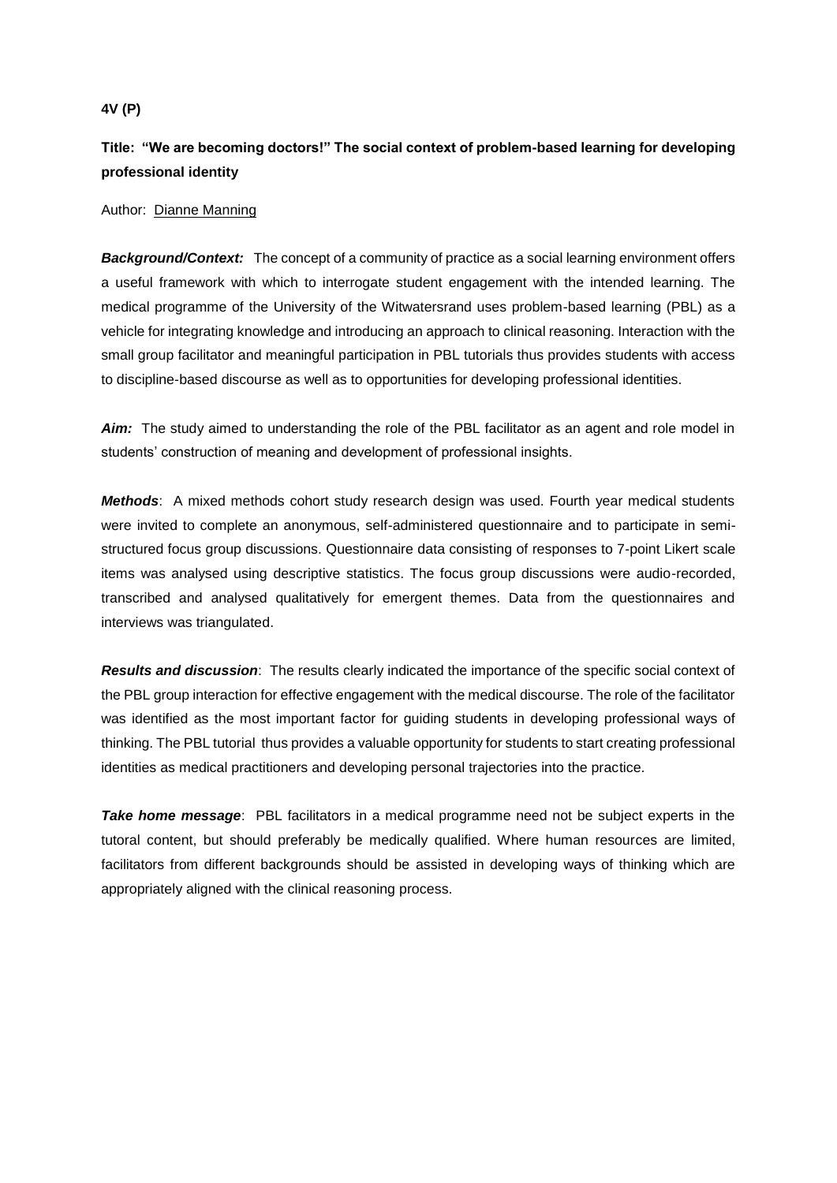### **4V (P)**

## **Title: "We are becoming doctors!" The social context of problem-based learning for developing professional identity**

#### Author: Dianne Manning

*Background/Context:* The concept of a community of practice as a social learning environment offers a useful framework with which to interrogate student engagement with the intended learning. The medical programme of the University of the Witwatersrand uses problem-based learning (PBL) as a vehicle for integrating knowledge and introducing an approach to clinical reasoning. Interaction with the small group facilitator and meaningful participation in PBL tutorials thus provides students with access to discipline-based discourse as well as to opportunities for developing professional identities.

Aim: The study aimed to understanding the role of the PBL facilitator as an agent and role model in students' construction of meaning and development of professional insights.

*Methods*: A mixed methods cohort study research design was used. Fourth year medical students were invited to complete an anonymous, self-administered questionnaire and to participate in semistructured focus group discussions. Questionnaire data consisting of responses to 7-point Likert scale items was analysed using descriptive statistics. The focus group discussions were audio-recorded, transcribed and analysed qualitatively for emergent themes. Data from the questionnaires and interviews was triangulated.

*Results and discussion*: The results clearly indicated the importance of the specific social context of the PBL group interaction for effective engagement with the medical discourse. The role of the facilitator was identified as the most important factor for guiding students in developing professional ways of thinking. The PBL tutorial thus provides a valuable opportunity for students to start creating professional identities as medical practitioners and developing personal trajectories into the practice.

**Take home message**: PBL facilitators in a medical programme need not be subject experts in the tutoral content, but should preferably be medically qualified. Where human resources are limited, facilitators from different backgrounds should be assisted in developing ways of thinking which are appropriately aligned with the clinical reasoning process.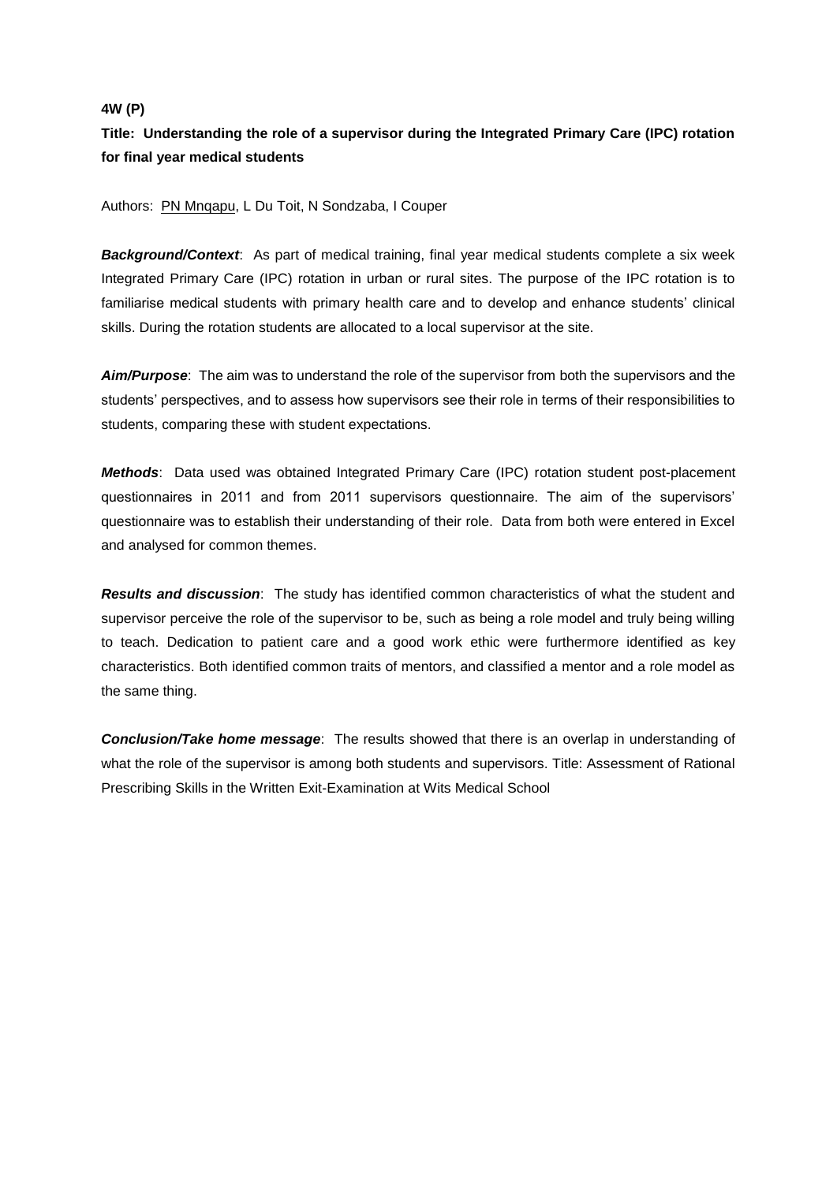#### **4W (P)**

## **Title: Understanding the role of a supervisor during the Integrated Primary Care (IPC) rotation for final year medical students**

Authors: PN Mnqapu, L Du Toit, N Sondzaba, I Couper

*Background/Context*: As part of medical training, final year medical students complete a six week Integrated Primary Care (IPC) rotation in urban or rural sites. The purpose of the IPC rotation is to familiarise medical students with primary health care and to develop and enhance students' clinical skills. During the rotation students are allocated to a local supervisor at the site.

*Aim/Purpose*: The aim was to understand the role of the supervisor from both the supervisors and the students' perspectives, and to assess how supervisors see their role in terms of their responsibilities to students, comparing these with student expectations.

*Methods*: Data used was obtained Integrated Primary Care (IPC) rotation student post-placement questionnaires in 2011 and from 2011 supervisors questionnaire. The aim of the supervisors' questionnaire was to establish their understanding of their role. Data from both were entered in Excel and analysed for common themes.

*Results and discussion*: The study has identified common characteristics of what the student and supervisor perceive the role of the supervisor to be, such as being a role model and truly being willing to teach. Dedication to patient care and a good work ethic were furthermore identified as key characteristics. Both identified common traits of mentors, and classified a mentor and a role model as the same thing.

*Conclusion/Take home message*: The results showed that there is an overlap in understanding of what the role of the supervisor is among both students and supervisors. Title: Assessment of Rational Prescribing Skills in the Written Exit-Examination at Wits Medical School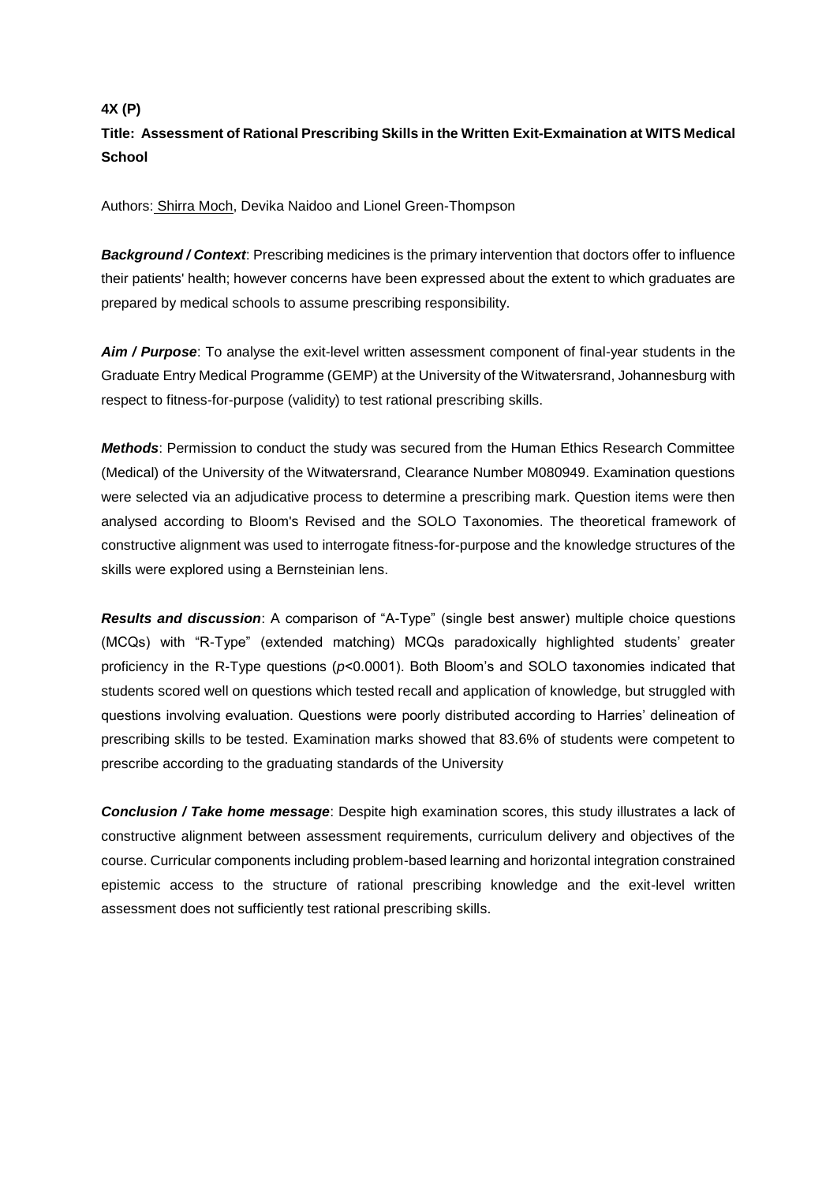## **4X (P) Title: Assessment of Rational Prescribing Skills in the Written Exit-Exmaination at WITS Medical School**

Authors: Shirra Moch, Devika Naidoo and Lionel Green-Thompson

*Background / Context*: Prescribing medicines is the primary intervention that doctors offer to influence their patients' health; however concerns have been expressed about the extent to which graduates are prepared by medical schools to assume prescribing responsibility.

*Aim / Purpose*: To analyse the exit-level written assessment component of final-year students in the Graduate Entry Medical Programme (GEMP) at the University of the Witwatersrand, Johannesburg with respect to fitness-for-purpose (validity) to test rational prescribing skills.

*Methods*: Permission to conduct the study was secured from the Human Ethics Research Committee (Medical) of the University of the Witwatersrand, Clearance Number M080949. Examination questions were selected via an adjudicative process to determine a prescribing mark. Question items were then analysed according to Bloom's Revised and the SOLO Taxonomies. The theoretical framework of constructive alignment was used to interrogate fitness-for-purpose and the knowledge structures of the skills were explored using a Bernsteinian lens.

*Results and discussion*: A comparison of "A-Type" (single best answer) multiple choice questions (MCQs) with "R-Type" (extended matching) MCQs paradoxically highlighted students' greater proficiency in the R-Type questions (*p*<0.0001). Both Bloom's and SOLO taxonomies indicated that students scored well on questions which tested recall and application of knowledge, but struggled with questions involving evaluation. Questions were poorly distributed according to Harries' delineation of prescribing skills to be tested. Examination marks showed that 83.6% of students were competent to prescribe according to the graduating standards of the University

*Conclusion / Take home message*: Despite high examination scores, this study illustrates a lack of constructive alignment between assessment requirements, curriculum delivery and objectives of the course. Curricular components including problem-based learning and horizontal integration constrained epistemic access to the structure of rational prescribing knowledge and the exit-level written assessment does not sufficiently test rational prescribing skills.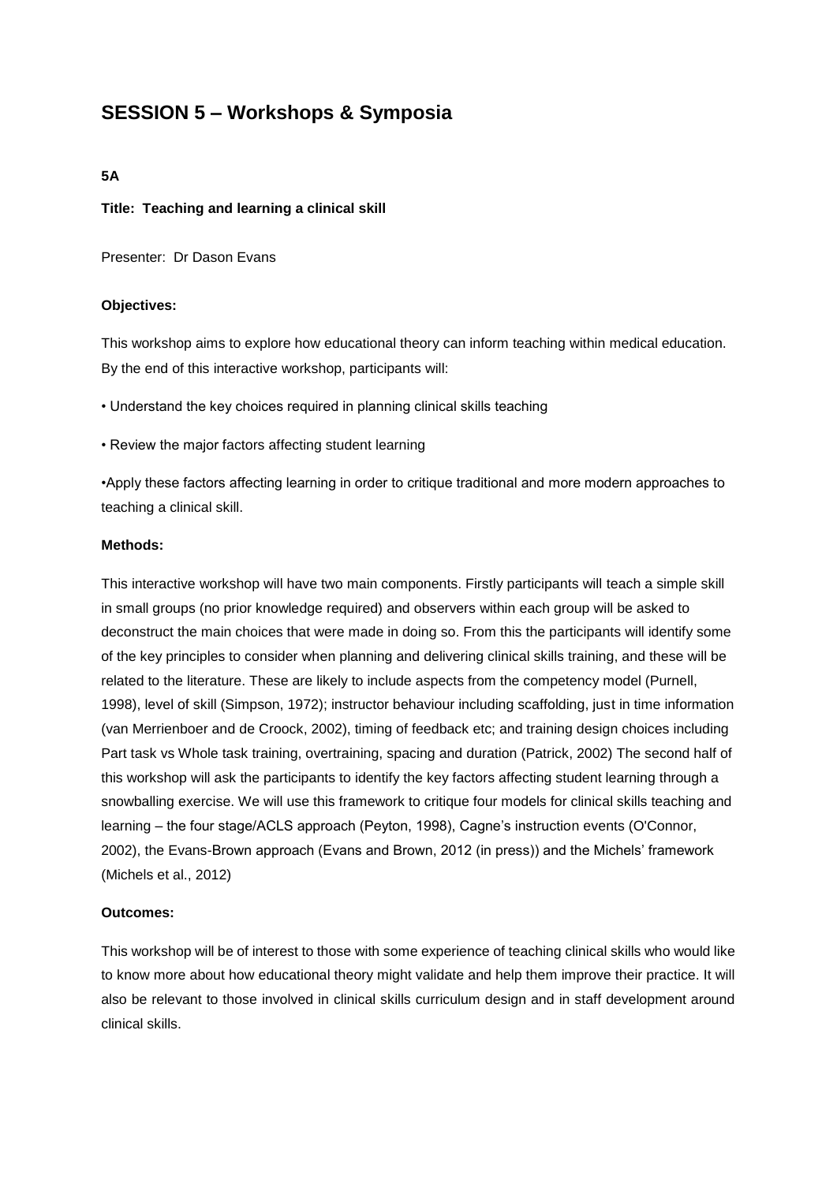# **SESSION 5 – Workshops & Symposia**

### **5A**

#### **Title: Teaching and learning a clinical skill**

Presenter: Dr Dason Evans

### **Objectives:**

This workshop aims to explore how educational theory can inform teaching within medical education. By the end of this interactive workshop, participants will:

• Understand the key choices required in planning clinical skills teaching

• Review the major factors affecting student learning

•Apply these factors affecting learning in order to critique traditional and more modern approaches to teaching a clinical skill.

#### **Methods:**

This interactive workshop will have two main components. Firstly participants will teach a simple skill in small groups (no prior knowledge required) and observers within each group will be asked to deconstruct the main choices that were made in doing so. From this the participants will identify some of the key principles to consider when planning and delivering clinical skills training, and these will be related to the literature. These are likely to include aspects from the competency model (Purnell, 1998), level of skill (Simpson, 1972); instructor behaviour including scaffolding, just in time information (van Merrienboer and de Croock, 2002), timing of feedback etc; and training design choices including Part task vs Whole task training, overtraining, spacing and duration (Patrick, 2002) The second half of this workshop will ask the participants to identify the key factors affecting student learning through a snowballing exercise. We will use this framework to critique four models for clinical skills teaching and learning – the four stage/ACLS approach (Peyton, 1998), Cagne's instruction events (O'Connor, 2002), the Evans-Brown approach (Evans and Brown, 2012 (in press)) and the Michels' framework (Michels et al., 2012)

#### **Outcomes:**

This workshop will be of interest to those with some experience of teaching clinical skills who would like to know more about how educational theory might validate and help them improve their practice. It will also be relevant to those involved in clinical skills curriculum design and in staff development around clinical skills.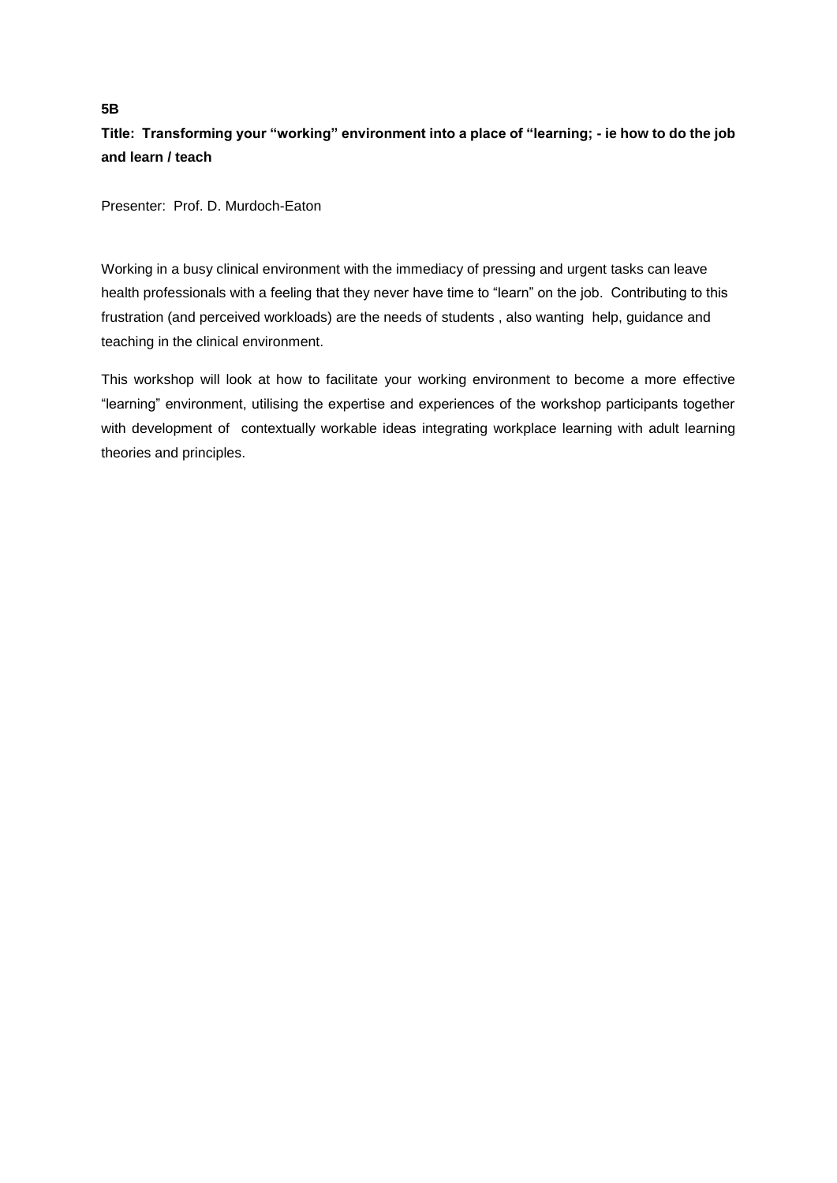# **Title: Transforming your "working" environment into a place of "learning; - ie how to do the job and learn / teach**

Presenter: Prof. D. Murdoch-Eaton

Working in a busy clinical environment with the immediacy of pressing and urgent tasks can leave health professionals with a feeling that they never have time to "learn" on the job. Contributing to this frustration (and perceived workloads) are the needs of students , also wanting help, guidance and teaching in the clinical environment.

This workshop will look at how to facilitate your working environment to become a more effective "learning" environment, utilising the expertise and experiences of the workshop participants together with development of contextually workable ideas integrating workplace learning with adult learning theories and principles.

#### **5B**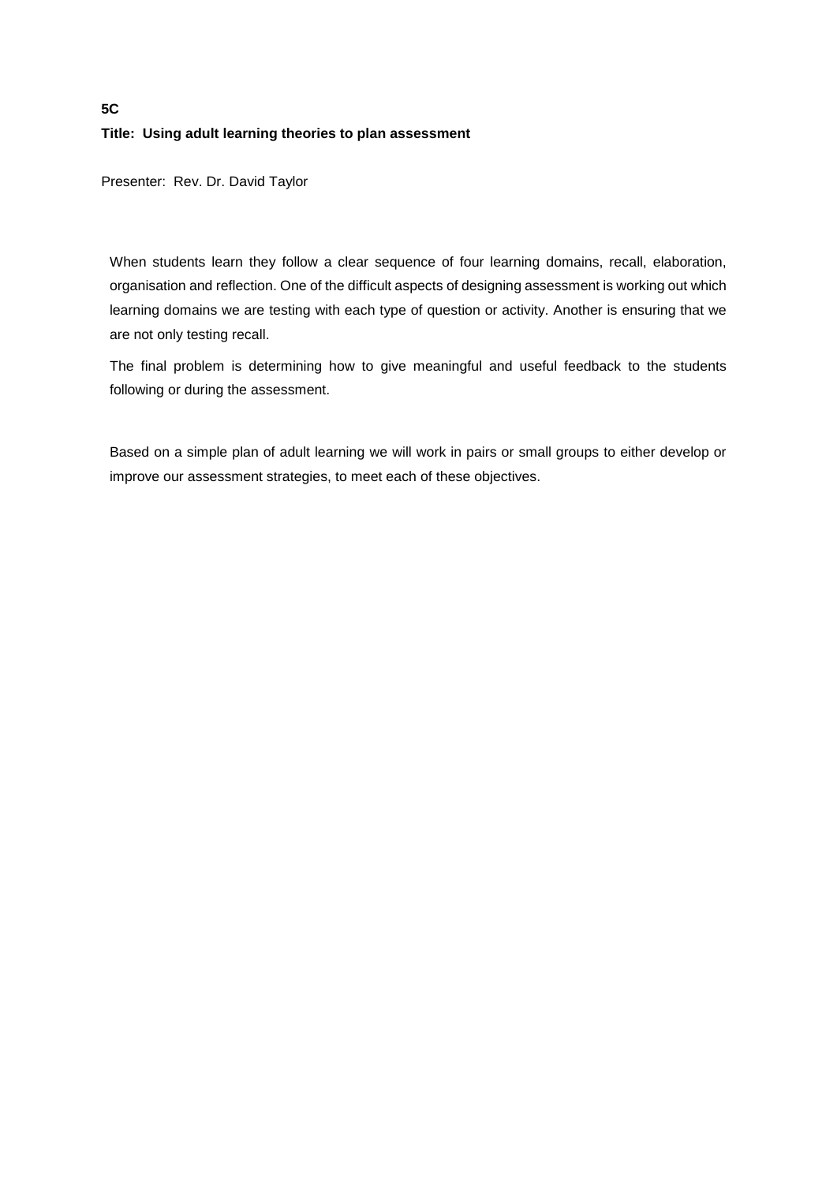## **5C Title: Using adult learning theories to plan assessment**

Presenter: Rev. Dr. David Taylor

When students learn they follow a clear sequence of four learning domains, recall, elaboration, organisation and reflection. One of the difficult aspects of designing assessment is working out which learning domains we are testing with each type of question or activity. Another is ensuring that we are not only testing recall.

The final problem is determining how to give meaningful and useful feedback to the students following or during the assessment.

Based on a simple plan of adult learning we will work in pairs or small groups to either develop or improve our assessment strategies, to meet each of these objectives.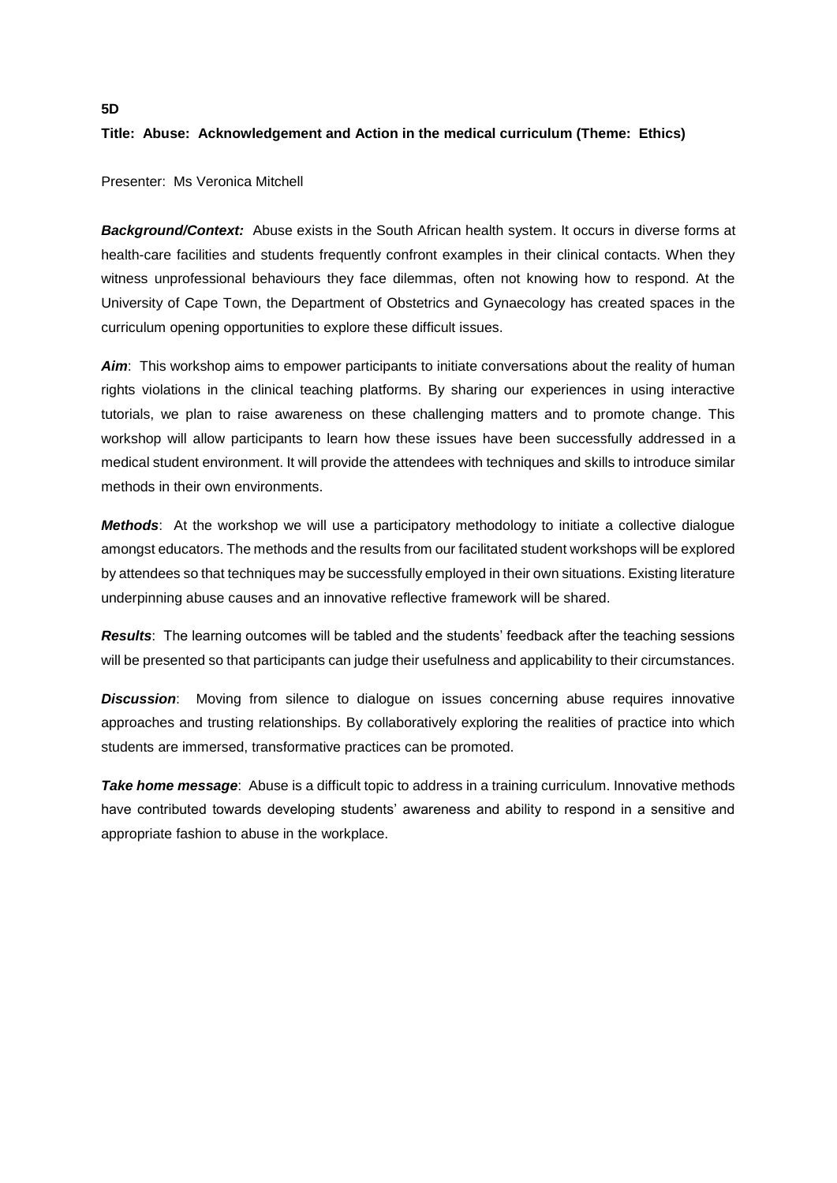#### **Title: Abuse: Acknowledgement and Action in the medical curriculum (Theme: Ethics)**

Presenter: Ms Veronica Mitchell

**Background/Context:** Abuse exists in the South African health system. It occurs in diverse forms at health-care facilities and students frequently confront examples in their clinical contacts. When they witness unprofessional behaviours they face dilemmas, often not knowing how to respond. At the University of Cape Town, the Department of Obstetrics and Gynaecology has created spaces in the curriculum opening opportunities to explore these difficult issues.

Aim: This workshop aims to empower participants to initiate conversations about the reality of human rights violations in the clinical teaching platforms. By sharing our experiences in using interactive tutorials, we plan to raise awareness on these challenging matters and to promote change. This workshop will allow participants to learn how these issues have been successfully addressed in a medical student environment. It will provide the attendees with techniques and skills to introduce similar methods in their own environments.

*Methods*: At the workshop we will use a participatory methodology to initiate a collective dialogue amongst educators. The methods and the results from our facilitated student workshops will be explored by attendees so that techniques may be successfully employed in their own situations. Existing literature underpinning abuse causes and an innovative reflective framework will be shared.

*Results*: The learning outcomes will be tabled and the students' feedback after the teaching sessions will be presented so that participants can judge their usefulness and applicability to their circumstances.

**Discussion:** Moving from silence to dialogue on issues concerning abuse requires innovative approaches and trusting relationships. By collaboratively exploring the realities of practice into which students are immersed, transformative practices can be promoted.

*Take home message*: Abuse is a difficult topic to address in a training curriculum. Innovative methods have contributed towards developing students' awareness and ability to respond in a sensitive and appropriate fashion to abuse in the workplace.

**5D**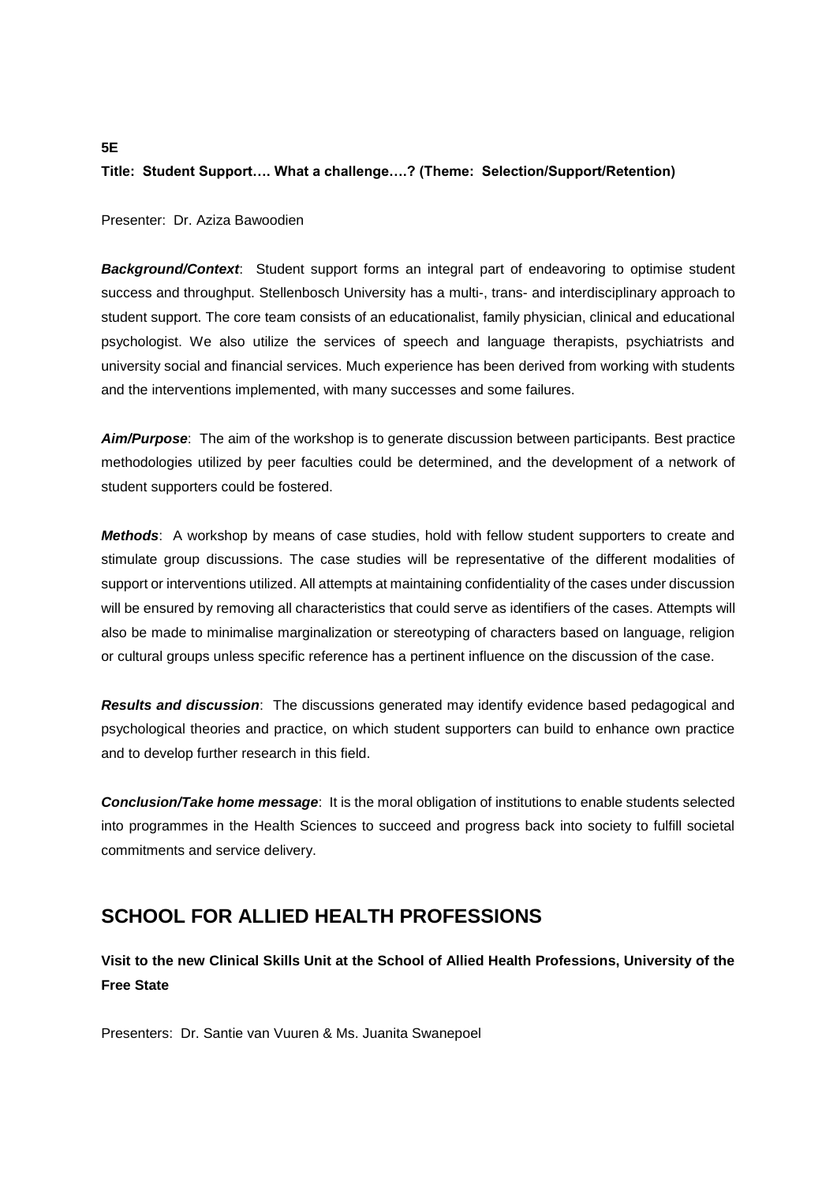## **Title: Student Support…. What a challenge….? (Theme: Selection/Support/Retention)**

Presenter: Dr. Aziza Bawoodien

*Background/Context*: Student support forms an integral part of endeavoring to optimise student success and throughput. Stellenbosch University has a multi-, trans- and interdisciplinary approach to student support. The core team consists of an educationalist, family physician, clinical and educational psychologist. We also utilize the services of speech and language therapists, psychiatrists and university social and financial services. Much experience has been derived from working with students and the interventions implemented, with many successes and some failures.

*Aim/Purpose*: The aim of the workshop is to generate discussion between participants. Best practice methodologies utilized by peer faculties could be determined, and the development of a network of student supporters could be fostered.

*Methods*: A workshop by means of case studies, hold with fellow student supporters to create and stimulate group discussions. The case studies will be representative of the different modalities of support or interventions utilized. All attempts at maintaining confidentiality of the cases under discussion will be ensured by removing all characteristics that could serve as identifiers of the cases. Attempts will also be made to minimalise marginalization or stereotyping of characters based on language, religion or cultural groups unless specific reference has a pertinent influence on the discussion of the case.

*Results and discussion*: The discussions generated may identify evidence based pedagogical and psychological theories and practice, on which student supporters can build to enhance own practice and to develop further research in this field.

*Conclusion/Take home message*: It is the moral obligation of institutions to enable students selected into programmes in the Health Sciences to succeed and progress back into society to fulfill societal commitments and service delivery.

# **SCHOOL FOR ALLIED HEALTH PROFESSIONS**

**Visit to the new Clinical Skills Unit at the School of Allied Health Professions, University of the Free State**

Presenters: Dr. Santie van Vuuren & Ms. Juanita Swanepoel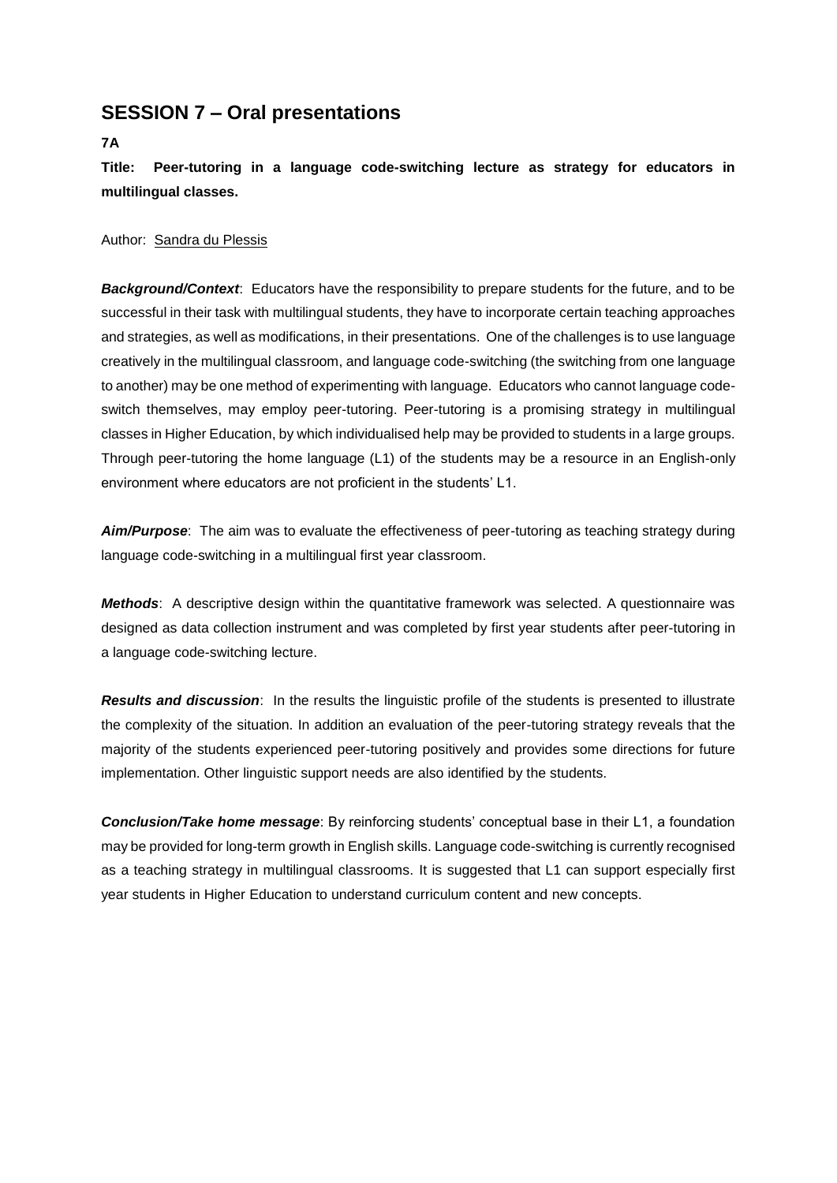# **SESSION 7 – Oral presentations**

## **7A**

**Title: Peer-tutoring in a language code-switching lecture as strategy for educators in multilingual classes.** 

#### Author: Sandra du Plessis

*Background/Context*: Educators have the responsibility to prepare students for the future, and to be successful in their task with multilingual students, they have to incorporate certain teaching approaches and strategies, as well as modifications, in their presentations. One of the challenges is to use language creatively in the multilingual classroom, and language code-switching (the switching from one language to another) may be one method of experimenting with language. Educators who cannot language codeswitch themselves, may employ peer-tutoring. Peer-tutoring is a promising strategy in multilingual classes in Higher Education, by which individualised help may be provided to students in a large groups. Through peer-tutoring the home language (L1) of the students may be a resource in an English-only environment where educators are not proficient in the students' L1.

*Aim/Purpose*: The aim was to evaluate the effectiveness of peer-tutoring as teaching strategy during language code-switching in a multilingual first year classroom.

*Methods*: A descriptive design within the quantitative framework was selected. A questionnaire was designed as data collection instrument and was completed by first year students after peer-tutoring in a language code-switching lecture.

*Results and discussion*: In the results the linguistic profile of the students is presented to illustrate the complexity of the situation. In addition an evaluation of the peer-tutoring strategy reveals that the majority of the students experienced peer-tutoring positively and provides some directions for future implementation. Other linguistic support needs are also identified by the students.

*Conclusion/Take home message*: By reinforcing students' conceptual base in their L1, a foundation may be provided for long-term growth in English skills. Language code-switching is currently recognised as a teaching strategy in multilingual classrooms. It is suggested that L1 can support especially first year students in Higher Education to understand curriculum content and new concepts.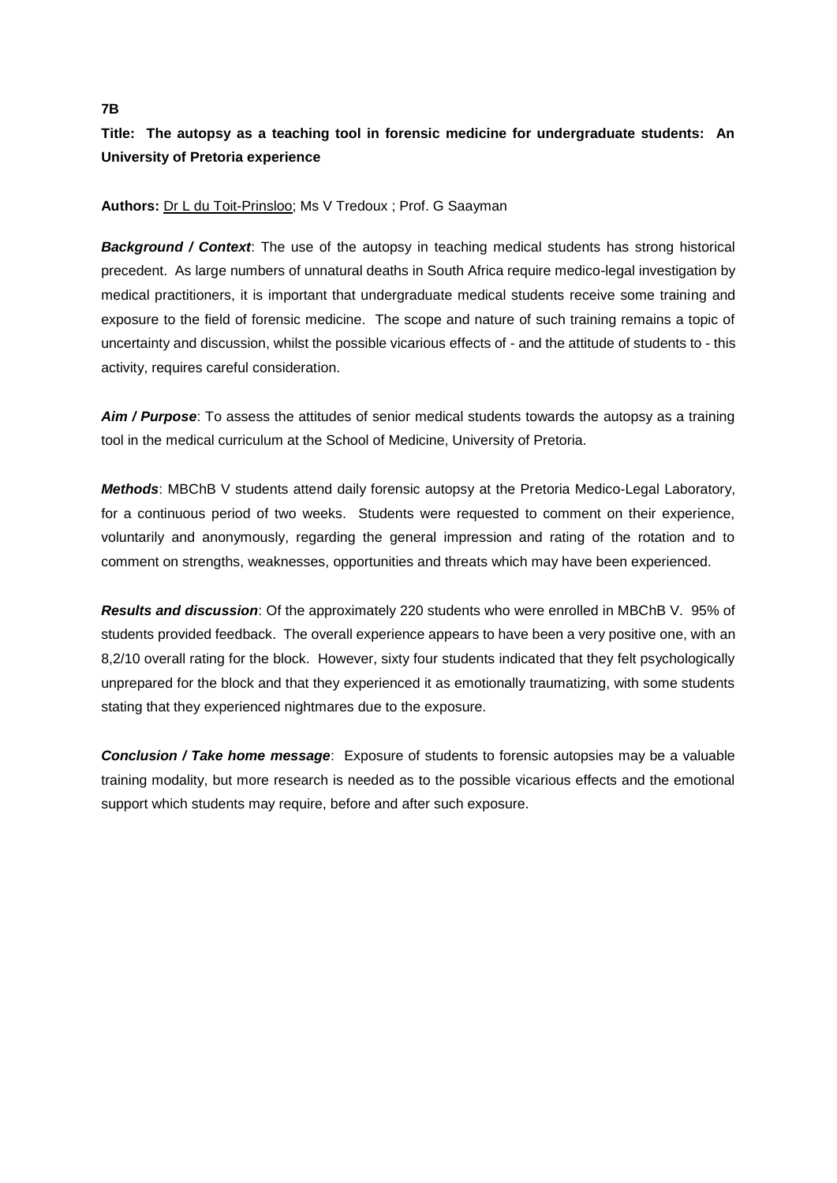# **Title: The autopsy as a teaching tool in forensic medicine for undergraduate students: An University of Pretoria experience**

#### **Authors:** Dr L du Toit-Prinsloo; Ms V Tredoux ; Prof. G Saayman

*Background / Context*: The use of the autopsy in teaching medical students has strong historical precedent. As large numbers of unnatural deaths in South Africa require medico-legal investigation by medical practitioners, it is important that undergraduate medical students receive some training and exposure to the field of forensic medicine. The scope and nature of such training remains a topic of uncertainty and discussion, whilst the possible vicarious effects of - and the attitude of students to - this activity, requires careful consideration.

*Aim / Purpose*: To assess the attitudes of senior medical students towards the autopsy as a training tool in the medical curriculum at the School of Medicine, University of Pretoria.

*Methods*: MBChB V students attend daily forensic autopsy at the Pretoria Medico-Legal Laboratory, for a continuous period of two weeks. Students were requested to comment on their experience, voluntarily and anonymously, regarding the general impression and rating of the rotation and to comment on strengths, weaknesses, opportunities and threats which may have been experienced.

*Results and discussion*: Of the approximately 220 students who were enrolled in MBChB V. 95% of students provided feedback. The overall experience appears to have been a very positive one, with an 8,2/10 overall rating for the block. However, sixty four students indicated that they felt psychologically unprepared for the block and that they experienced it as emotionally traumatizing, with some students stating that they experienced nightmares due to the exposure.

*Conclusion / Take home message*: Exposure of students to forensic autopsies may be a valuable training modality, but more research is needed as to the possible vicarious effects and the emotional support which students may require, before and after such exposure.

#### **7B**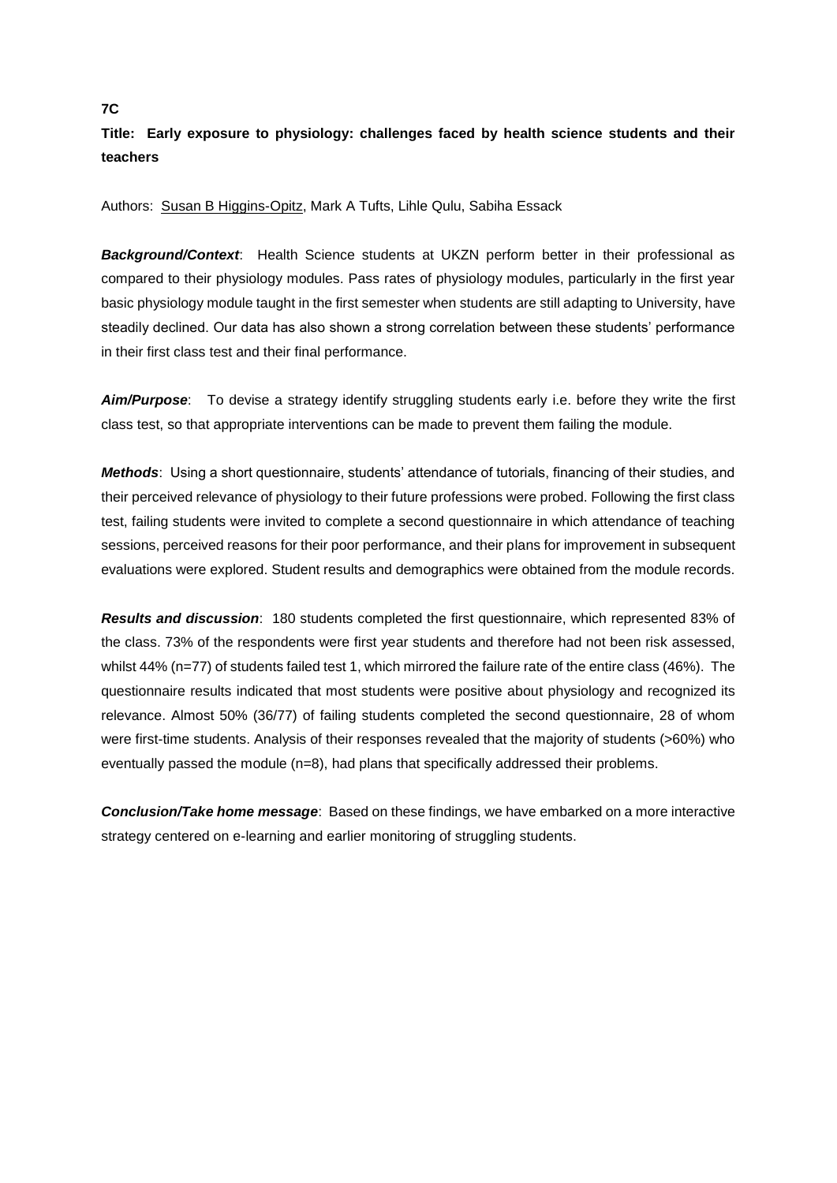**Title: Early exposure to physiology: challenges faced by health science students and their teachers**

Authors:Susan B Higgins-Opitz, Mark A Tufts, Lihle Qulu, Sabiha Essack

*Background/Context*: Health Science students at UKZN perform better in their professional as compared to their physiology modules. Pass rates of physiology modules, particularly in the first year basic physiology module taught in the first semester when students are still adapting to University, have steadily declined. Our data has also shown a strong correlation between these students' performance in their first class test and their final performance.

*Aim/Purpose*: To devise a strategy identify struggling students early i.e. before they write the first class test, so that appropriate interventions can be made to prevent them failing the module.

*Methods*: Using a short questionnaire, students' attendance of tutorials, financing of their studies, and their perceived relevance of physiology to their future professions were probed. Following the first class test, failing students were invited to complete a second questionnaire in which attendance of teaching sessions, perceived reasons for their poor performance, and their plans for improvement in subsequent evaluations were explored. Student results and demographics were obtained from the module records.

*Results and discussion*: 180 students completed the first questionnaire, which represented 83% of the class. 73% of the respondents were first year students and therefore had not been risk assessed, whilst 44% (n=77) of students failed test 1, which mirrored the failure rate of the entire class (46%). The questionnaire results indicated that most students were positive about physiology and recognized its relevance. Almost 50% (36/77) of failing students completed the second questionnaire, 28 of whom were first-time students. Analysis of their responses revealed that the majority of students (>60%) who eventually passed the module (n=8), had plans that specifically addressed their problems.

*Conclusion/Take home message*: Based on these findings, we have embarked on a more interactive strategy centered on e-learning and earlier monitoring of struggling students.

**7C**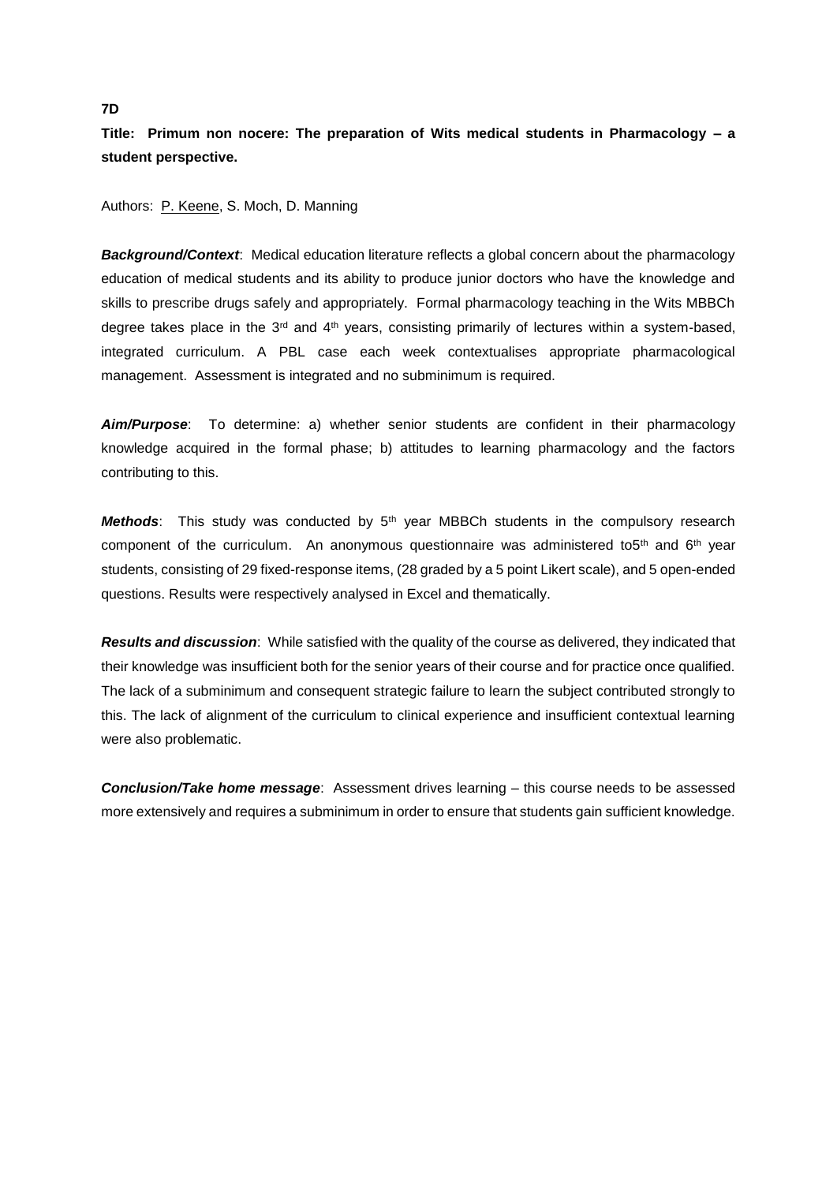**Title: Primum non nocere: The preparation of Wits medical students in Pharmacology – a student perspective.**

#### Authors: P. Keene, S. Moch, D. Manning

**Background/Context:** Medical education literature reflects a global concern about the pharmacology education of medical students and its ability to produce junior doctors who have the knowledge and skills to prescribe drugs safely and appropriately. Formal pharmacology teaching in the Wits MBBCh degree takes place in the  $3<sup>rd</sup>$  and  $4<sup>th</sup>$  years, consisting primarily of lectures within a system-based, integrated curriculum. A PBL case each week contextualises appropriate pharmacological management. Assessment is integrated and no subminimum is required.

*Aim/Purpose*: To determine: a) whether senior students are confident in their pharmacology knowledge acquired in the formal phase; b) attitudes to learning pharmacology and the factors contributing to this.

Methods: This study was conducted by 5<sup>th</sup> year MBBCh students in the compulsory research component of the curriculum. An anonymous questionnaire was administered to5<sup>th</sup> and 6<sup>th</sup> year students, consisting of 29 fixed-response items, (28 graded by a 5 point Likert scale), and 5 open-ended questions. Results were respectively analysed in Excel and thematically.

*Results and discussion*: While satisfied with the quality of the course as delivered, they indicated that their knowledge was insufficient both for the senior years of their course and for practice once qualified. The lack of a subminimum and consequent strategic failure to learn the subject contributed strongly to this. The lack of alignment of the curriculum to clinical experience and insufficient contextual learning were also problematic.

*Conclusion/Take home message*: Assessment drives learning – this course needs to be assessed more extensively and requires a subminimum in order to ensure that students gain sufficient knowledge.

**7D**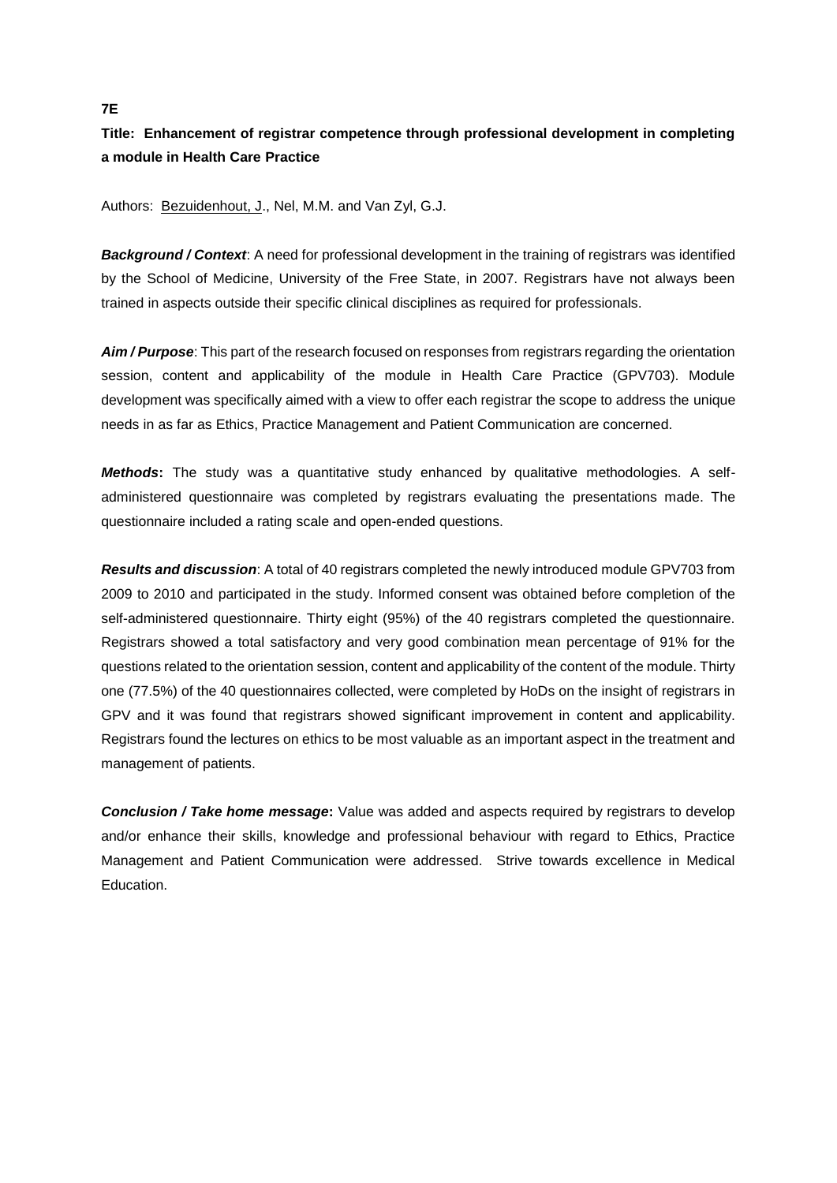**Title: Enhancement of registrar competence through professional development in completing a module in Health Care Practice**

Authors: Bezuidenhout, J., Nel, M.M. and Van Zyl, G.J.

*Background / Context*: A need for professional development in the training of registrars was identified by the School of Medicine, University of the Free State, in 2007. Registrars have not always been trained in aspects outside their specific clinical disciplines as required for professionals.

*Aim / Purpose*: This part of the research focused on responses from registrars regarding the orientation session, content and applicability of the module in Health Care Practice (GPV703). Module development was specifically aimed with a view to offer each registrar the scope to address the unique needs in as far as Ethics, Practice Management and Patient Communication are concerned.

*Methods***:** The study was a quantitative study enhanced by qualitative methodologies. A selfadministered questionnaire was completed by registrars evaluating the presentations made. The questionnaire included a rating scale and open-ended questions.

*Results and discussion*: A total of 40 registrars completed the newly introduced module GPV703 from 2009 to 2010 and participated in the study. Informed consent was obtained before completion of the self-administered questionnaire. Thirty eight (95%) of the 40 registrars completed the questionnaire. Registrars showed a total satisfactory and very good combination mean percentage of 91% for the questions related to the orientation session, content and applicability of the content of the module. Thirty one (77.5%) of the 40 questionnaires collected, were completed by HoDs on the insight of registrars in GPV and it was found that registrars showed significant improvement in content and applicability. Registrars found the lectures on ethics to be most valuable as an important aspect in the treatment and management of patients.

*Conclusion / Take home message***:** Value was added and aspects required by registrars to develop and/or enhance their skills, knowledge and professional behaviour with regard to Ethics, Practice Management and Patient Communication were addressed. Strive towards excellence in Medical Education.

**7E**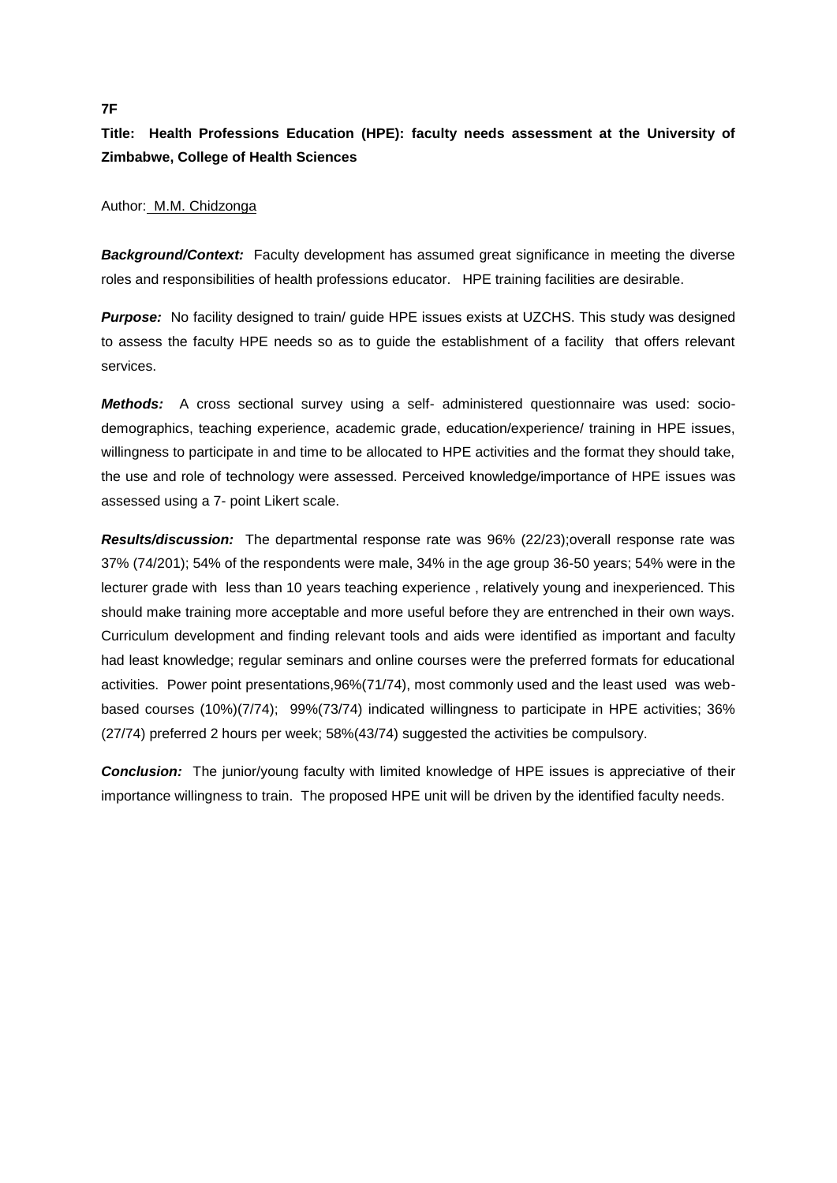## **Title: Health Professions Education (HPE): faculty needs assessment at the University of Zimbabwe, College of Health Sciences**

#### Author: M.M. Chidzonga

**Background/Context:** Faculty development has assumed great significance in meeting the diverse roles and responsibilities of health professions educator. HPE training facilities are desirable.

*Purpose:* No facility designed to train/ guide HPE issues exists at UZCHS. This study was designed to assess the faculty HPE needs so as to guide the establishment of a facility that offers relevant services.

Methods: A cross sectional survey using a self- administered questionnaire was used: sociodemographics, teaching experience, academic grade, education/experience/ training in HPE issues, willingness to participate in and time to be allocated to HPE activities and the format they should take, the use and role of technology were assessed. Perceived knowledge/importance of HPE issues was assessed using a 7- point Likert scale.

*Results/discussion:* The departmental response rate was 96% (22/23);overall response rate was 37% (74/201); 54% of the respondents were male, 34% in the age group 36-50 years; 54% were in the lecturer grade with less than 10 years teaching experience , relatively young and inexperienced. This should make training more acceptable and more useful before they are entrenched in their own ways. Curriculum development and finding relevant tools and aids were identified as important and faculty had least knowledge; regular seminars and online courses were the preferred formats for educational activities. Power point presentations,96%(71/74), most commonly used and the least used was webbased courses (10%)(7/74); 99%(73/74) indicated willingness to participate in HPE activities; 36% (27/74) preferred 2 hours per week; 58%(43/74) suggested the activities be compulsory.

**Conclusion:** The junior/young faculty with limited knowledge of HPE issues is appreciative of their importance willingness to train. The proposed HPE unit will be driven by the identified faculty needs.

**7F**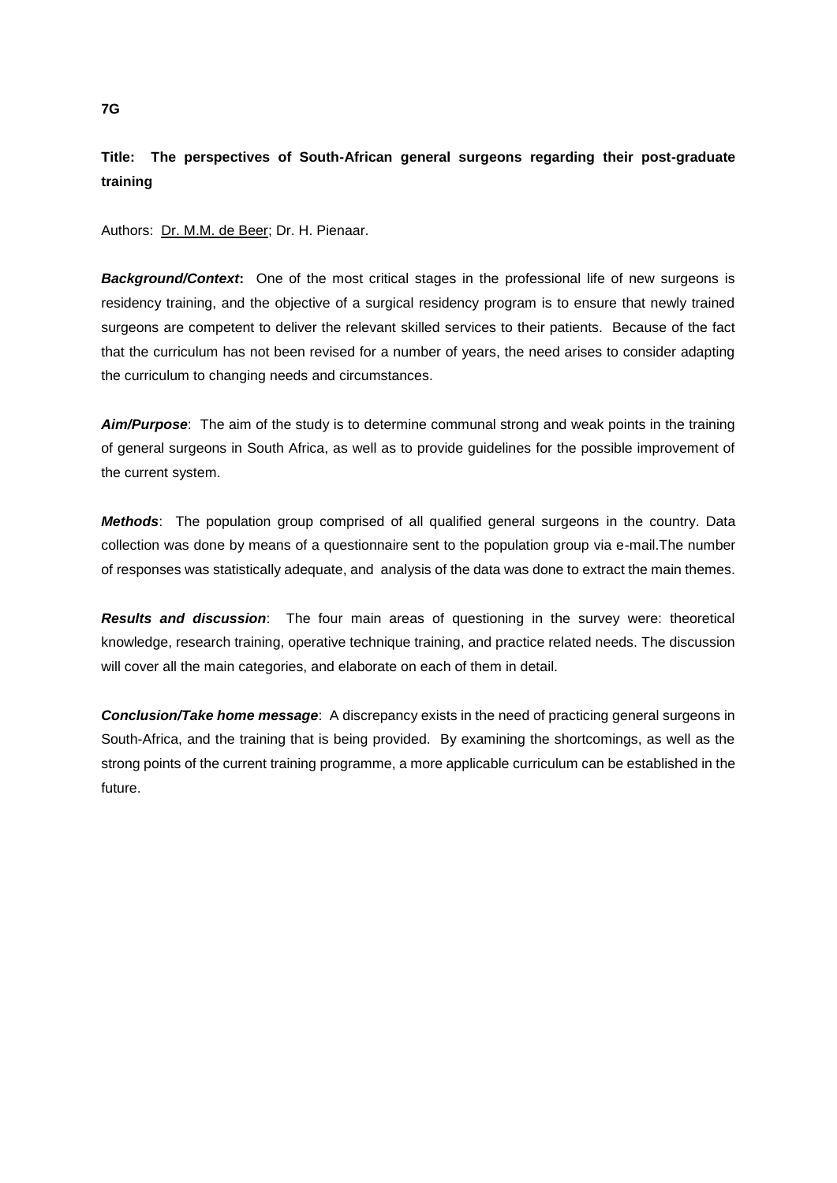## **Title: The perspectives of South-African general surgeons regarding their post-graduate training**

Authors: Dr. M.M. de Beer; Dr. H. Pienaar.

**Background/Context:** One of the most critical stages in the professional life of new surgeons is residency training, and the objective of a surgical residency program is to ensure that newly trained surgeons are competent to deliver the relevant skilled services to their patients. Because of the fact that the curriculum has not been revised for a number of years, the need arises to consider adapting the curriculum to changing needs and circumstances.

*Aim/Purpose*: The aim of the study is to determine communal strong and weak points in the training of general surgeons in South Africa, as well as to provide guidelines for the possible improvement of the current system.

*Methods*: The population group comprised of all qualified general surgeons in the country. Data collection was done by means of a questionnaire sent to the population group via e-mail.The number of responses was statistically adequate, and analysis of the data was done to extract the main themes.

*Results and discussion*: The four main areas of questioning in the survey were: theoretical knowledge, research training, operative technique training, and practice related needs. The discussion will cover all the main categories, and elaborate on each of them in detail.

*Conclusion/Take home message*: A discrepancy exists in the need of practicing general surgeons in South-Africa, and the training that is being provided. By examining the shortcomings, as well as the strong points of the current training programme, a more applicable curriculum can be established in the future.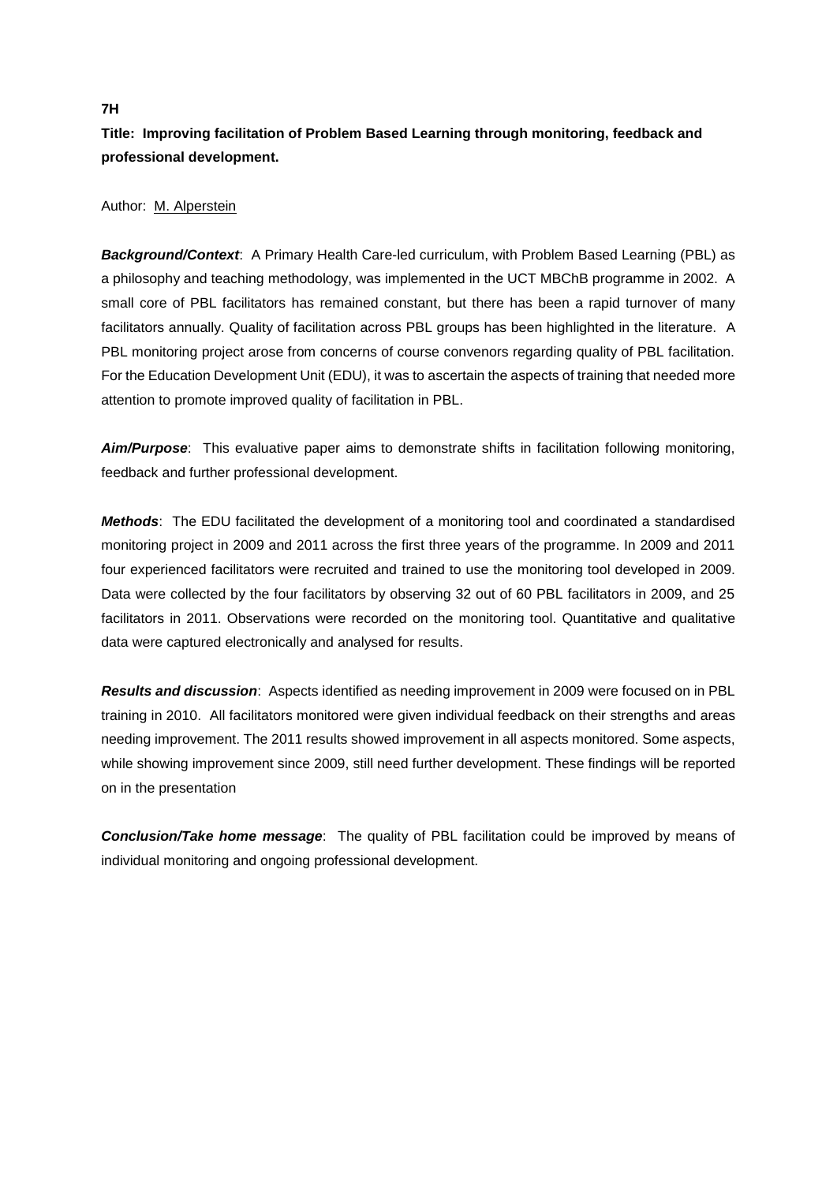# **Title: Improving facilitation of Problem Based Learning through monitoring, feedback and professional development.**

## Author:M. Alperstein

*Background/Context*: A Primary Health Care-led curriculum, with Problem Based Learning (PBL) as a philosophy and teaching methodology, was implemented in the UCT MBChB programme in 2002. A small core of PBL facilitators has remained constant, but there has been a rapid turnover of many facilitators annually. Quality of facilitation across PBL groups has been highlighted in the literature. A PBL monitoring project arose from concerns of course convenors regarding quality of PBL facilitation. For the Education Development Unit (EDU), it was to ascertain the aspects of training that needed more attention to promote improved quality of facilitation in PBL.

*Aim/Purpose*: This evaluative paper aims to demonstrate shifts in facilitation following monitoring, feedback and further professional development.

*Methods*: The EDU facilitated the development of a monitoring tool and coordinated a standardised monitoring project in 2009 and 2011 across the first three years of the programme. In 2009 and 2011 four experienced facilitators were recruited and trained to use the monitoring tool developed in 2009. Data were collected by the four facilitators by observing 32 out of 60 PBL facilitators in 2009, and 25 facilitators in 2011. Observations were recorded on the monitoring tool. Quantitative and qualitative data were captured electronically and analysed for results.

*Results and discussion*: Aspects identified as needing improvement in 2009 were focused on in PBL training in 2010. All facilitators monitored were given individual feedback on their strengths and areas needing improvement. The 2011 results showed improvement in all aspects monitored. Some aspects, while showing improvement since 2009, still need further development. These findings will be reported on in the presentation

*Conclusion/Take home message*: The quality of PBL facilitation could be improved by means of individual monitoring and ongoing professional development.

## **7H**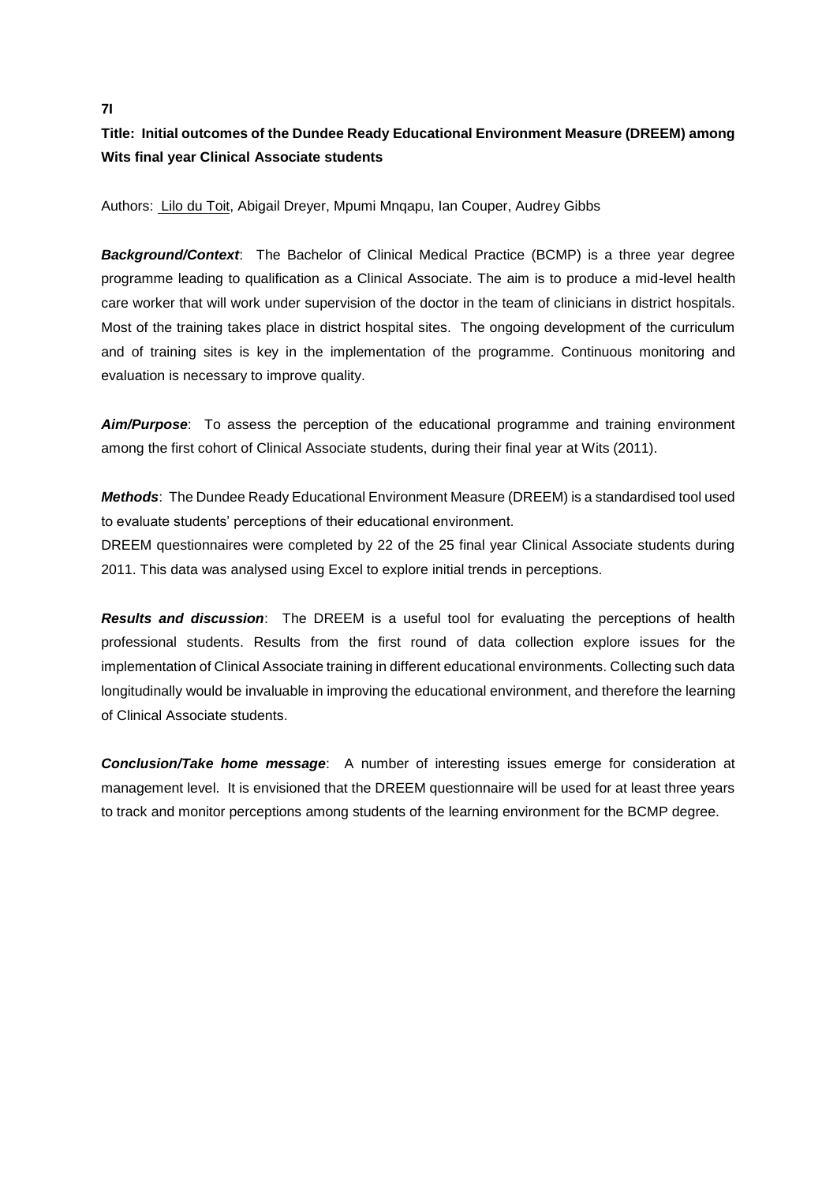# **Title: Initial outcomes of the Dundee Ready Educational Environment Measure (DREEM) among Wits final year Clinical Associate students**

Authors: Lilo du Toit, Abigail Dreyer, Mpumi Mnqapu, Ian Couper, Audrey Gibbs

**7I**

*Background/Context*: The Bachelor of Clinical Medical Practice (BCMP) is a three year degree programme leading to qualification as a Clinical Associate. The aim is to produce a mid-level health care worker that will work under supervision of the doctor in the team of clinicians in district hospitals. Most of the training takes place in district hospital sites. The ongoing development of the curriculum and of training sites is key in the implementation of the programme. Continuous monitoring and evaluation is necessary to improve quality.

*Aim/Purpose*: To assess the perception of the educational programme and training environment among the first cohort of Clinical Associate students, during their final year at Wits (2011).

*Methods*: The Dundee Ready Educational Environment Measure (DREEM) is a standardised tool used to evaluate students' perceptions of their educational environment.

DREEM questionnaires were completed by 22 of the 25 final year Clinical Associate students during 2011. This data was analysed using Excel to explore initial trends in perceptions.

*Results and discussion*: The DREEM is a useful tool for evaluating the perceptions of health professional students. Results from the first round of data collection explore issues for the implementation of Clinical Associate training in different educational environments. Collecting such data longitudinally would be invaluable in improving the educational environment, and therefore the learning of Clinical Associate students.

*Conclusion/Take home message*: A number of interesting issues emerge for consideration at management level. It is envisioned that the DREEM questionnaire will be used for at least three years to track and monitor perceptions among students of the learning environment for the BCMP degree.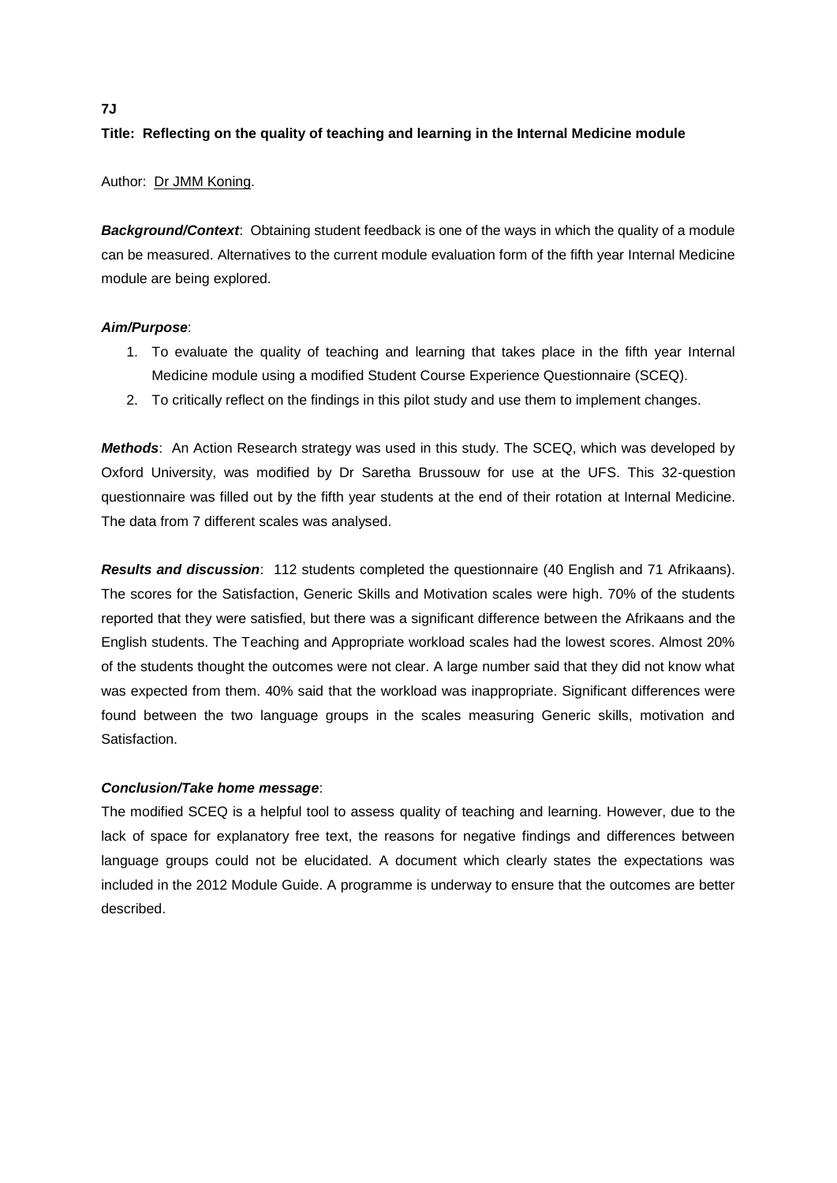## **Title: Reflecting on the quality of teaching and learning in the Internal Medicine module**

Author: Dr JMM Koning.

*Background/Context*: Obtaining student feedback is one of the ways in which the quality of a module can be measured. Alternatives to the current module evaluation form of the fifth year Internal Medicine module are being explored.

## *Aim/Purpose*:

- 1. To evaluate the quality of teaching and learning that takes place in the fifth year Internal Medicine module using a modified Student Course Experience Questionnaire (SCEQ).
- 2. To critically reflect on the findings in this pilot study and use them to implement changes.

*Methods*: An Action Research strategy was used in this study. The SCEQ, which was developed by Oxford University, was modified by Dr Saretha Brussouw for use at the UFS. This 32-question questionnaire was filled out by the fifth year students at the end of their rotation at Internal Medicine. The data from 7 different scales was analysed.

*Results and discussion*: 112 students completed the questionnaire (40 English and 71 Afrikaans). The scores for the Satisfaction, Generic Skills and Motivation scales were high. 70% of the students reported that they were satisfied, but there was a significant difference between the Afrikaans and the English students. The Teaching and Appropriate workload scales had the lowest scores. Almost 20% of the students thought the outcomes were not clear. A large number said that they did not know what was expected from them. 40% said that the workload was inappropriate. Significant differences were found between the two language groups in the scales measuring Generic skills, motivation and Satisfaction.

#### *Conclusion/Take home message*:

The modified SCEQ is a helpful tool to assess quality of teaching and learning. However, due to the lack of space for explanatory free text, the reasons for negative findings and differences between language groups could not be elucidated. A document which clearly states the expectations was included in the 2012 Module Guide. A programme is underway to ensure that the outcomes are better described.

**7J**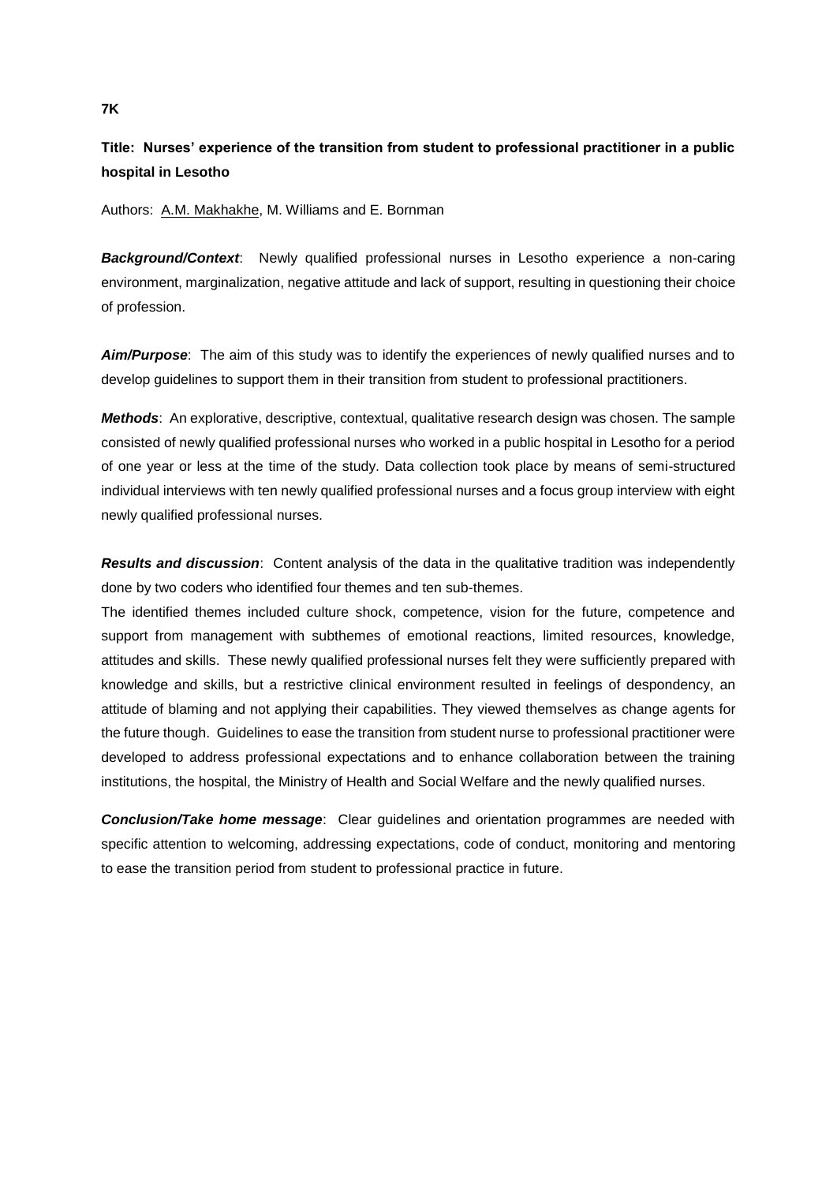## **7K**

## **Title: Nurses' experience of the transition from student to professional practitioner in a public hospital in Lesotho**

Authors: A.M. Makhakhe, M. Williams and E. Bornman

*Background/Context*: Newly qualified professional nurses in Lesotho experience a non-caring environment, marginalization, negative attitude and lack of support, resulting in questioning their choice of profession.

*Aim/Purpose*: The aim of this study was to identify the experiences of newly qualified nurses and to develop guidelines to support them in their transition from student to professional practitioners.

*Methods*: An explorative, descriptive, contextual, qualitative research design was chosen. The sample consisted of newly qualified professional nurses who worked in a public hospital in Lesotho for a period of one year or less at the time of the study. Data collection took place by means of semi-structured individual interviews with ten newly qualified professional nurses and a focus group interview with eight newly qualified professional nurses.

*Results and discussion*: Content analysis of the data in the qualitative tradition was independently done by two coders who identified four themes and ten sub-themes.

The identified themes included culture shock, competence, vision for the future, competence and support from management with subthemes of emotional reactions, limited resources, knowledge, attitudes and skills. These newly qualified professional nurses felt they were sufficiently prepared with knowledge and skills, but a restrictive clinical environment resulted in feelings of despondency, an attitude of blaming and not applying their capabilities. They viewed themselves as change agents for the future though. Guidelines to ease the transition from student nurse to professional practitioner were developed to address professional expectations and to enhance collaboration between the training institutions, the hospital, the Ministry of Health and Social Welfare and the newly qualified nurses.

*Conclusion/Take home message*: Clear guidelines and orientation programmes are needed with specific attention to welcoming, addressing expectations, code of conduct, monitoring and mentoring to ease the transition period from student to professional practice in future.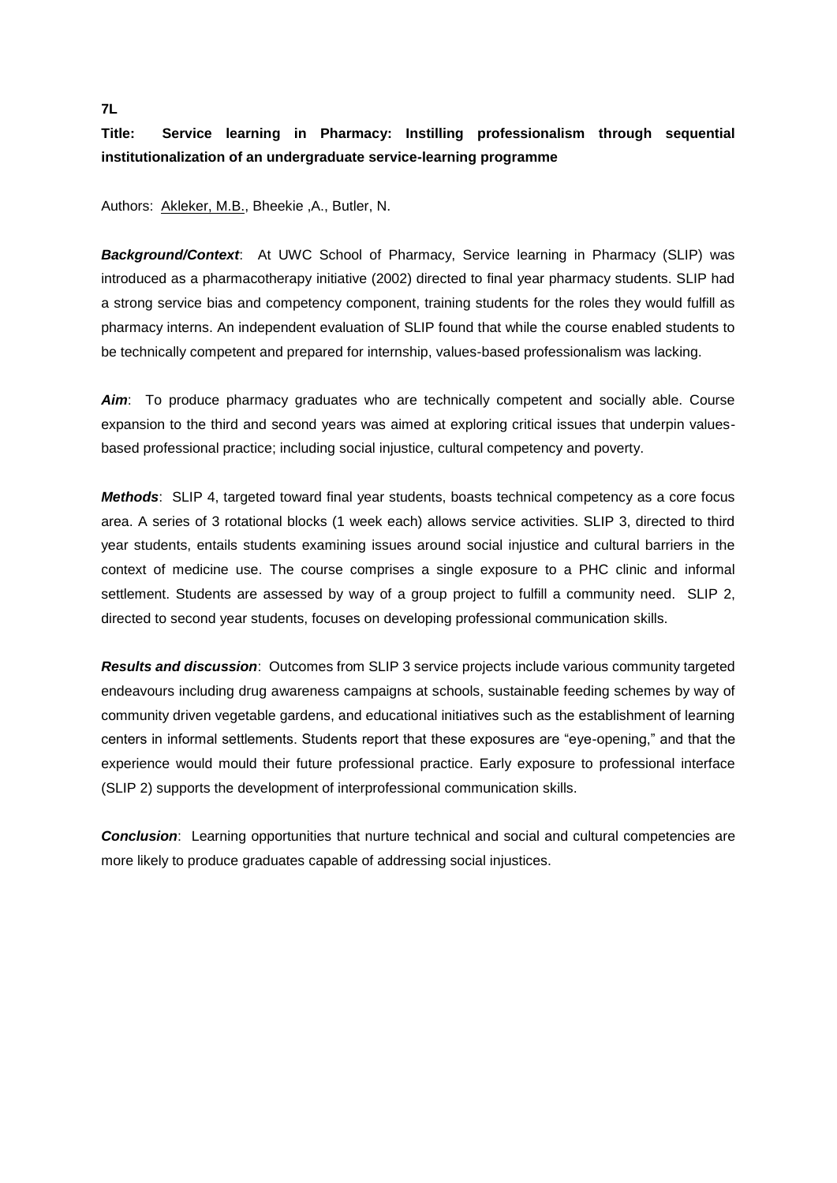**7L**

**Title: Service learning in Pharmacy: Instilling professionalism through sequential institutionalization of an undergraduate service-learning programme**

Authors: Akleker, M.B., Bheekie ,A., Butler, N.

*Background/Context*: At UWC School of Pharmacy, Service learning in Pharmacy (SLIP) was introduced as a pharmacotherapy initiative (2002) directed to final year pharmacy students. SLIP had a strong service bias and competency component, training students for the roles they would fulfill as pharmacy interns. An independent evaluation of SLIP found that while the course enabled students to be technically competent and prepared for internship, values-based professionalism was lacking.

*Aim*: To produce pharmacy graduates who are technically competent and socially able. Course expansion to the third and second years was aimed at exploring critical issues that underpin valuesbased professional practice; including social injustice, cultural competency and poverty.

*Methods*: SLIP 4, targeted toward final year students, boasts technical competency as a core focus area. A series of 3 rotational blocks (1 week each) allows service activities. SLIP 3, directed to third year students, entails students examining issues around social injustice and cultural barriers in the context of medicine use. The course comprises a single exposure to a PHC clinic and informal settlement. Students are assessed by way of a group project to fulfill a community need. SLIP 2, directed to second year students, focuses on developing professional communication skills.

*Results and discussion*: Outcomes from SLIP 3 service projects include various community targeted endeavours including drug awareness campaigns at schools, sustainable feeding schemes by way of community driven vegetable gardens, and educational initiatives such as the establishment of learning centers in informal settlements. Students report that these exposures are "eye-opening," and that the experience would mould their future professional practice. Early exposure to professional interface (SLIP 2) supports the development of interprofessional communication skills.

*Conclusion*: Learning opportunities that nurture technical and social and cultural competencies are more likely to produce graduates capable of addressing social injustices.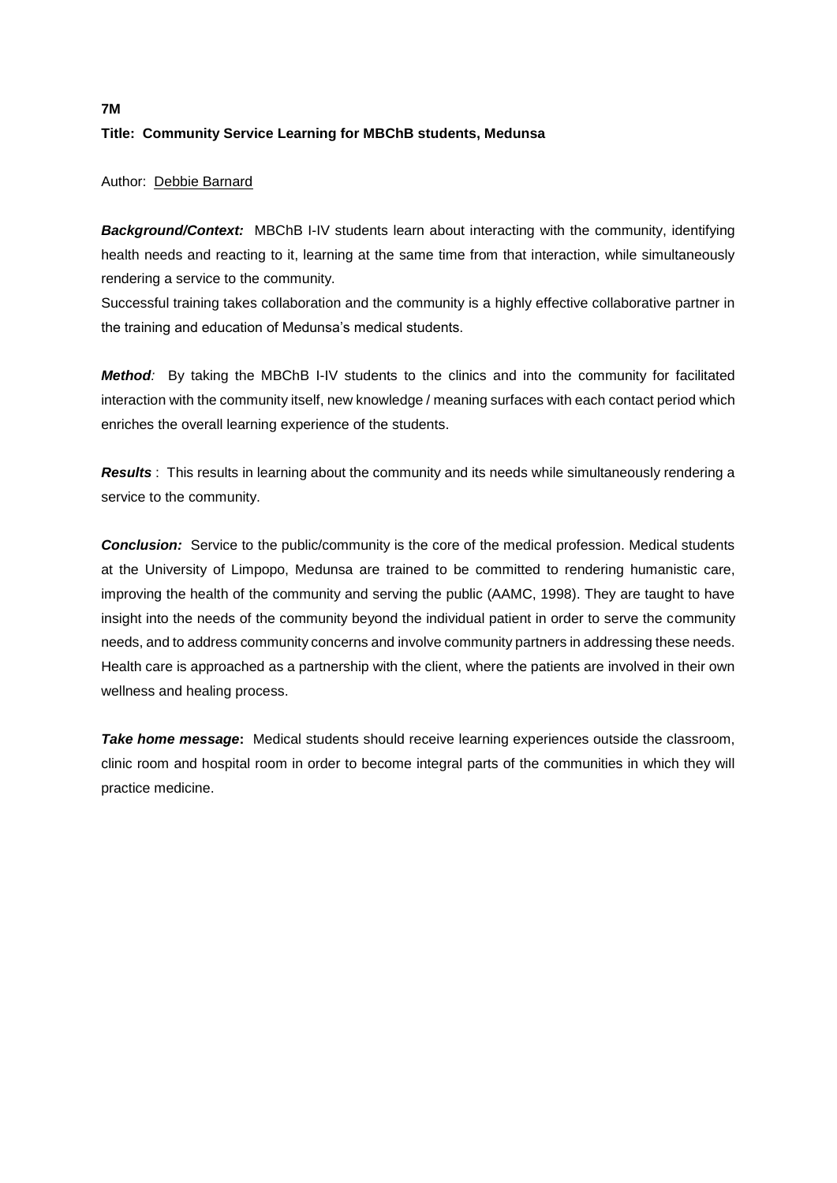## **7M Title: Community Service Learning for MBChB students, Medunsa**

## Author: Debbie Barnard

*Background/Context:* MBChB I-IV students learn about interacting with the community, identifying health needs and reacting to it, learning at the same time from that interaction, while simultaneously rendering a service to the community.

Successful training takes collaboration and the community is a highly effective collaborative partner in the training and education of Medunsa's medical students.

*Method:* By taking the MBChB I-IV students to the clinics and into the community for facilitated interaction with the community itself, new knowledge / meaning surfaces with each contact period which enriches the overall learning experience of the students.

*Results* : This results in learning about the community and its needs while simultaneously rendering a service to the community.

*Conclusion:* Service to the public/community is the core of the medical profession. Medical students at the University of Limpopo, Medunsa are trained to be committed to rendering humanistic care, improving the health of the community and serving the public (AAMC, 1998). They are taught to have insight into the needs of the community beyond the individual patient in order to serve the community needs, and to address community concerns and involve community partners in addressing these needs. Health care is approached as a partnership with the client, where the patients are involved in their own wellness and healing process.

*Take home message***:** Medical students should receive learning experiences outside the classroom, clinic room and hospital room in order to become integral parts of the communities in which they will practice medicine.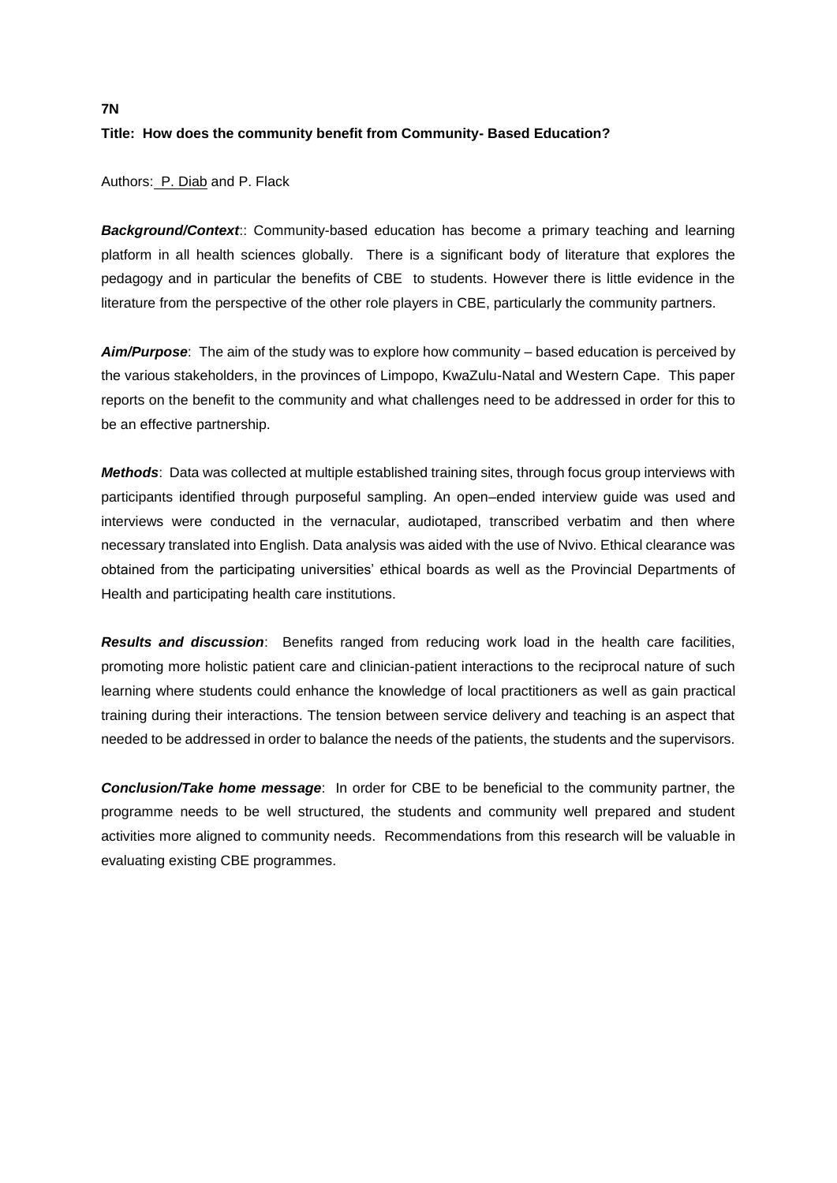# **Title: How does the community benefit from Community- Based Education?**

Authors: P. Diab and P. Flack

**7N**

*Background/Context*:: Community-based education has become a primary teaching and learning platform in all health sciences globally. There is a significant body of literature that explores the pedagogy and in particular the benefits of CBE to students. However there is little evidence in the literature from the perspective of the other role players in CBE, particularly the community partners.

*Aim/Purpose*: The aim of the study was to explore how community – based education is perceived by the various stakeholders, in the provinces of Limpopo, KwaZulu-Natal and Western Cape. This paper reports on the benefit to the community and what challenges need to be addressed in order for this to be an effective partnership.

*Methods*: Data was collected at multiple established training sites, through focus group interviews with participants identified through purposeful sampling. An open–ended interview guide was used and interviews were conducted in the vernacular, audiotaped, transcribed verbatim and then where necessary translated into English. Data analysis was aided with the use of Nvivo. Ethical clearance was obtained from the participating universities' ethical boards as well as the Provincial Departments of Health and participating health care institutions.

*Results and discussion*: Benefits ranged from reducing work load in the health care facilities, promoting more holistic patient care and clinician-patient interactions to the reciprocal nature of such learning where students could enhance the knowledge of local practitioners as well as gain practical training during their interactions. The tension between service delivery and teaching is an aspect that needed to be addressed in order to balance the needs of the patients, the students and the supervisors.

*Conclusion/Take home message*: In order for CBE to be beneficial to the community partner, the programme needs to be well structured, the students and community well prepared and student activities more aligned to community needs. Recommendations from this research will be valuable in evaluating existing CBE programmes.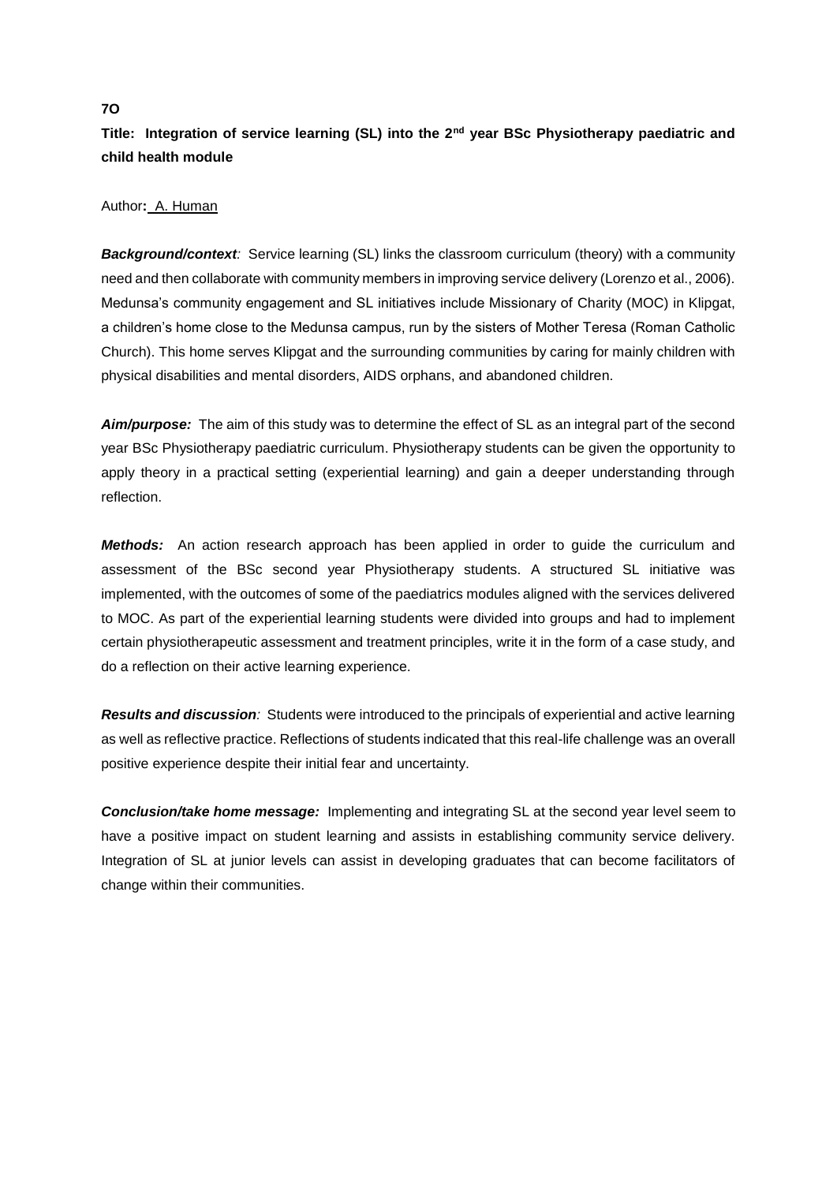# **Title: Integration of service learning (SL) into the 2nd year BSc Physiotherapy paediatric and child health module**

## Author**:** A. Human

*Background/context:* Service learning (SL) links the classroom curriculum (theory) with a community need and then collaborate with community members in improving service delivery (Lorenzo et al., 2006). Medunsa's community engagement and SL initiatives include Missionary of Charity (MOC) in Klipgat, a children's home close to the Medunsa campus, run by the sisters of Mother Teresa (Roman Catholic Church). This home serves Klipgat and the surrounding communities by caring for mainly children with physical disabilities and mental disorders, AIDS orphans, and abandoned children.

*Aim/purpose:*The aim of this study was to determine the effect of SL as an integral part of the second year BSc Physiotherapy paediatric curriculum. Physiotherapy students can be given the opportunity to apply theory in a practical setting (experiential learning) and gain a deeper understanding through reflection.

**Methods:** An action research approach has been applied in order to guide the curriculum and assessment of the BSc second year Physiotherapy students. A structured SL initiative was implemented, with the outcomes of some of the paediatrics modules aligned with the services delivered to MOC. As part of the experiential learning students were divided into groups and had to implement certain physiotherapeutic assessment and treatment principles, write it in the form of a case study, and do a reflection on their active learning experience.

*Results and discussion:* Students were introduced to the principals of experiential and active learning as well as reflective practice. Reflections of students indicated that this real-life challenge was an overall positive experience despite their initial fear and uncertainty.

*Conclusion/take home message:* Implementing and integrating SL at the second year level seem to have a positive impact on student learning and assists in establishing community service delivery. Integration of SL at junior levels can assist in developing graduates that can become facilitators of change within their communities.

#### **7O**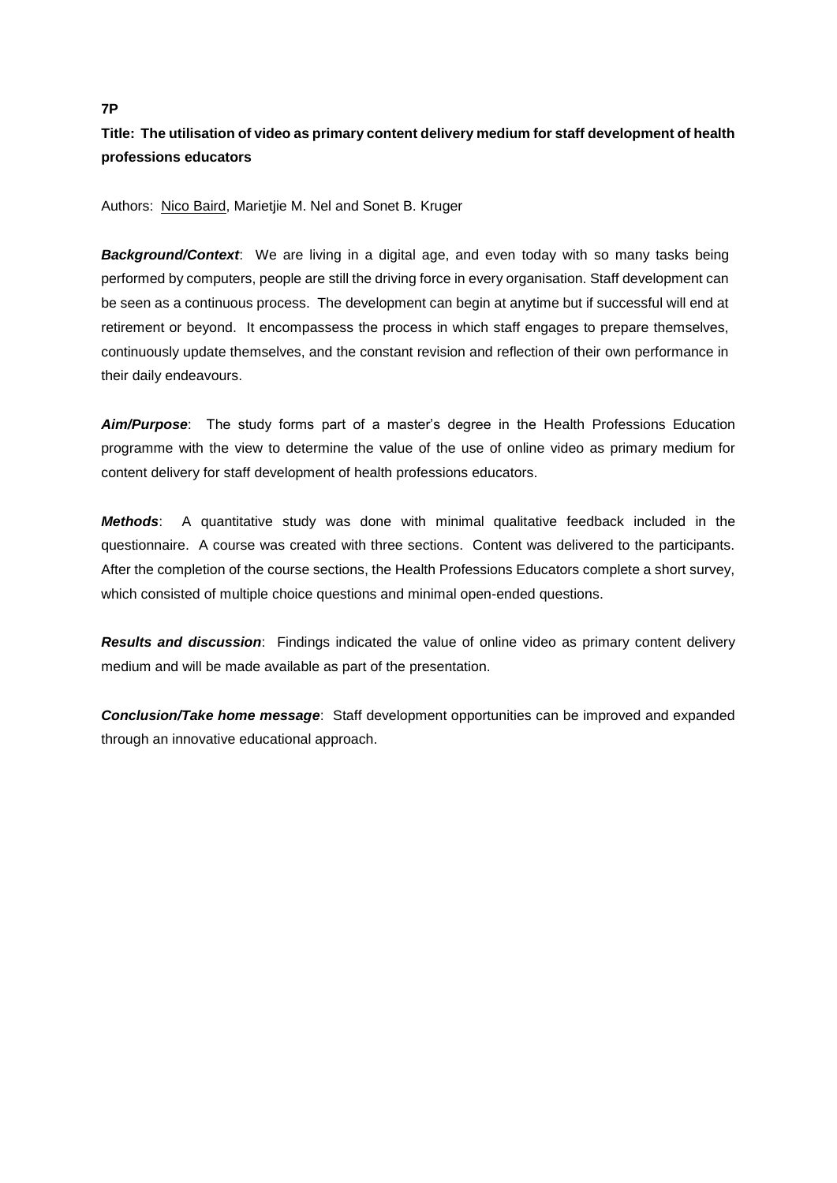# **Title: The utilisation of video as primary content delivery medium for staff development of health professions educators**

Authors: Nico Baird, Marietjie M. Nel and Sonet B. Kruger

**Background/Context**: We are living in a digital age, and even today with so many tasks being performed by computers, people are still the driving force in every organisation. Staff development can be seen as a continuous process. The development can begin at anytime but if successful will end at retirement or beyond. It encompassess the process in which staff engages to prepare themselves, continuously update themselves, and the constant revision and reflection of their own performance in their daily endeavours.

*Aim/Purpose*: The study forms part of a master's degree in the Health Professions Education programme with the view to determine the value of the use of online video as primary medium for content delivery for staff development of health professions educators.

*Methods*: A quantitative study was done with minimal qualitative feedback included in the questionnaire. A course was created with three sections. Content was delivered to the participants. After the completion of the course sections, the Health Professions Educators complete a short survey, which consisted of multiple choice questions and minimal open-ended questions.

*Results and discussion*: Findings indicated the value of online video as primary content delivery medium and will be made available as part of the presentation.

*Conclusion/Take home message*: Staff development opportunities can be improved and expanded through an innovative educational approach.

**7P**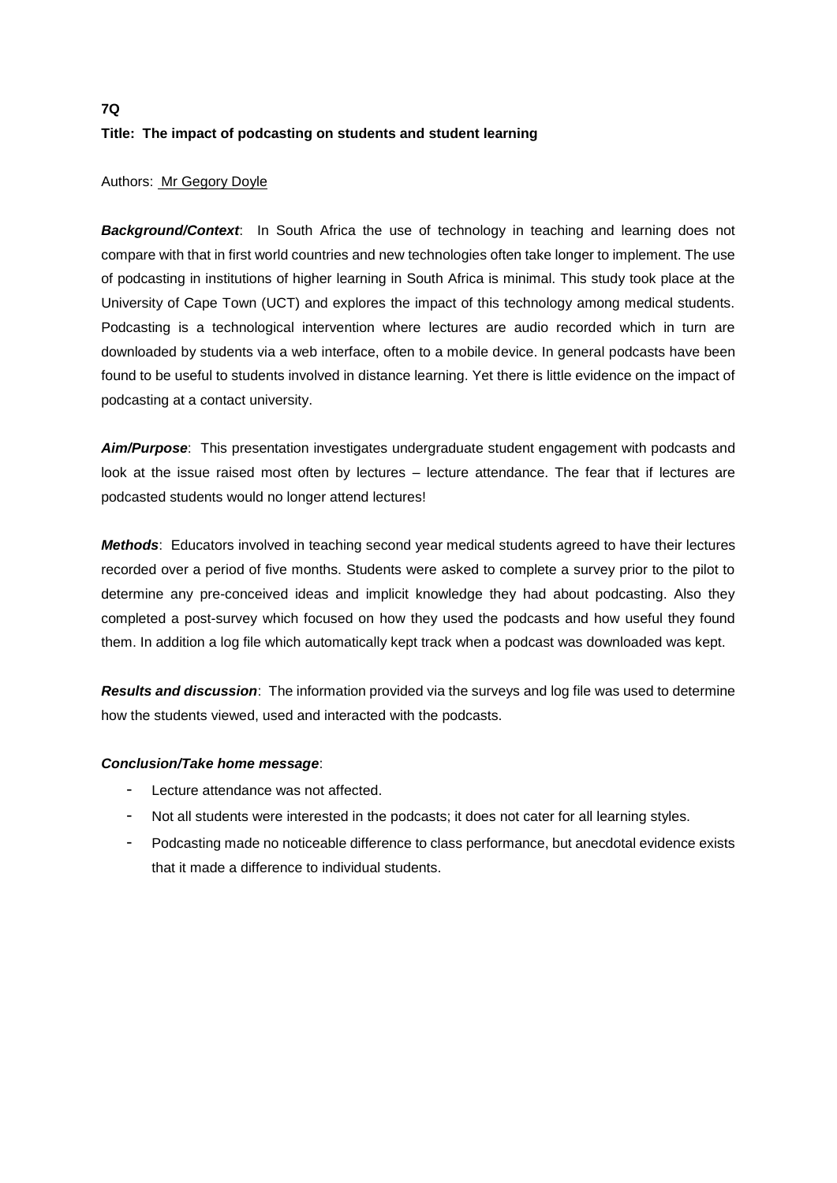## **7Q Title: The impact of podcasting on students and student learning**

## Authors: Mr Gegory Doyle

**Background/Context**: In South Africa the use of technology in teaching and learning does not compare with that in first world countries and new technologies often take longer to implement. The use of podcasting in institutions of higher learning in South Africa is minimal. This study took place at the University of Cape Town (UCT) and explores the impact of this technology among medical students. Podcasting is a technological intervention where lectures are audio recorded which in turn are downloaded by students via a web interface, often to a mobile device. In general podcasts have been found to be useful to students involved in distance learning. Yet there is little evidence on the impact of podcasting at a contact university.

*Aim/Purpose*: This presentation investigates undergraduate student engagement with podcasts and look at the issue raised most often by lectures – lecture attendance. The fear that if lectures are podcasted students would no longer attend lectures!

*Methods*: Educators involved in teaching second year medical students agreed to have their lectures recorded over a period of five months. Students were asked to complete a survey prior to the pilot to determine any pre-conceived ideas and implicit knowledge they had about podcasting. Also they completed a post-survey which focused on how they used the podcasts and how useful they found them. In addition a log file which automatically kept track when a podcast was downloaded was kept.

*Results and discussion*: The information provided via the surveys and log file was used to determine how the students viewed, used and interacted with the podcasts.

## *Conclusion/Take home message*:

- Lecture attendance was not affected.
- Not all students were interested in the podcasts; it does not cater for all learning styles.
- Podcasting made no noticeable difference to class performance, but anecdotal evidence exists that it made a difference to individual students.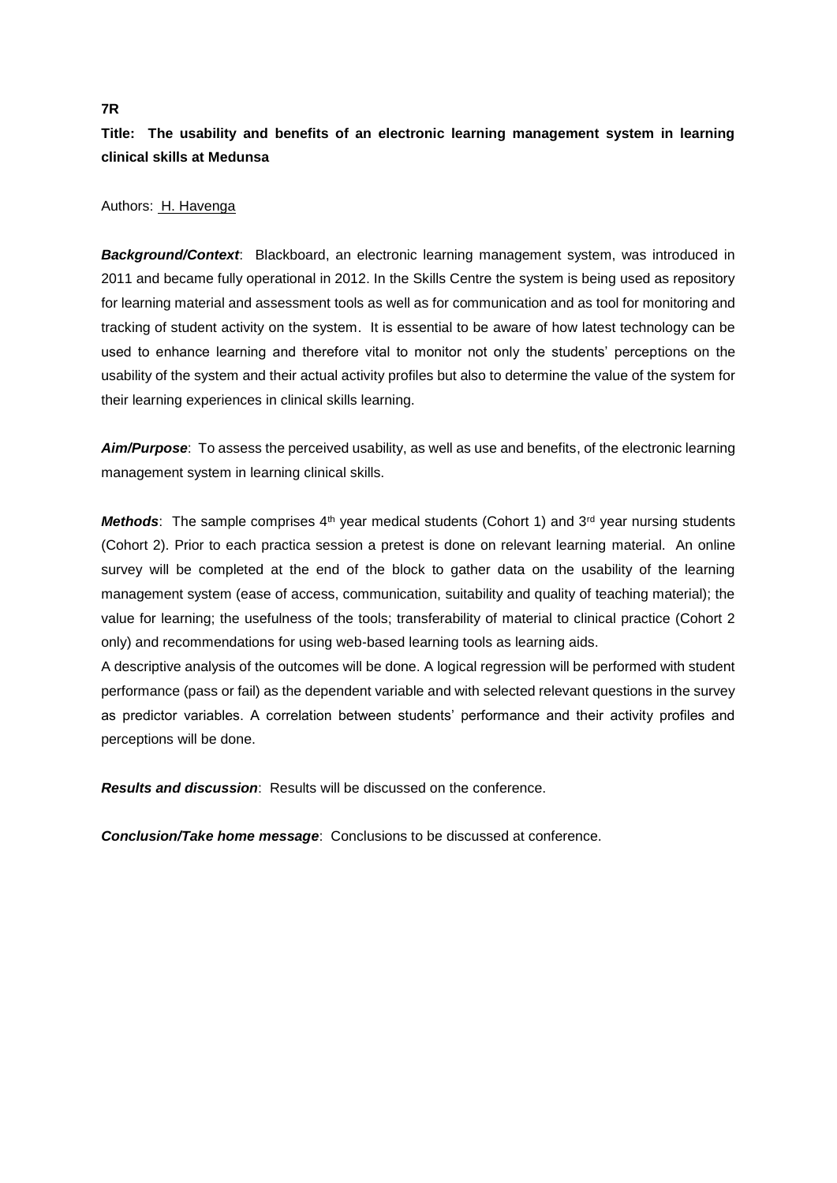# **Title: The usability and benefits of an electronic learning management system in learning clinical skills at Medunsa**

#### Authors: H. Havenga

*Background/Context*: Blackboard, an electronic learning management system, was introduced in 2011 and became fully operational in 2012. In the Skills Centre the system is being used as repository for learning material and assessment tools as well as for communication and as tool for monitoring and tracking of student activity on the system. It is essential to be aware of how latest technology can be used to enhance learning and therefore vital to monitor not only the students' perceptions on the usability of the system and their actual activity profiles but also to determine the value of the system for their learning experiences in clinical skills learning.

*Aim/Purpose*: To assess the perceived usability, as well as use and benefits, of the electronic learning management system in learning clinical skills.

*Methods*: The sample comprises 4<sup>th</sup> year medical students (Cohort 1) and 3<sup>rd</sup> year nursing students (Cohort 2). Prior to each practica session a pretest is done on relevant learning material. An online survey will be completed at the end of the block to gather data on the usability of the learning management system (ease of access, communication, suitability and quality of teaching material); the value for learning; the usefulness of the tools; transferability of material to clinical practice (Cohort 2 only) and recommendations for using web-based learning tools as learning aids.

A descriptive analysis of the outcomes will be done. A logical regression will be performed with student performance (pass or fail) as the dependent variable and with selected relevant questions in the survey as predictor variables. A correlation between students' performance and their activity profiles and perceptions will be done.

*Results and discussion*: Results will be discussed on the conference.

*Conclusion/Take home message*: Conclusions to be discussed at conference.

## **7R**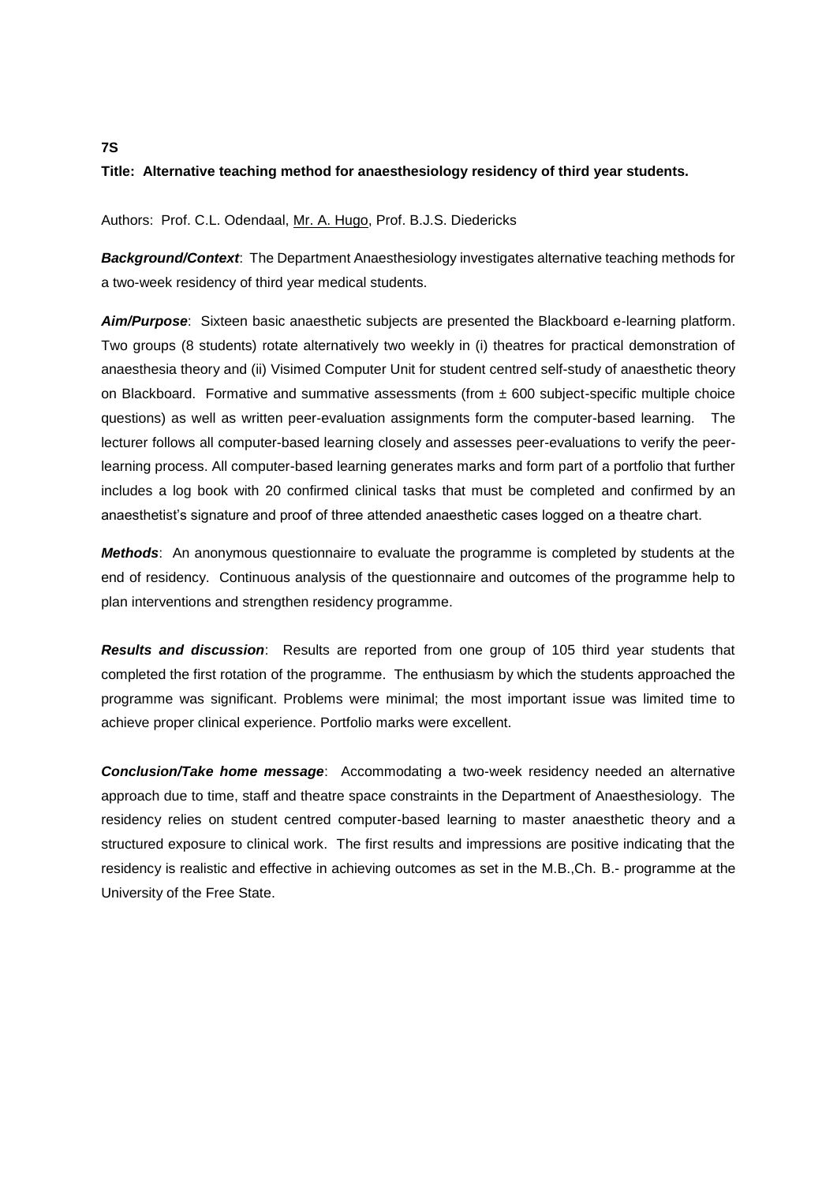## **Title: Alternative teaching method for anaesthesiology residency of third year students.**

Authors: Prof. C.L. Odendaal, Mr. A. Hugo, Prof. B.J.S. Diedericks

*Background/Context*: The Department Anaesthesiology investigates alternative teaching methods for a two-week residency of third year medical students.

*Aim/Purpose*: Sixteen basic anaesthetic subjects are presented the Blackboard e-learning platform. Two groups (8 students) rotate alternatively two weekly in (i) theatres for practical demonstration of anaesthesia theory and (ii) Visimed Computer Unit for student centred self-study of anaesthetic theory on Blackboard. Formative and summative assessments (from  $\pm$  600 subject-specific multiple choice questions) as well as written peer-evaluation assignments form the computer-based learning. The lecturer follows all computer-based learning closely and assesses peer-evaluations to verify the peerlearning process. All computer-based learning generates marks and form part of a portfolio that further includes a log book with 20 confirmed clinical tasks that must be completed and confirmed by an anaesthetist's signature and proof of three attended anaesthetic cases logged on a theatre chart.

*Methods*: An anonymous questionnaire to evaluate the programme is completed by students at the end of residency. Continuous analysis of the questionnaire and outcomes of the programme help to plan interventions and strengthen residency programme.

*Results and discussion*: Results are reported from one group of 105 third year students that completed the first rotation of the programme. The enthusiasm by which the students approached the programme was significant. Problems were minimal; the most important issue was limited time to achieve proper clinical experience. Portfolio marks were excellent.

*Conclusion/Take home message*: Accommodating a two-week residency needed an alternative approach due to time, staff and theatre space constraints in the Department of Anaesthesiology. The residency relies on student centred computer-based learning to master anaesthetic theory and a structured exposure to clinical work. The first results and impressions are positive indicating that the residency is realistic and effective in achieving outcomes as set in the M.B.,Ch. B.- programme at the University of the Free State.

#### **7S**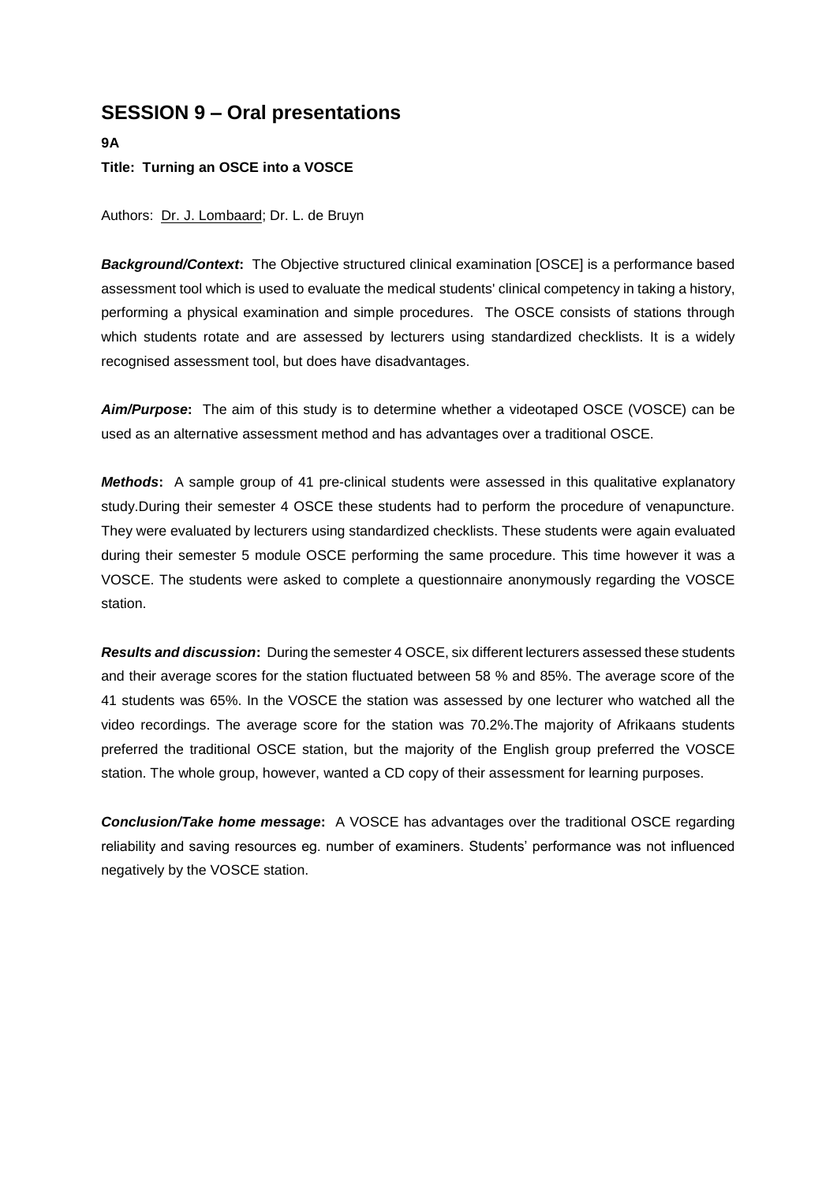# **SESSION 9 – Oral presentations**

## **9A**

## **Title: Turning an OSCE into a VOSCE**

Authors: Dr. J. Lombaard; Dr. L. de Bruyn

**Background/Context:** The Objective structured clinical examination [OSCE] is a performance based assessment tool which is used to evaluate the medical students' clinical competency in taking a history, performing a physical examination and simple procedures. The OSCE consists of stations through which students rotate and are assessed by lecturers using standardized checklists. It is a widely recognised assessment tool, but does have disadvantages.

*Aim/Purpose***:** The aim of this study is to determine whether a videotaped OSCE (VOSCE) can be used as an alternative assessment method and has advantages over a traditional OSCE.

*Methods***:** A sample group of 41 pre-clinical students were assessed in this qualitative explanatory study.During their semester 4 OSCE these students had to perform the procedure of venapuncture. They were evaluated by lecturers using standardized checklists. These students were again evaluated during their semester 5 module OSCE performing the same procedure. This time however it was a VOSCE. The students were asked to complete a questionnaire anonymously regarding the VOSCE station.

*Results and discussion***:** During the semester 4 OSCE, six different lecturers assessed these students and their average scores for the station fluctuated between 58 % and 85%. The average score of the 41 students was 65%. In the VOSCE the station was assessed by one lecturer who watched all the video recordings. The average score for the station was 70.2%.The majority of Afrikaans students preferred the traditional OSCE station, but the majority of the English group preferred the VOSCE station. The whole group, however, wanted a CD copy of their assessment for learning purposes.

*Conclusion/Take home message***:** A VOSCE has advantages over the traditional OSCE regarding reliability and saving resources eg. number of examiners. Students' performance was not influenced negatively by the VOSCE station.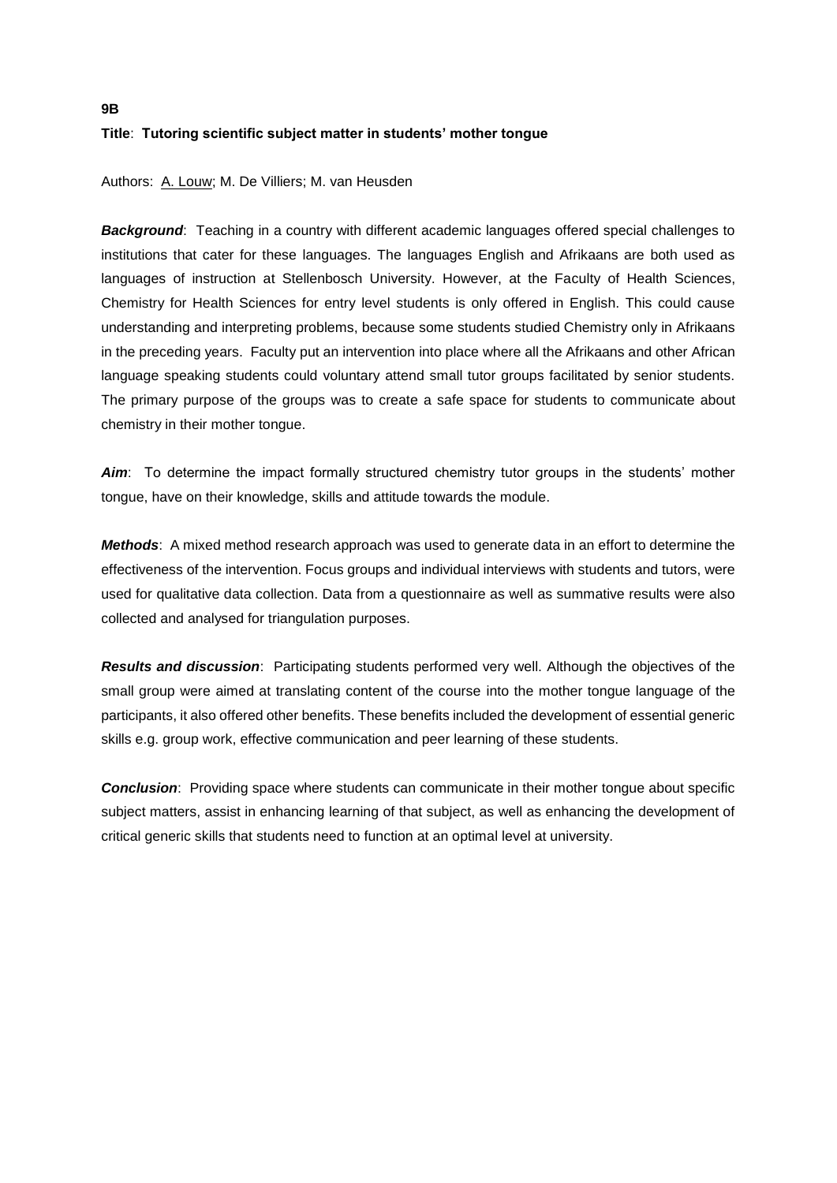## **9B Title**: **Tutoring scientific subject matter in students' mother tongue**

Authors: A. Louw; M. De Villiers; M. van Heusden

*Background*: Teaching in a country with different academic languages offered special challenges to institutions that cater for these languages. The languages English and Afrikaans are both used as languages of instruction at Stellenbosch University. However, at the Faculty of Health Sciences, Chemistry for Health Sciences for entry level students is only offered in English. This could cause understanding and interpreting problems, because some students studied Chemistry only in Afrikaans in the preceding years. Faculty put an intervention into place where all the Afrikaans and other African language speaking students could voluntary attend small tutor groups facilitated by senior students. The primary purpose of the groups was to create a safe space for students to communicate about chemistry in their mother tongue.

**Aim:** To determine the impact formally structured chemistry tutor groups in the students' mother tongue, have on their knowledge, skills and attitude towards the module.

*Methods*: A mixed method research approach was used to generate data in an effort to determine the effectiveness of the intervention. Focus groups and individual interviews with students and tutors, were used for qualitative data collection. Data from a questionnaire as well as summative results were also collected and analysed for triangulation purposes.

*Results and discussion*: Participating students performed very well. Although the objectives of the small group were aimed at translating content of the course into the mother tongue language of the participants, it also offered other benefits. These benefits included the development of essential generic skills e.g. group work, effective communication and peer learning of these students.

*Conclusion*: Providing space where students can communicate in their mother tongue about specific subject matters, assist in enhancing learning of that subject, as well as enhancing the development of critical generic skills that students need to function at an optimal level at university.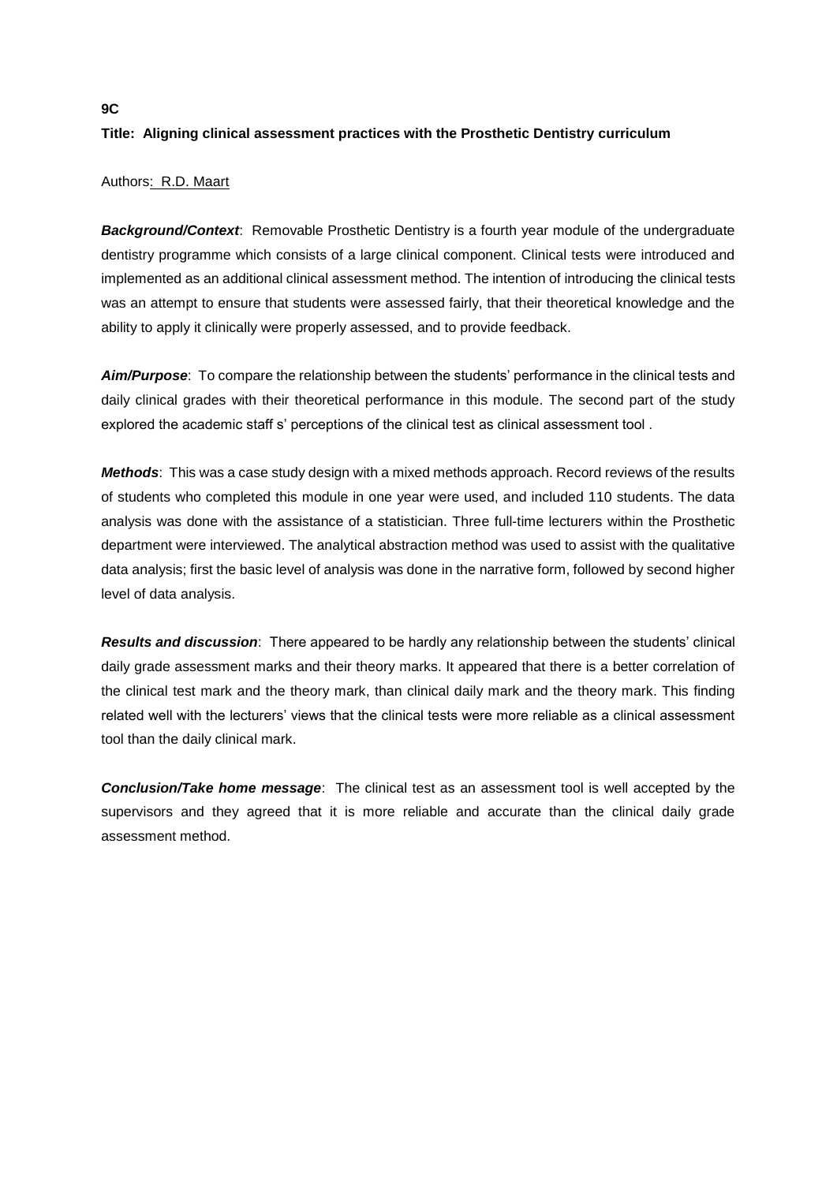## **Title: Aligning clinical assessment practices with the Prosthetic Dentistry curriculum**

#### Authors: R.D. Maart

*Background/Context*: Removable Prosthetic Dentistry is a fourth year module of the undergraduate dentistry programme which consists of a large clinical component. Clinical tests were introduced and implemented as an additional clinical assessment method. The intention of introducing the clinical tests was an attempt to ensure that students were assessed fairly, that their theoretical knowledge and the ability to apply it clinically were properly assessed, and to provide feedback.

*Aim/Purpose*: To compare the relationship between the students' performance in the clinical tests and daily clinical grades with their theoretical performance in this module. The second part of the study explored the academic staff s' perceptions of the clinical test as clinical assessment tool.

*Methods*: This was a case study design with a mixed methods approach. Record reviews of the results of students who completed this module in one year were used, and included 110 students. The data analysis was done with the assistance of a statistician. Three full-time lecturers within the Prosthetic department were interviewed. The analytical abstraction method was used to assist with the qualitative data analysis; first the basic level of analysis was done in the narrative form, followed by second higher level of data analysis.

*Results and discussion*: There appeared to be hardly any relationship between the students' clinical daily grade assessment marks and their theory marks. It appeared that there is a better correlation of the clinical test mark and the theory mark, than clinical daily mark and the theory mark. This finding related well with the lecturers' views that the clinical tests were more reliable as a clinical assessment tool than the daily clinical mark.

*Conclusion/Take home message*: The clinical test as an assessment tool is well accepted by the supervisors and they agreed that it is more reliable and accurate than the clinical daily grade assessment method.

## **9C**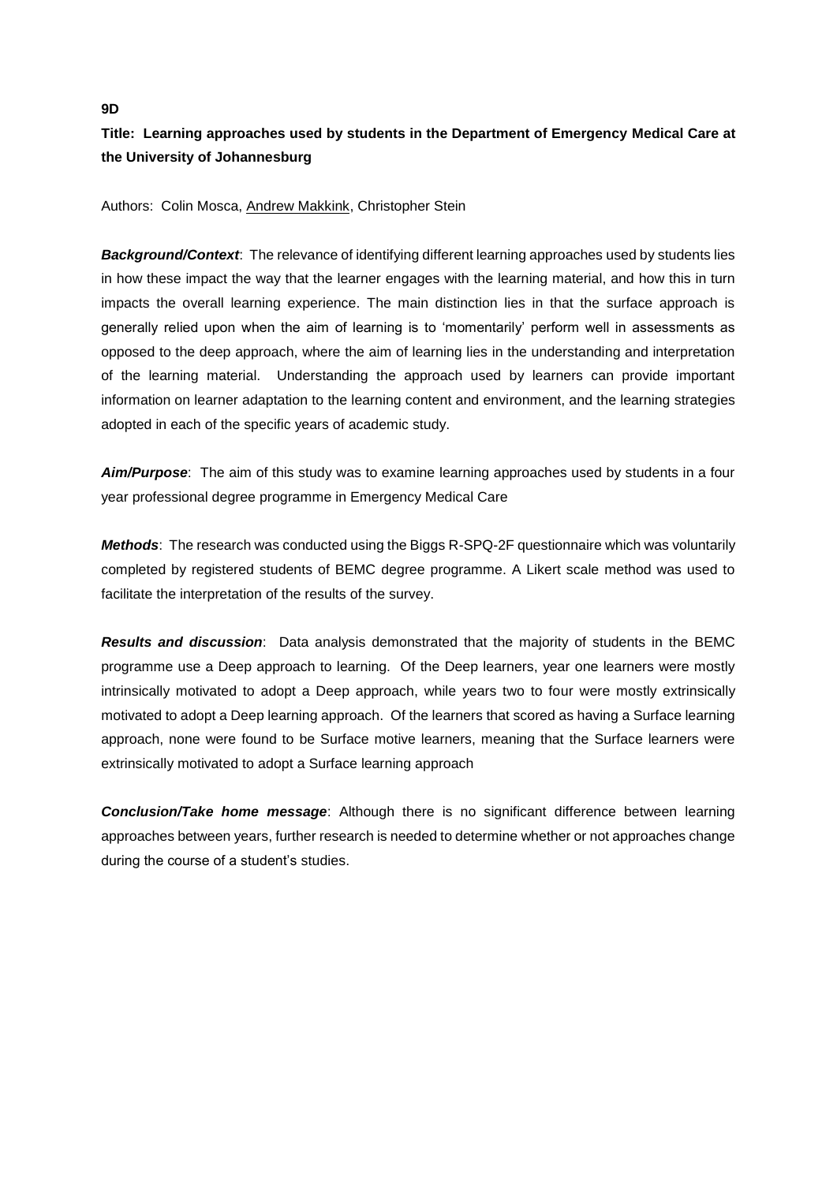# **Title: Learning approaches used by students in the Department of Emergency Medical Care at the University of Johannesburg**

Authors: Colin Mosca, Andrew Makkink, Christopher Stein

*Background/Context*: The relevance of identifying different learning approaches used by students lies in how these impact the way that the learner engages with the learning material, and how this in turn impacts the overall learning experience. The main distinction lies in that the surface approach is generally relied upon when the aim of learning is to 'momentarily' perform well in assessments as opposed to the deep approach, where the aim of learning lies in the understanding and interpretation of the learning material. Understanding the approach used by learners can provide important information on learner adaptation to the learning content and environment, and the learning strategies adopted in each of the specific years of academic study.

*Aim/Purpose*: The aim of this study was to examine learning approaches used by students in a four year professional degree programme in Emergency Medical Care

*Methods*: The research was conducted using the Biggs R-SPQ-2F questionnaire which was voluntarily completed by registered students of BEMC degree programme. A Likert scale method was used to facilitate the interpretation of the results of the survey.

*Results and discussion*: Data analysis demonstrated that the majority of students in the BEMC programme use a Deep approach to learning. Of the Deep learners, year one learners were mostly intrinsically motivated to adopt a Deep approach, while years two to four were mostly extrinsically motivated to adopt a Deep learning approach. Of the learners that scored as having a Surface learning approach, none were found to be Surface motive learners, meaning that the Surface learners were extrinsically motivated to adopt a Surface learning approach

*Conclusion/Take home message*: Although there is no significant difference between learning approaches between years, further research is needed to determine whether or not approaches change during the course of a student's studies.

**9D**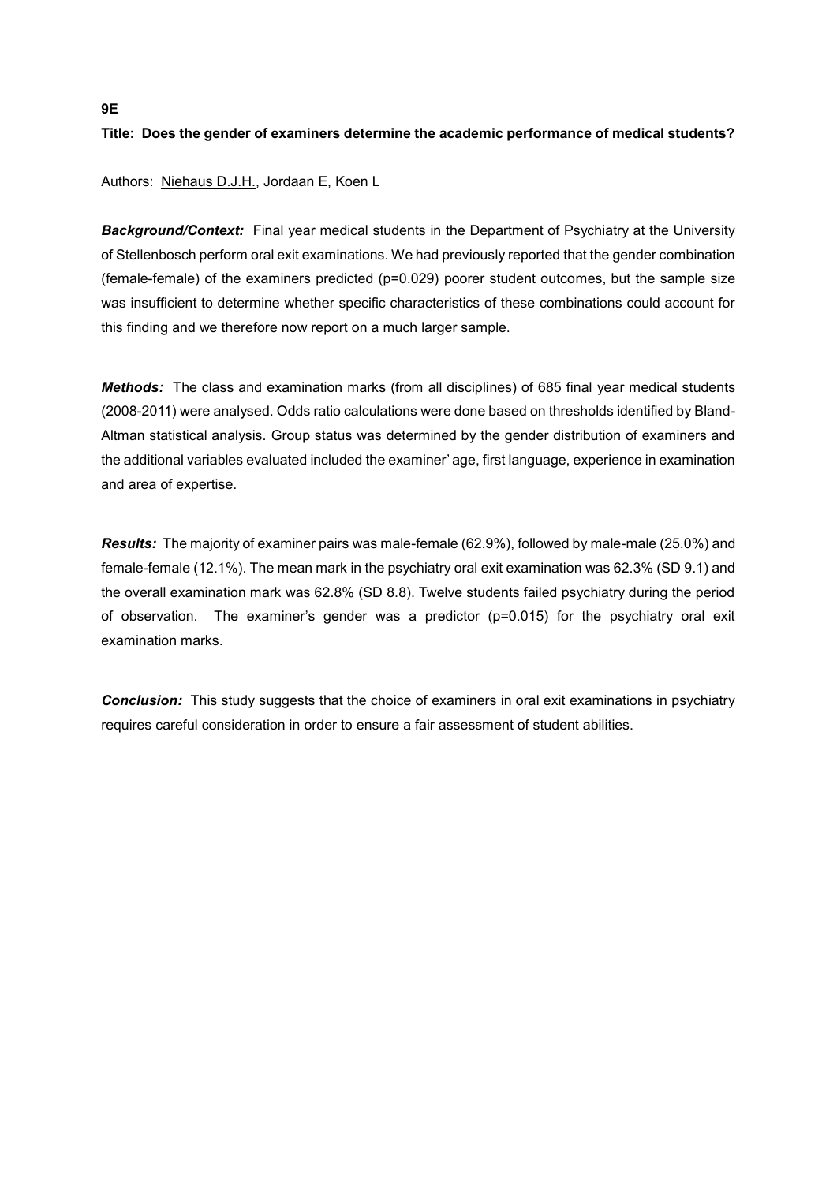## **Title: Does the gender of examiners determine the academic performance of medical students?**

Authors: Niehaus D.J.H., Jordaan E, Koen L

*Background/Context:* Final year medical students in the Department of Psychiatry at the University of Stellenbosch perform oral exit examinations. We had previously reported that the gender combination (female-female) of the examiners predicted ( $p=0.029$ ) poorer student outcomes, but the sample size was insufficient to determine whether specific characteristics of these combinations could account for this finding and we therefore now report on a much larger sample.

*Methods:* The class and examination marks (from all disciplines) of 685 final year medical students (2008-2011) were analysed. Odds ratio calculations were done based on thresholds identified by Bland-Altman statistical analysis. Group status was determined by the gender distribution of examiners and the additional variables evaluated included the examiner' age, first language, experience in examination and area of expertise.

*Results:* The majority of examiner pairs was male-female (62.9%), followed by male-male (25.0%) and female-female (12.1%). The mean mark in the psychiatry oral exit examination was 62.3% (SD 9.1) and the overall examination mark was 62.8% (SD 8.8). Twelve students failed psychiatry during the period of observation. The examiner's gender was a predictor (p=0.015) for the psychiatry oral exit examination marks.

*Conclusion:* This study suggests that the choice of examiners in oral exit examinations in psychiatry requires careful consideration in order to ensure a fair assessment of student abilities.

**9E**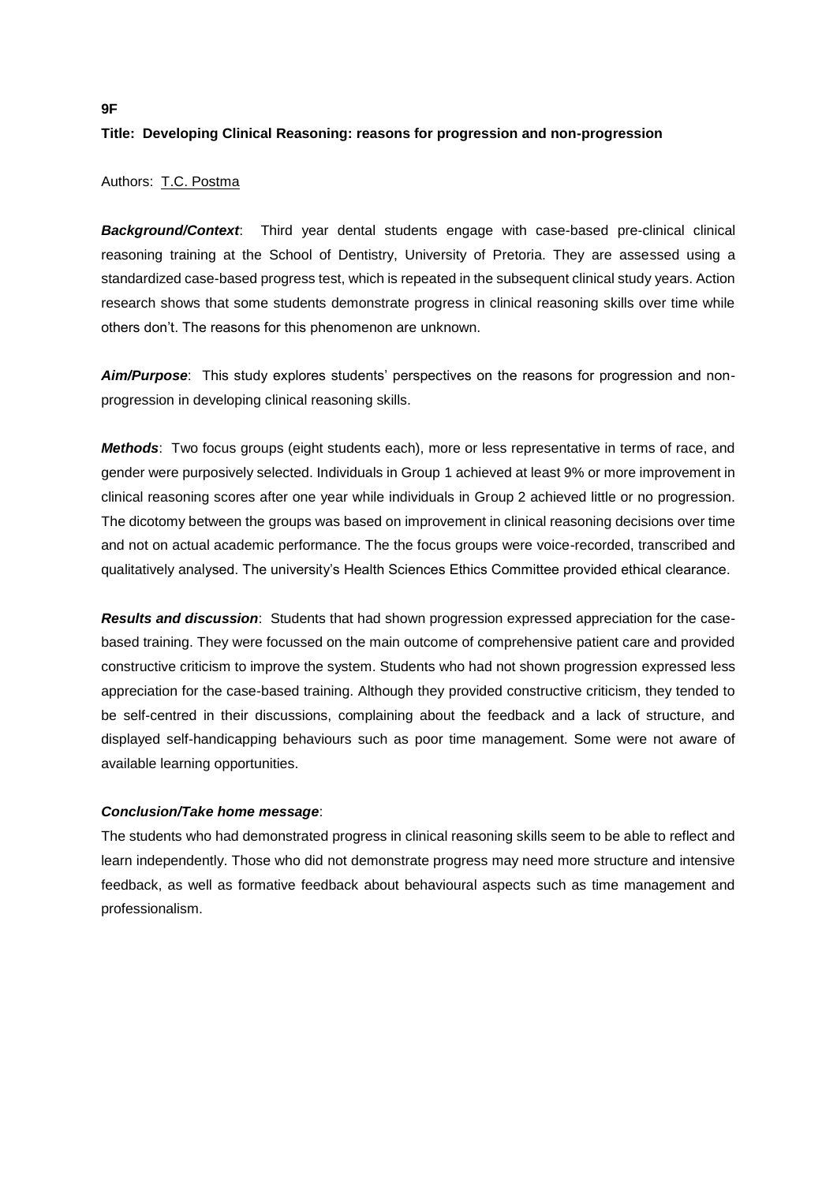## **Title: Developing Clinical Reasoning: reasons for progression and non-progression**

#### Authors: T.C. Postma

*Background/Context*: Third year dental students engage with case-based pre-clinical clinical reasoning training at the School of Dentistry, University of Pretoria. They are assessed using a standardized case-based progress test, which is repeated in the subsequent clinical study years. Action research shows that some students demonstrate progress in clinical reasoning skills over time while others don't. The reasons for this phenomenon are unknown.

*Aim/Purpose*: This study explores students' perspectives on the reasons for progression and nonprogression in developing clinical reasoning skills.

*Methods*: Two focus groups (eight students each), more or less representative in terms of race, and gender were purposively selected. Individuals in Group 1 achieved at least 9% or more improvement in clinical reasoning scores after one year while individuals in Group 2 achieved little or no progression. The dicotomy between the groups was based on improvement in clinical reasoning decisions over time and not on actual academic performance. The the focus groups were voice-recorded, transcribed and qualitatively analysed. The university's Health Sciences Ethics Committee provided ethical clearance.

*Results and discussion*: Students that had shown progression expressed appreciation for the casebased training. They were focussed on the main outcome of comprehensive patient care and provided constructive criticism to improve the system. Students who had not shown progression expressed less appreciation for the case-based training. Although they provided constructive criticism, they tended to be self-centred in their discussions, complaining about the feedback and a lack of structure, and displayed self-handicapping behaviours such as poor time management. Some were not aware of available learning opportunities.

#### *Conclusion/Take home message*:

The students who had demonstrated progress in clinical reasoning skills seem to be able to reflect and learn independently. Those who did not demonstrate progress may need more structure and intensive feedback, as well as formative feedback about behavioural aspects such as time management and professionalism.

#### **9F**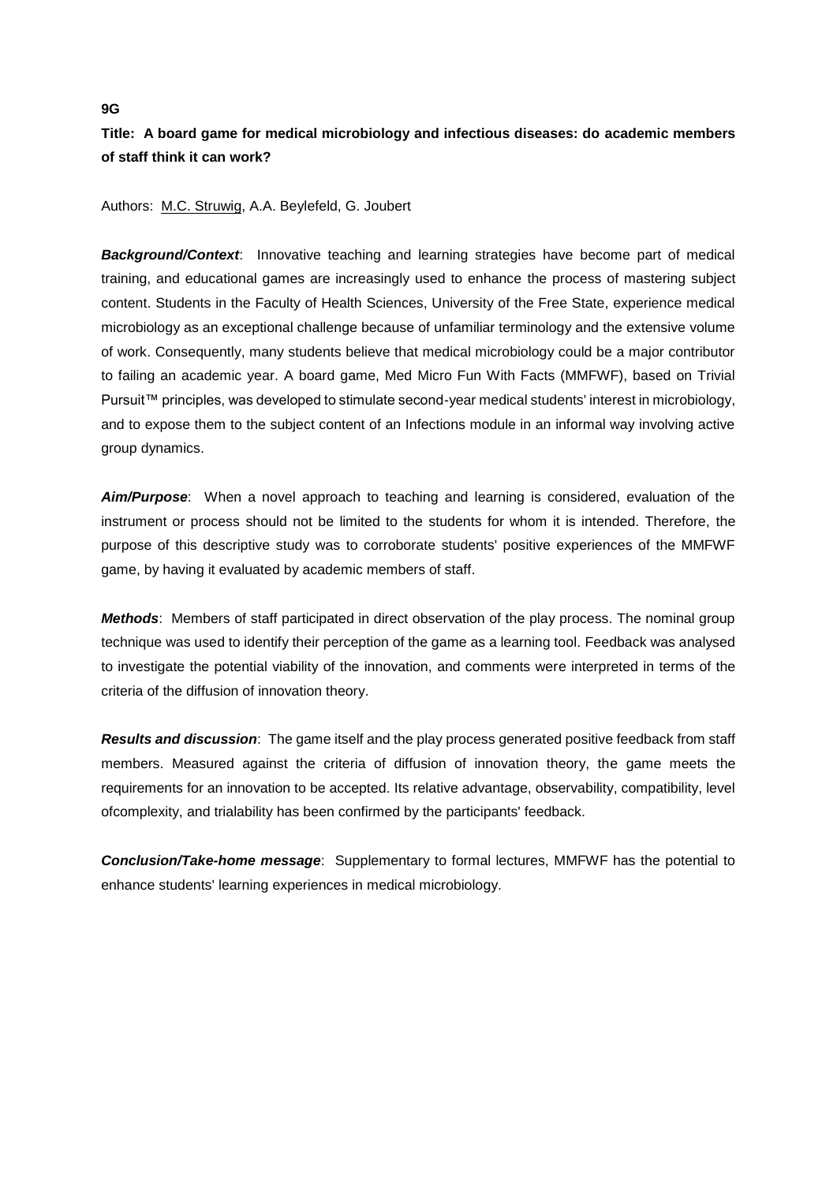# **Title: A board game for medical microbiology and infectious diseases: do academic members of staff think it can work?**

Authors: M.C. Struwig, A.A. Beylefeld, G. Joubert

**9G**

**Background/Context:** Innovative teaching and learning strategies have become part of medical training, and educational games are increasingly used to enhance the process of mastering subject content. Students in the Faculty of Health Sciences, University of the Free State, experience medical microbiology as an exceptional challenge because of unfamiliar terminology and the extensive volume of work. Consequently, many students believe that medical microbiology could be a major contributor to failing an academic year. A board game, Med Micro Fun With Facts (MMFWF), based on Trivial Pursuit™ principles, was developed to stimulate second-year medical students' interest in microbiology, and to expose them to the subject content of an Infections module in an informal way involving active group dynamics.

*Aim/Purpose*: When a novel approach to teaching and learning is considered, evaluation of the instrument or process should not be limited to the students for whom it is intended. Therefore, the purpose of this descriptive study was to corroborate students' positive experiences of the MMFWF game, by having it evaluated by academic members of staff.

*Methods*: Members of staff participated in direct observation of the play process. The nominal group technique was used to identify their perception of the game as a learning tool. Feedback was analysed to investigate the potential viability of the innovation, and comments were interpreted in terms of the criteria of the diffusion of innovation theory.

*Results and discussion*: The game itself and the play process generated positive feedback from staff members. Measured against the criteria of diffusion of innovation theory, the game meets the requirements for an innovation to be accepted. Its relative advantage, observability, compatibility, level ofcomplexity, and trialability has been confirmed by the participants' feedback.

*Conclusion/Take-home message*: Supplementary to formal lectures, MMFWF has the potential to enhance students' learning experiences in medical microbiology.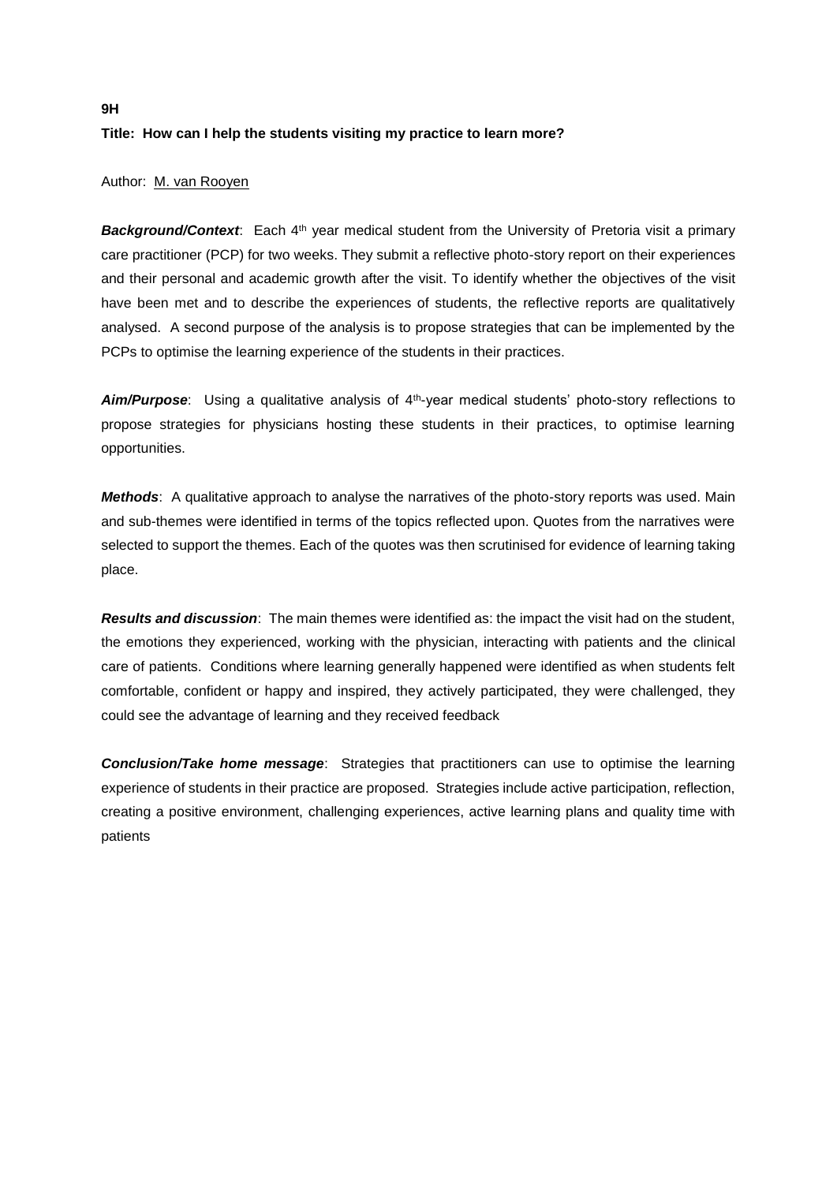# **Title: How can I help the students visiting my practice to learn more?**

## Author: M. van Rooyen

**Background/Context**: Each 4<sup>th</sup> year medical student from the University of Pretoria visit a primary care practitioner (PCP) for two weeks. They submit a reflective photo-story report on their experiences and their personal and academic growth after the visit. To identify whether the objectives of the visit have been met and to describe the experiences of students, the reflective reports are qualitatively analysed. A second purpose of the analysis is to propose strategies that can be implemented by the PCPs to optimise the learning experience of the students in their practices.

Aim/Purpose: Using a qualitative analysis of 4<sup>th</sup>-year medical students' photo-story reflections to propose strategies for physicians hosting these students in their practices, to optimise learning opportunities.

*Methods*: A qualitative approach to analyse the narratives of the photo-story reports was used. Main and sub-themes were identified in terms of the topics reflected upon. Quotes from the narratives were selected to support the themes. Each of the quotes was then scrutinised for evidence of learning taking place.

*Results and discussion*: The main themes were identified as: the impact the visit had on the student, the emotions they experienced, working with the physician, interacting with patients and the clinical care of patients. Conditions where learning generally happened were identified as when students felt comfortable, confident or happy and inspired, they actively participated, they were challenged, they could see the advantage of learning and they received feedback

**Conclusion/Take home message:** Strategies that practitioners can use to optimise the learning experience of students in their practice are proposed. Strategies include active participation, reflection, creating a positive environment, challenging experiences, active learning plans and quality time with patients

**9H**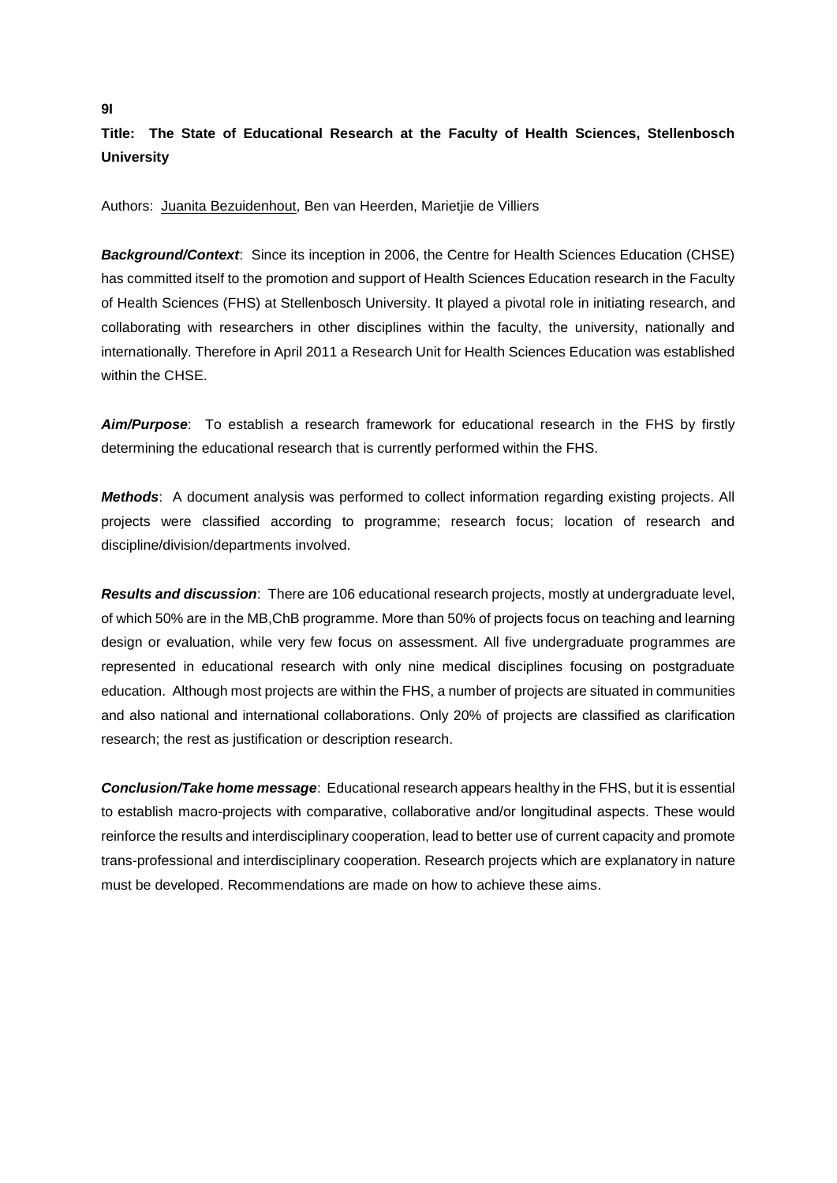## **Title: The State of Educational Research at the Faculty of Health Sciences, Stellenbosch University**

Authors:Juanita Bezuidenhout, Ben van Heerden, Marietjie de Villiers

*Background/Context*: Since its inception in 2006, the Centre for Health Sciences Education (CHSE) has committed itself to the promotion and support of Health Sciences Education research in the Faculty of Health Sciences (FHS) at Stellenbosch University. It played a pivotal role in initiating research, and collaborating with researchers in other disciplines within the faculty, the university, nationally and internationally. Therefore in April 2011 a Research Unit for Health Sciences Education was established within the CHSE.

*Aim/Purpose*: To establish a research framework for educational research in the FHS by firstly determining the educational research that is currently performed within the FHS.

*Methods*: A document analysis was performed to collect information regarding existing projects. All projects were classified according to programme; research focus; location of research and discipline/division/departments involved.

*Results and discussion*: There are 106 educational research projects, mostly at undergraduate level, of which 50% are in the MB,ChB programme. More than 50% of projects focus on teaching and learning design or evaluation, while very few focus on assessment. All five undergraduate programmes are represented in educational research with only nine medical disciplines focusing on postgraduate education. Although most projects are within the FHS, a number of projects are situated in communities and also national and international collaborations. Only 20% of projects are classified as clarification research; the rest as justification or description research.

*Conclusion/Take home message*: Educational research appears healthy in the FHS, but it is essential to establish macro-projects with comparative, collaborative and/or longitudinal aspects. These would reinforce the results and interdisciplinary cooperation, lead to better use of current capacity and promote trans-professional and interdisciplinary cooperation. Research projects which are explanatory in nature must be developed. Recommendations are made on how to achieve these aims.

**9I**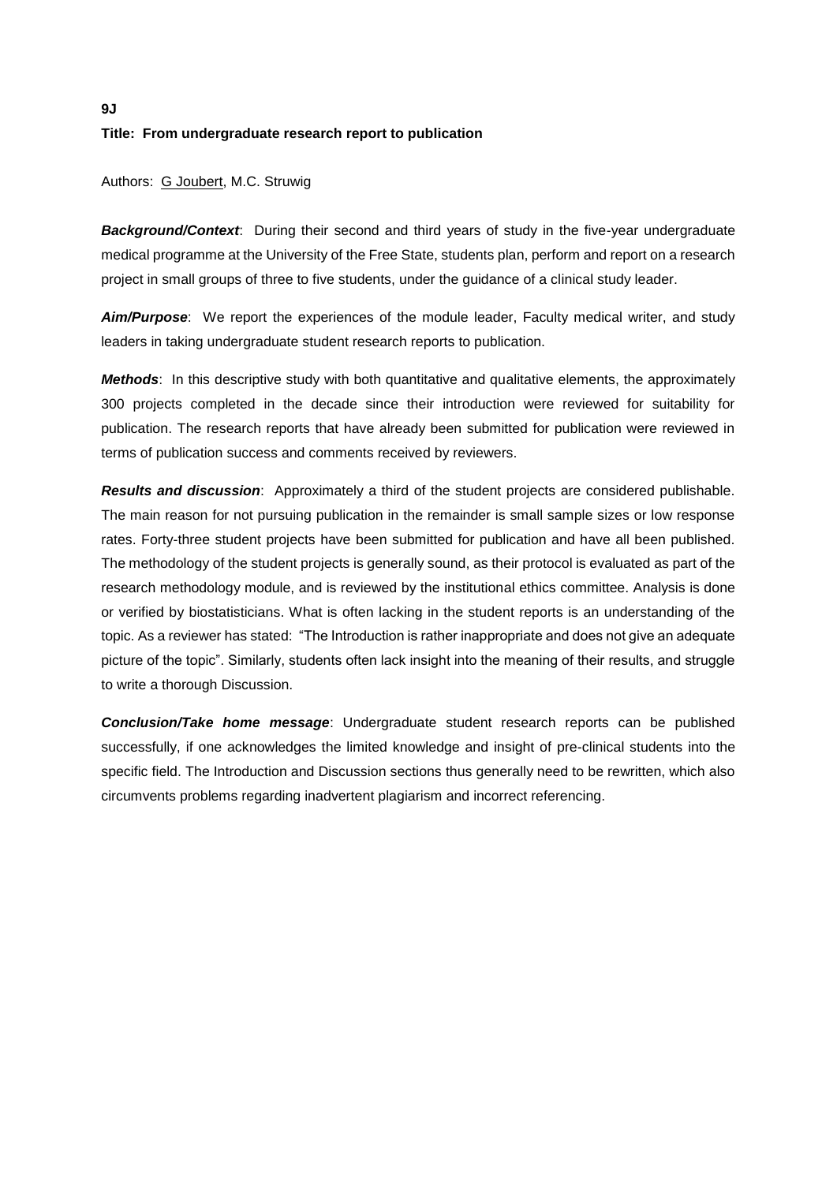## **9J Title: From undergraduate research report to publication**

Authors: G Joubert, M.C. Struwig

*Background/Context*: During their second and third years of study in the five-year undergraduate medical programme at the University of the Free State, students plan, perform and report on a research project in small groups of three to five students, under the guidance of a clinical study leader.

*Aim/Purpose*: We report the experiences of the module leader, Faculty medical writer, and study leaders in taking undergraduate student research reports to publication.

*Methods*: In this descriptive study with both quantitative and qualitative elements, the approximately 300 projects completed in the decade since their introduction were reviewed for suitability for publication. The research reports that have already been submitted for publication were reviewed in terms of publication success and comments received by reviewers.

*Results and discussion*: Approximately a third of the student projects are considered publishable. The main reason for not pursuing publication in the remainder is small sample sizes or low response rates. Forty-three student projects have been submitted for publication and have all been published. The methodology of the student projects is generally sound, as their protocol is evaluated as part of the research methodology module, and is reviewed by the institutional ethics committee. Analysis is done or verified by biostatisticians. What is often lacking in the student reports is an understanding of the topic. As a reviewer has stated: "The Introduction is rather inappropriate and does not give an adequate picture of the topic". Similarly, students often lack insight into the meaning of their results, and struggle to write a thorough Discussion.

*Conclusion/Take home message*: Undergraduate student research reports can be published successfully, if one acknowledges the limited knowledge and insight of pre-clinical students into the specific field. The Introduction and Discussion sections thus generally need to be rewritten, which also circumvents problems regarding inadvertent plagiarism and incorrect referencing.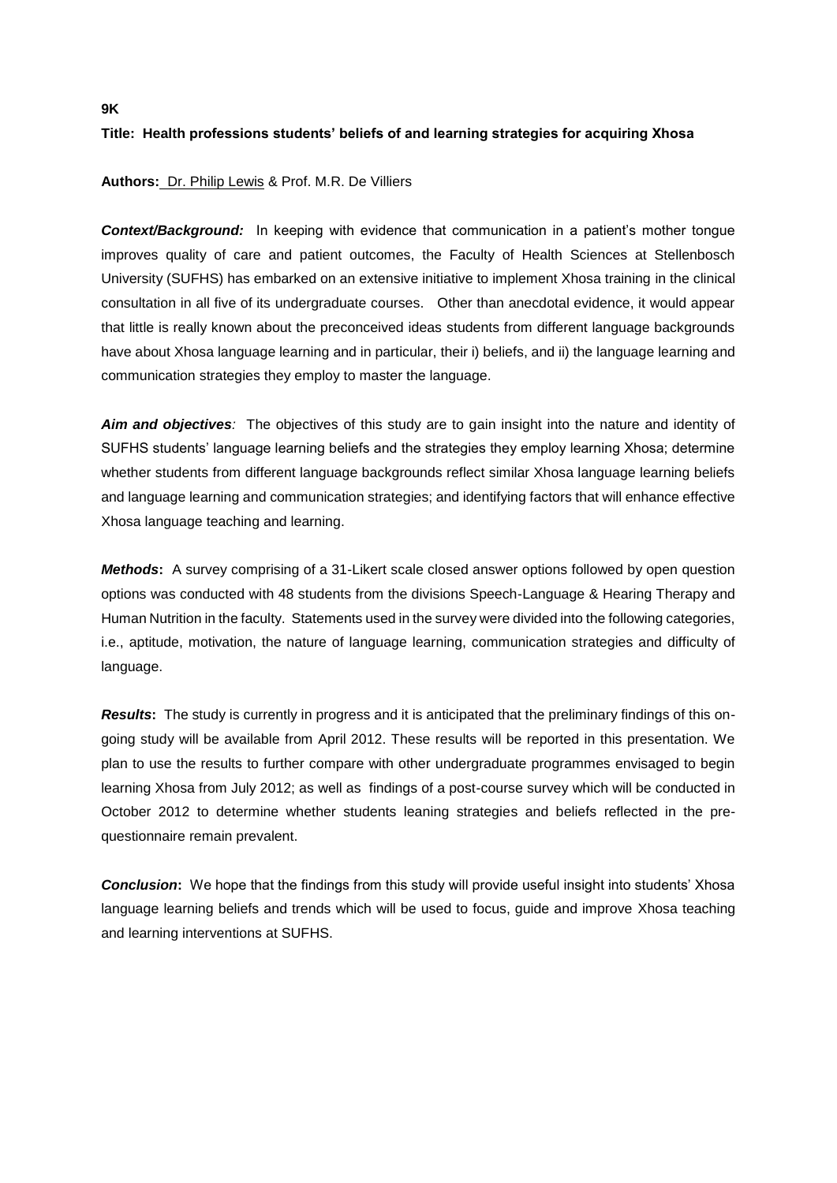## **Title: Health professions students' beliefs of and learning strategies for acquiring Xhosa**

#### **Authors:** Dr. Philip Lewis & Prof. M.R. De Villiers

**Context/Background:** In keeping with evidence that communication in a patient's mother tongue improves quality of care and patient outcomes, the Faculty of Health Sciences at Stellenbosch University (SUFHS) has embarked on an extensive initiative to implement Xhosa training in the clinical consultation in all five of its undergraduate courses. Other than anecdotal evidence, it would appear that little is really known about the preconceived ideas students from different language backgrounds have about Xhosa language learning and in particular, their i) beliefs, and ii) the language learning and communication strategies they employ to master the language.

*Aim and objectives:* The objectives of this study are to gain insight into the nature and identity of SUFHS students' language learning beliefs and the strategies they employ learning Xhosa; determine whether students from different language backgrounds reflect similar Xhosa language learning beliefs and language learning and communication strategies; and identifying factors that will enhance effective Xhosa language teaching and learning.

*Methods***:** A survey comprising of a 31-Likert scale closed answer options followed by open question options was conducted with 48 students from the divisions Speech-Language & Hearing Therapy and Human Nutrition in the faculty. Statements used in the survey were divided into the following categories, i.e., aptitude, motivation, the nature of language learning, communication strategies and difficulty of language.

*Results***:** The study is currently in progress and it is anticipated that the preliminary findings of this ongoing study will be available from April 2012. These results will be reported in this presentation. We plan to use the results to further compare with other undergraduate programmes envisaged to begin learning Xhosa from July 2012; as well as findings of a post-course survey which will be conducted in October 2012 to determine whether students leaning strategies and beliefs reflected in the prequestionnaire remain prevalent.

**Conclusion:** We hope that the findings from this study will provide useful insight into students' Xhosa language learning beliefs and trends which will be used to focus, guide and improve Xhosa teaching and learning interventions at SUFHS.

## **9K**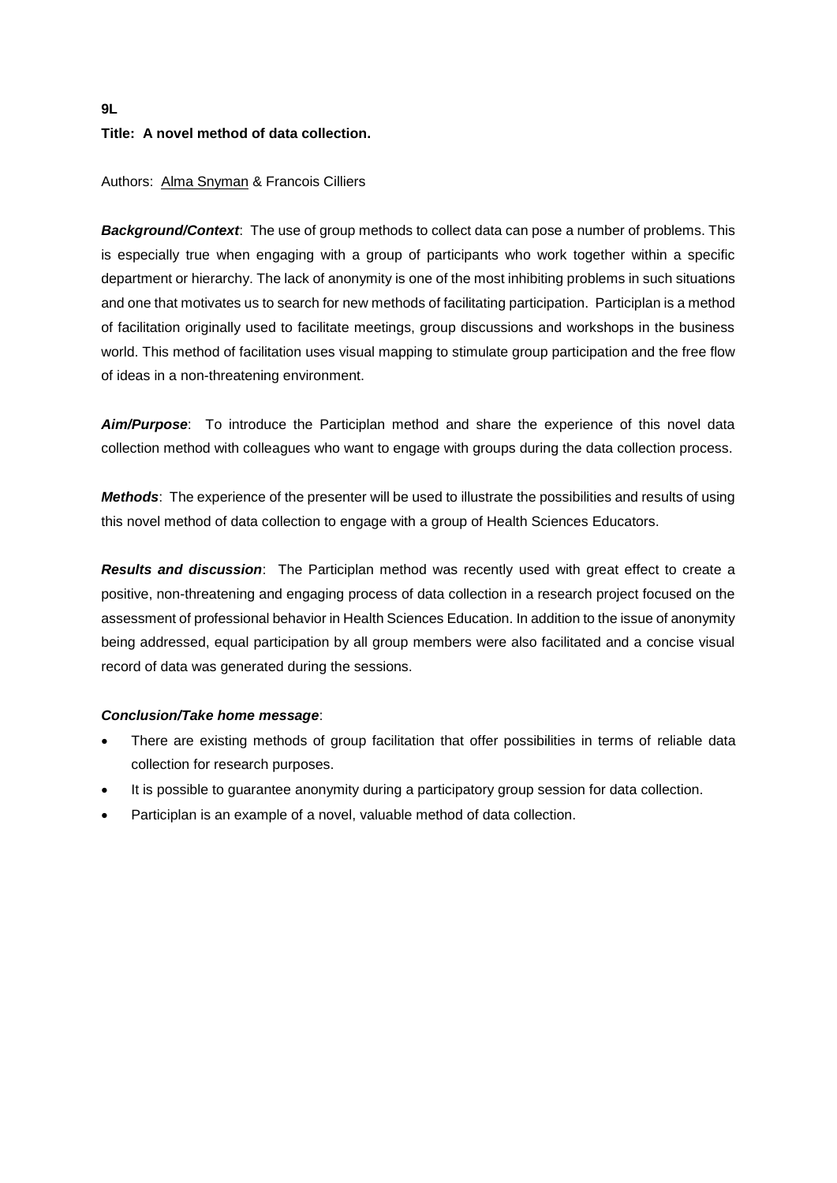# **Title: A novel method of data collection.**

**9L**

## Authors: Alma Snyman & Francois Cilliers

*Background/Context*: The use of group methods to collect data can pose a number of problems. This is especially true when engaging with a group of participants who work together within a specific department or hierarchy. The lack of anonymity is one of the most inhibiting problems in such situations and one that motivates us to search for new methods of facilitating participation. Participlan is a method of facilitation originally used to facilitate meetings, group discussions and workshops in the business world. This method of facilitation uses visual mapping to stimulate group participation and the free flow of ideas in a non-threatening environment.

*Aim/Purpose*: To introduce the Participlan method and share the experience of this novel data collection method with colleagues who want to engage with groups during the data collection process.

*Methods*: The experience of the presenter will be used to illustrate the possibilities and results of using this novel method of data collection to engage with a group of Health Sciences Educators.

*Results and discussion*: The Participlan method was recently used with great effect to create a positive, non-threatening and engaging process of data collection in a research project focused on the assessment of professional behavior in Health Sciences Education. In addition to the issue of anonymity being addressed, equal participation by all group members were also facilitated and a concise visual record of data was generated during the sessions.

#### *Conclusion/Take home message*:

- There are existing methods of group facilitation that offer possibilities in terms of reliable data collection for research purposes.
- It is possible to guarantee anonymity during a participatory group session for data collection.
- Participlan is an example of a novel, valuable method of data collection.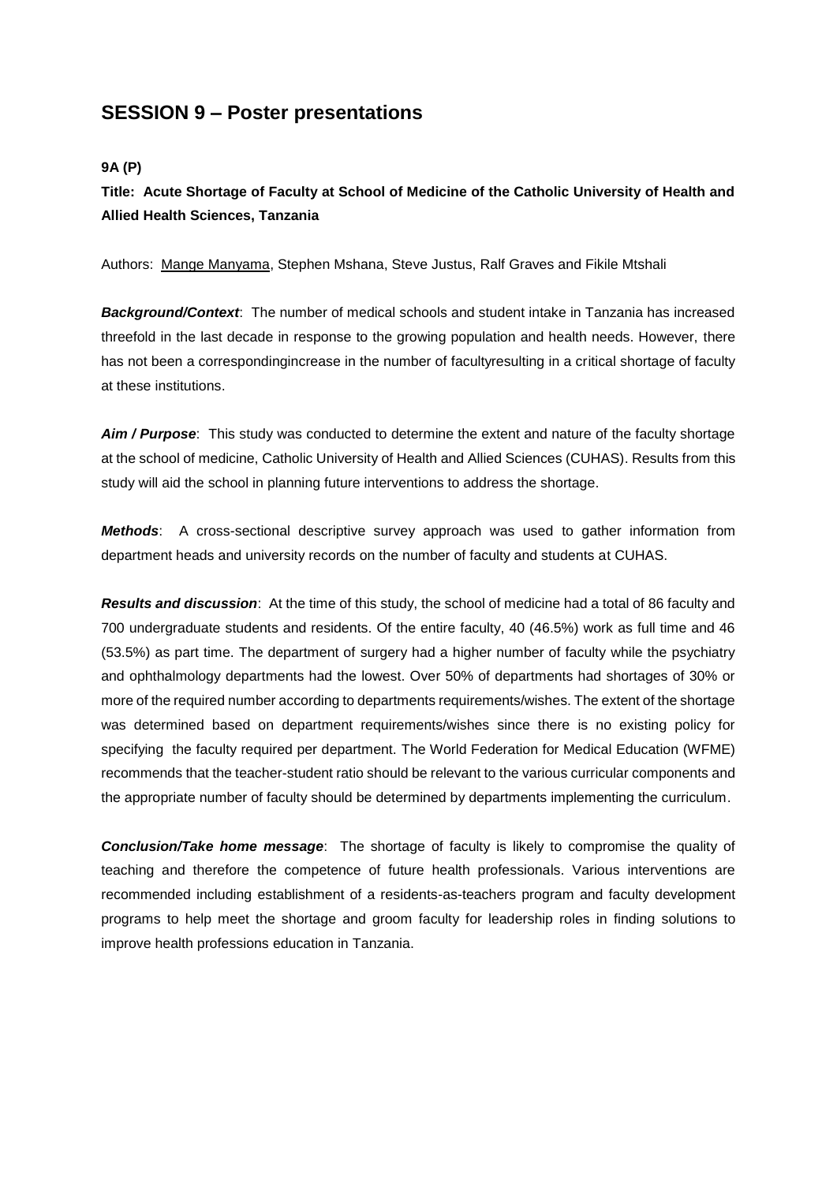# **SESSION 9 – Poster presentations**

## **9A (P)**

**Title: Acute Shortage of Faculty at School of Medicine of the Catholic University of Health and Allied Health Sciences, Tanzania**

Authors: Mange Manyama, Stephen Mshana, Steve Justus, Ralf Graves and Fikile Mtshali

*Background/Context*: The number of medical schools and student intake in Tanzania has increased threefold in the last decade in response to the growing population and health needs. However, there has not been a correspondingincrease in the number of facultyresulting in a critical shortage of faculty at these institutions.

*Aim / Purpose*: This study was conducted to determine the extent and nature of the faculty shortage at the school of medicine, Catholic University of Health and Allied Sciences (CUHAS). Results from this study will aid the school in planning future interventions to address the shortage.

*Methods*: A cross-sectional descriptive survey approach was used to gather information from department heads and university records on the number of faculty and students at CUHAS.

*Results and discussion*: At the time of this study, the school of medicine had a total of 86 faculty and 700 undergraduate students and residents. Of the entire faculty, 40 (46.5%) work as full time and 46 (53.5%) as part time. The department of surgery had a higher number of faculty while the psychiatry and ophthalmology departments had the lowest. Over 50% of departments had shortages of 30% or more of the required number according to departments requirements/wishes. The extent of the shortage was determined based on department requirements/wishes since there is no existing policy for specifying the faculty required per department. The World Federation for Medical Education (WFME) recommends that the teacher-student ratio should be relevant to the various curricular components and the appropriate number of faculty should be determined by departments implementing the curriculum.

*Conclusion/Take home message*: The shortage of faculty is likely to compromise the quality of teaching and therefore the competence of future health professionals. Various interventions are recommended including establishment of a residents-as-teachers program and faculty development programs to help meet the shortage and groom faculty for leadership roles in finding solutions to improve health professions education in Tanzania.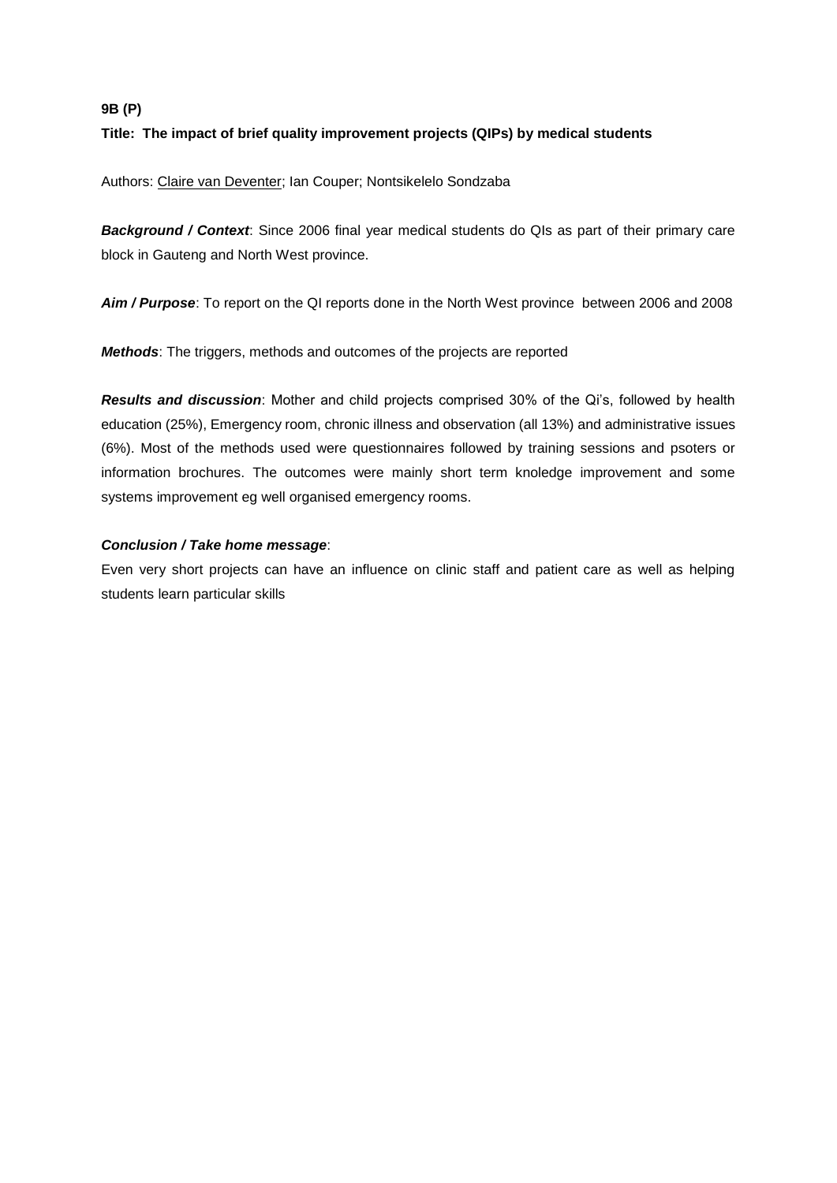## **9B (P)**

## **Title: The impact of brief quality improvement projects (QIPs) by medical students**

Authors: Claire van Deventer; Ian Couper; Nontsikelelo Sondzaba

*Background / Context*: Since 2006 final year medical students do QIs as part of their primary care block in Gauteng and North West province.

*Aim / Purpose*: To report on the QI reports done in the North West province between 2006 and 2008

*Methods*: The triggers, methods and outcomes of the projects are reported

*Results and discussion*: Mother and child projects comprised 30% of the Qi's, followed by health education (25%), Emergency room, chronic illness and observation (all 13%) and administrative issues (6%). Most of the methods used were questionnaires followed by training sessions and psoters or information brochures. The outcomes were mainly short term knoledge improvement and some systems improvement eg well organised emergency rooms.

## *Conclusion / Take home message*:

Even very short projects can have an influence on clinic staff and patient care as well as helping students learn particular skills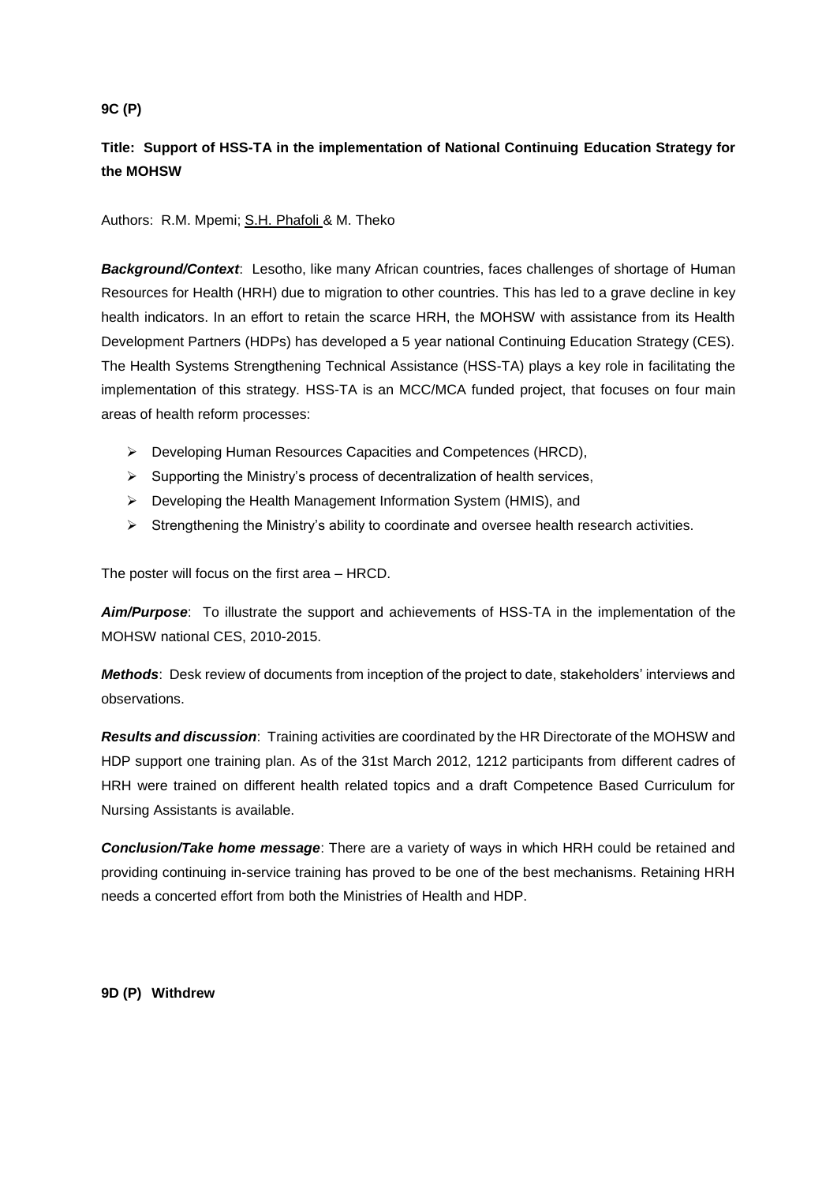## **9C (P)**

# **Title: Support of HSS-TA in the implementation of National Continuing Education Strategy for the MOHSW**

Authors: R.M. Mpemi; S.H. Phafoli & M. Theko

*Background/Context*: Lesotho, like many African countries, faces challenges of shortage of Human Resources for Health (HRH) due to migration to other countries. This has led to a grave decline in key health indicators. In an effort to retain the scarce HRH, the MOHSW with assistance from its Health Development Partners (HDPs) has developed a 5 year national Continuing Education Strategy (CES). The Health Systems Strengthening Technical Assistance (HSS-TA) plays a key role in facilitating the implementation of this strategy. HSS-TA is an MCC/MCA funded project, that focuses on four main areas of health reform processes:

- Developing Human Resources Capacities and Competences (HRCD),
- $\triangleright$  Supporting the Ministry's process of decentralization of health services,
- $\triangleright$  Developing the Health Management Information System (HMIS), and
- $\triangleright$  Strengthening the Ministry's ability to coordinate and oversee health research activities.

The poster will focus on the first area – HRCD.

*Aim/Purpose*: To illustrate the support and achievements of HSS-TA in the implementation of the MOHSW national CES, 2010-2015.

*Methods*: Desk review of documents from inception of the project to date, stakeholders' interviews and observations.

*Results and discussion*: Training activities are coordinated by the HR Directorate of the MOHSW and HDP support one training plan. As of the 31st March 2012, 1212 participants from different cadres of HRH were trained on different health related topics and a draft Competence Based Curriculum for Nursing Assistants is available.

*Conclusion/Take home message*: There are a variety of ways in which HRH could be retained and providing continuing in-service training has proved to be one of the best mechanisms. Retaining HRH needs a concerted effort from both the Ministries of Health and HDP.

**9D (P) Withdrew**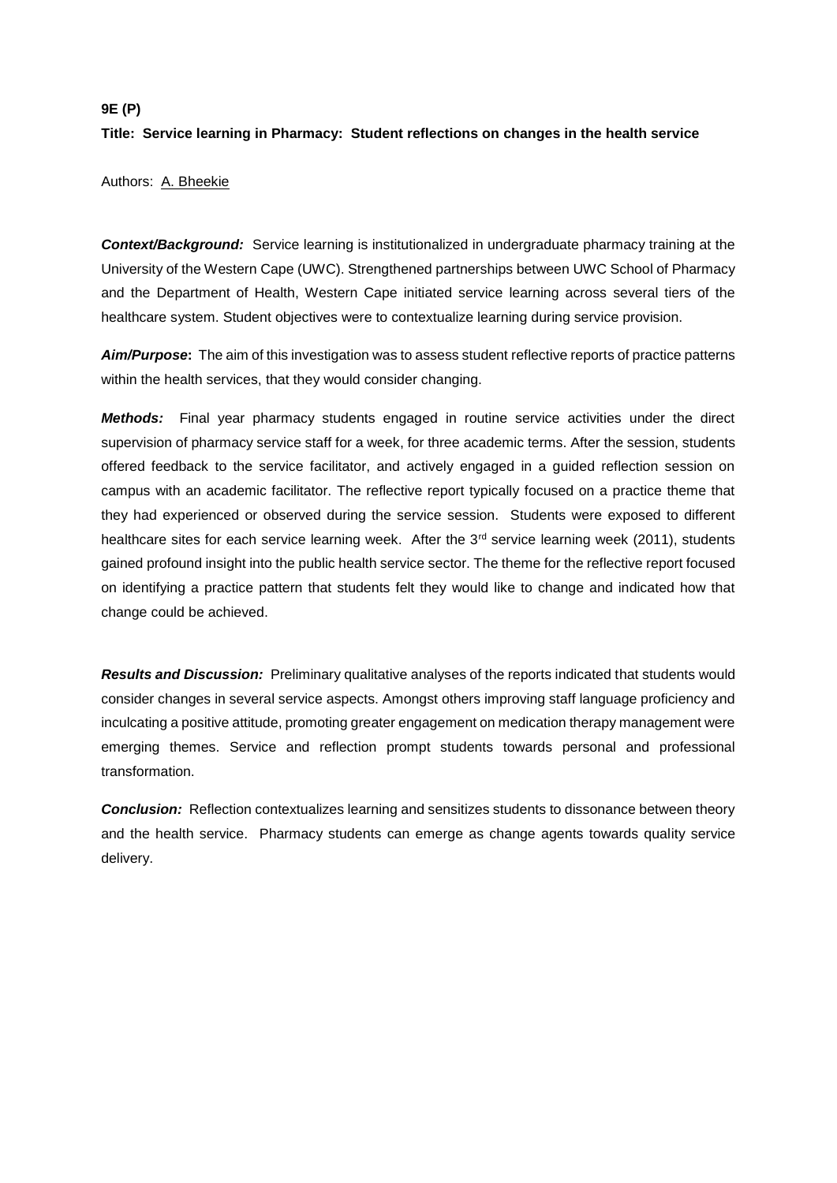### **9E (P)**

#### **Title: Service learning in Pharmacy: Student reflections on changes in the health service**

Authors: A. Bheekie

*Context/Background:* Service learning is institutionalized in undergraduate pharmacy training at the University of the Western Cape (UWC). Strengthened partnerships between UWC School of Pharmacy and the Department of Health, Western Cape initiated service learning across several tiers of the healthcare system. Student objectives were to contextualize learning during service provision.

*Aim/Purpose***:** The aim of this investigation was to assess student reflective reports of practice patterns within the health services, that they would consider changing.

*Methods:* Final year pharmacy students engaged in routine service activities under the direct supervision of pharmacy service staff for a week, for three academic terms. After the session, students offered feedback to the service facilitator, and actively engaged in a guided reflection session on campus with an academic facilitator. The reflective report typically focused on a practice theme that they had experienced or observed during the service session. Students were exposed to different healthcare sites for each service learning week. After the 3<sup>rd</sup> service learning week (2011), students gained profound insight into the public health service sector. The theme for the reflective report focused on identifying a practice pattern that students felt they would like to change and indicated how that change could be achieved.

*Results and Discussion:* Preliminary qualitative analyses of the reports indicated that students would consider changes in several service aspects. Amongst others improving staff language proficiency and inculcating a positive attitude, promoting greater engagement on medication therapy management were emerging themes. Service and reflection prompt students towards personal and professional transformation.

*Conclusion:* Reflection contextualizes learning and sensitizes students to dissonance between theory and the health service. Pharmacy students can emerge as change agents towards quality service delivery.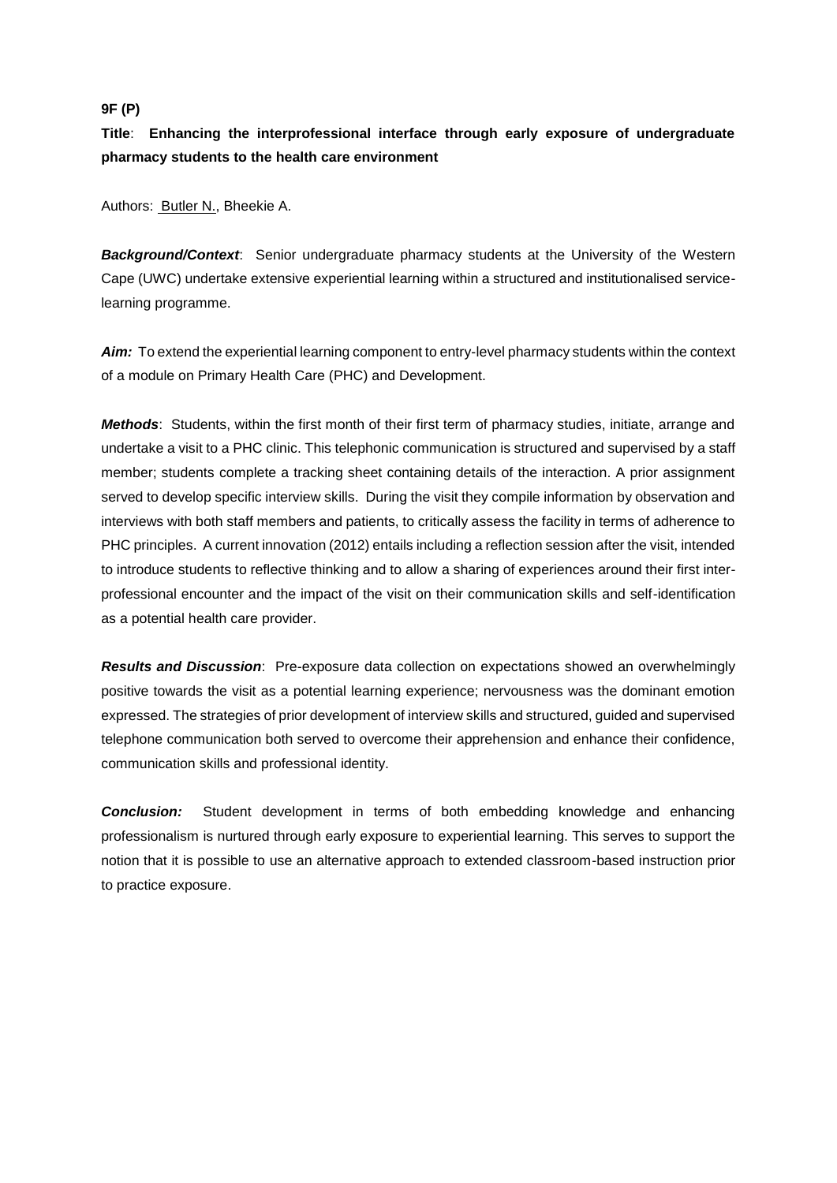### **9F (P)**

# **Title**: **Enhancing the interprofessional interface through early exposure of undergraduate pharmacy students to the health care environment**

Authors: Butler N., Bheekie A.

**Background/Context:** Senior undergraduate pharmacy students at the University of the Western Cape (UWC) undertake extensive experiential learning within a structured and institutionalised servicelearning programme.

Aim: To extend the experiential learning component to entry-level pharmacy students within the context of a module on Primary Health Care (PHC) and Development.

*Methods*: Students, within the first month of their first term of pharmacy studies, initiate, arrange and undertake a visit to a PHC clinic. This telephonic communication is structured and supervised by a staff member; students complete a tracking sheet containing details of the interaction. A prior assignment served to develop specific interview skills. During the visit they compile information by observation and interviews with both staff members and patients, to critically assess the facility in terms of adherence to PHC principles. A current innovation (2012) entails including a reflection session after the visit, intended to introduce students to reflective thinking and to allow a sharing of experiences around their first interprofessional encounter and the impact of the visit on their communication skills and self-identification as a potential health care provider.

*Results and Discussion*: Pre-exposure data collection on expectations showed an overwhelmingly positive towards the visit as a potential learning experience; nervousness was the dominant emotion expressed. The strategies of prior development of interview skills and structured, guided and supervised telephone communication both served to overcome their apprehension and enhance their confidence, communication skills and professional identity.

*Conclusion:* Student development in terms of both embedding knowledge and enhancing professionalism is nurtured through early exposure to experiential learning. This serves to support the notion that it is possible to use an alternative approach to extended classroom-based instruction prior to practice exposure.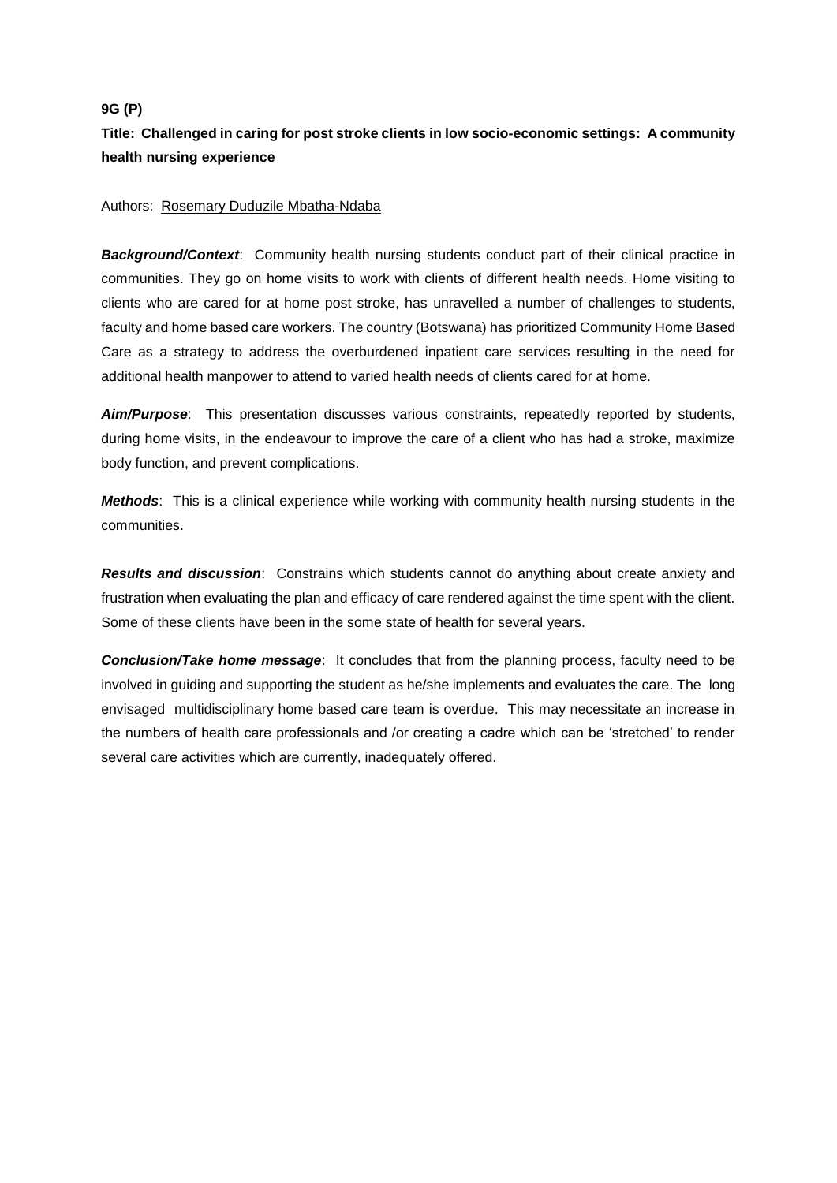### **9G (P)**

# **Title: Challenged in caring for post stroke clients in low socio-economic settings: A community health nursing experience**

### Authors: Rosemary Duduzile Mbatha-Ndaba

*Background/Context*: Community health nursing students conduct part of their clinical practice in communities. They go on home visits to work with clients of different health needs. Home visiting to clients who are cared for at home post stroke, has unravelled a number of challenges to students, faculty and home based care workers. The country (Botswana) has prioritized Community Home Based Care as a strategy to address the overburdened inpatient care services resulting in the need for additional health manpower to attend to varied health needs of clients cared for at home.

*Aim/Purpose*: This presentation discusses various constraints, repeatedly reported by students, during home visits, in the endeavour to improve the care of a client who has had a stroke, maximize body function, and prevent complications.

*Methods*: This is a clinical experience while working with community health nursing students in the communities.

*Results and discussion*: Constrains which students cannot do anything about create anxiety and frustration when evaluating the plan and efficacy of care rendered against the time spent with the client. Some of these clients have been in the some state of health for several years.

*Conclusion/Take home message*: It concludes that from the planning process, faculty need to be involved in guiding and supporting the student as he/she implements and evaluates the care. The long envisaged multidisciplinary home based care team is overdue. This may necessitate an increase in the numbers of health care professionals and /or creating a cadre which can be 'stretched' to render several care activities which are currently, inadequately offered.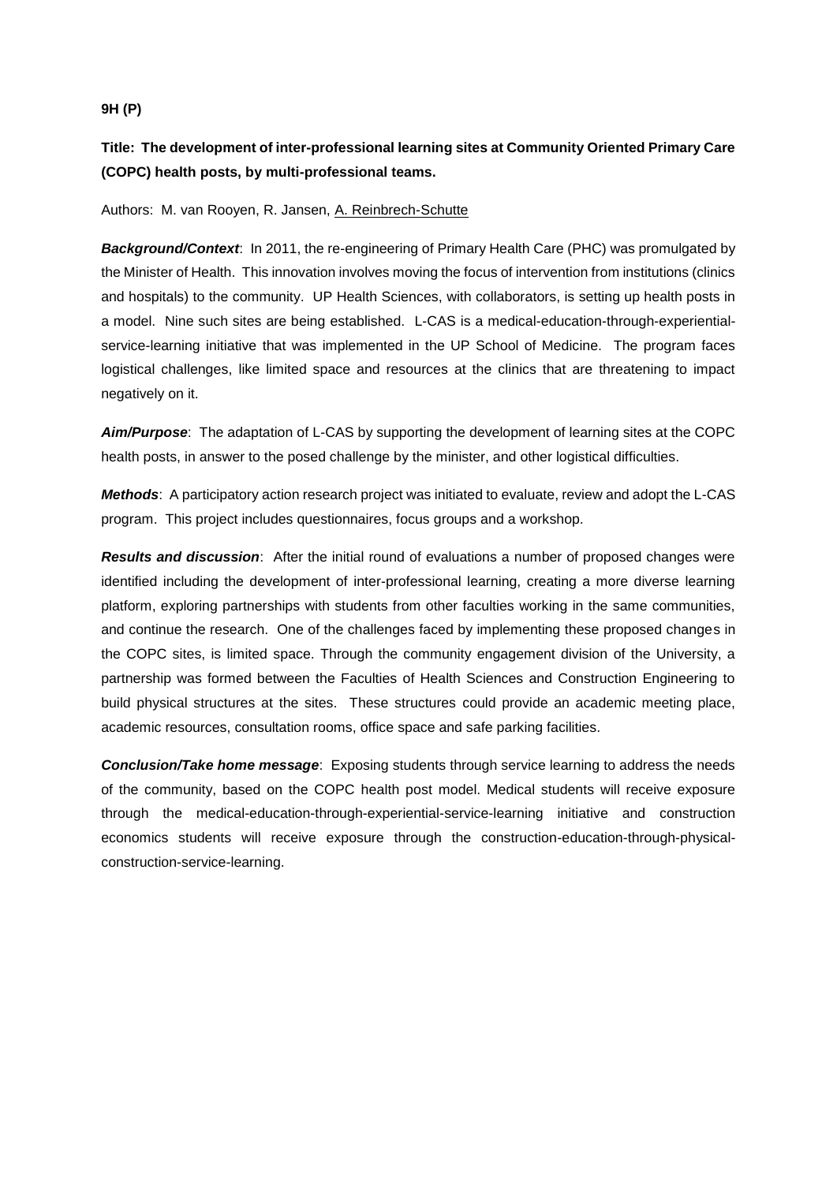#### **9H (P)**

**Title: The development of inter-professional learning sites at Community Oriented Primary Care (COPC) health posts, by multi-professional teams.**

Authors: M. van Rooyen, R. Jansen, A. Reinbrech-Schutte

*Background/Context*: In 2011, the re-engineering of Primary Health Care (PHC) was promulgated by the Minister of Health. This innovation involves moving the focus of intervention from institutions (clinics and hospitals) to the community. UP Health Sciences, with collaborators, is setting up health posts in a model. Nine such sites are being established. L-CAS is a medical-education-through-experientialservice-learning initiative that was implemented in the UP School of Medicine. The program faces logistical challenges, like limited space and resources at the clinics that are threatening to impact negatively on it.

*Aim/Purpose*: The adaptation of L-CAS by supporting the development of learning sites at the COPC health posts, in answer to the posed challenge by the minister, and other logistical difficulties.

*Methods*: A participatory action research project was initiated to evaluate, review and adopt the L-CAS program. This project includes questionnaires, focus groups and a workshop.

*Results and discussion*: After the initial round of evaluations a number of proposed changes were identified including the development of inter-professional learning, creating a more diverse learning platform, exploring partnerships with students from other faculties working in the same communities, and continue the research. One of the challenges faced by implementing these proposed changes in the COPC sites, is limited space. Through the community engagement division of the University, a partnership was formed between the Faculties of Health Sciences and Construction Engineering to build physical structures at the sites. These structures could provide an academic meeting place, academic resources, consultation rooms, office space and safe parking facilities.

*Conclusion/Take home message*: Exposing students through service learning to address the needs of the community, based on the COPC health post model. Medical students will receive exposure through the medical-education-through-experiential-service-learning initiative and construction economics students will receive exposure through the construction-education-through-physicalconstruction-service-learning.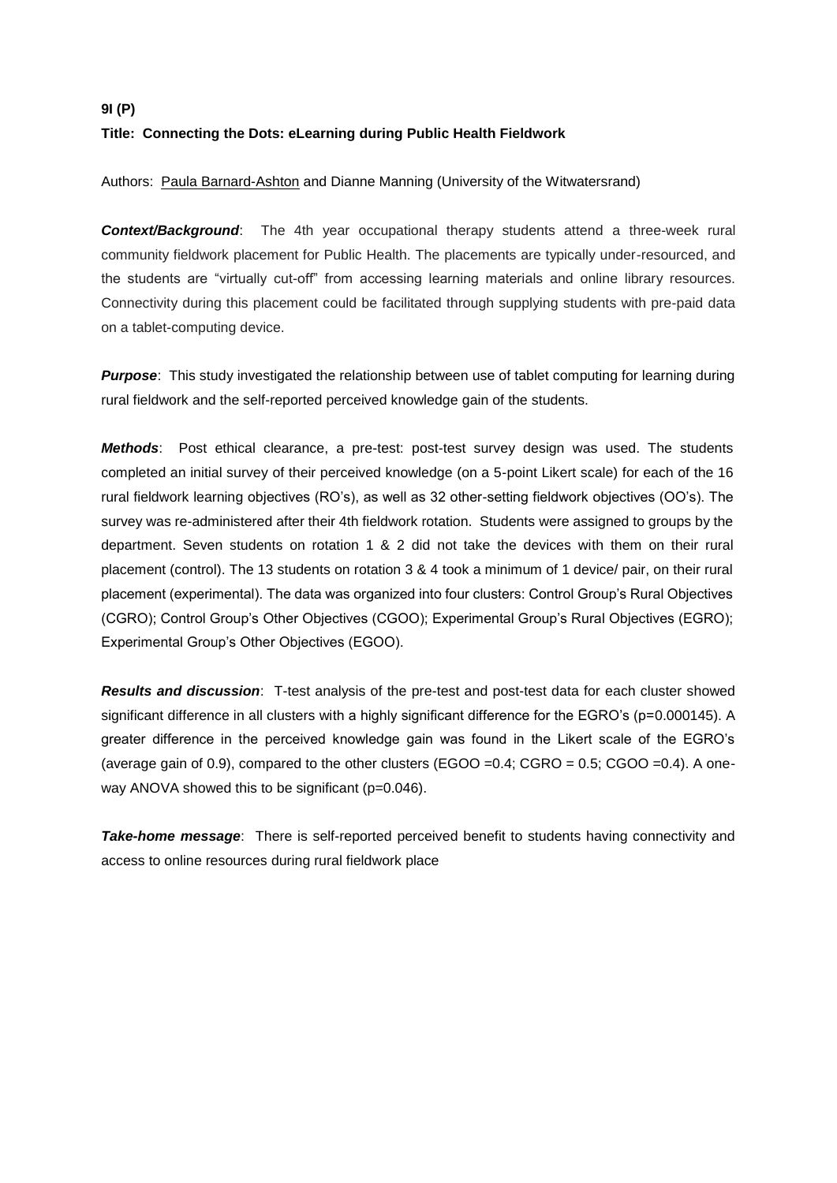# **9I (P) Title: Connecting the Dots: eLearning during Public Health Fieldwork**

### Authors: Paula Barnard-Ashton and Dianne Manning (University of the Witwatersrand)

*Context/Background*: The 4th year occupational therapy students attend a three-week rural community fieldwork placement for Public Health. The placements are typically under-resourced, and the students are "virtually cut-off" from accessing learning materials and online library resources. Connectivity during this placement could be facilitated through supplying students with pre-paid data on a tablet-computing device.

**Purpose**: This study investigated the relationship between use of tablet computing for learning during rural fieldwork and the self-reported perceived knowledge gain of the students.

*Methods*: Post ethical clearance, a pre-test: post-test survey design was used. The students completed an initial survey of their perceived knowledge (on a 5-point Likert scale) for each of the 16 rural fieldwork learning objectives (RO's), as well as 32 other-setting fieldwork objectives (OO's). The survey was re-administered after their 4th fieldwork rotation. Students were assigned to groups by the department. Seven students on rotation 1 & 2 did not take the devices with them on their rural placement (control). The 13 students on rotation 3 & 4 took a minimum of 1 device/ pair, on their rural placement (experimental). The data was organized into four clusters: Control Group's Rural Objectives (CGRO); Control Group's Other Objectives (CGOO); Experimental Group's Rural Objectives (EGRO); Experimental Group's Other Objectives (EGOO).

*Results and discussion*: T-test analysis of the pre-test and post-test data for each cluster showed significant difference in all clusters with a highly significant difference for the EGRO's (p=0.000145). A greater difference in the perceived knowledge gain was found in the Likert scale of the EGRO's (average gain of 0.9), compared to the other clusters (EGOO =0.4; CGRO =  $0.5$ ; CGOO =0.4). A oneway ANOVA showed this to be significant (p=0.046).

*Take-home message*: There is self-reported perceived benefit to students having connectivity and access to online resources during rural fieldwork place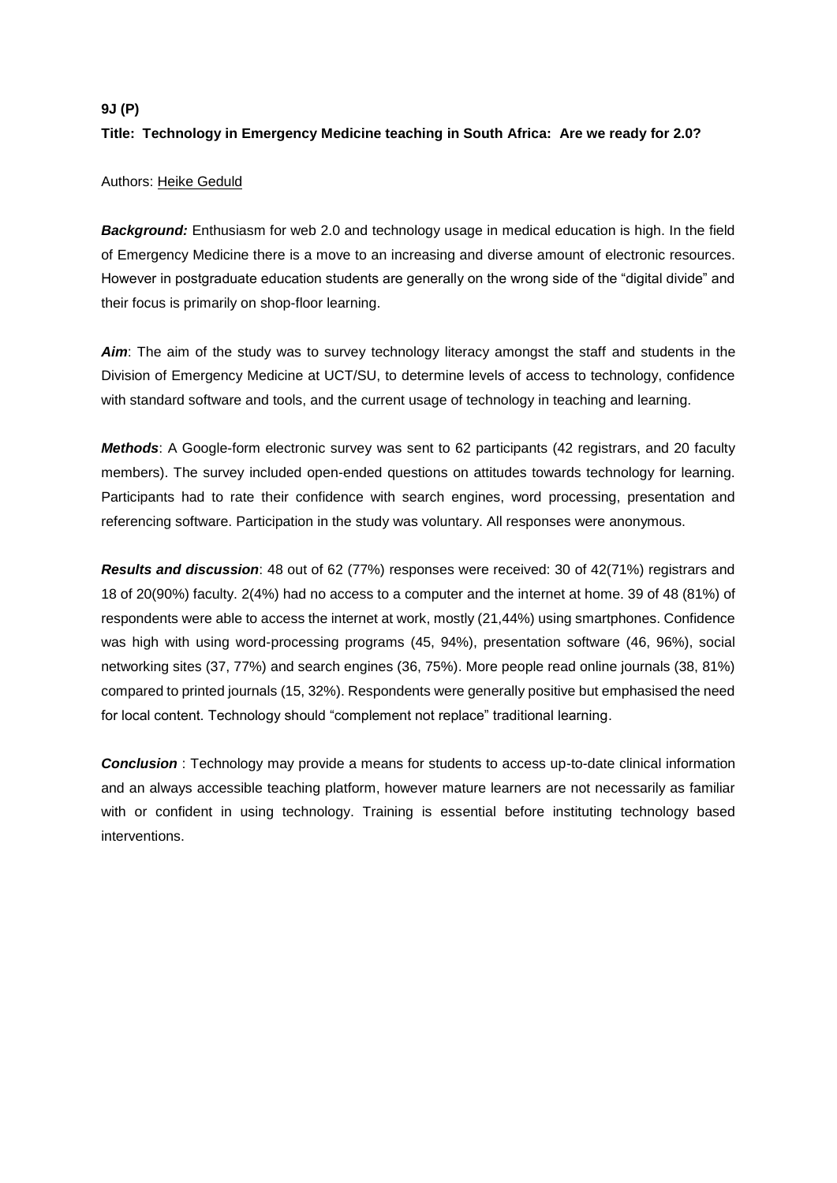# **9J (P) Title: Technology in Emergency Medicine teaching in South Africa: Are we ready for 2.0?**

### Authors: Heike Geduld

*Background:* Enthusiasm for web 2.0 and technology usage in medical education is high. In the field of Emergency Medicine there is a move to an increasing and diverse amount of electronic resources. However in postgraduate education students are generally on the wrong side of the "digital divide" and their focus is primarily on shop-floor learning.

**Aim:** The aim of the study was to survey technology literacy amongst the staff and students in the Division of Emergency Medicine at UCT/SU, to determine levels of access to technology, confidence with standard software and tools, and the current usage of technology in teaching and learning.

*Methods*: A Google-form electronic survey was sent to 62 participants (42 registrars, and 20 faculty members). The survey included open-ended questions on attitudes towards technology for learning. Participants had to rate their confidence with search engines, word processing, presentation and referencing software. Participation in the study was voluntary. All responses were anonymous.

*Results and discussion*: 48 out of 62 (77%) responses were received: 30 of 42(71%) registrars and 18 of 20(90%) faculty. 2(4%) had no access to a computer and the internet at home. 39 of 48 (81%) of respondents were able to access the internet at work, mostly (21,44%) using smartphones. Confidence was high with using word-processing programs (45, 94%), presentation software (46, 96%), social networking sites (37, 77%) and search engines (36, 75%). More people read online journals (38, 81%) compared to printed journals (15, 32%). Respondents were generally positive but emphasised the need for local content. Technology should "complement not replace" traditional learning.

**Conclusion** : Technology may provide a means for students to access up-to-date clinical information and an always accessible teaching platform, however mature learners are not necessarily as familiar with or confident in using technology. Training is essential before instituting technology based interventions.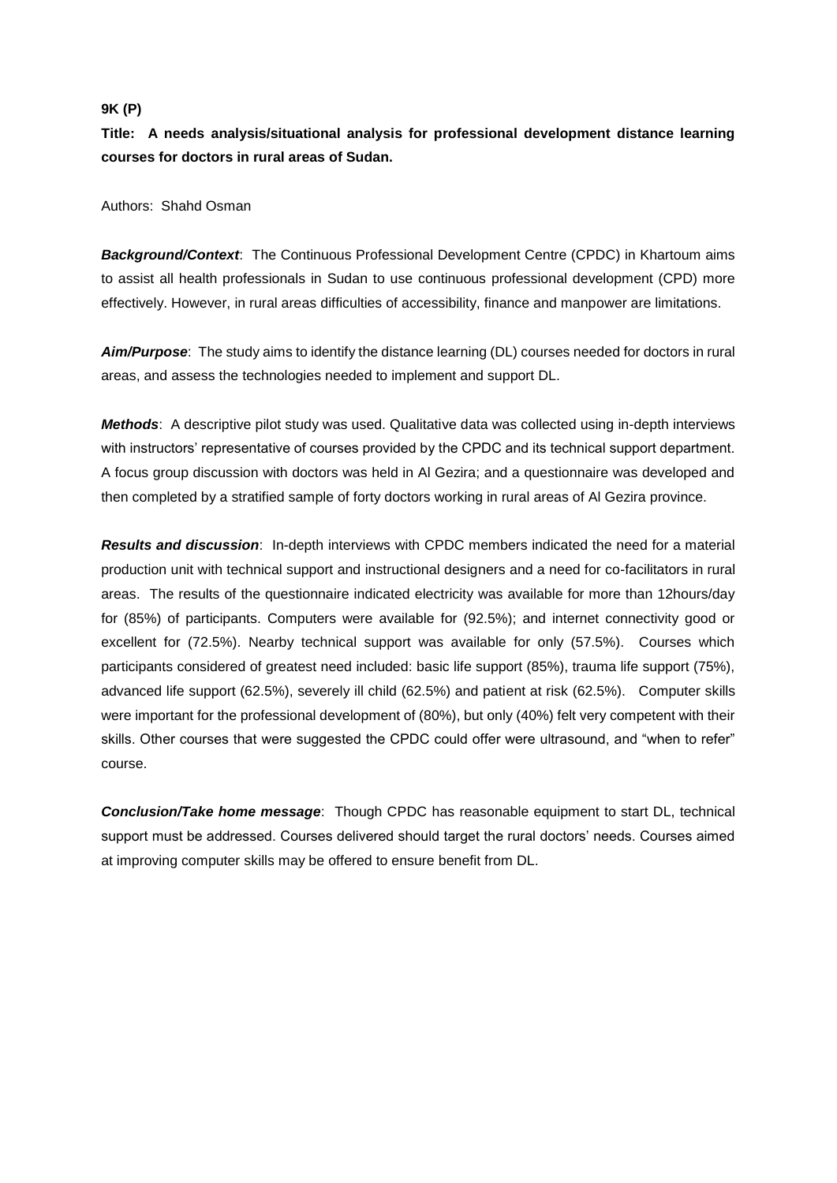#### **9K (P)**

# **Title: A needs analysis/situational analysis for professional development distance learning courses for doctors in rural areas of Sudan.**

#### Authors: Shahd Osman

*Background/Context*: The Continuous Professional Development Centre (CPDC) in Khartoum aims to assist all health professionals in Sudan to use continuous professional development (CPD) more effectively. However, in rural areas difficulties of accessibility, finance and manpower are limitations.

*Aim/Purpose*: The study aims to identify the distance learning (DL) courses needed for doctors in rural areas, and assess the technologies needed to implement and support DL.

*Methods*: A descriptive pilot study was used. Qualitative data was collected using in-depth interviews with instructors' representative of courses provided by the CPDC and its technical support department. A focus group discussion with doctors was held in Al Gezira; and a questionnaire was developed and then completed by a stratified sample of forty doctors working in rural areas of Al Gezira province.

*Results and discussion*: In-depth interviews with CPDC members indicated the need for a material production unit with technical support and instructional designers and a need for co-facilitators in rural areas. The results of the questionnaire indicated electricity was available for more than 12hours/day for (85%) of participants. Computers were available for (92.5%); and internet connectivity good or excellent for (72.5%). Nearby technical support was available for only (57.5%). Courses which participants considered of greatest need included: basic life support (85%), trauma life support (75%), advanced life support (62.5%), severely ill child (62.5%) and patient at risk (62.5%). Computer skills were important for the professional development of (80%), but only (40%) felt very competent with their skills. Other courses that were suggested the CPDC could offer were ultrasound, and "when to refer" course.

*Conclusion/Take home message*: Though CPDC has reasonable equipment to start DL, technical support must be addressed. Courses delivered should target the rural doctors' needs. Courses aimed at improving computer skills may be offered to ensure benefit from DL.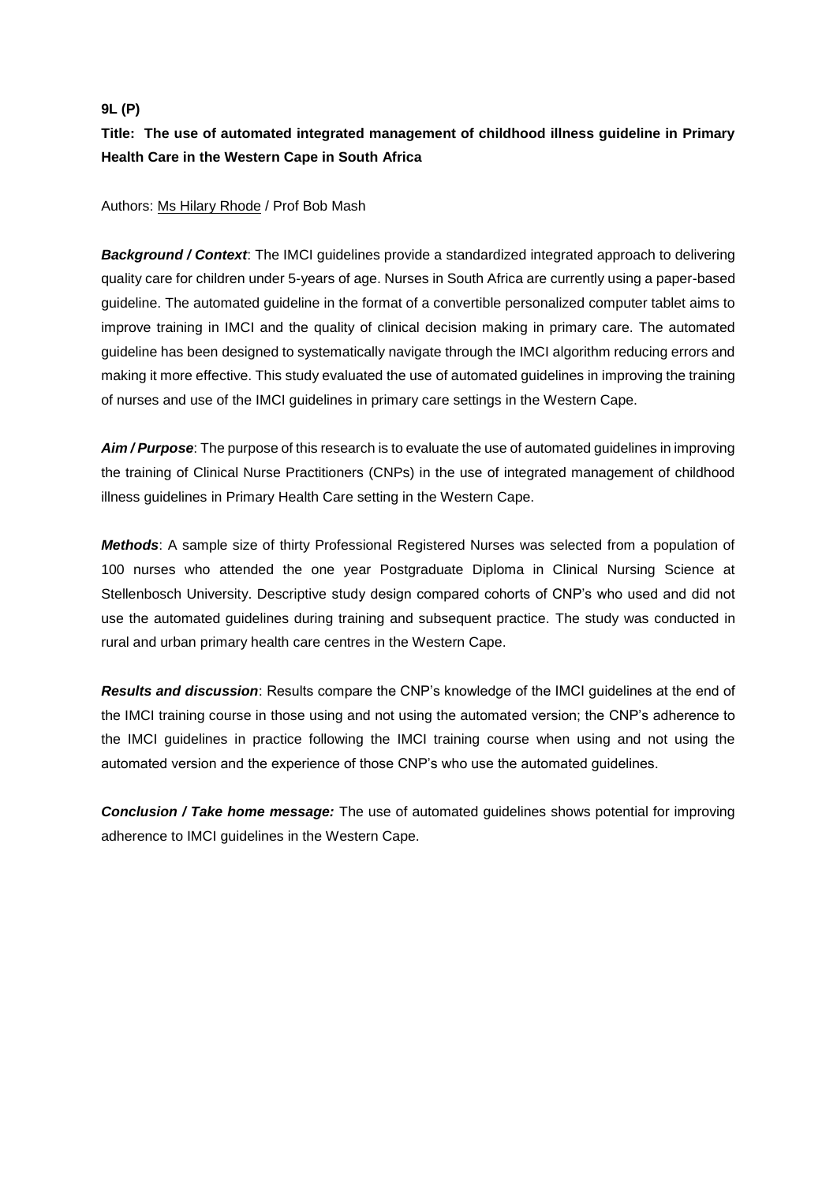### **9L (P)**

# **Title: The use of automated integrated management of childhood illness guideline in Primary Health Care in the Western Cape in South Africa**

### Authors: Ms Hilary Rhode / Prof Bob Mash

**Background / Context:** The IMCI guidelines provide a standardized integrated approach to delivering quality care for children under 5-years of age. Nurses in South Africa are currently using a paper-based guideline. The automated guideline in the format of a convertible personalized computer tablet aims to improve training in IMCI and the quality of clinical decision making in primary care. The automated guideline has been designed to systematically navigate through the IMCI algorithm reducing errors and making it more effective. This study evaluated the use of automated guidelines in improving the training of nurses and use of the IMCI guidelines in primary care settings in the Western Cape.

*Aim / Purpose*: The purpose of this research is to evaluate the use of automated guidelines in improving the training of Clinical Nurse Practitioners (CNPs) in the use of integrated management of childhood illness guidelines in Primary Health Care setting in the Western Cape.

*Methods*: A sample size of thirty Professional Registered Nurses was selected from a population of 100 nurses who attended the one year Postgraduate Diploma in Clinical Nursing Science at Stellenbosch University. Descriptive study design compared cohorts of CNP's who used and did not use the automated guidelines during training and subsequent practice. The study was conducted in rural and urban primary health care centres in the Western Cape.

*Results and discussion*: Results compare the CNP's knowledge of the IMCI guidelines at the end of the IMCI training course in those using and not using the automated version; the CNP's adherence to the IMCI guidelines in practice following the IMCI training course when using and not using the automated version and the experience of those CNP's who use the automated guidelines.

*Conclusion / Take home message:* The use of automated guidelines shows potential for improving adherence to IMCI guidelines in the Western Cape.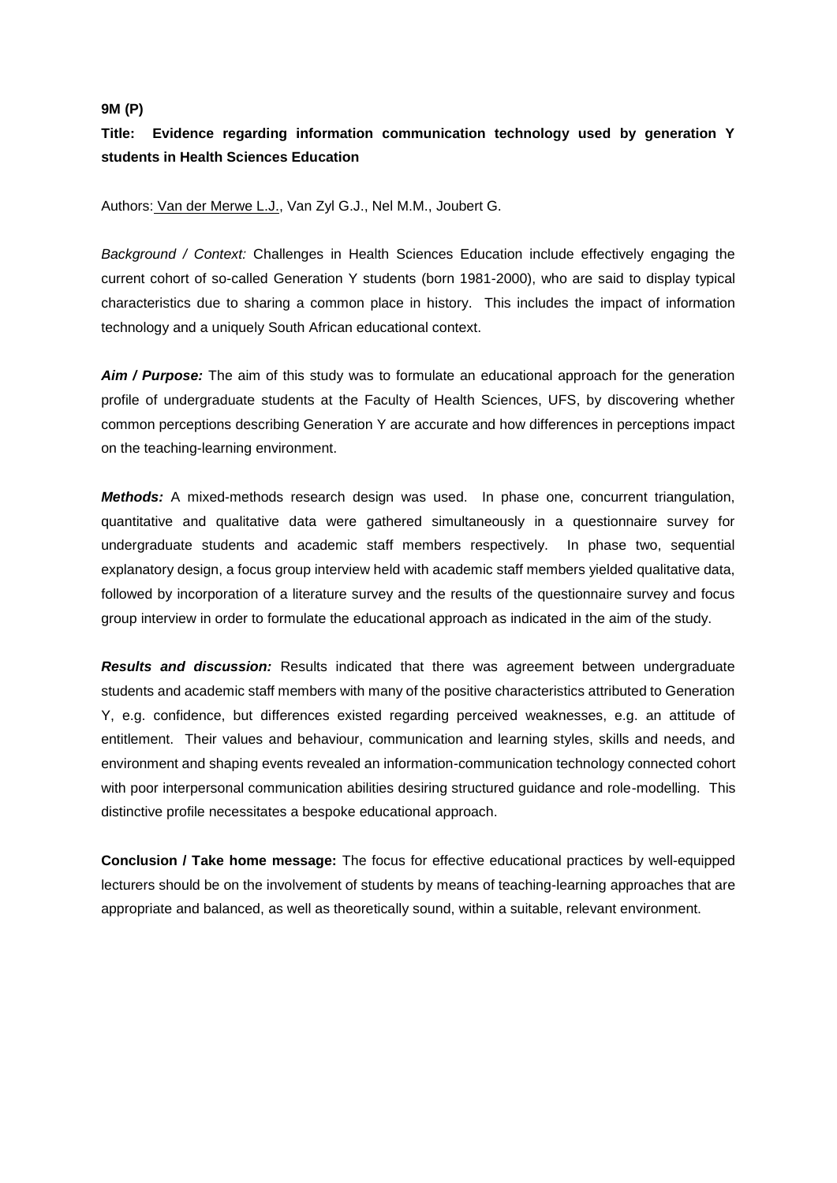#### **9M (P)**

# **Title: Evidence regarding information communication technology used by generation Y students in Health Sciences Education**

Authors: Van der Merwe L.J., Van Zyl G.J., Nel M.M., Joubert G.

*Background / Context:* Challenges in Health Sciences Education include effectively engaging the current cohort of so-called Generation Y students (born 1981-2000), who are said to display typical characteristics due to sharing a common place in history. This includes the impact of information technology and a uniquely South African educational context.

*Aim / Purpose:* The aim of this study was to formulate an educational approach for the generation profile of undergraduate students at the Faculty of Health Sciences, UFS, by discovering whether common perceptions describing Generation Y are accurate and how differences in perceptions impact on the teaching-learning environment.

*Methods:* A mixed-methods research design was used. In phase one, concurrent triangulation, quantitative and qualitative data were gathered simultaneously in a questionnaire survey for undergraduate students and academic staff members respectively. In phase two, sequential explanatory design, a focus group interview held with academic staff members yielded qualitative data, followed by incorporation of a literature survey and the results of the questionnaire survey and focus group interview in order to formulate the educational approach as indicated in the aim of the study.

*Results and discussion:* Results indicated that there was agreement between undergraduate students and academic staff members with many of the positive characteristics attributed to Generation Y, e.g. confidence, but differences existed regarding perceived weaknesses, e.g. an attitude of entitlement. Their values and behaviour, communication and learning styles, skills and needs, and environment and shaping events revealed an information-communication technology connected cohort with poor interpersonal communication abilities desiring structured guidance and role-modelling. This distinctive profile necessitates a bespoke educational approach.

**Conclusion / Take home message:** The focus for effective educational practices by well-equipped lecturers should be on the involvement of students by means of teaching-learning approaches that are appropriate and balanced, as well as theoretically sound, within a suitable, relevant environment.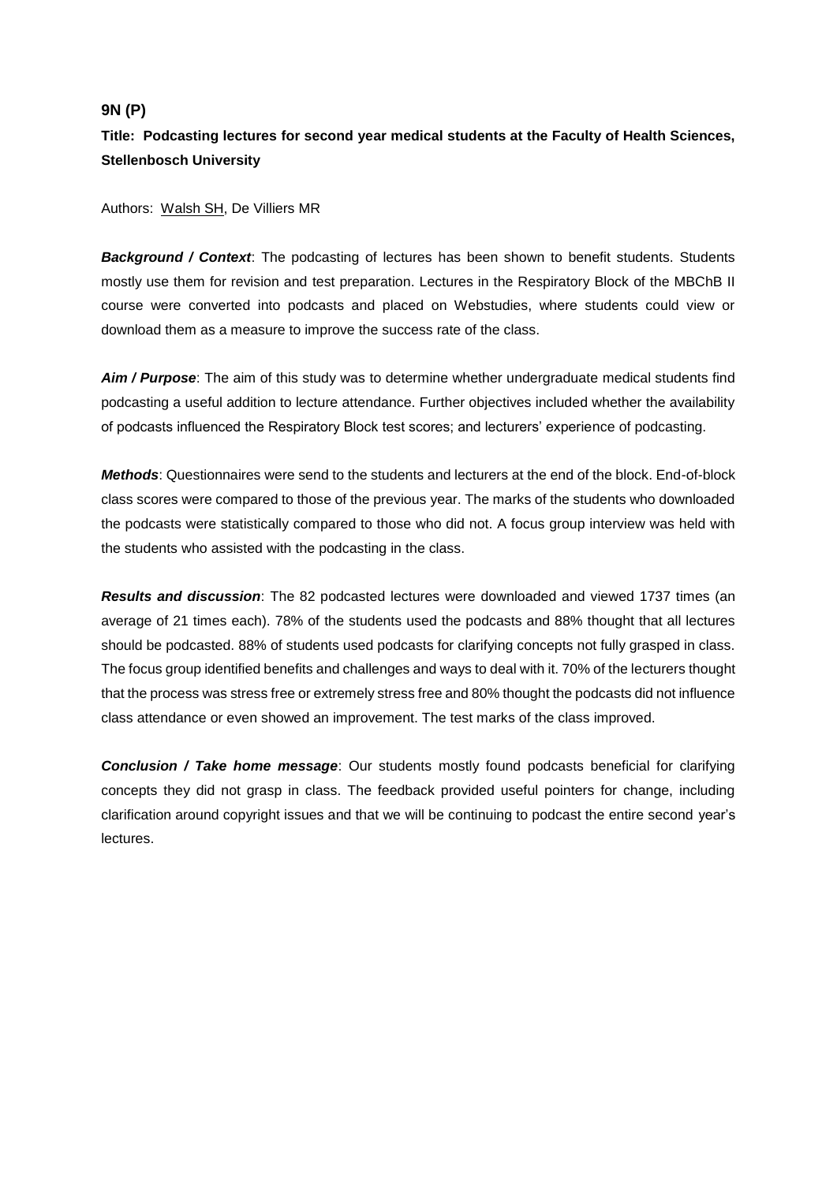### **9N (P)**

# **Title: Podcasting lectures for second year medical students at the Faculty of Health Sciences, Stellenbosch University**

Authors: Walsh SH, De Villiers MR

*Background / Context*: The podcasting of lectures has been shown to benefit students. Students mostly use them for revision and test preparation. Lectures in the Respiratory Block of the MBChB II course were converted into podcasts and placed on Webstudies, where students could view or download them as a measure to improve the success rate of the class.

*Aim / Purpose*: The aim of this study was to determine whether undergraduate medical students find podcasting a useful addition to lecture attendance. Further objectives included whether the availability of podcasts influenced the Respiratory Block test scores; and lecturers' experience of podcasting.

*Methods*: Questionnaires were send to the students and lecturers at the end of the block. End-of-block class scores were compared to those of the previous year. The marks of the students who downloaded the podcasts were statistically compared to those who did not. A focus group interview was held with the students who assisted with the podcasting in the class.

*Results and discussion*: The 82 podcasted lectures were downloaded and viewed 1737 times (an average of 21 times each). 78% of the students used the podcasts and 88% thought that all lectures should be podcasted. 88% of students used podcasts for clarifying concepts not fully grasped in class. The focus group identified benefits and challenges and ways to deal with it. 70% of the lecturers thought that the process was stress free or extremely stress free and 80% thought the podcasts did not influence class attendance or even showed an improvement. The test marks of the class improved.

*Conclusion / Take home message*: Our students mostly found podcasts beneficial for clarifying concepts they did not grasp in class. The feedback provided useful pointers for change, including clarification around copyright issues and that we will be continuing to podcast the entire second year's lectures.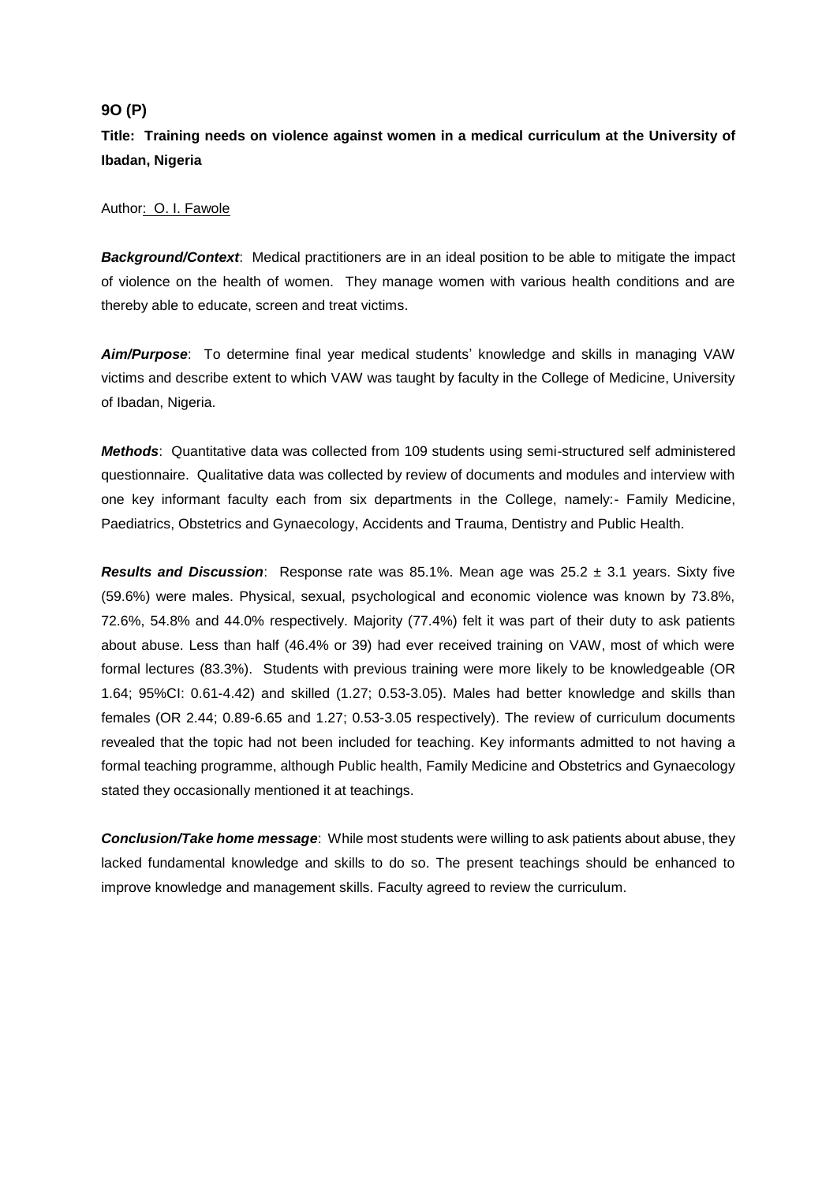### **9O (P)**

# **Title: Training needs on violence against women in a medical curriculum at the University of Ibadan, Nigeria**

#### Author: O. I. Fawole

*Background/Context*: Medical practitioners are in an ideal position to be able to mitigate the impact of violence on the health of women. They manage women with various health conditions and are thereby able to educate, screen and treat victims.

*Aim/Purpose*: To determine final year medical students' knowledge and skills in managing VAW victims and describe extent to which VAW was taught by faculty in the College of Medicine, University of Ibadan, Nigeria.

*Methods*: Quantitative data was collected from 109 students using semi-structured self administered questionnaire. Qualitative data was collected by review of documents and modules and interview with one key informant faculty each from six departments in the College, namely:- Family Medicine, Paediatrics, Obstetrics and Gynaecology, Accidents and Trauma, Dentistry and Public Health.

*Results and Discussion*: Response rate was 85.1%. Mean age was 25.2 ± 3.1 years. Sixty five (59.6%) were males. Physical, sexual, psychological and economic violence was known by 73.8%, 72.6%, 54.8% and 44.0% respectively. Majority (77.4%) felt it was part of their duty to ask patients about abuse. Less than half (46.4% or 39) had ever received training on VAW, most of which were formal lectures (83.3%). Students with previous training were more likely to be knowledgeable (OR 1.64; 95%CI: 0.61-4.42) and skilled (1.27; 0.53-3.05). Males had better knowledge and skills than females (OR 2.44; 0.89-6.65 and 1.27; 0.53-3.05 respectively). The review of curriculum documents revealed that the topic had not been included for teaching. Key informants admitted to not having a formal teaching programme, although Public health, Family Medicine and Obstetrics and Gynaecology stated they occasionally mentioned it at teachings.

*Conclusion/Take home message*: While most students were willing to ask patients about abuse, they lacked fundamental knowledge and skills to do so. The present teachings should be enhanced to improve knowledge and management skills. Faculty agreed to review the curriculum.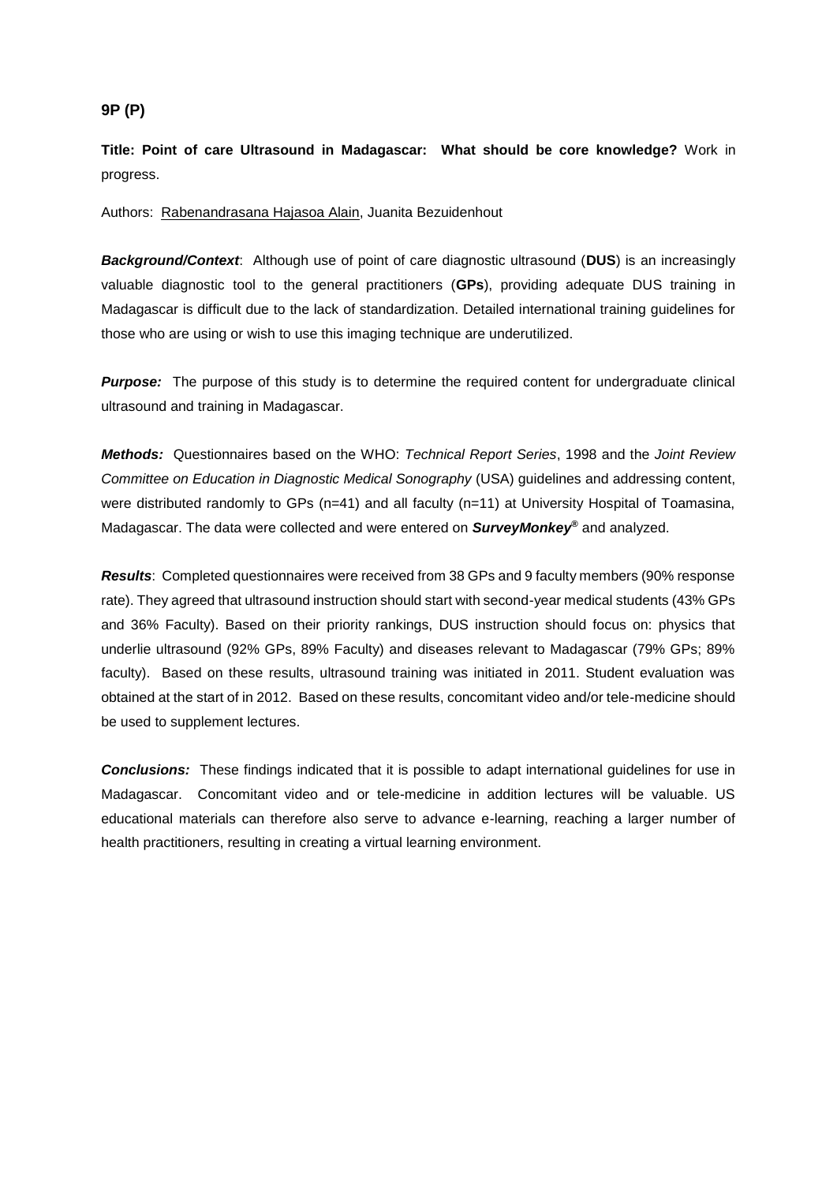## **9P (P)**

**Title: Point of care Ultrasound in Madagascar: What should be core knowledge?** Work in progress.

Authors: Rabenandrasana Hajasoa Alain, Juanita Bezuidenhout

*Background/Context*: Although use of point of care diagnostic ultrasound (**DUS**) is an increasingly valuable diagnostic tool to the general practitioners (**GPs**), providing adequate DUS training in Madagascar is difficult due to the lack of standardization. Detailed international training guidelines for those who are using or wish to use this imaging technique are underutilized.

**Purpose:** The purpose of this study is to determine the required content for undergraduate clinical ultrasound and training in Madagascar.

*Methods:* Questionnaires based on the WHO: *Technical Report Series*, 1998 and the *Joint Review Committee on Education in Diagnostic Medical Sonography* (USA) guidelines and addressing content, were distributed randomly to GPs (n=41) and all faculty (n=11) at University Hospital of Toamasina, Madagascar. The data were collected and were entered on *SurveyMonkey***®** and analyzed.

*Results*: Completed questionnaires were received from 38 GPs and 9 faculty members (90% response rate). They agreed that ultrasound instruction should start with second-year medical students (43% GPs and 36% Faculty). Based on their priority rankings, DUS instruction should focus on: physics that underlie ultrasound (92% GPs, 89% Faculty) and diseases relevant to Madagascar (79% GPs; 89% faculty). Based on these results, ultrasound training was initiated in 2011. Student evaluation was obtained at the start of in 2012. Based on these results, concomitant video and/or tele-medicine should be used to supplement lectures.

*Conclusions:* These findings indicated that it is possible to adapt international guidelines for use in Madagascar. Concomitant video and or tele-medicine in addition lectures will be valuable. US educational materials can therefore also serve to advance e-learning, reaching a larger number of health practitioners, resulting in creating a virtual learning environment.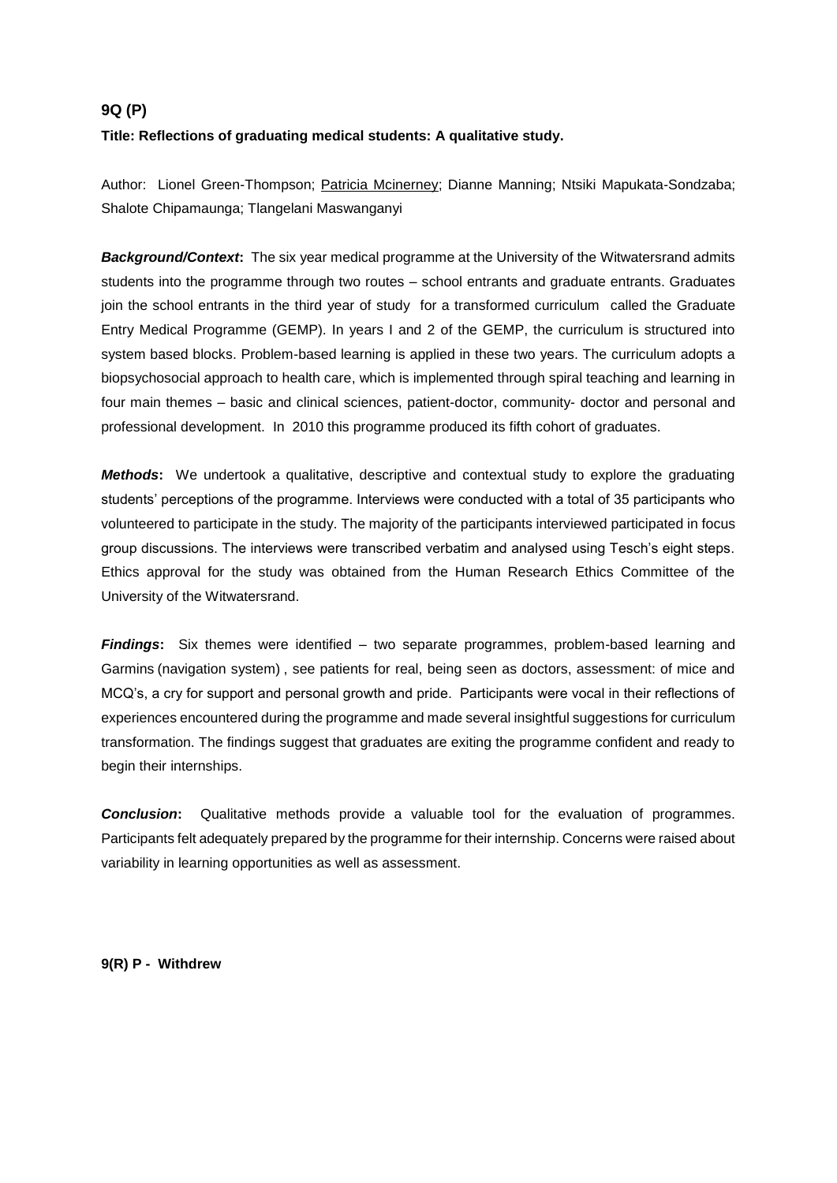### **9Q (P)**

### **Title: Reflections of graduating medical students: A qualitative study.**

Author: Lionel Green-Thompson; Patricia Mcinerney; Dianne Manning; Ntsiki Mapukata-Sondzaba; Shalote Chipamaunga; Tlangelani Maswanganyi

*Background/Context***:** The six year medical programme at the University of the Witwatersrand admits students into the programme through two routes – school entrants and graduate entrants. Graduates join the school entrants in the third year of study for a transformed curriculum called the Graduate Entry Medical Programme (GEMP). In years I and 2 of the GEMP, the curriculum is structured into system based blocks. Problem-based learning is applied in these two years. The curriculum adopts a biopsychosocial approach to health care, which is implemented through spiral teaching and learning in four main themes – basic and clinical sciences, patient-doctor, community- doctor and personal and professional development. In 2010 this programme produced its fifth cohort of graduates.

*Methods*: We undertook a qualitative, descriptive and contextual study to explore the graduating students' perceptions of the programme. Interviews were conducted with a total of 35 participants who volunteered to participate in the study. The majority of the participants interviewed participated in focus group discussions. The interviews were transcribed verbatim and analysed using Tesch's eight steps. Ethics approval for the study was obtained from the Human Research Ethics Committee of the University of the Witwatersrand.

**Findings:** Six themes were identified – two separate programmes, problem-based learning and Garmins (navigation system) , see patients for real, being seen as doctors, assessment: of mice and MCQ's, a cry for support and personal growth and pride. Participants were vocal in their reflections of experiences encountered during the programme and made several insightful suggestions for curriculum transformation. The findings suggest that graduates are exiting the programme confident and ready to begin their internships.

**Conclusion:** Qualitative methods provide a valuable tool for the evaluation of programmes. Participants felt adequately prepared by the programme for their internship. Concerns were raised about variability in learning opportunities as well as assessment.

**9(R) P - Withdrew**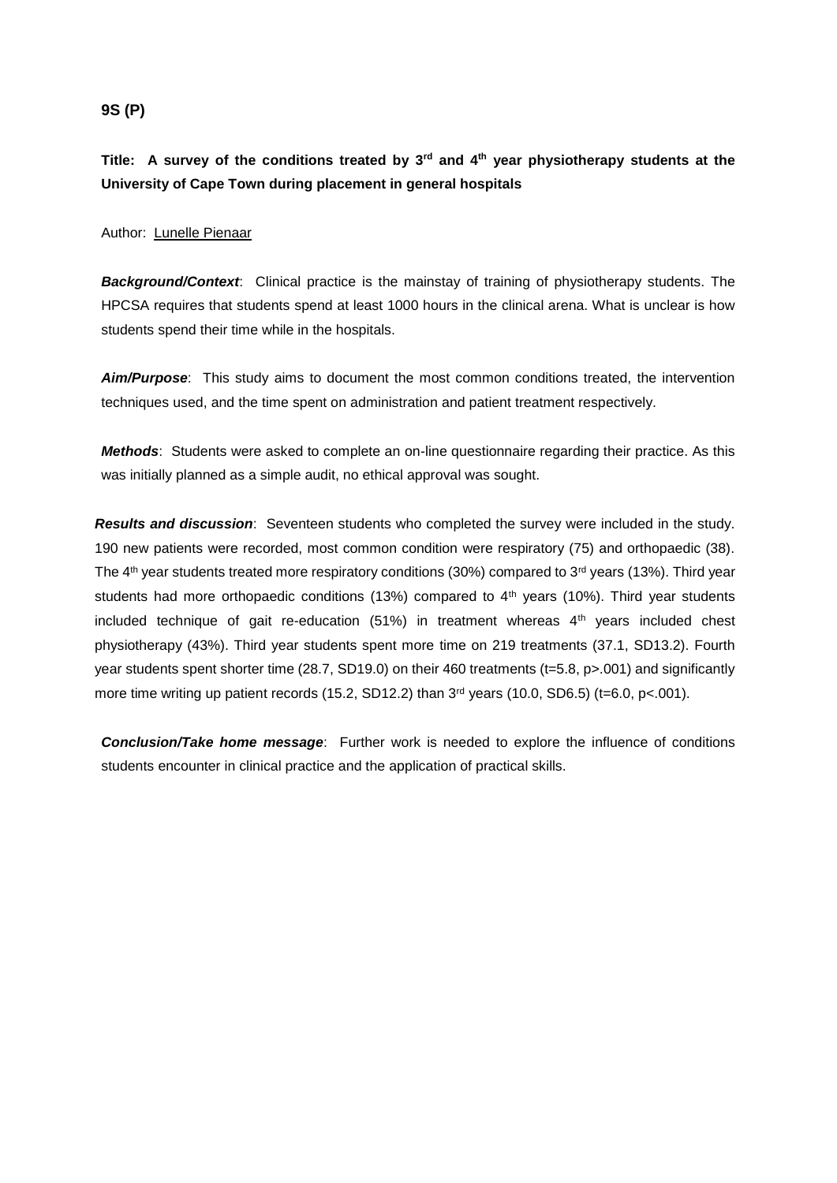### **9S (P)**

# **Title: A survey of the conditions treated by 3rd and 4th year physiotherapy students at the University of Cape Town during placement in general hospitals**

#### Author: Lunelle Pienaar

*Background/Context*: Clinical practice is the mainstay of training of physiotherapy students. The HPCSA requires that students spend at least 1000 hours in the clinical arena. What is unclear is how students spend their time while in the hospitals.

*Aim/Purpose*: This study aims to document the most common conditions treated, the intervention techniques used, and the time spent on administration and patient treatment respectively.

*Methods*: Students were asked to complete an on-line questionnaire regarding their practice. As this was initially planned as a simple audit, no ethical approval was sought.

*Results and discussion*: Seventeen students who completed the survey were included in the study. 190 new patients were recorded, most common condition were respiratory (75) and orthopaedic (38). The  $4<sup>th</sup>$  year students treated more respiratory conditions (30%) compared to  $3<sup>rd</sup>$  years (13%). Third year students had more orthopaedic conditions (13%) compared to 4<sup>th</sup> years (10%). Third year students included technique of gait re-education  $(51%)$  in treatment whereas  $4<sup>th</sup>$  years included chest physiotherapy (43%). Third year students spent more time on 219 treatments (37.1, SD13.2). Fourth year students spent shorter time (28.7, SD19.0) on their 460 treatments (t=5.8, p>.001) and significantly more time writing up patient records (15.2, SD12.2) than  $3<sup>rd</sup>$  years (10.0, SD6.5) (t=6.0, p<.001).

*Conclusion/Take home message*: Further work is needed to explore the influence of conditions students encounter in clinical practice and the application of practical skills.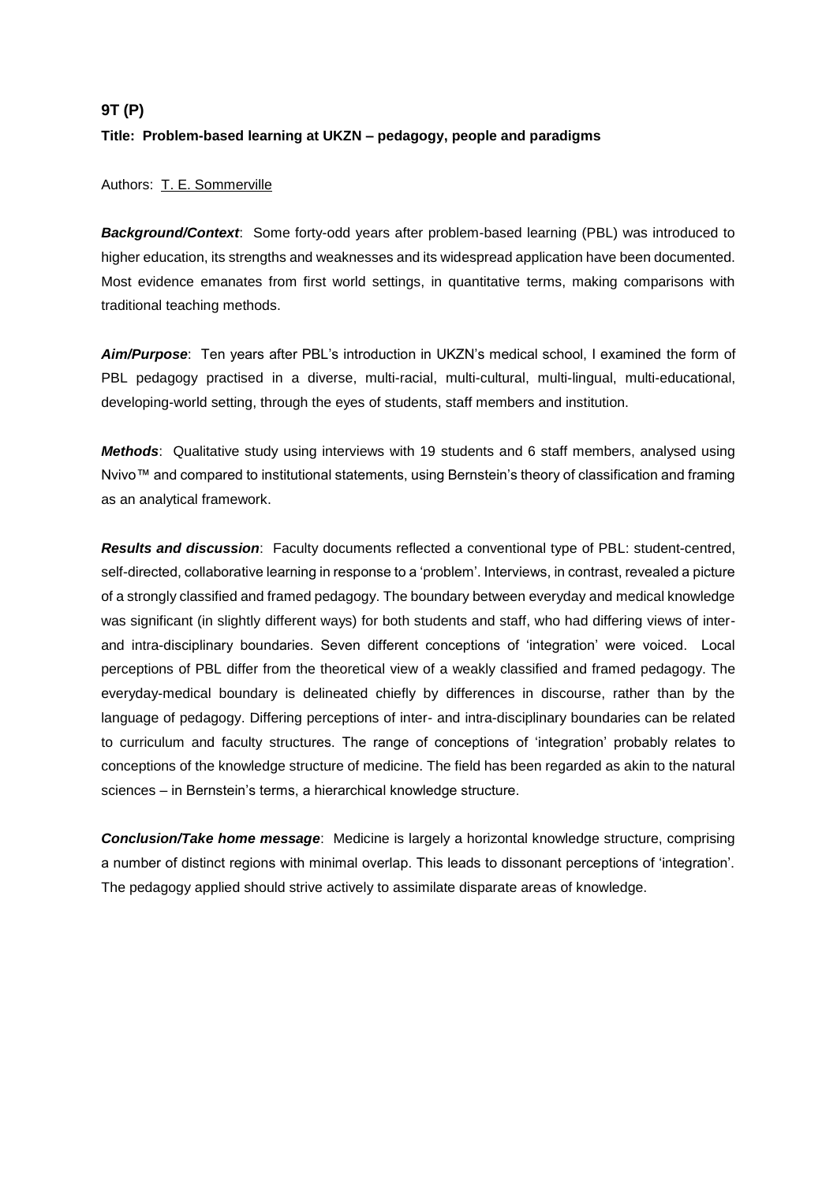# **9T (P)**

### **Title: Problem-based learning at UKZN – pedagogy, people and paradigms**

Authors: T. E. Sommerville

*Background/Context*: Some forty-odd years after problem-based learning (PBL) was introduced to higher education, its strengths and weaknesses and its widespread application have been documented. Most evidence emanates from first world settings, in quantitative terms, making comparisons with traditional teaching methods.

*Aim/Purpose*: Ten years after PBL's introduction in UKZN's medical school, I examined the form of PBL pedagogy practised in a diverse, multi-racial, multi-cultural, multi-lingual, multi-educational, developing-world setting, through the eyes of students, staff members and institution.

*Methods*: Qualitative study using interviews with 19 students and 6 staff members, analysed using Nvivo™ and compared to institutional statements, using Bernstein's theory of classification and framing as an analytical framework.

*Results and discussion*: Faculty documents reflected a conventional type of PBL: student-centred, self-directed, collaborative learning in response to a 'problem'. Interviews, in contrast, revealed a picture of a strongly classified and framed pedagogy. The boundary between everyday and medical knowledge was significant (in slightly different ways) for both students and staff, who had differing views of interand intra-disciplinary boundaries. Seven different conceptions of 'integration' were voiced. Local perceptions of PBL differ from the theoretical view of a weakly classified and framed pedagogy. The everyday-medical boundary is delineated chiefly by differences in discourse, rather than by the language of pedagogy. Differing perceptions of inter- and intra-disciplinary boundaries can be related to curriculum and faculty structures. The range of conceptions of 'integration' probably relates to conceptions of the knowledge structure of medicine. The field has been regarded as akin to the natural sciences – in Bernstein's terms, a hierarchical knowledge structure.

*Conclusion/Take home message*: Medicine is largely a horizontal knowledge structure, comprising a number of distinct regions with minimal overlap. This leads to dissonant perceptions of 'integration'. The pedagogy applied should strive actively to assimilate disparate areas of knowledge.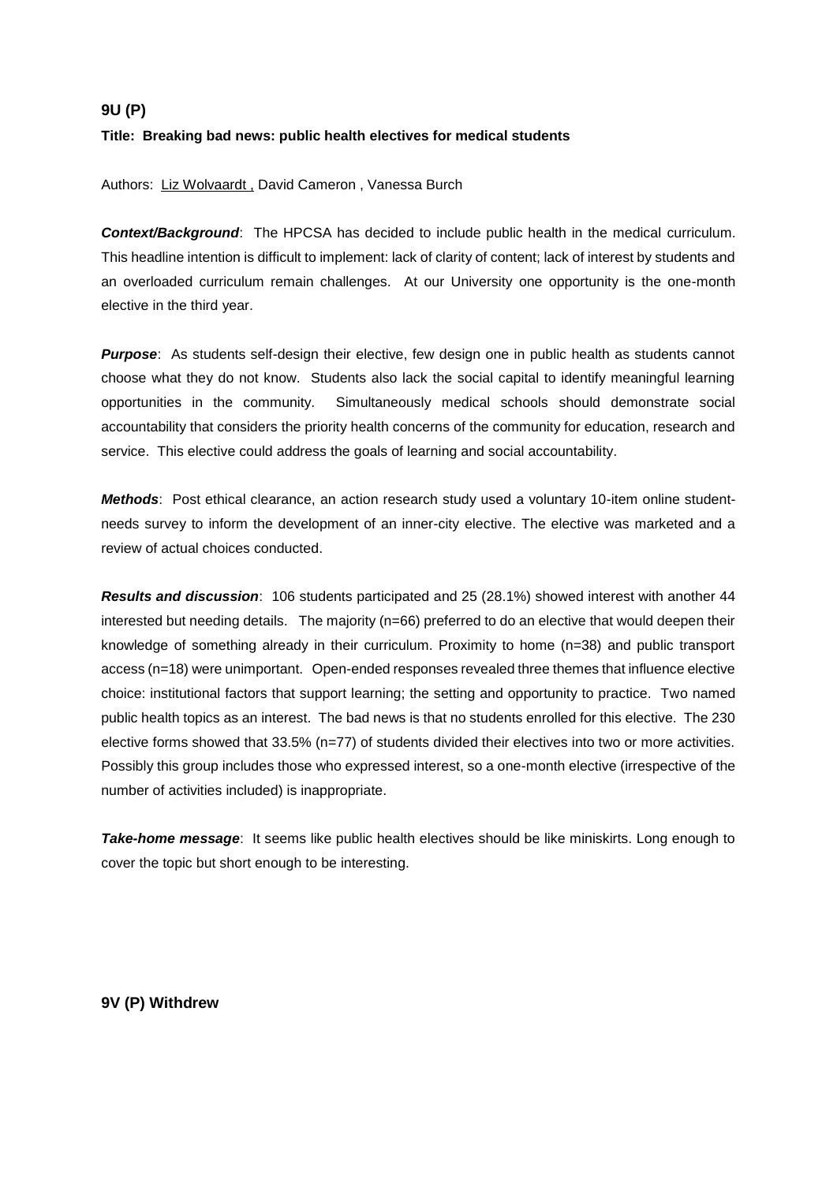### **9U (P)**

### **Title: Breaking bad news: public health electives for medical students**

Authors: Liz Wolvaardt , David Cameron , Vanessa Burch

*Context/Background*: The HPCSA has decided to include public health in the medical curriculum. This headline intention is difficult to implement: lack of clarity of content; lack of interest by students and an overloaded curriculum remain challenges. At our University one opportunity is the one-month elective in the third year.

*Purpose*: As students self-design their elective, few design one in public health as students cannot choose what they do not know. Students also lack the social capital to identify meaningful learning opportunities in the community. Simultaneously medical schools should demonstrate social accountability that considers the priority health concerns of the community for education, research and service. This elective could address the goals of learning and social accountability.

*Methods*: Post ethical clearance, an action research study used a voluntary 10-item online studentneeds survey to inform the development of an inner-city elective. The elective was marketed and a review of actual choices conducted.

*Results and discussion*: 106 students participated and 25 (28.1%) showed interest with another 44 interested but needing details. The majority (n=66) preferred to do an elective that would deepen their knowledge of something already in their curriculum. Proximity to home (n=38) and public transport access (n=18) were unimportant. Open-ended responses revealed three themes that influence elective choice: institutional factors that support learning; the setting and opportunity to practice. Two named public health topics as an interest. The bad news is that no students enrolled for this elective. The 230 elective forms showed that 33.5% (n=77) of students divided their electives into two or more activities. Possibly this group includes those who expressed interest, so a one-month elective (irrespective of the number of activities included) is inappropriate.

*Take-home message*: It seems like public health electives should be like miniskirts. Long enough to cover the topic but short enough to be interesting.

**9V (P) Withdrew**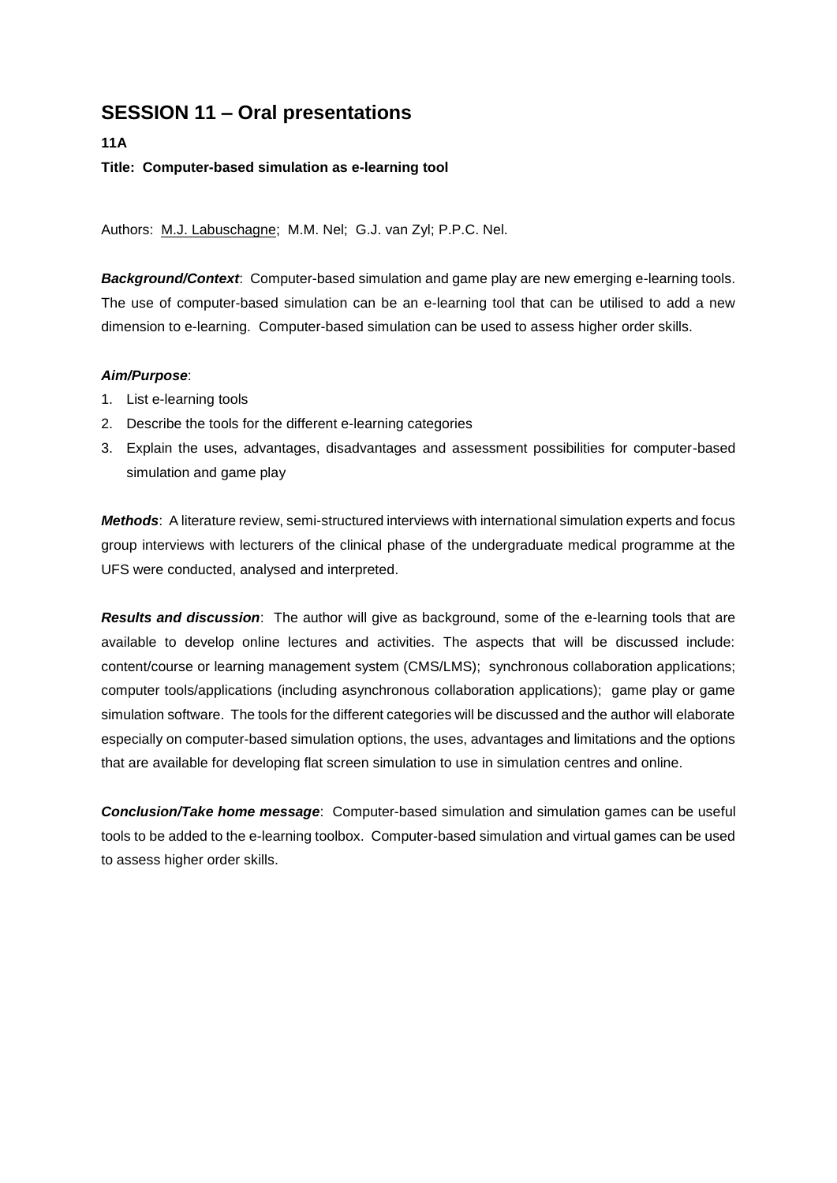# **SESSION 11 – Oral presentations**

### **11A**

### **Title: Computer-based simulation as e-learning tool**

Authors: M.J. Labuschagne; M.M. Nel; G.J. van Zyl; P.P.C. Nel.

*Background/Context*: Computer-based simulation and game play are new emerging e-learning tools. The use of computer-based simulation can be an e-learning tool that can be utilised to add a new dimension to e-learning. Computer-based simulation can be used to assess higher order skills.

### *Aim/Purpose*:

- 1. List e-learning tools
- 2. Describe the tools for the different e-learning categories
- 3. Explain the uses, advantages, disadvantages and assessment possibilities for computer-based simulation and game play

*Methods*: A literature review, semi-structured interviews with international simulation experts and focus group interviews with lecturers of the clinical phase of the undergraduate medical programme at the UFS were conducted, analysed and interpreted.

*Results and discussion*: The author will give as background, some of the e-learning tools that are available to develop online lectures and activities. The aspects that will be discussed include: content/course or learning management system (CMS/LMS); synchronous collaboration applications; computer tools/applications (including asynchronous collaboration applications); game play or game simulation software. The tools for the different categories will be discussed and the author will elaborate especially on computer-based simulation options, the uses, advantages and limitations and the options that are available for developing flat screen simulation to use in simulation centres and online.

*Conclusion/Take home message*: Computer-based simulation and simulation games can be useful tools to be added to the e-learning toolbox. Computer-based simulation and virtual games can be used to assess higher order skills.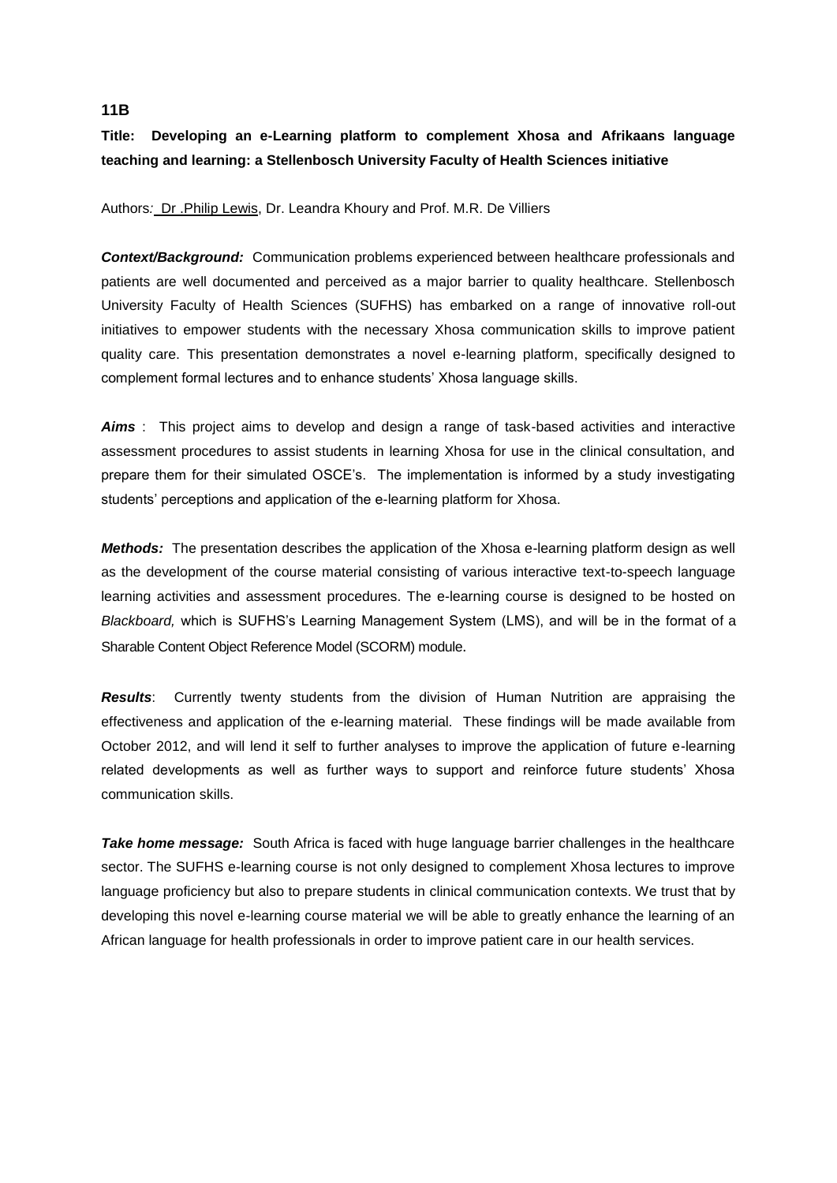### **11B**

**Title: Developing an e-Learning platform to complement Xhosa and Afrikaans language teaching and learning: a Stellenbosch University Faculty of Health Sciences initiative**

Authors*:* Dr .Philip Lewis, Dr. Leandra Khoury and Prof. M.R. De Villiers

*Context/Background:* Communication problems experienced between healthcare professionals and patients are well documented and perceived as a major barrier to quality healthcare. Stellenbosch University Faculty of Health Sciences (SUFHS) has embarked on a range of innovative roll-out initiatives to empower students with the necessary Xhosa communication skills to improve patient quality care. This presentation demonstrates a novel e-learning platform, specifically designed to complement formal lectures and to enhance students' Xhosa language skills.

*Aims* : This project aims to develop and design a range of task-based activities and interactive assessment procedures to assist students in learning Xhosa for use in the clinical consultation, and prepare them for their simulated OSCE's. The implementation is informed by a study investigating students' perceptions and application of the e-learning platform for Xhosa.

*Methods:* The presentation describes the application of the Xhosa e-learning platform design as well as the development of the course material consisting of various interactive text-to-speech language learning activities and assessment procedures. The e-learning course is designed to be hosted on *Blackboard,* which is SUFHS's Learning Management System (LMS), and will be in the format of a Sharable Content Object Reference Model (SCORM) module.

*Results*: Currently twenty students from the division of Human Nutrition are appraising the effectiveness and application of the e-learning material. These findings will be made available from October 2012, and will lend it self to further analyses to improve the application of future e-learning related developments as well as further ways to support and reinforce future students' Xhosa communication skills.

*Take home message:* South Africa is faced with huge language barrier challenges in the healthcare sector. The SUFHS e-learning course is not only designed to complement Xhosa lectures to improve language proficiency but also to prepare students in clinical communication contexts. We trust that by developing this novel e-learning course material we will be able to greatly enhance the learning of an African language for health professionals in order to improve patient care in our health services.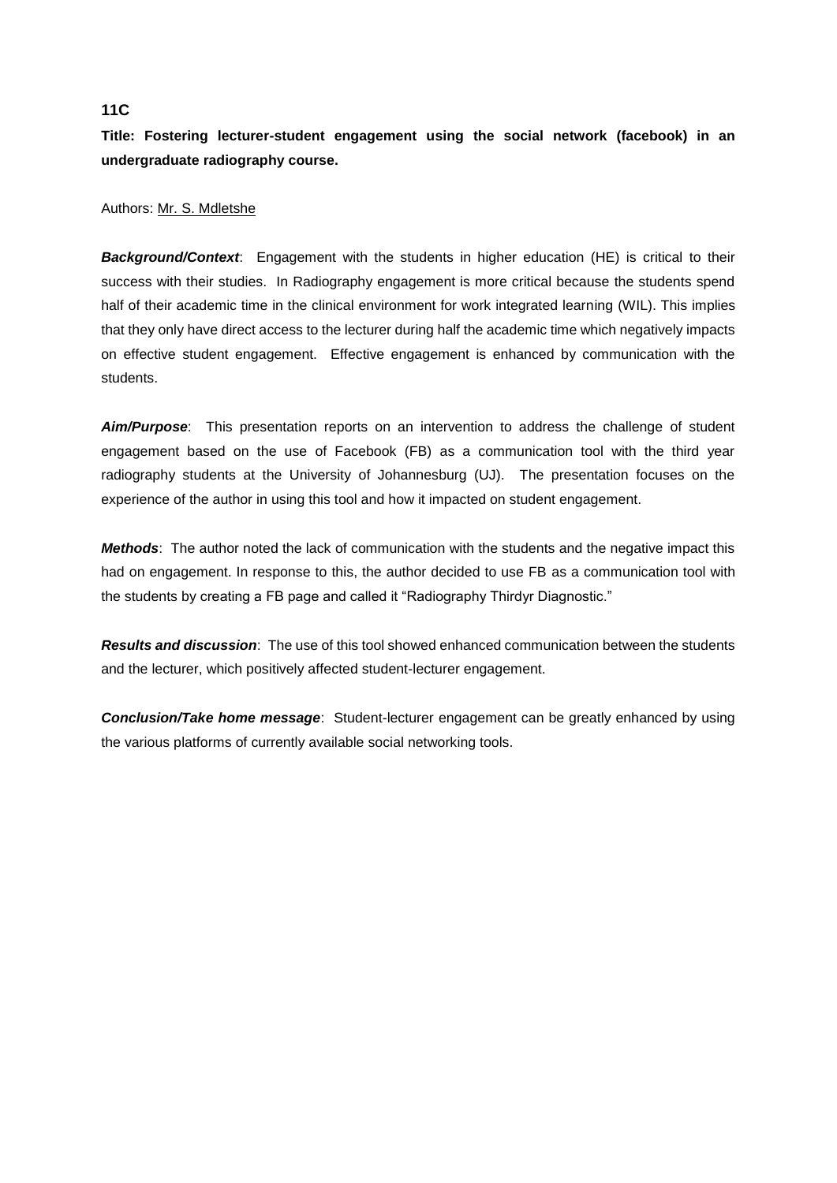# **11C**

**Title: Fostering lecturer-student engagement using the social network (facebook) in an undergraduate radiography course.** 

### Authors: Mr. S. Mdletshe

*Background/Context*: Engagement with the students in higher education (HE) is critical to their success with their studies. In Radiography engagement is more critical because the students spend half of their academic time in the clinical environment for work integrated learning (WIL). This implies that they only have direct access to the lecturer during half the academic time which negatively impacts on effective student engagement. Effective engagement is enhanced by communication with the students.

*Aim/Purpose*: This presentation reports on an intervention to address the challenge of student engagement based on the use of Facebook (FB) as a communication tool with the third year radiography students at the University of Johannesburg (UJ). The presentation focuses on the experience of the author in using this tool and how it impacted on student engagement.

*Methods*: The author noted the lack of communication with the students and the negative impact this had on engagement. In response to this, the author decided to use FB as a communication tool with the students by creating a FB page and called it "Radiography Thirdyr Diagnostic."

*Results and discussion*: The use of this tool showed enhanced communication between the students and the lecturer, which positively affected student-lecturer engagement.

*Conclusion/Take home message*: Student-lecturer engagement can be greatly enhanced by using the various platforms of currently available social networking tools.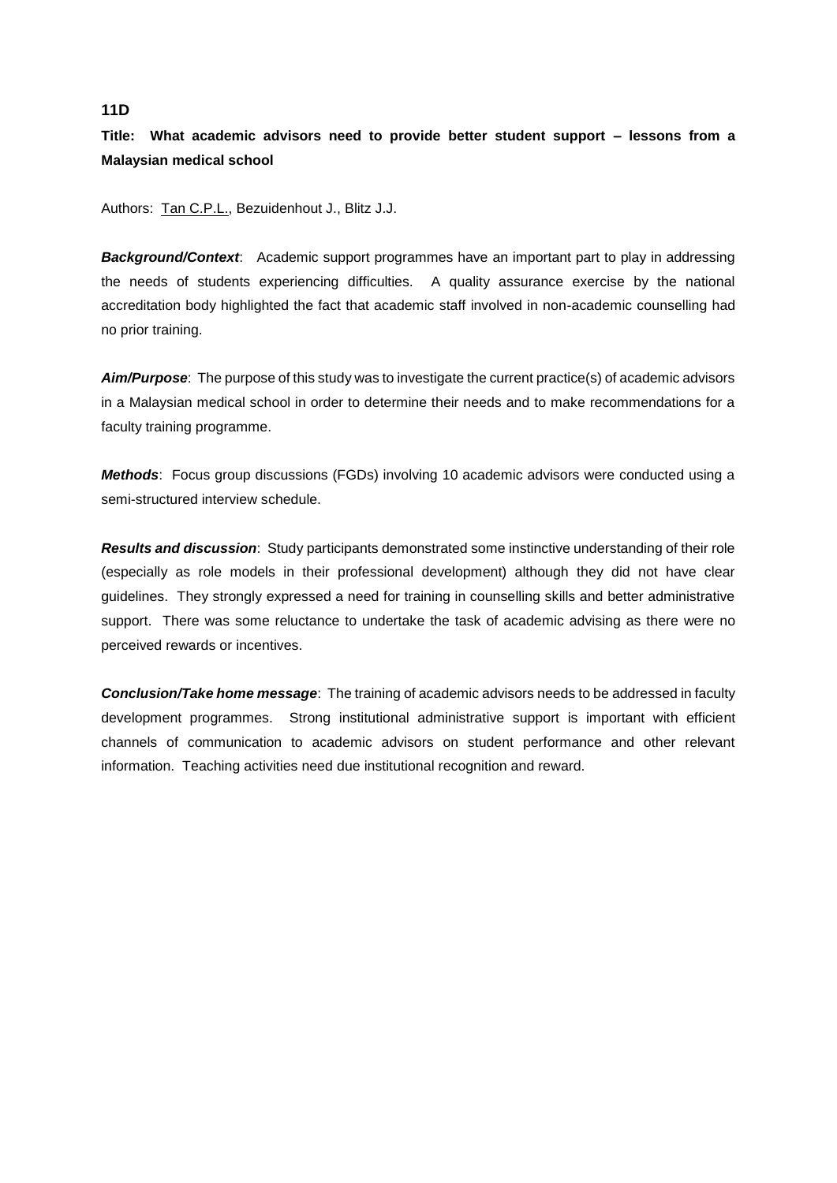### **11D**

**Title: What academic advisors need to provide better student support – lessons from a Malaysian medical school**

Authors: Tan C.P.L., Bezuidenhout J., Blitz J.J.

*Background/Context*: Academic support programmes have an important part to play in addressing the needs of students experiencing difficulties. A quality assurance exercise by the national accreditation body highlighted the fact that academic staff involved in non-academic counselling had no prior training.

*Aim/Purpose*: The purpose of this study was to investigate the current practice(s) of academic advisors in a Malaysian medical school in order to determine their needs and to make recommendations for a faculty training programme.

*Methods*: Focus group discussions (FGDs) involving 10 academic advisors were conducted using a semi-structured interview schedule.

*Results and discussion*: Study participants demonstrated some instinctive understanding of their role (especially as role models in their professional development) although they did not have clear guidelines. They strongly expressed a need for training in counselling skills and better administrative support. There was some reluctance to undertake the task of academic advising as there were no perceived rewards or incentives.

*Conclusion/Take home message*: The training of academic advisors needs to be addressed in faculty development programmes. Strong institutional administrative support is important with efficient channels of communication to academic advisors on student performance and other relevant information. Teaching activities need due institutional recognition and reward.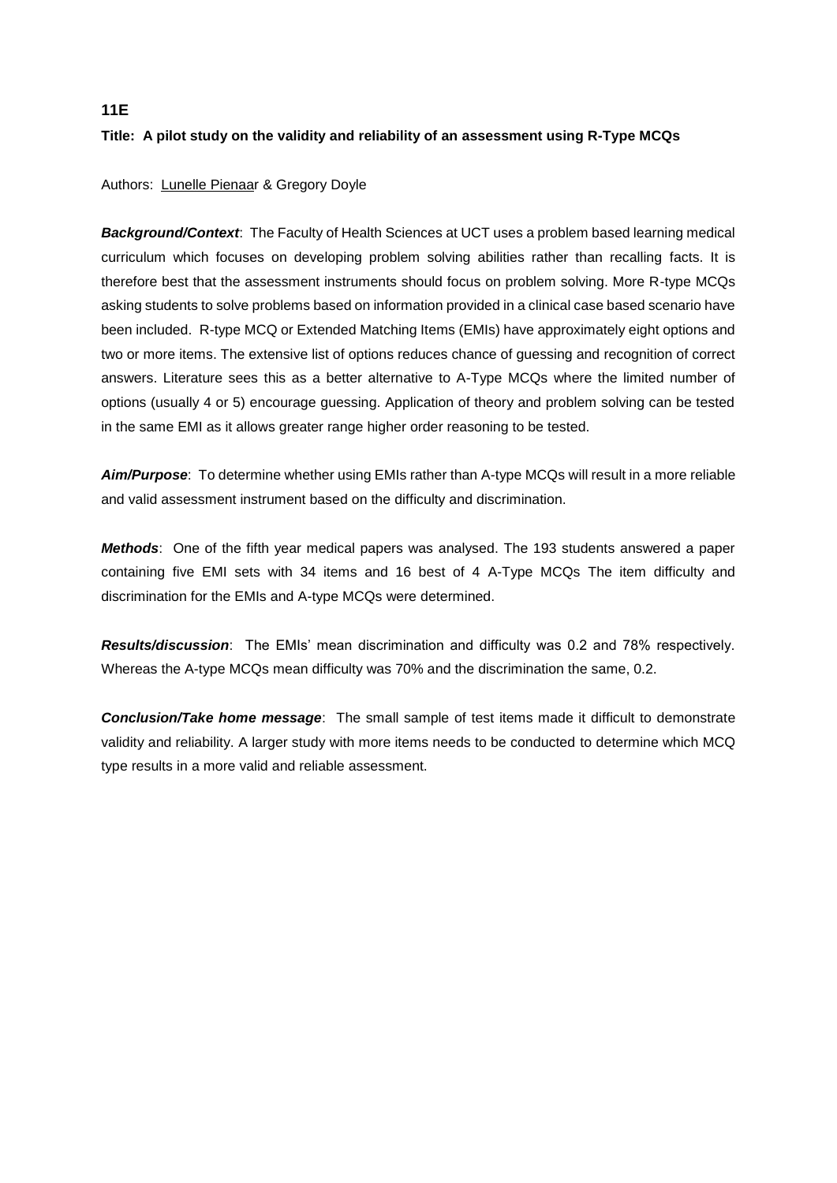# **Title: A pilot study on the validity and reliability of an assessment using R-Type MCQs**

Authors:Lunelle Pienaar & Gregory Doyle

*Background/Context*: The Faculty of Health Sciences at UCT uses a problem based learning medical curriculum which focuses on developing problem solving abilities rather than recalling facts. It is therefore best that the assessment instruments should focus on problem solving. More R-type MCQs asking students to solve problems based on information provided in a clinical case based scenario have been included. R-type MCQ or Extended Matching Items (EMIs) have approximately eight options and two or more items. The extensive list of options reduces chance of guessing and recognition of correct answers. Literature sees this as a better alternative to A-Type MCQs where the limited number of options (usually 4 or 5) encourage guessing. Application of theory and problem solving can be tested in the same EMI as it allows greater range higher order reasoning to be tested.

*Aim/Purpose*: To determine whether using EMIs rather than A-type MCQs will result in a more reliable and valid assessment instrument based on the difficulty and discrimination.

*Methods*: One of the fifth year medical papers was analysed. The 193 students answered a paper containing five EMI sets with 34 items and 16 best of 4 A-Type MCQs The item difficulty and discrimination for the EMIs and A-type MCQs were determined.

*Results/discussion*: The EMIs' mean discrimination and difficulty was 0.2 and 78% respectively. Whereas the A-type MCQs mean difficulty was 70% and the discrimination the same, 0.2.

*Conclusion/Take home message*: The small sample of test items made it difficult to demonstrate validity and reliability. A larger study with more items needs to be conducted to determine which MCQ type results in a more valid and reliable assessment.

### **11E**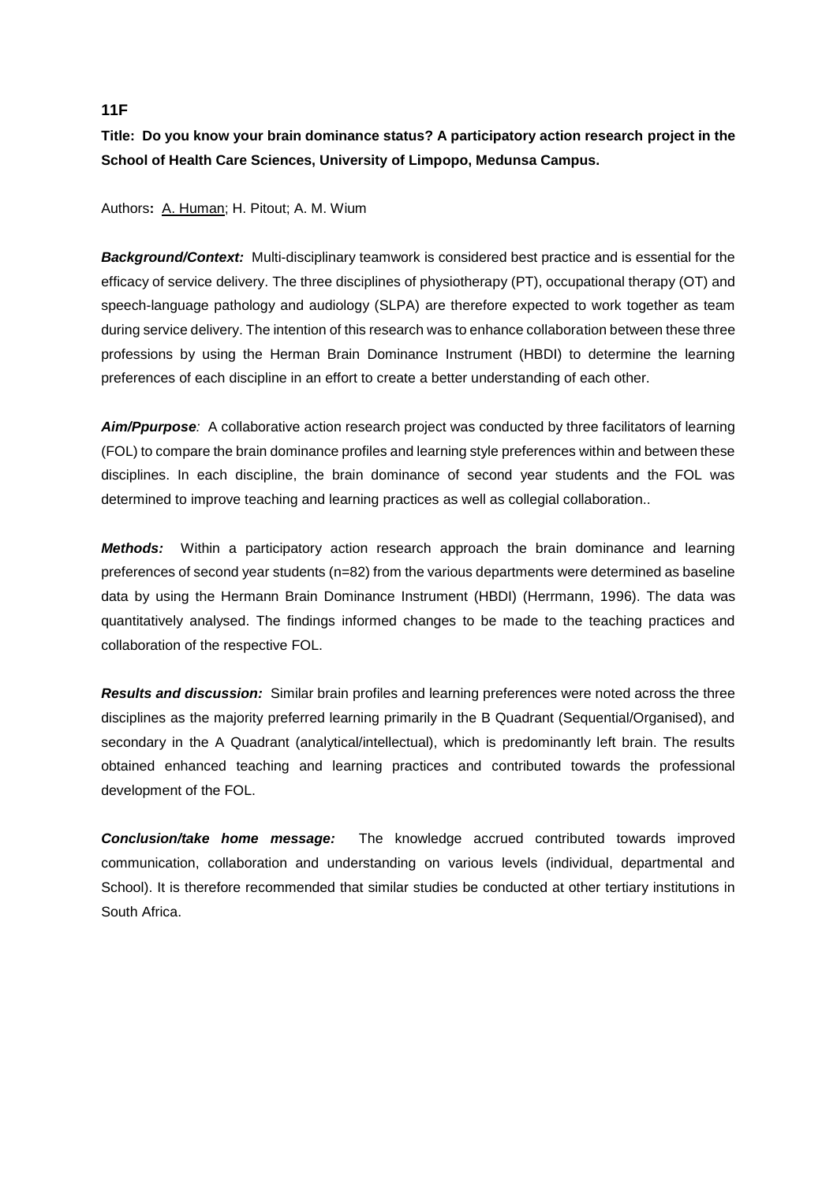### **11F**

**Title: Do you know your brain dominance status? A participatory action research project in the School of Health Care Sciences, University of Limpopo, Medunsa Campus.**

Authors**:** A. Human; H. Pitout; A. M. Wium

*Background/Context:* Multi-disciplinary teamwork is considered best practice and is essential for the efficacy of service delivery. The three disciplines of physiotherapy (PT), occupational therapy (OT) and speech-language pathology and audiology (SLPA) are therefore expected to work together as team during service delivery. The intention of this research was to enhance collaboration between these three professions by using the Herman Brain Dominance Instrument (HBDI) to determine the learning preferences of each discipline in an effort to create a better understanding of each other.

*Aim/Ppurpose:* A collaborative action research project was conducted by three facilitators of learning (FOL) to compare the brain dominance profiles and learning style preferences within and between these disciplines. In each discipline, the brain dominance of second year students and the FOL was determined to improve teaching and learning practices as well as collegial collaboration..

*Methods:* Within a participatory action research approach the brain dominance and learning preferences of second year students (n=82) from the various departments were determined as baseline data by using the Hermann Brain Dominance Instrument (HBDI) (Herrmann, 1996). The data was quantitatively analysed. The findings informed changes to be made to the teaching practices and collaboration of the respective FOL.

*Results and discussion:* Similar brain profiles and learning preferences were noted across the three disciplines as the majority preferred learning primarily in the B Quadrant (Sequential/Organised), and secondary in the A Quadrant (analytical/intellectual), which is predominantly left brain. The results obtained enhanced teaching and learning practices and contributed towards the professional development of the FOL.

*Conclusion/take home message:* The knowledge accrued contributed towards improved communication, collaboration and understanding on various levels (individual, departmental and School). It is therefore recommended that similar studies be conducted at other tertiary institutions in South Africa.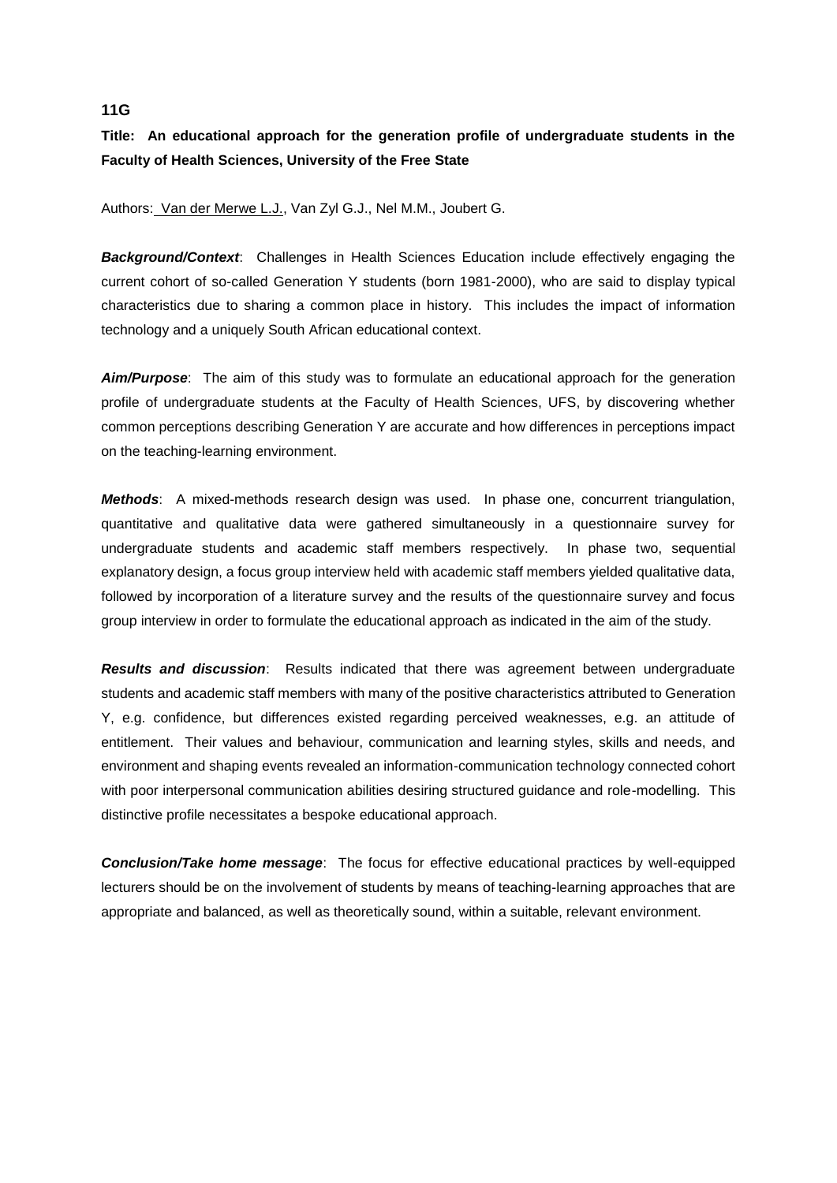# **11G**

**Title: An educational approach for the generation profile of undergraduate students in the Faculty of Health Sciences, University of the Free State**

Authors: Van der Merwe L.J., Van Zyl G.J., Nel M.M., Joubert G.

*Background/Context*: Challenges in Health Sciences Education include effectively engaging the current cohort of so-called Generation Y students (born 1981-2000), who are said to display typical characteristics due to sharing a common place in history. This includes the impact of information technology and a uniquely South African educational context.

*Aim/Purpose*: The aim of this study was to formulate an educational approach for the generation profile of undergraduate students at the Faculty of Health Sciences, UFS, by discovering whether common perceptions describing Generation Y are accurate and how differences in perceptions impact on the teaching-learning environment.

*Methods*: A mixed-methods research design was used. In phase one, concurrent triangulation, quantitative and qualitative data were gathered simultaneously in a questionnaire survey for undergraduate students and academic staff members respectively. In phase two, sequential explanatory design, a focus group interview held with academic staff members yielded qualitative data, followed by incorporation of a literature survey and the results of the questionnaire survey and focus group interview in order to formulate the educational approach as indicated in the aim of the study.

*Results and discussion*: Results indicated that there was agreement between undergraduate students and academic staff members with many of the positive characteristics attributed to Generation Y, e.g. confidence, but differences existed regarding perceived weaknesses, e.g. an attitude of entitlement. Their values and behaviour, communication and learning styles, skills and needs, and environment and shaping events revealed an information-communication technology connected cohort with poor interpersonal communication abilities desiring structured guidance and role-modelling. This distinctive profile necessitates a bespoke educational approach.

*Conclusion/Take home message*: The focus for effective educational practices by well-equipped lecturers should be on the involvement of students by means of teaching-learning approaches that are appropriate and balanced, as well as theoretically sound, within a suitable, relevant environment.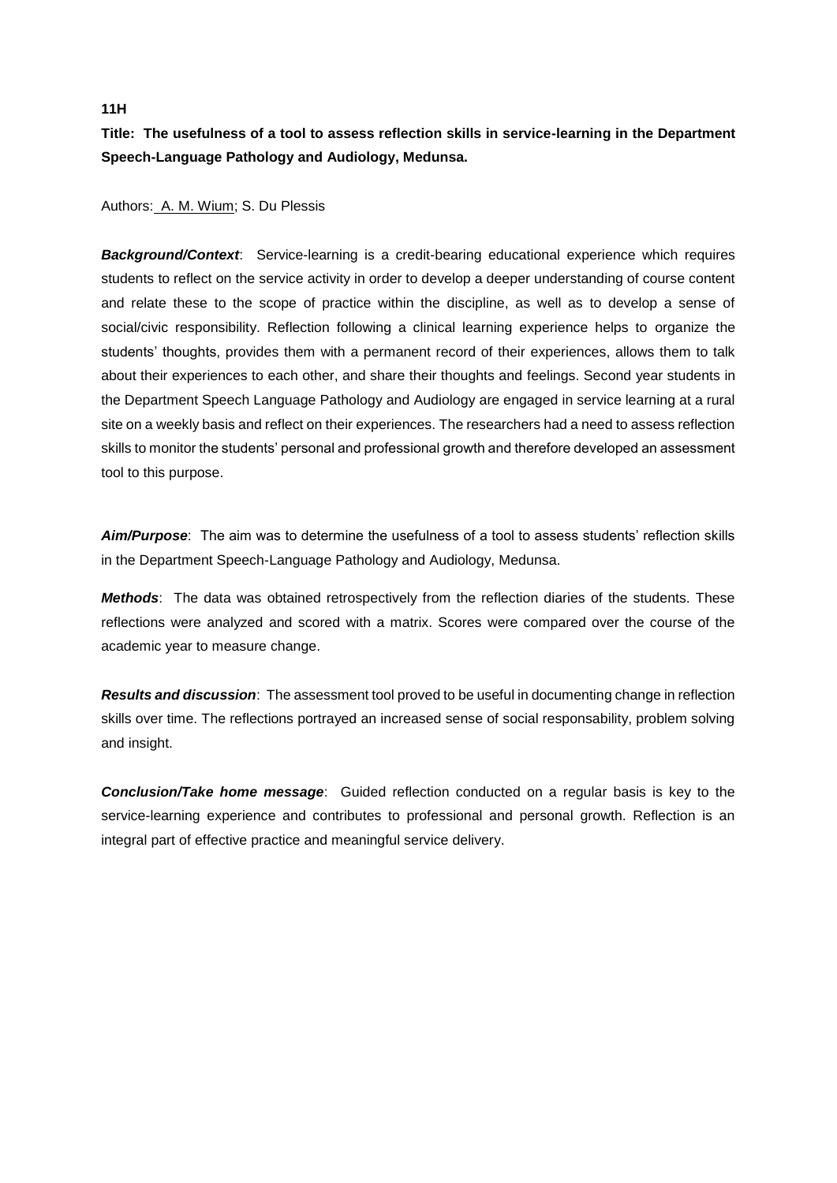### **11H**

**Title: The usefulness of a tool to assess reflection skills in service-learning in the Department Speech-Language Pathology and Audiology, Medunsa.** 

#### Authors: A. M. Wium; S. Du Plessis

*Background/Context*: Service-learning is a credit-bearing educational experience which requires students to reflect on the service activity in order to develop a deeper understanding of course content and relate these to the scope of practice within the discipline, as well as to develop a sense of social/civic responsibility. Reflection following a clinical learning experience helps to organize the students' thoughts, provides them with a permanent record of their experiences, allows them to talk about their experiences to each other, and share their thoughts and feelings. Second year students in the Department Speech Language Pathology and Audiology are engaged in service learning at a rural site on a weekly basis and reflect on their experiences. The researchers had a need to assess reflection skills to monitor the students' personal and professional growth and therefore developed an assessment tool to this purpose.

*Aim/Purpose*: The aim was to determine the usefulness of a tool to assess students' reflection skills in the Department Speech-Language Pathology and Audiology, Medunsa.

*Methods*: The data was obtained retrospectively from the reflection diaries of the students. These reflections were analyzed and scored with a matrix. Scores were compared over the course of the academic year to measure change.

*Results and discussion*: The assessment tool proved to be useful in documenting change in reflection skills over time. The reflections portrayed an increased sense of social responsability, problem solving and insight.

*Conclusion/Take home message*: Guided reflection conducted on a regular basis is key to the service-learning experience and contributes to professional and personal growth. Reflection is an integral part of effective practice and meaningful service delivery.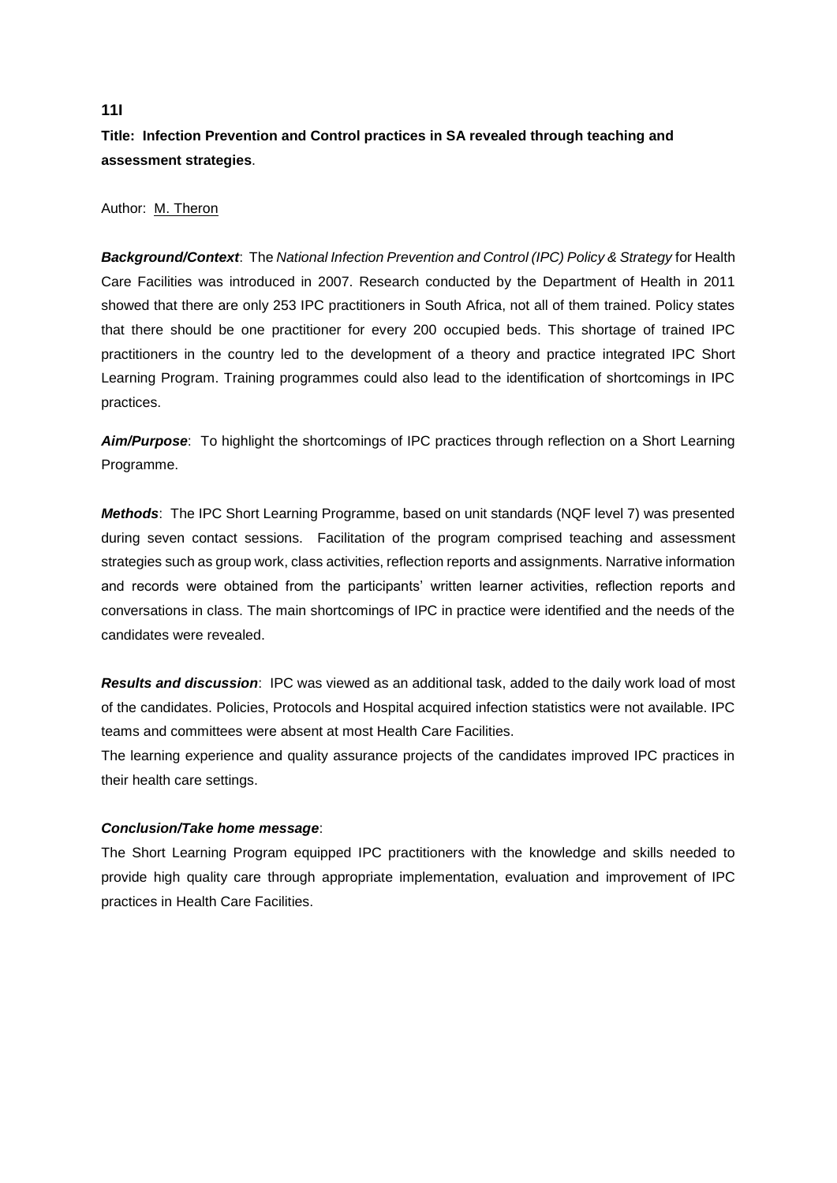# **Title: Infection Prevention and Control practices in SA revealed through teaching and assessment strategies**.

#### Author: M. Theron

*Background/Context*: The *National Infection Prevention and Control (IPC) Policy & Strategy* for Health Care Facilities was introduced in 2007. Research conducted by the Department of Health in 2011 showed that there are only 253 IPC practitioners in South Africa, not all of them trained. Policy states that there should be one practitioner for every 200 occupied beds. This shortage of trained IPC practitioners in the country led to the development of a theory and practice integrated IPC Short Learning Program. Training programmes could also lead to the identification of shortcomings in IPC practices.

*Aim/Purpose*: To highlight the shortcomings of IPC practices through reflection on a Short Learning Programme.

*Methods*: The IPC Short Learning Programme, based on unit standards (NQF level 7) was presented during seven contact sessions. Facilitation of the program comprised teaching and assessment strategies such as group work, class activities, reflection reports and assignments. Narrative information and records were obtained from the participants' written learner activities, reflection reports and conversations in class. The main shortcomings of IPC in practice were identified and the needs of the candidates were revealed.

*Results and discussion*: IPC was viewed as an additional task, added to the daily work load of most of the candidates. Policies, Protocols and Hospital acquired infection statistics were not available. IPC teams and committees were absent at most Health Care Facilities.

The learning experience and quality assurance projects of the candidates improved IPC practices in their health care settings.

#### *Conclusion/Take home message*:

The Short Learning Program equipped IPC practitioners with the knowledge and skills needed to provide high quality care through appropriate implementation, evaluation and improvement of IPC practices in Health Care Facilities.

### **11I**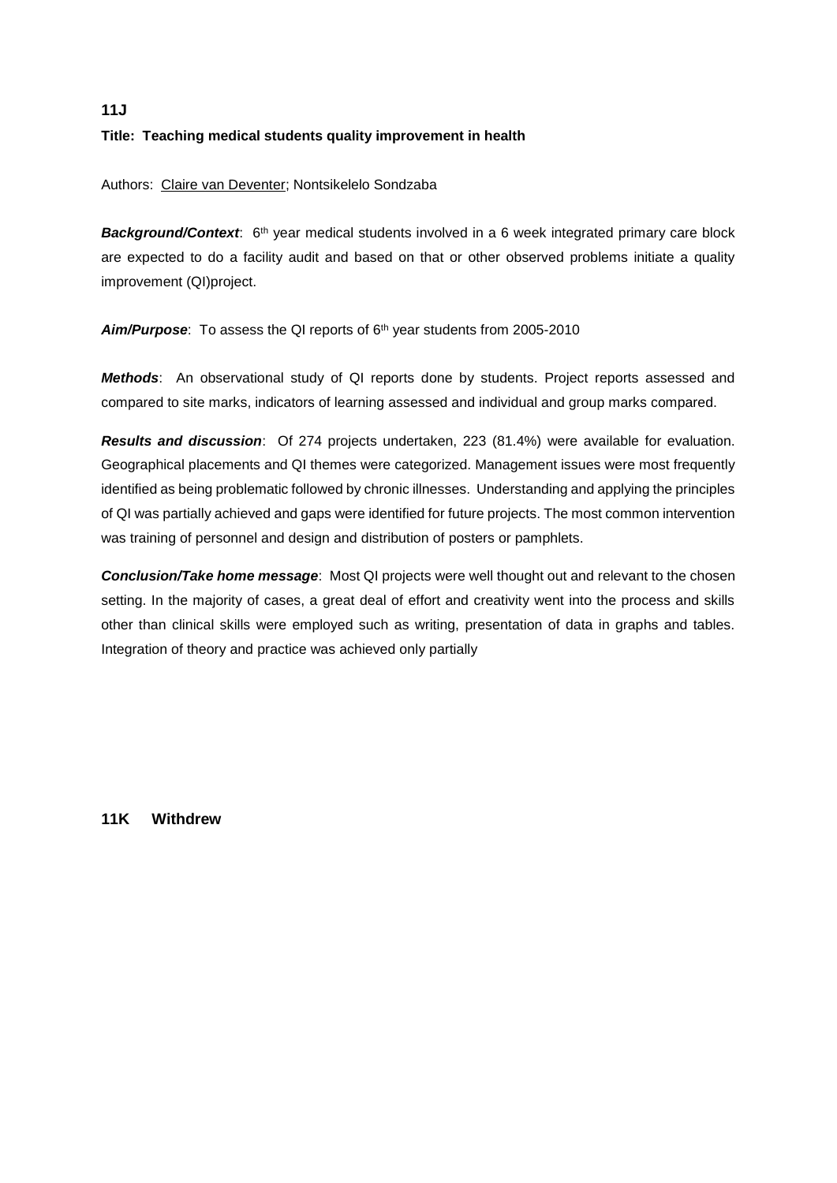# **Title: Teaching medical students quality improvement in health**

Authors: Claire van Deventer; Nontsikelelo Sondzaba

**Background/Context**: 6<sup>th</sup> year medical students involved in a 6 week integrated primary care block are expected to do a facility audit and based on that or other observed problems initiate a quality improvement (QI)project.

Aim/Purpose: To assess the QI reports of 6<sup>th</sup> year students from 2005-2010

*Methods*: An observational study of QI reports done by students. Project reports assessed and compared to site marks, indicators of learning assessed and individual and group marks compared.

*Results and discussion*: Of 274 projects undertaken, 223 (81.4%) were available for evaluation. Geographical placements and QI themes were categorized. Management issues were most frequently identified as being problematic followed by chronic illnesses. Understanding and applying the principles of QI was partially achieved and gaps were identified for future projects. The most common intervention was training of personnel and design and distribution of posters or pamphlets.

*Conclusion/Take home message*: Most QI projects were well thought out and relevant to the chosen setting. In the majority of cases, a great deal of effort and creativity went into the process and skills other than clinical skills were employed such as writing, presentation of data in graphs and tables. Integration of theory and practice was achieved only partially

**11K Withdrew**

### **11J**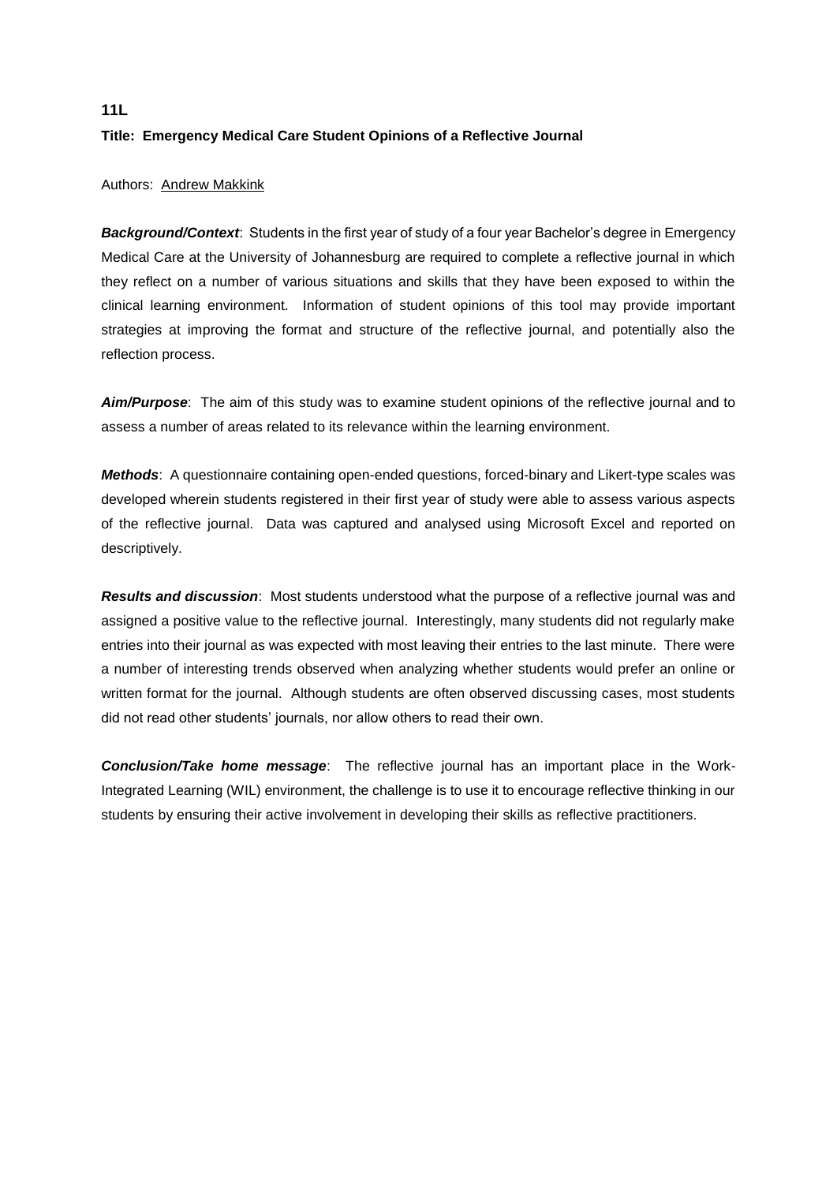# **Title: Emergency Medical Care Student Opinions of a Reflective Journal**

Authors: Andrew Makkink

*Background/Context*: Students in the first year of study of a four year Bachelor's degree in Emergency Medical Care at the University of Johannesburg are required to complete a reflective journal in which they reflect on a number of various situations and skills that they have been exposed to within the clinical learning environment. Information of student opinions of this tool may provide important strategies at improving the format and structure of the reflective journal, and potentially also the reflection process.

*Aim/Purpose*: The aim of this study was to examine student opinions of the reflective journal and to assess a number of areas related to its relevance within the learning environment.

*Methods*: A questionnaire containing open-ended questions, forced-binary and Likert-type scales was developed wherein students registered in their first year of study were able to assess various aspects of the reflective journal. Data was captured and analysed using Microsoft Excel and reported on descriptively.

*Results and discussion*: Most students understood what the purpose of a reflective journal was and assigned a positive value to the reflective journal. Interestingly, many students did not regularly make entries into their journal as was expected with most leaving their entries to the last minute. There were a number of interesting trends observed when analyzing whether students would prefer an online or written format for the journal. Although students are often observed discussing cases, most students did not read other students' journals, nor allow others to read their own.

*Conclusion/Take home message*: The reflective journal has an important place in the Work-Integrated Learning (WIL) environment, the challenge is to use it to encourage reflective thinking in our students by ensuring their active involvement in developing their skills as reflective practitioners.

**11L**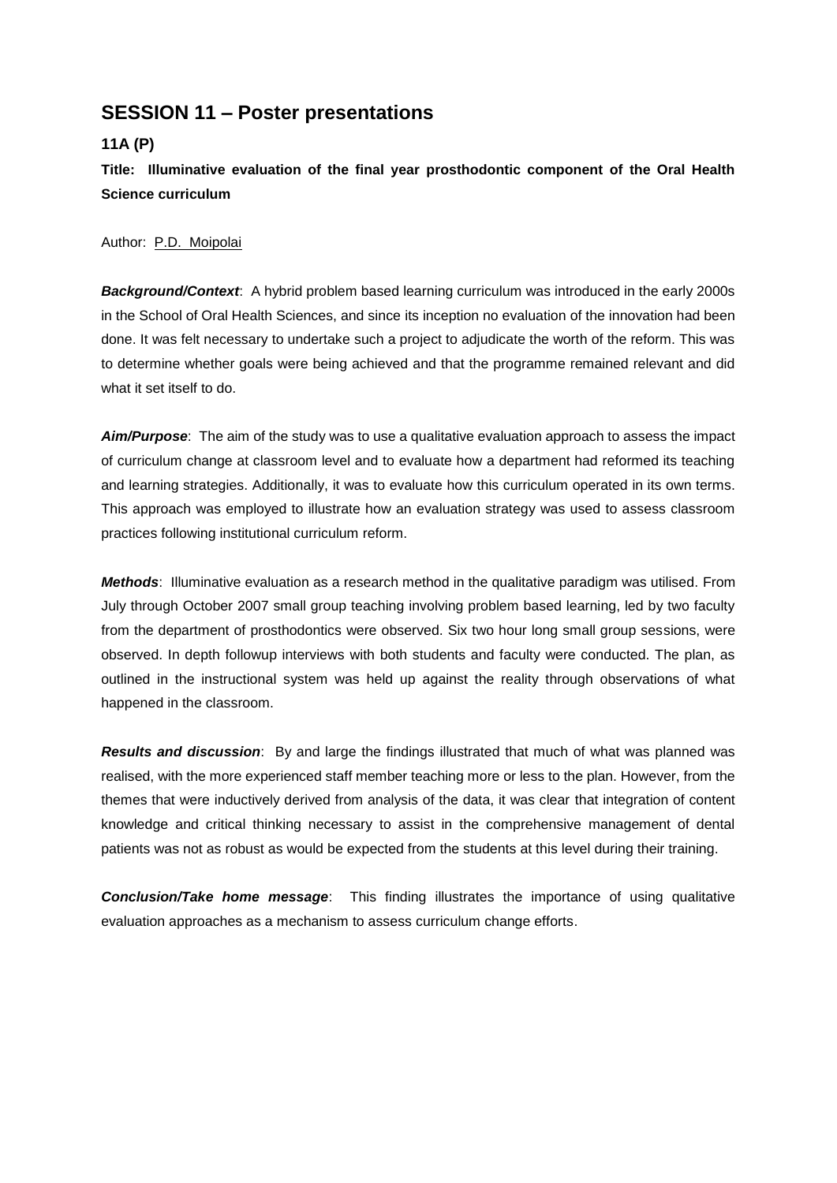# **SESSION 11 – Poster presentations**

# **11A (P)**

**Title: Illuminative evaluation of the final year prosthodontic component of the Oral Health Science curriculum**

Author: P.D. Moipolai

*Background/Context*: A hybrid problem based learning curriculum was introduced in the early 2000s in the School of Oral Health Sciences, and since its inception no evaluation of the innovation had been done. It was felt necessary to undertake such a project to adjudicate the worth of the reform. This was to determine whether goals were being achieved and that the programme remained relevant and did what it set itself to do.

*Aim/Purpose*: The aim of the study was to use a qualitative evaluation approach to assess the impact of curriculum change at classroom level and to evaluate how a department had reformed its teaching and learning strategies. Additionally, it was to evaluate how this curriculum operated in its own terms. This approach was employed to illustrate how an evaluation strategy was used to assess classroom practices following institutional curriculum reform.

*Methods*: Illuminative evaluation as a research method in the qualitative paradigm was utilised. From July through October 2007 small group teaching involving problem based learning, led by two faculty from the department of prosthodontics were observed. Six two hour long small group sessions, were observed. In depth followup interviews with both students and faculty were conducted. The plan, as outlined in the instructional system was held up against the reality through observations of what happened in the classroom.

*Results and discussion*: By and large the findings illustrated that much of what was planned was realised, with the more experienced staff member teaching more or less to the plan. However, from the themes that were inductively derived from analysis of the data, it was clear that integration of content knowledge and critical thinking necessary to assist in the comprehensive management of dental patients was not as robust as would be expected from the students at this level during their training.

*Conclusion/Take home message*: This finding illustrates the importance of using qualitative evaluation approaches as a mechanism to assess curriculum change efforts.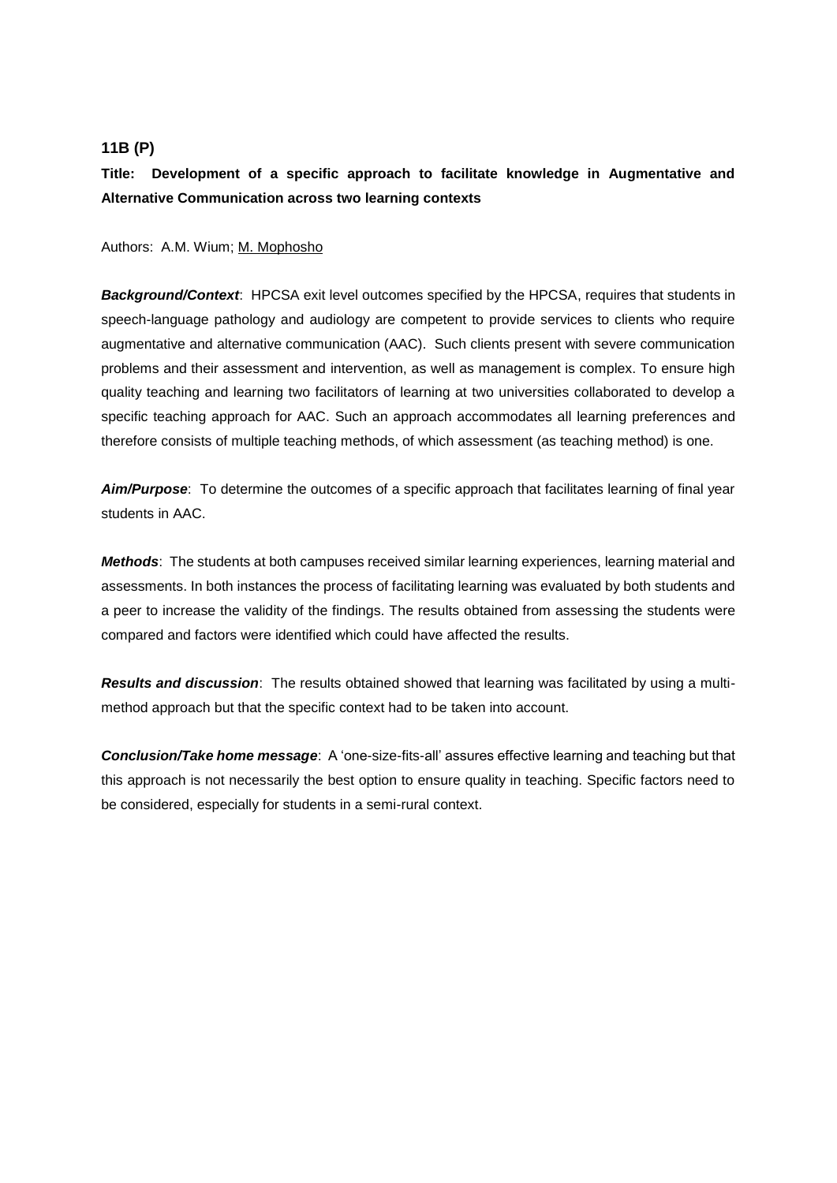### **11B (P)**

**Title: Development of a specific approach to facilitate knowledge in Augmentative and Alternative Communication across two learning contexts** 

Authors: A.M. Wium; M. Mophosho

*Background/Context*: HPCSA exit level outcomes specified by the HPCSA, requires that students in speech-language pathology and audiology are competent to provide services to clients who require augmentative and alternative communication (AAC). Such clients present with severe communication problems and their assessment and intervention, as well as management is complex. To ensure high quality teaching and learning two facilitators of learning at two universities collaborated to develop a specific teaching approach for AAC. Such an approach accommodates all learning preferences and therefore consists of multiple teaching methods, of which assessment (as teaching method) is one.

*Aim/Purpose*: To determine the outcomes of a specific approach that facilitates learning of final year students in AAC.

*Methods*: The students at both campuses received similar learning experiences, learning material and assessments. In both instances the process of facilitating learning was evaluated by both students and a peer to increase the validity of the findings. The results obtained from assessing the students were compared and factors were identified which could have affected the results.

*Results and discussion*: The results obtained showed that learning was facilitated by using a multimethod approach but that the specific context had to be taken into account.

*Conclusion/Take home message*: A 'one-size-fits-all' assures effective learning and teaching but that this approach is not necessarily the best option to ensure quality in teaching. Specific factors need to be considered, especially for students in a semi-rural context.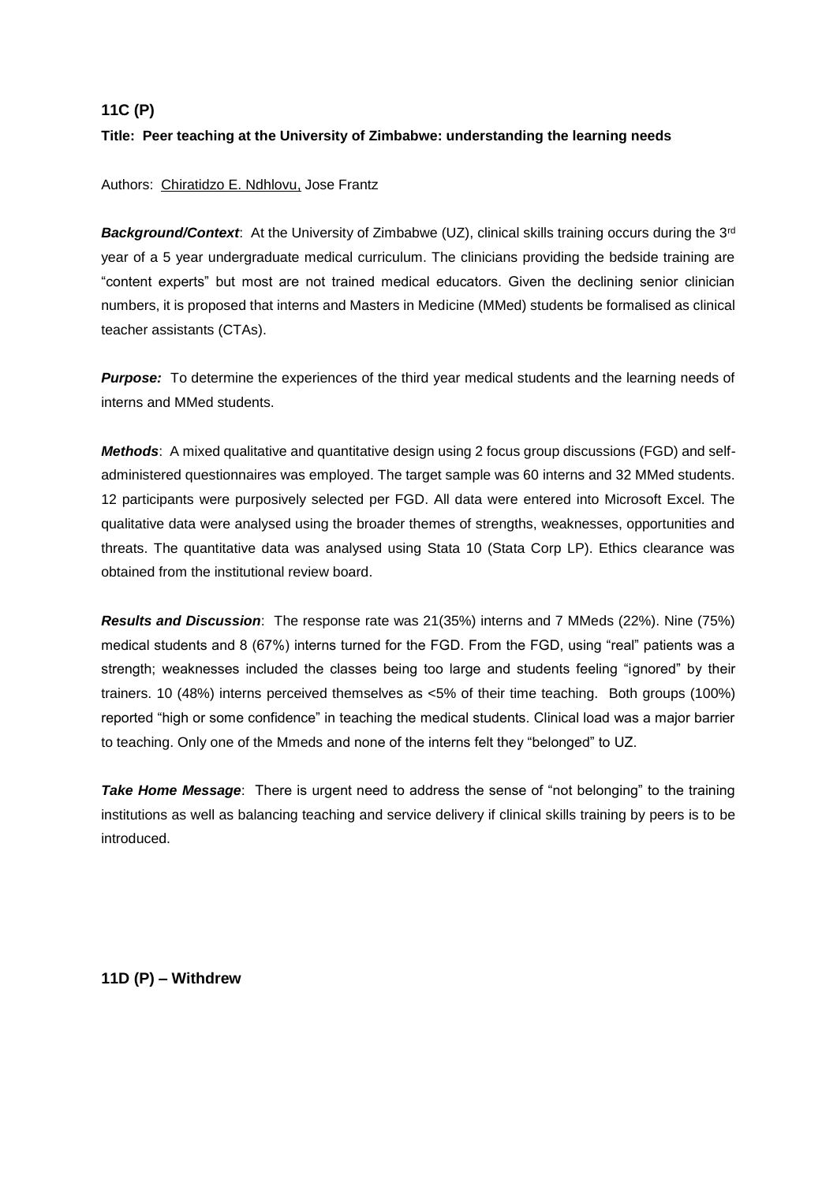### **11C (P)**

### **Title: Peer teaching at the University of Zimbabwe: understanding the learning needs**

#### Authors: Chiratidzo E. Ndhlovu, Jose Frantz

*Background/Context*: At the University of Zimbabwe (UZ), clinical skills training occurs during the 3rd year of a 5 year undergraduate medical curriculum. The clinicians providing the bedside training are "content experts" but most are not trained medical educators. Given the declining senior clinician numbers, it is proposed that interns and Masters in Medicine (MMed) students be formalised as clinical teacher assistants (CTAs).

**Purpose:** To determine the experiences of the third year medical students and the learning needs of interns and MMed students.

*Methods*: A mixed qualitative and quantitative design using 2 focus group discussions (FGD) and selfadministered questionnaires was employed. The target sample was 60 interns and 32 MMed students. 12 participants were purposively selected per FGD. All data were entered into Microsoft Excel. The qualitative data were analysed using the broader themes of strengths, weaknesses, opportunities and threats. The quantitative data was analysed using Stata 10 (Stata Corp LP). Ethics clearance was obtained from the institutional review board.

*Results and Discussion*: The response rate was 21(35%) interns and 7 MMeds (22%). Nine (75%) medical students and 8 (67%) interns turned for the FGD. From the FGD, using "real" patients was a strength; weaknesses included the classes being too large and students feeling "ignored" by their trainers. 10 (48%) interns perceived themselves as <5% of their time teaching. Both groups (100%) reported "high or some confidence" in teaching the medical students. Clinical load was a major barrier to teaching. Only one of the Mmeds and none of the interns felt they "belonged" to UZ.

**Take Home Message**: There is urgent need to address the sense of "not belonging" to the training institutions as well as balancing teaching and service delivery if clinical skills training by peers is to be introduced.

**11D (P) – Withdrew**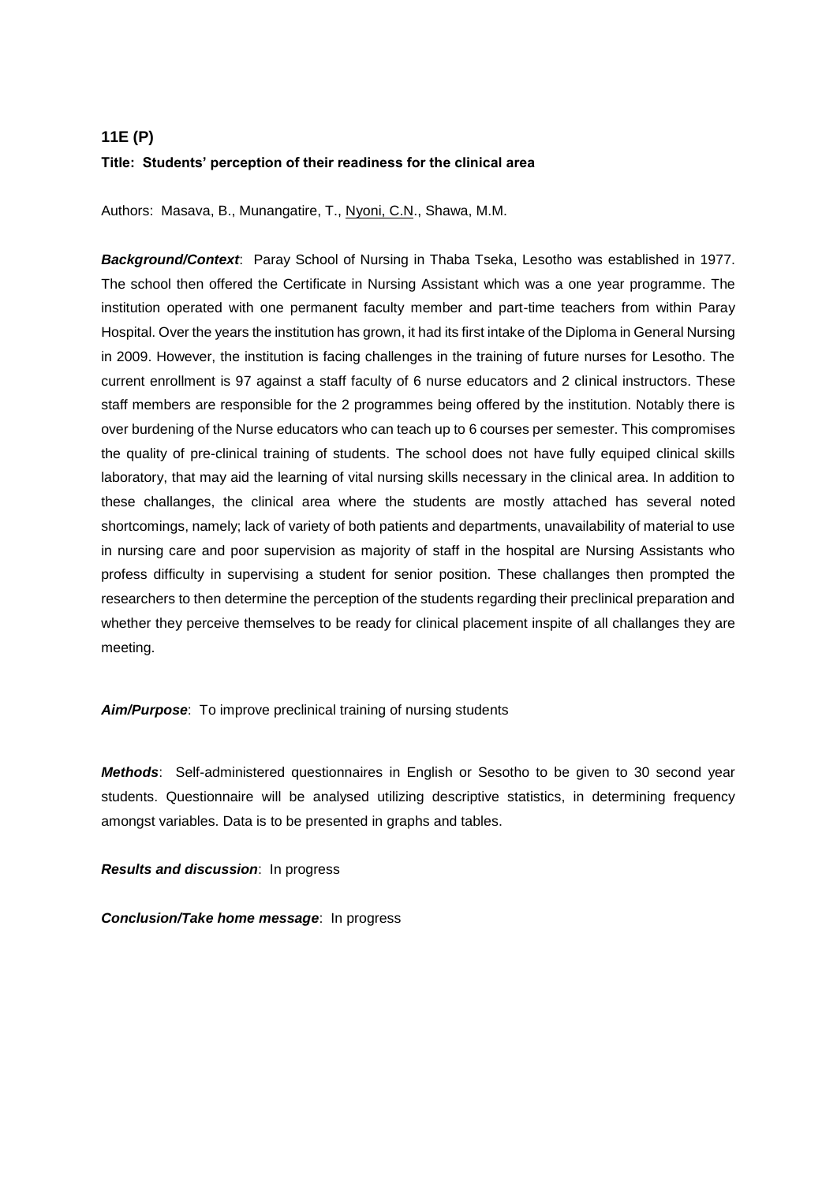### **11E (P)**

#### **Title: Students' perception of their readiness for the clinical area**

Authors: Masava, B., Munangatire, T., Nyoni, C.N., Shawa, M.M.

*Background/Context*: Paray School of Nursing in Thaba Tseka, Lesotho was established in 1977. The school then offered the Certificate in Nursing Assistant which was a one year programme. The institution operated with one permanent faculty member and part-time teachers from within Paray Hospital. Over the years the institution has grown, it had its first intake of the Diploma in General Nursing in 2009. However, the institution is facing challenges in the training of future nurses for Lesotho. The current enrollment is 97 against a staff faculty of 6 nurse educators and 2 clinical instructors. These staff members are responsible for the 2 programmes being offered by the institution. Notably there is over burdening of the Nurse educators who can teach up to 6 courses per semester. This compromises the quality of pre-clinical training of students. The school does not have fully equiped clinical skills laboratory, that may aid the learning of vital nursing skills necessary in the clinical area. In addition to these challanges, the clinical area where the students are mostly attached has several noted shortcomings, namely; lack of variety of both patients and departments, unavailability of material to use in nursing care and poor supervision as majority of staff in the hospital are Nursing Assistants who profess difficulty in supervising a student for senior position. These challanges then prompted the researchers to then determine the perception of the students regarding their preclinical preparation and whether they perceive themselves to be ready for clinical placement inspite of all challanges they are meeting.

*Aim/Purpose*: To improve preclinical training of nursing students

*Methods*: Self-administered questionnaires in English or Sesotho to be given to 30 second year students. Questionnaire will be analysed utilizing descriptive statistics, in determining frequency amongst variables. Data is to be presented in graphs and tables.

*Results and discussion*: In progress

*Conclusion/Take home message*: In progress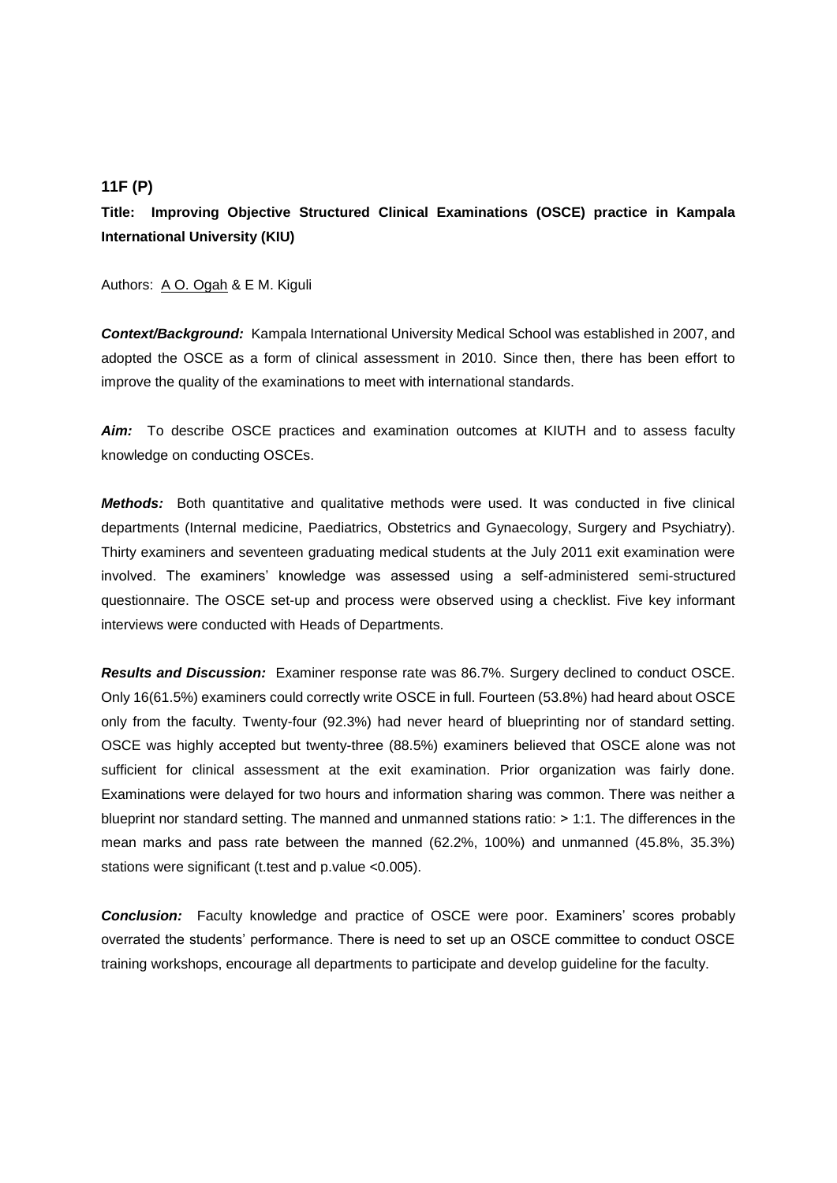### **11F (P)**

# **Title: Improving Objective Structured Clinical Examinations (OSCE) practice in Kampala International University (KIU)**

Authors: A O. Ogah & E M. Kiguli

*Context/Background:* Kampala International University Medical School was established in 2007, and adopted the OSCE as a form of clinical assessment in 2010. Since then, there has been effort to improve the quality of the examinations to meet with international standards.

Aim: To describe OSCE practices and examination outcomes at KIUTH and to assess faculty knowledge on conducting OSCEs.

*Methods:* Both quantitative and qualitative methods were used. It was conducted in five clinical departments (Internal medicine, Paediatrics, Obstetrics and Gynaecology, Surgery and Psychiatry). Thirty examiners and seventeen graduating medical students at the July 2011 exit examination were involved. The examiners' knowledge was assessed using a self-administered semi-structured questionnaire. The OSCE set-up and process were observed using a checklist. Five key informant interviews were conducted with Heads of Departments.

*Results and Discussion:* Examiner response rate was 86.7%. Surgery declined to conduct OSCE. Only 16(61.5%) examiners could correctly write OSCE in full. Fourteen (53.8%) had heard about OSCE only from the faculty. Twenty-four (92.3%) had never heard of blueprinting nor of standard setting. OSCE was highly accepted but twenty-three (88.5%) examiners believed that OSCE alone was not sufficient for clinical assessment at the exit examination. Prior organization was fairly done. Examinations were delayed for two hours and information sharing was common. There was neither a blueprint nor standard setting. The manned and unmanned stations ratio:  $> 1:1$ . The differences in the mean marks and pass rate between the manned (62.2%, 100%) and unmanned (45.8%, 35.3%) stations were significant (t.test and p.value <0.005).

*Conclusion:* Faculty knowledge and practice of OSCE were poor. Examiners' scores probably overrated the students' performance. There is need to set up an OSCE committee to conduct OSCE training workshops, encourage all departments to participate and develop guideline for the faculty.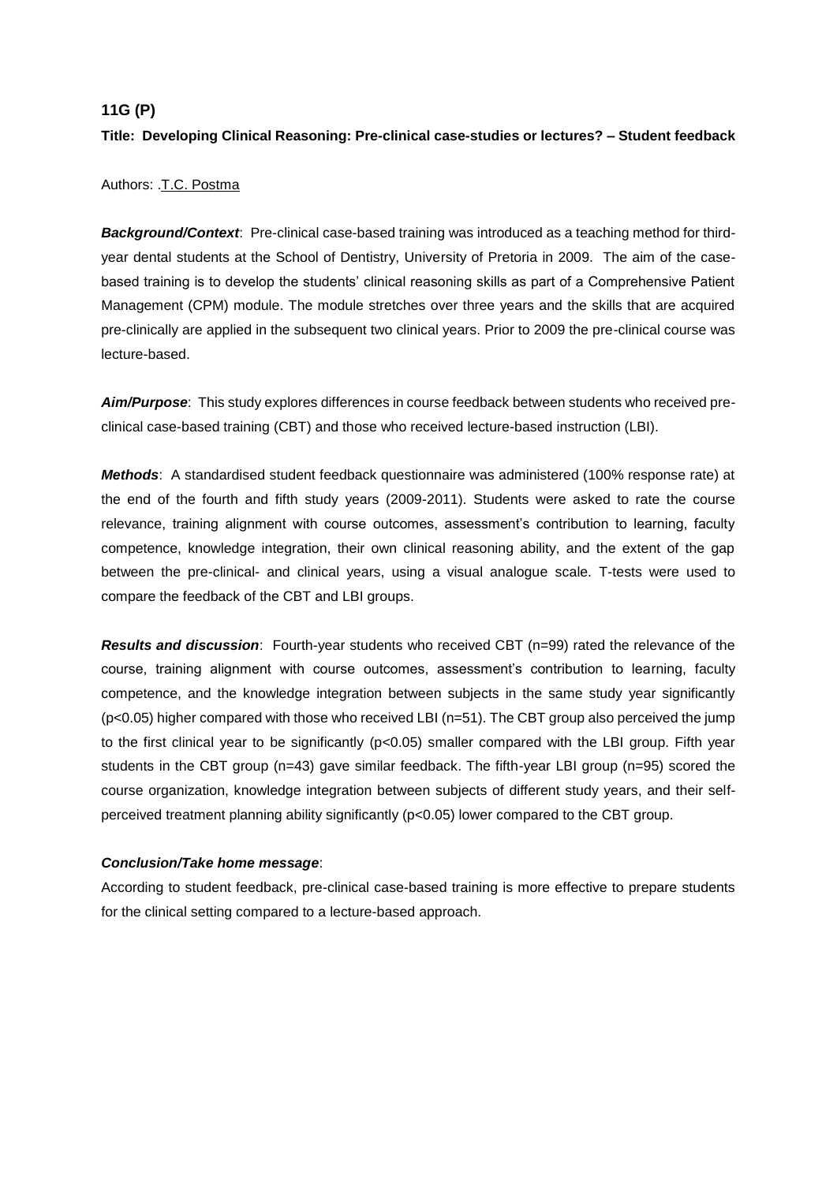### **11G (P)**

#### **Title: Developing Clinical Reasoning: Pre-clinical case-studies or lectures? – Student feedback**

### Authors: . T.C. Postma

*Background/Context*: Pre-clinical case-based training was introduced as a teaching method for thirdyear dental students at the School of Dentistry, University of Pretoria in 2009. The aim of the casebased training is to develop the students' clinical reasoning skills as part of a Comprehensive Patient Management (CPM) module. The module stretches over three years and the skills that are acquired pre-clinically are applied in the subsequent two clinical years. Prior to 2009 the pre-clinical course was lecture-based.

*Aim/Purpose*: This study explores differences in course feedback between students who received preclinical case-based training (CBT) and those who received lecture-based instruction (LBI).

*Methods*: A standardised student feedback questionnaire was administered (100% response rate) at the end of the fourth and fifth study years (2009-2011). Students were asked to rate the course relevance, training alignment with course outcomes, assessment's contribution to learning, faculty competence, knowledge integration, their own clinical reasoning ability, and the extent of the gap between the pre-clinical- and clinical years, using a visual analogue scale. T-tests were used to compare the feedback of the CBT and LBI groups.

*Results and discussion*: Fourth-year students who received CBT (n=99) rated the relevance of the course, training alignment with course outcomes, assessment's contribution to learning, faculty competence, and the knowledge integration between subjects in the same study year significantly  $(p<0.05)$  higher compared with those who received LBI ( $n=51$ ). The CBT group also perceived the jump to the first clinical year to be significantly (p<0.05) smaller compared with the LBI group. Fifth year students in the CBT group (n=43) gave similar feedback. The fifth-year LBI group (n=95) scored the course organization, knowledge integration between subjects of different study years, and their selfperceived treatment planning ability significantly (p<0.05) lower compared to the CBT group.

#### *Conclusion/Take home message*:

According to student feedback, pre-clinical case-based training is more effective to prepare students for the clinical setting compared to a lecture-based approach.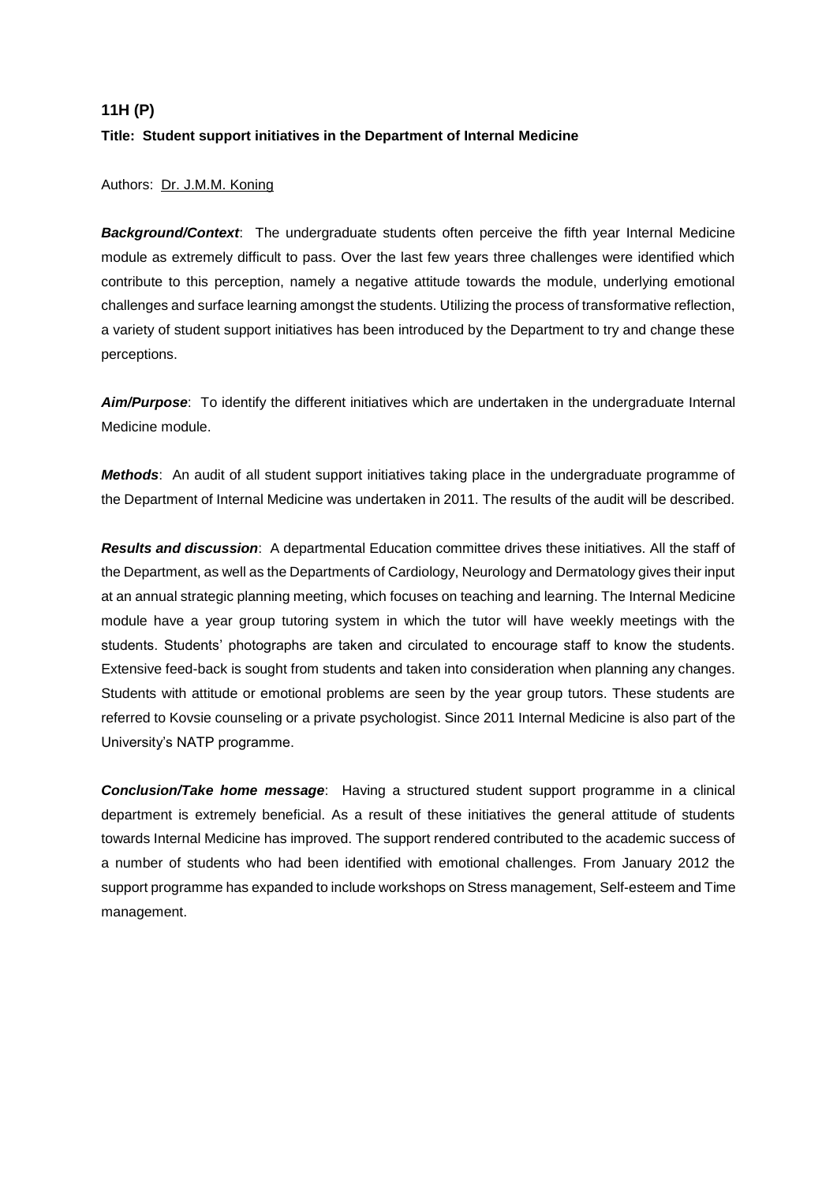### **11H (P)**

### **Title: Student support initiatives in the Department of Internal Medicine**

Authors: Dr. J.M.M. Koning

*Background/Context*: The undergraduate students often perceive the fifth year Internal Medicine module as extremely difficult to pass. Over the last few years three challenges were identified which contribute to this perception, namely a negative attitude towards the module, underlying emotional challenges and surface learning amongst the students. Utilizing the process of transformative reflection, a variety of student support initiatives has been introduced by the Department to try and change these perceptions.

*Aim/Purpose*: To identify the different initiatives which are undertaken in the undergraduate Internal Medicine module.

*Methods*: An audit of all student support initiatives taking place in the undergraduate programme of the Department of Internal Medicine was undertaken in 2011. The results of the audit will be described.

*Results and discussion*: A departmental Education committee drives these initiatives. All the staff of the Department, as well as the Departments of Cardiology, Neurology and Dermatology gives their input at an annual strategic planning meeting, which focuses on teaching and learning. The Internal Medicine module have a year group tutoring system in which the tutor will have weekly meetings with the students. Students' photographs are taken and circulated to encourage staff to know the students. Extensive feed-back is sought from students and taken into consideration when planning any changes. Students with attitude or emotional problems are seen by the year group tutors. These students are referred to Kovsie counseling or a private psychologist. Since 2011 Internal Medicine is also part of the University's NATP programme.

*Conclusion/Take home message*: Having a structured student support programme in a clinical department is extremely beneficial. As a result of these initiatives the general attitude of students towards Internal Medicine has improved. The support rendered contributed to the academic success of a number of students who had been identified with emotional challenges. From January 2012 the support programme has expanded to include workshops on Stress management, Self-esteem and Time management.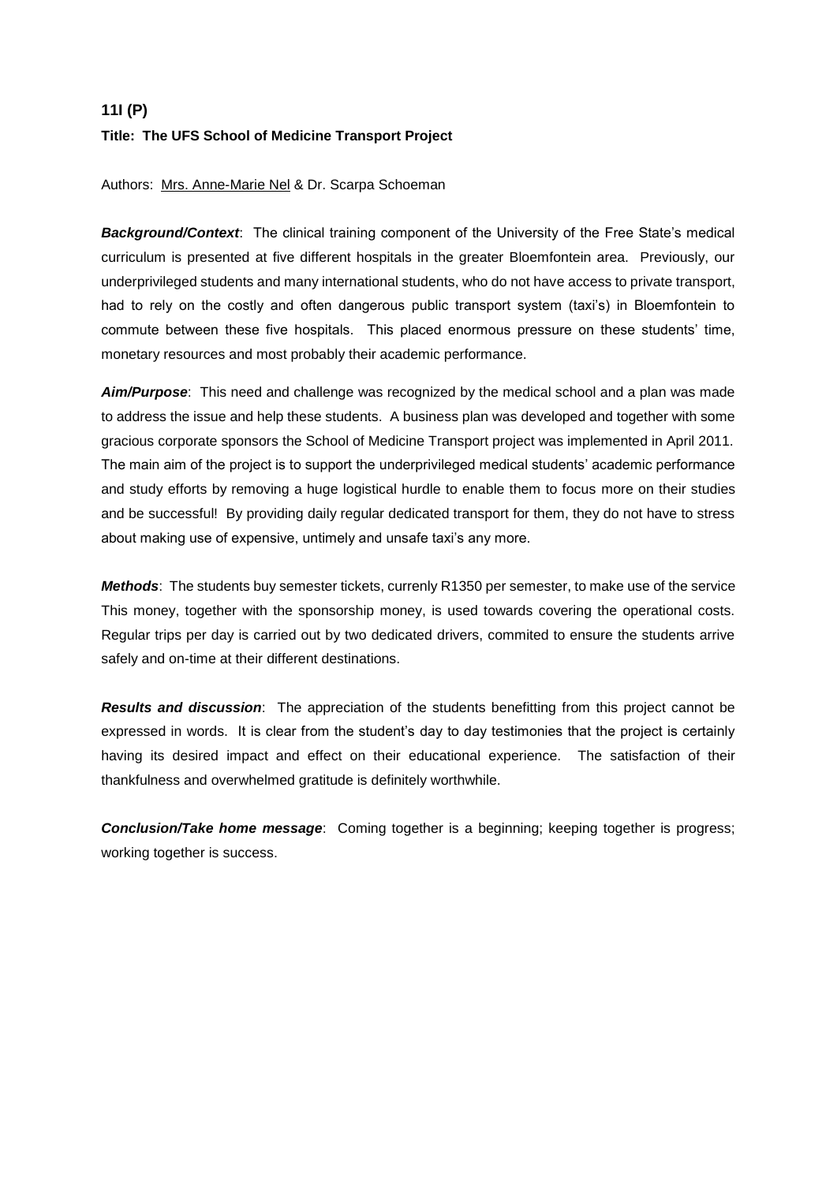### **11I (P)**

### **Title: The UFS School of Medicine Transport Project**

Authors: Mrs. Anne-Marie Nel & Dr. Scarpa Schoeman

*Background/Context*: The clinical training component of the University of the Free State's medical curriculum is presented at five different hospitals in the greater Bloemfontein area. Previously, our underprivileged students and many international students, who do not have access to private transport, had to rely on the costly and often dangerous public transport system (taxi's) in Bloemfontein to commute between these five hospitals. This placed enormous pressure on these students' time, monetary resources and most probably their academic performance.

*Aim/Purpose*: This need and challenge was recognized by the medical school and a plan was made to address the issue and help these students. A business plan was developed and together with some gracious corporate sponsors the School of Medicine Transport project was implemented in April 2011. The main aim of the project is to support the underprivileged medical students' academic performance and study efforts by removing a huge logistical hurdle to enable them to focus more on their studies and be successful! By providing daily regular dedicated transport for them, they do not have to stress about making use of expensive, untimely and unsafe taxi's any more.

*Methods*: The students buy semester tickets, currenly R1350 per semester, to make use of the service This money, together with the sponsorship money, is used towards covering the operational costs. Regular trips per day is carried out by two dedicated drivers, commited to ensure the students arrive safely and on-time at their different destinations.

*Results and discussion*: The appreciation of the students benefitting from this project cannot be expressed in words. It is clear from the student's day to day testimonies that the project is certainly having its desired impact and effect on their educational experience. The satisfaction of their thankfulness and overwhelmed gratitude is definitely worthwhile.

**Conclusion/Take home message:** Coming together is a beginning: keeping together is progress; working together is success.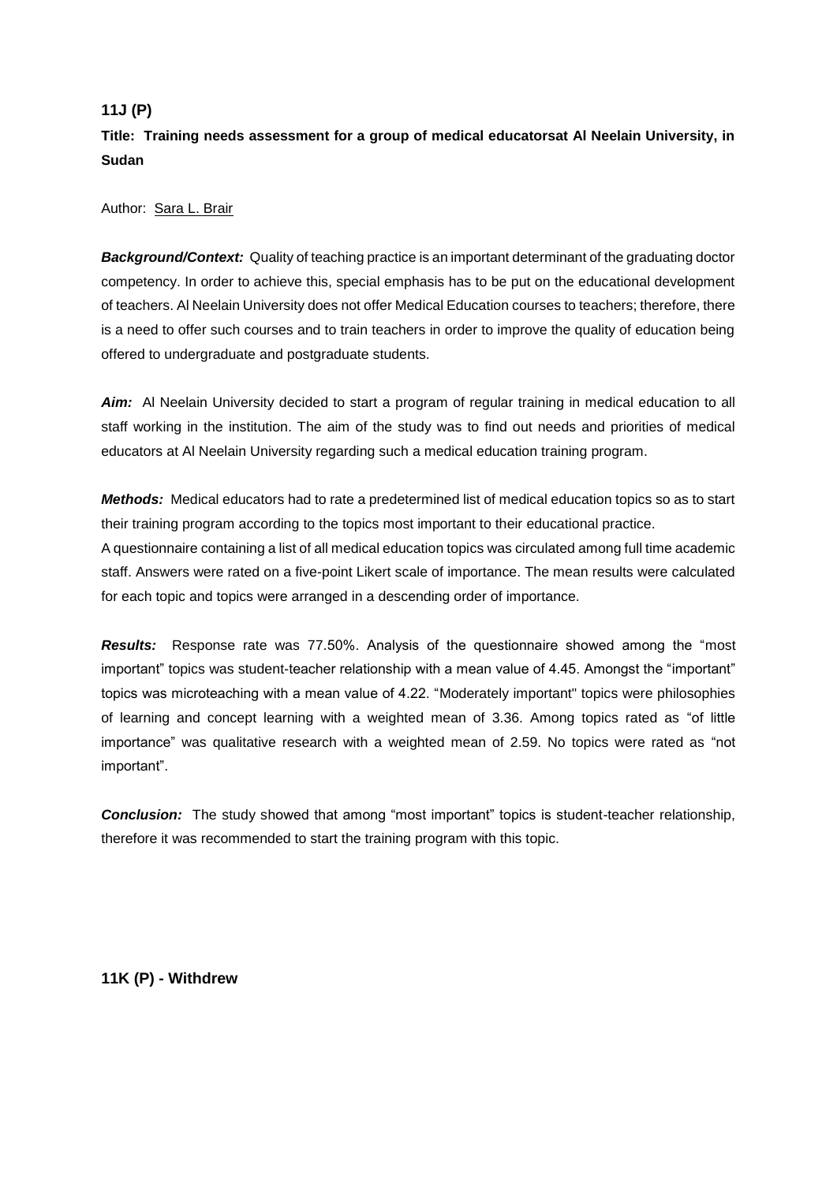### **11J (P)**

### **Title: Training needs assessment for a group of medical educatorsat Al Neelain University, in Sudan**

Author: Sara L. Brair

*Background/Context:* Quality of teaching practice is an important determinant of the graduating doctor competency. In order to achieve this, special emphasis has to be put on the educational development of teachers. Al Neelain University does not offer Medical Education courses to teachers; therefore, there is a need to offer such courses and to train teachers in order to improve the quality of education being offered to undergraduate and postgraduate students.

*Aim:* Al Neelain University decided to start a program of regular training in medical education to all staff working in the institution. The aim of the study was to find out needs and priorities of medical educators at Al Neelain University regarding such a medical education training program.

*Methods:* Medical educators had to rate a predetermined list of medical education topics so as to start their training program according to the topics most important to their educational practice. A questionnaire containing a list of all medical education topics was circulated among full time academic staff. Answers were rated on a five-point Likert scale of importance. The mean results were calculated for each topic and topics were arranged in a descending order of importance.

*Results:* Response rate was 77.50%. Analysis of the questionnaire showed among the "most important" topics was student-teacher relationship with a mean value of 4.45. Amongst the "important" topics was microteaching with a mean value of 4.22. "Moderately important" topics were philosophies of learning and concept learning with a weighted mean of 3.36. Among topics rated as "of little importance" was qualitative research with a weighted mean of 2.59. No topics were rated as "not important".

*Conclusion:* The study showed that among "most important" topics is student-teacher relationship, therefore it was recommended to start the training program with this topic.

**11K (P) - Withdrew**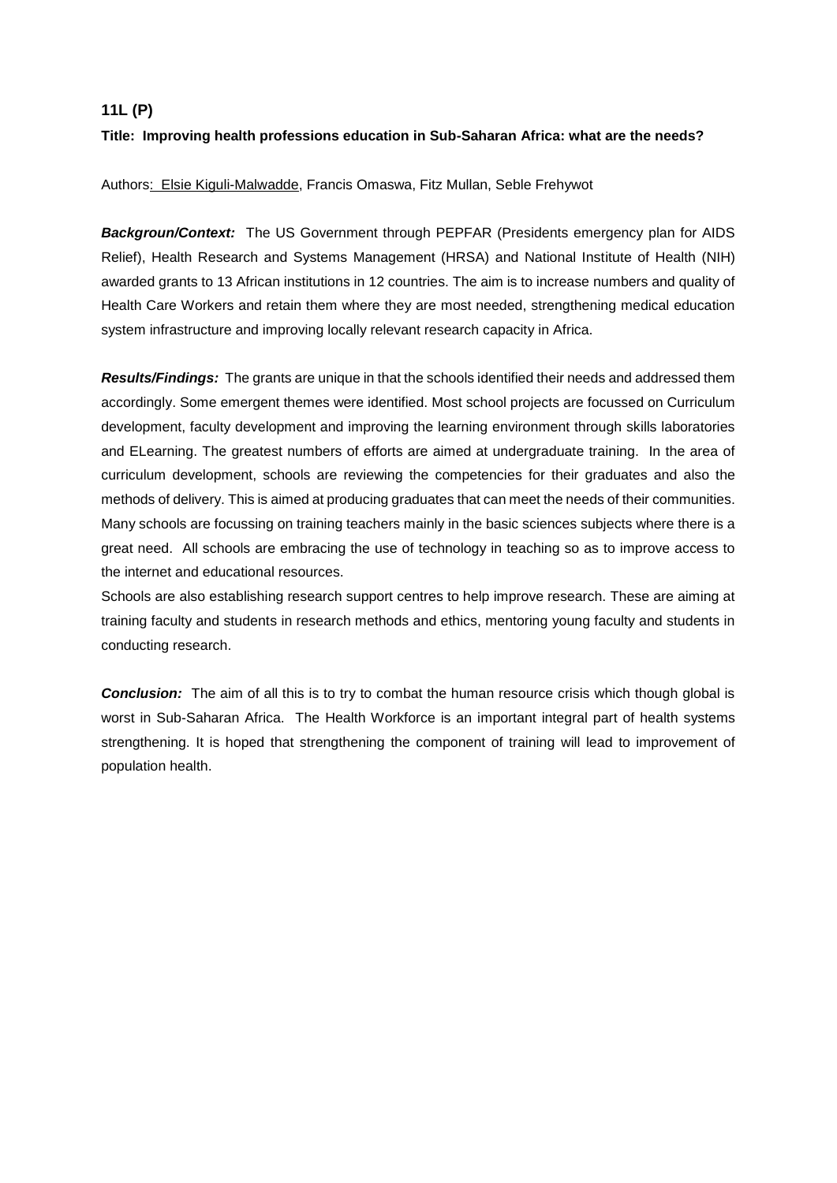### **11L (P)**

### **Title: Improving health professions education in Sub-Saharan Africa: what are the needs?**

Authors: Elsie Kiguli-Malwadde, Francis Omaswa, Fitz Mullan, Seble Frehywot

*Backgroun/Context:* The US Government through PEPFAR (Presidents emergency plan for AIDS Relief), Health Research and Systems Management (HRSA) and National Institute of Health (NIH) awarded grants to 13 African institutions in 12 countries. The aim is to increase numbers and quality of Health Care Workers and retain them where they are most needed, strengthening medical education system infrastructure and improving locally relevant research capacity in Africa.

*Results/Findings:* The grants are unique in that the schools identified their needs and addressed them accordingly. Some emergent themes were identified. Most school projects are focussed on Curriculum development, faculty development and improving the learning environment through skills laboratories and ELearning. The greatest numbers of efforts are aimed at undergraduate training. In the area of curriculum development, schools are reviewing the competencies for their graduates and also the methods of delivery. This is aimed at producing graduates that can meet the needs of their communities. Many schools are focussing on training teachers mainly in the basic sciences subjects where there is a great need. All schools are embracing the use of technology in teaching so as to improve access to the internet and educational resources.

Schools are also establishing research support centres to help improve research. These are aiming at training faculty and students in research methods and ethics, mentoring young faculty and students in conducting research.

**Conclusion:** The aim of all this is to try to combat the human resource crisis which though global is worst in Sub-Saharan Africa. The Health Workforce is an important integral part of health systems strengthening. It is hoped that strengthening the component of training will lead to improvement of population health.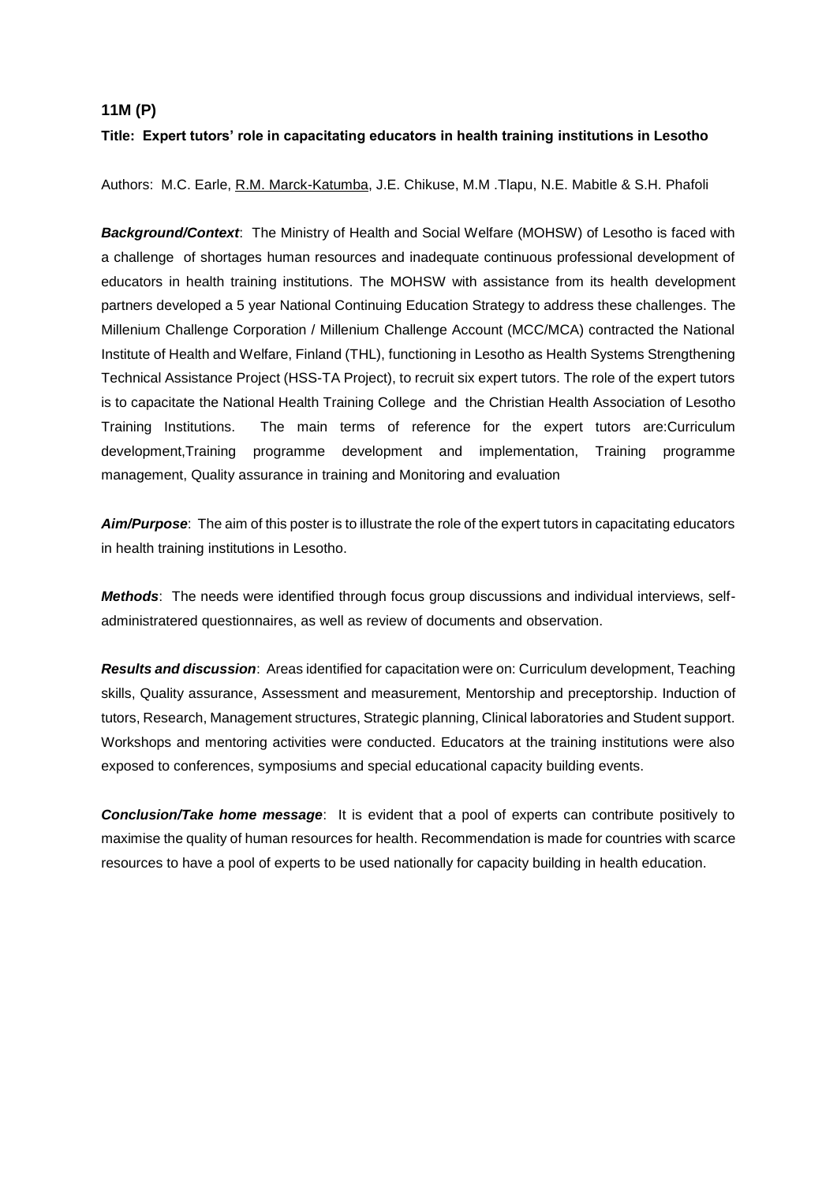### **11M (P)**

### **Title: Expert tutors' role in capacitating educators in health training institutions in Lesotho**

Authors: M.C. Earle, R.M. Marck-Katumba, J.E. Chikuse, M.M .Tlapu, N.E. Mabitle & S.H. Phafoli

*Background/Context*: The Ministry of Health and Social Welfare (MOHSW) of Lesotho is faced with a challenge of shortages human resources and inadequate continuous professional development of educators in health training institutions. The MOHSW with assistance from its health development partners developed a 5 year National Continuing Education Strategy to address these challenges. The Millenium Challenge Corporation / Millenium Challenge Account (MCC/MCA) contracted the National Institute of Health and Welfare, Finland (THL), functioning in Lesotho as Health Systems Strengthening Technical Assistance Project (HSS-TA Project), to recruit six expert tutors. The role of the expert tutors is to capacitate the National Health Training College and the Christian Health Association of Lesotho Training Institutions. The main terms of reference for the expert tutors are:Curriculum development,Training programme development and implementation, Training programme management, Quality assurance in training and Monitoring and evaluation

*Aim/Purpose*: The aim of this poster is to illustrate the role of the expert tutors in capacitating educators in health training institutions in Lesotho.

*Methods*: The needs were identified through focus group discussions and individual interviews, selfadministratered questionnaires, as well as review of documents and observation.

*Results and discussion*: Areas identified for capacitation were on: Curriculum development, Teaching skills, Quality assurance, Assessment and measurement, Mentorship and preceptorship. Induction of tutors, Research, Management structures, Strategic planning, Clinical laboratories and Student support. Workshops and mentoring activities were conducted. Educators at the training institutions were also exposed to conferences, symposiums and special educational capacity building events.

*Conclusion/Take home message*: It is evident that a pool of experts can contribute positively to maximise the quality of human resources for health. Recommendation is made for countries with scarce resources to have a pool of experts to be used nationally for capacity building in health education.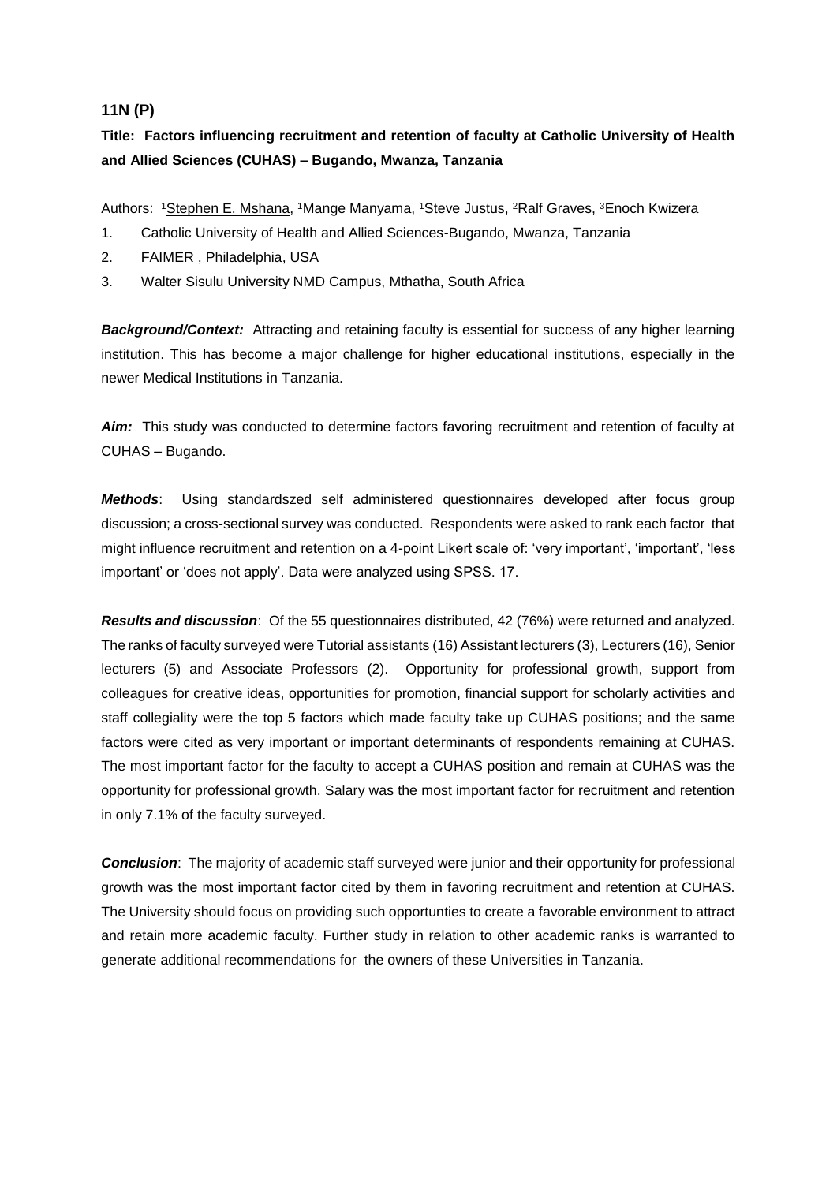### **11N (P)**

### **Title: Factors influencing recruitment and retention of faculty at Catholic University of Health and Allied Sciences (CUHAS) – Bugando, Mwanza, Tanzania**

Authors: 1Stephen E. Mshana, 1Mange Manyama, 1Steve Justus, <sup>2</sup>Ralf Graves, <sup>3</sup>Enoch Kwizera

- 1. Catholic University of Health and Allied Sciences-Bugando, Mwanza, Tanzania
- 2. FAIMER , Philadelphia, USA
- 3. Walter Sisulu University NMD Campus, Mthatha, South Africa

**Background/Context:** Attracting and retaining faculty is essential for success of any higher learning institution. This has become a major challenge for higher educational institutions, especially in the newer Medical Institutions in Tanzania.

Aim: This study was conducted to determine factors favoring recruitment and retention of faculty at CUHAS – Bugando.

*Methods*: Using standardszed self administered questionnaires developed after focus group discussion; a cross-sectional survey was conducted. Respondents were asked to rank each factor that might influence recruitment and retention on a 4-point Likert scale of: 'very important', 'important', 'less important' or 'does not apply'. Data were analyzed using SPSS. 17.

*Results and discussion*: Of the 55 questionnaires distributed, 42 (76%) were returned and analyzed. The ranks of faculty surveyed were Tutorial assistants (16) Assistant lecturers (3), Lecturers (16), Senior lecturers (5) and Associate Professors (2). Opportunity for professional growth, support from colleagues for creative ideas, opportunities for promotion, financial support for scholarly activities and staff collegiality were the top 5 factors which made faculty take up CUHAS positions; and the same factors were cited as very important or important determinants of respondents remaining at CUHAS. The most important factor for the faculty to accept a CUHAS position and remain at CUHAS was the opportunity for professional growth. Salary was the most important factor for recruitment and retention in only 7.1% of the faculty surveyed.

*Conclusion*: The majority of academic staff surveyed were junior and their opportunity for professional growth was the most important factor cited by them in favoring recruitment and retention at CUHAS. The University should focus on providing such opportunties to create a favorable environment to attract and retain more academic faculty. Further study in relation to other academic ranks is warranted to generate additional recommendations for the owners of these Universities in Tanzania.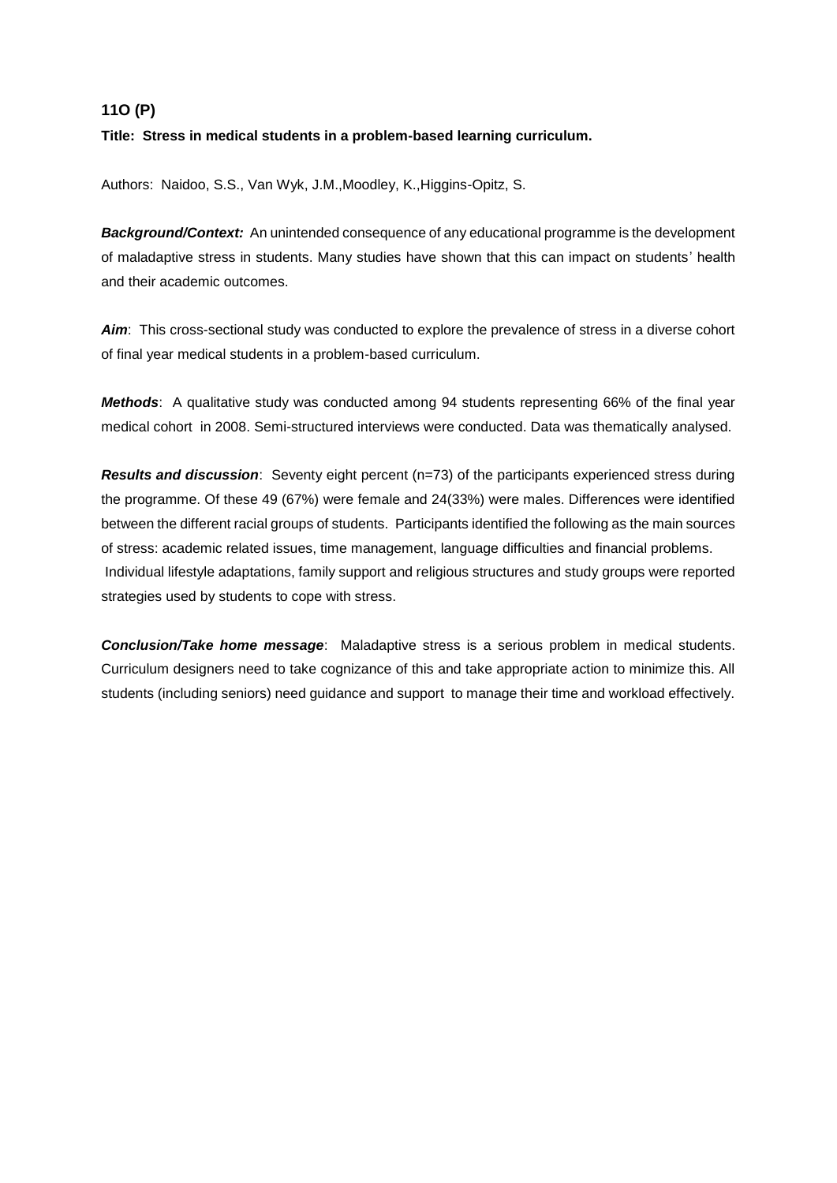### **11O (P)**

### **Title: Stress in medical students in a problem-based learning curriculum.**

Authors: Naidoo, S.S., Van Wyk, J.M.,Moodley, K.,Higgins-Opitz, S.

*Background/Context:* An unintended consequence of any educational programme is the development of maladaptive stress in students. Many studies have shown that this can impact on students' health and their academic outcomes.

Aim: This cross-sectional study was conducted to explore the prevalence of stress in a diverse cohort of final year medical students in a problem-based curriculum.

*Methods*: A qualitative study was conducted among 94 students representing 66% of the final year medical cohort in 2008. Semi-structured interviews were conducted. Data was thematically analysed.

*Results and discussion*: Seventy eight percent (n=73) of the participants experienced stress during the programme. Of these 49 (67%) were female and 24(33%) were males. Differences were identified between the different racial groups of students. Participants identified the following as the main sources of stress: academic related issues, time management, language difficulties and financial problems. Individual lifestyle adaptations, family support and religious structures and study groups were reported strategies used by students to cope with stress.

*Conclusion/Take home message*: Maladaptive stress is a serious problem in medical students. Curriculum designers need to take cognizance of this and take appropriate action to minimize this. All students (including seniors) need guidance and support to manage their time and workload effectively.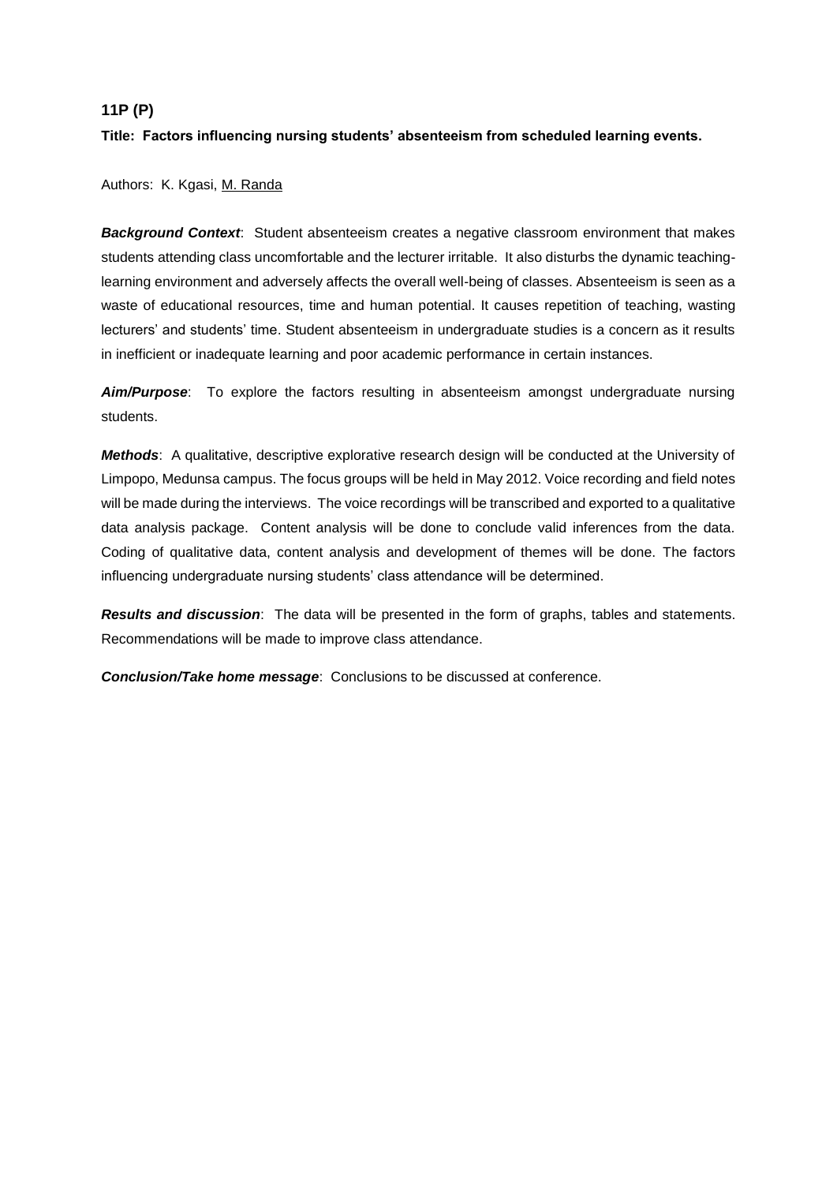### **11P (P)**

### **Title: Factors influencing nursing students' absenteeism from scheduled learning events.**

Authors: K. Kgasi, M. Randa

*Background Context*: Student absenteeism creates a negative classroom environment that makes students attending class uncomfortable and the lecturer irritable. It also disturbs the dynamic teachinglearning environment and adversely affects the overall well-being of classes. Absenteeism is seen as a waste of educational resources, time and human potential. It causes repetition of teaching, wasting lecturers' and students' time. Student absenteeism in undergraduate studies is a concern as it results in inefficient or inadequate learning and poor academic performance in certain instances.

*Aim/Purpose*: To explore the factors resulting in absenteeism amongst undergraduate nursing students.

*Methods*: A qualitative, descriptive explorative research design will be conducted at the University of Limpopo, Medunsa campus. The focus groups will be held in May 2012. Voice recording and field notes will be made during the interviews. The voice recordings will be transcribed and exported to a qualitative data analysis package. Content analysis will be done to conclude valid inferences from the data. Coding of qualitative data, content analysis and development of themes will be done. The factors influencing undergraduate nursing students' class attendance will be determined.

*Results and discussion*: The data will be presented in the form of graphs, tables and statements. Recommendations will be made to improve class attendance.

*Conclusion/Take home message*: Conclusions to be discussed at conference.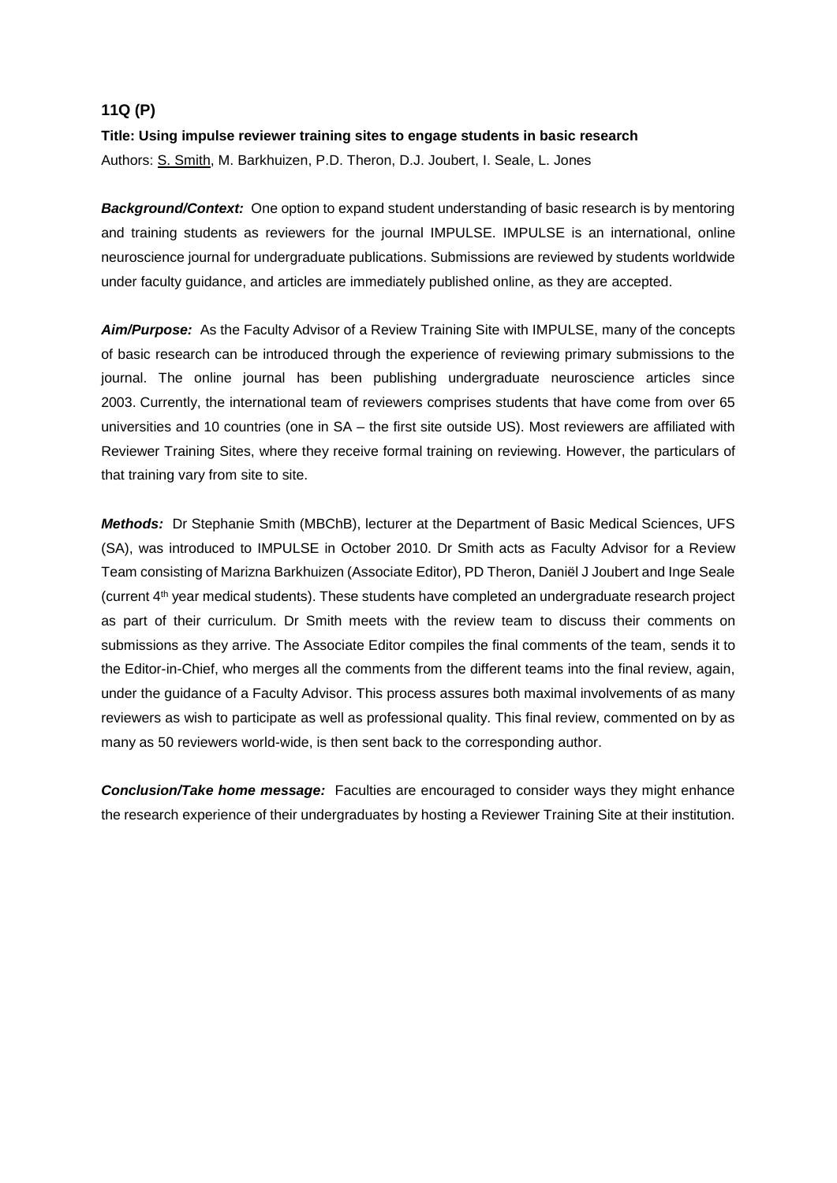### **11Q (P)**

### **Title: Using impulse reviewer training sites to engage students in basic research**

Authors: S. Smith, M. Barkhuizen, P.D. Theron, D.J. Joubert, I. Seale, L. Jones

*Background/Context:* One option to expand student understanding of basic research is by mentoring and training students as reviewers for the journal IMPULSE. IMPULSE is an international, online neuroscience journal for undergraduate publications. Submissions are reviewed by students worldwide under faculty guidance, and articles are immediately published online, as they are accepted.

*Aim/Purpose:* As the Faculty Advisor of a Review Training Site with IMPULSE, many of the concepts of basic research can be introduced through the experience of reviewing primary submissions to the journal. The online journal has been publishing undergraduate neuroscience articles since 2003. Currently, the international team of reviewers comprises students that have come from over 65 universities and 10 countries (one in SA – the first site outside US). Most reviewers are affiliated with Reviewer Training Sites, where they receive formal training on reviewing. However, the particulars of that training vary from site to site.

*Methods:* Dr Stephanie Smith (MBChB), lecturer at the Department of Basic Medical Sciences, UFS (SA), was introduced to IMPULSE in October 2010. Dr Smith acts as Faculty Advisor for a Review Team consisting of Marizna Barkhuizen (Associate Editor), PD Theron, Daniël J Joubert and Inge Seale (current 4th year medical students). These students have completed an undergraduate research project as part of their curriculum. Dr Smith meets with the review team to discuss their comments on submissions as they arrive. The Associate Editor compiles the final comments of the team, sends it to the Editor-in-Chief, who merges all the comments from the different teams into the final review, again, under the guidance of a Faculty Advisor. This process assures both maximal involvements of as many reviewers as wish to participate as well as professional quality. This final review, commented on by as many as 50 reviewers world-wide, is then sent back to the corresponding author.

*Conclusion/Take home message:* Faculties are encouraged to consider ways they might enhance the research experience of their undergraduates by hosting a Reviewer Training Site at their institution.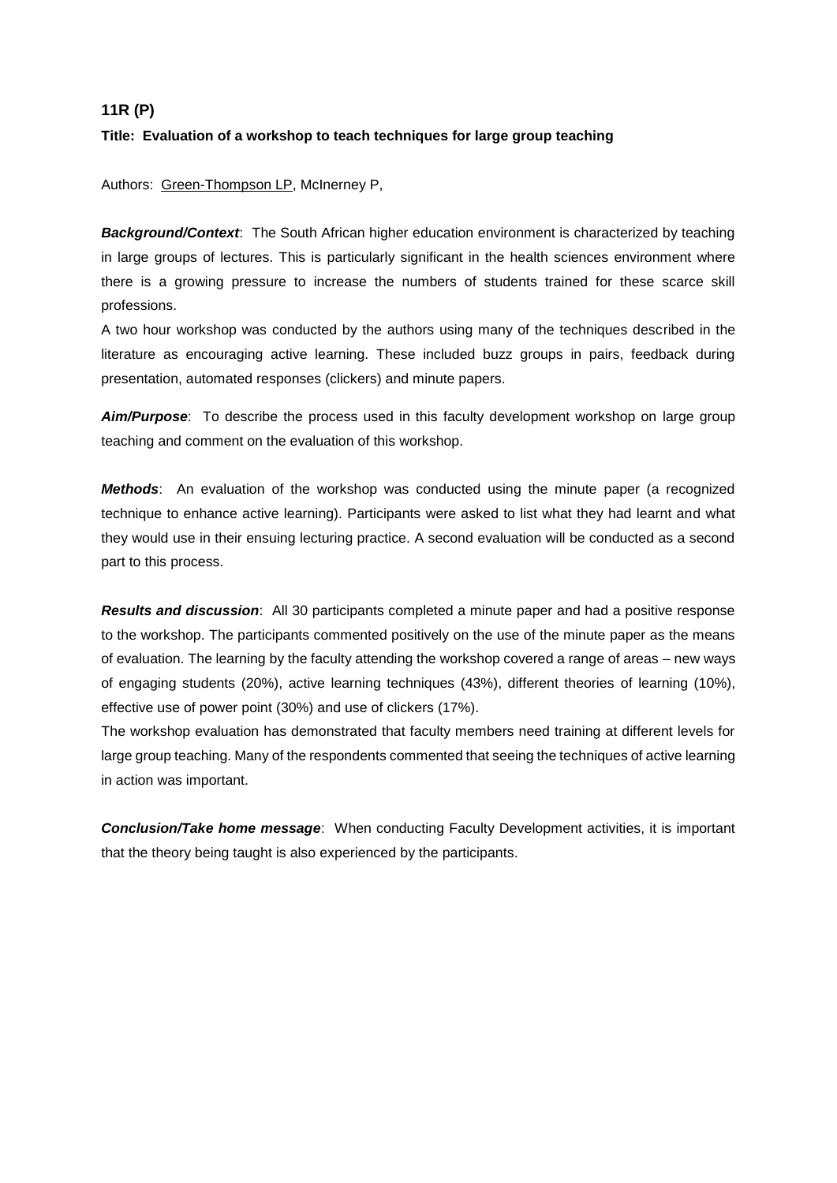### **11R (P)**

#### **Title: Evaluation of a workshop to teach techniques for large group teaching**

Authors: Green-Thompson LP, McInerney P,

*Background/Context*: The South African higher education environment is characterized by teaching in large groups of lectures. This is particularly significant in the health sciences environment where there is a growing pressure to increase the numbers of students trained for these scarce skill professions.

A two hour workshop was conducted by the authors using many of the techniques described in the literature as encouraging active learning. These included buzz groups in pairs, feedback during presentation, automated responses (clickers) and minute papers.

*Aim/Purpose*: To describe the process used in this faculty development workshop on large group teaching and comment on the evaluation of this workshop.

*Methods*: An evaluation of the workshop was conducted using the minute paper (a recognized technique to enhance active learning). Participants were asked to list what they had learnt and what they would use in their ensuing lecturing practice. A second evaluation will be conducted as a second part to this process.

*Results and discussion*: All 30 participants completed a minute paper and had a positive response to the workshop. The participants commented positively on the use of the minute paper as the means of evaluation. The learning by the faculty attending the workshop covered a range of areas – new ways of engaging students (20%), active learning techniques (43%), different theories of learning (10%), effective use of power point (30%) and use of clickers (17%).

The workshop evaluation has demonstrated that faculty members need training at different levels for large group teaching. Many of the respondents commented that seeing the techniques of active learning in action was important.

*Conclusion/Take home message*: When conducting Faculty Development activities, it is important that the theory being taught is also experienced by the participants.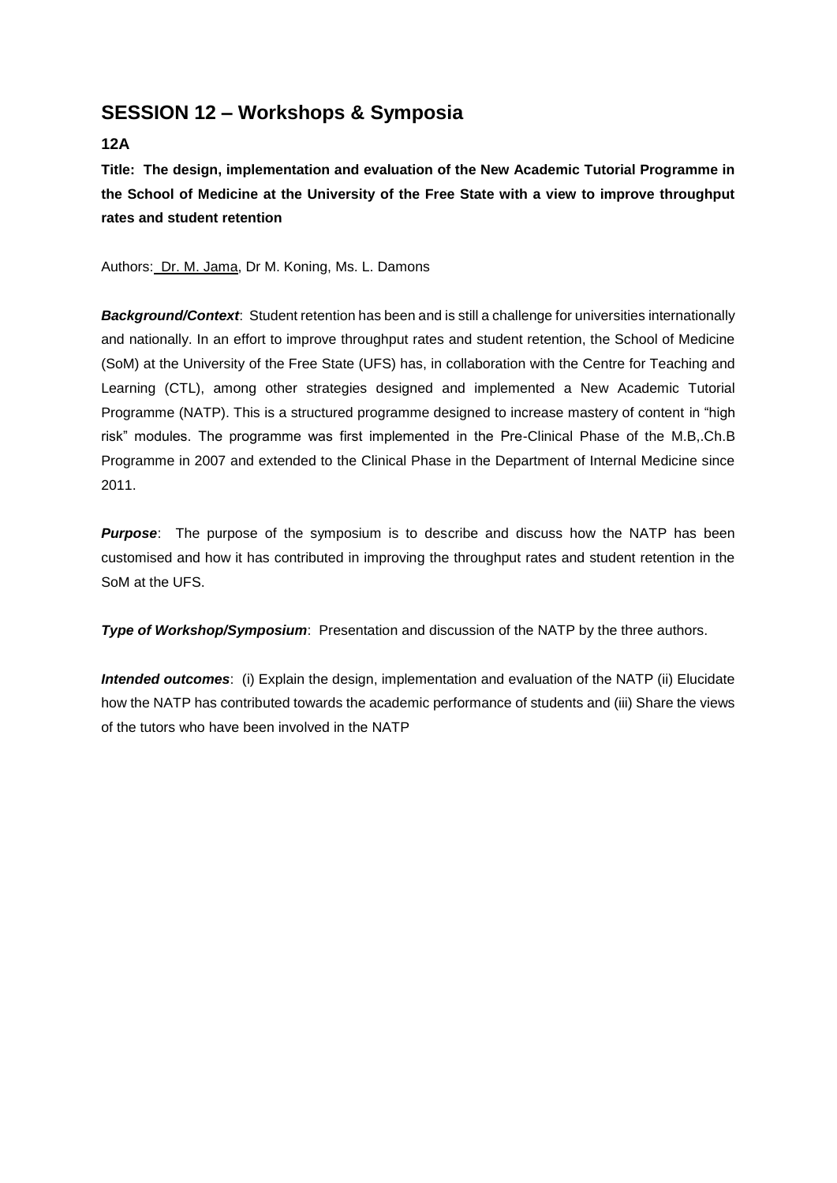### **SESSION 12 – Workshops & Symposia**

### **12A**

**Title: The design, implementation and evaluation of the New Academic Tutorial Programme in the School of Medicine at the University of the Free State with a view to improve throughput rates and student retention**

Authors: Dr. M. Jama, Dr M. Koning, Ms. L. Damons

*Background/Context*: Student retention has been and is still a challenge for universities internationally and nationally. In an effort to improve throughput rates and student retention, the School of Medicine (SoM) at the University of the Free State (UFS) has, in collaboration with the Centre for Teaching and Learning (CTL), among other strategies designed and implemented a New Academic Tutorial Programme (NATP). This is a structured programme designed to increase mastery of content in "high risk" modules. The programme was first implemented in the Pre-Clinical Phase of the M.B,.Ch.B Programme in 2007 and extended to the Clinical Phase in the Department of Internal Medicine since 2011.

**Purpose**: The purpose of the symposium is to describe and discuss how the NATP has been customised and how it has contributed in improving the throughput rates and student retention in the SoM at the UFS.

*Type of Workshop/Symposium*: Presentation and discussion of the NATP by the three authors.

*Intended outcomes*: (i) Explain the design, implementation and evaluation of the NATP (ii) Elucidate how the NATP has contributed towards the academic performance of students and (iii) Share the views of the tutors who have been involved in the NATP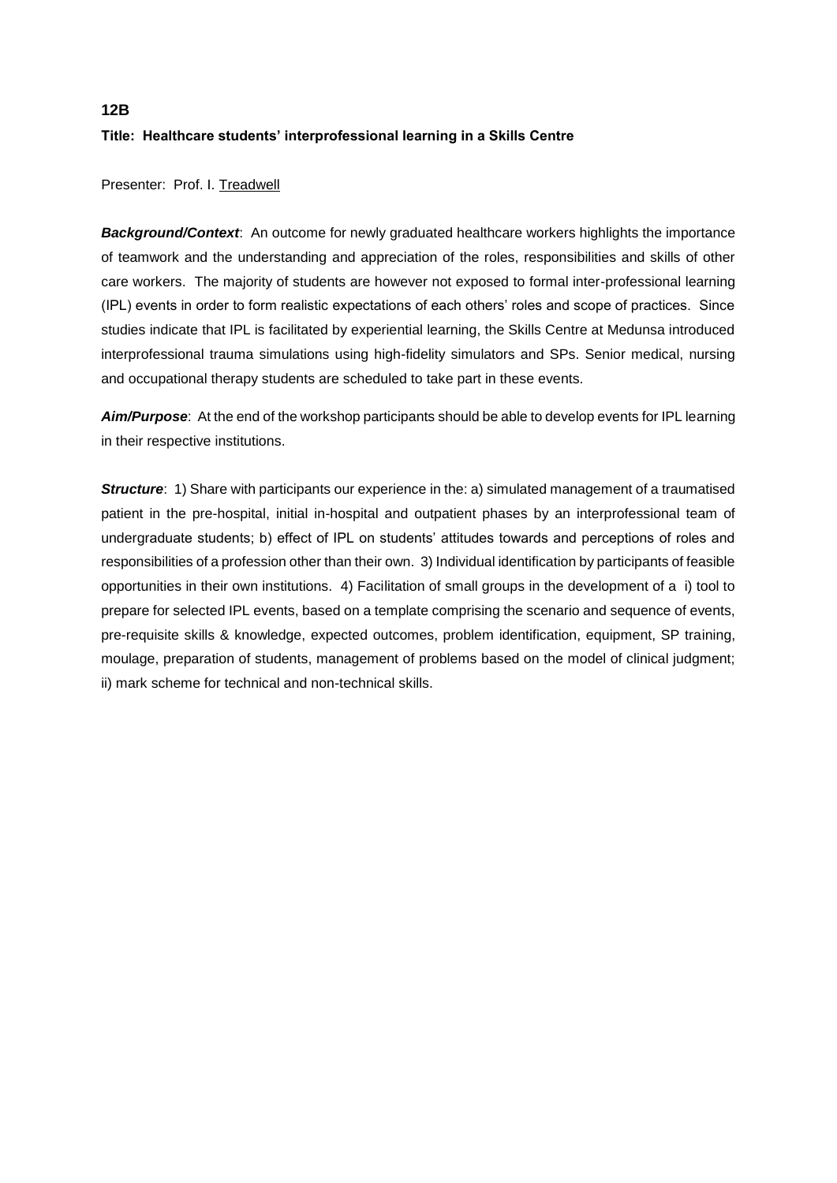### **Title: Healthcare students' interprofessional learning in a Skills Centre**

Presenter: Prof. I. Treadwell

*Background/Context*: An outcome for newly graduated healthcare workers highlights the importance of teamwork and the understanding and appreciation of the roles, responsibilities and skills of other care workers. The majority of students are however not exposed to formal inter-professional learning (IPL) events in order to form realistic expectations of each others' roles and scope of practices. Since studies indicate that IPL is facilitated by experiential learning, the Skills Centre at Medunsa introduced interprofessional trauma simulations using high-fidelity simulators and SPs. Senior medical, nursing and occupational therapy students are scheduled to take part in these events.

*Aim/Purpose*: At the end of the workshop participants should be able to develop events for IPL learning in their respective institutions.

*Structure*: 1) Share with participants our experience in the: a) simulated management of a traumatised patient in the pre-hospital, initial in-hospital and outpatient phases by an interprofessional team of undergraduate students; b) effect of IPL on students' attitudes towards and perceptions of roles and responsibilities of a profession other than their own. 3) Individual identification by participants of feasible opportunities in their own institutions. 4) Facilitation of small groups in the development of a i) tool to prepare for selected IPL events, based on a template comprising the scenario and sequence of events, pre-requisite skills & knowledge, expected outcomes, problem identification, equipment, SP training, moulage, preparation of students, management of problems based on the model of clinical judgment; ii) mark scheme for technical and non-technical skills.

### **12B**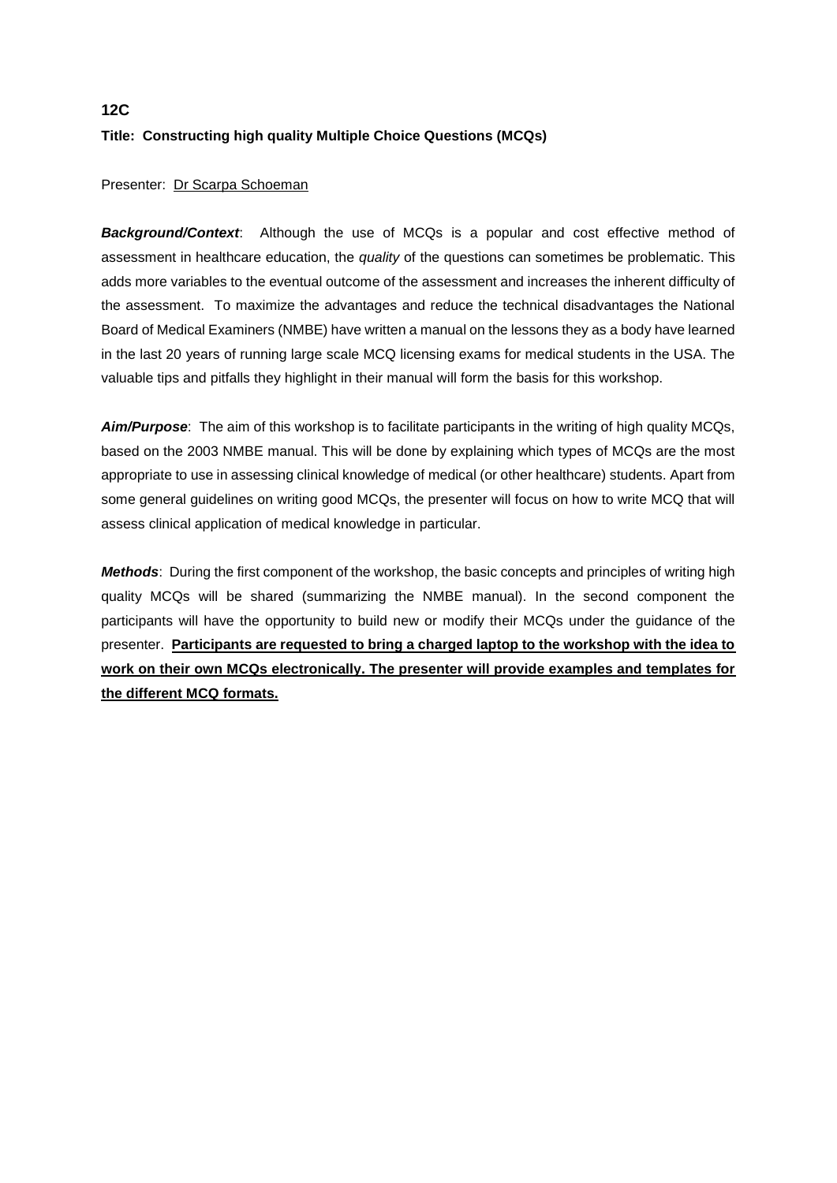# **Title: Constructing high quality Multiple Choice Questions (MCQs)**

### Presenter: Dr Scarpa Schoeman

*Background/Context*: Although the use of MCQs is a popular and cost effective method of assessment in healthcare education, the *quality* of the questions can sometimes be problematic. This adds more variables to the eventual outcome of the assessment and increases the inherent difficulty of the assessment. To maximize the advantages and reduce the technical disadvantages the National Board of Medical Examiners (NMBE) have written a manual on the lessons they as a body have learned in the last 20 years of running large scale MCQ licensing exams for medical students in the USA. The valuable tips and pitfalls they highlight in their manual will form the basis for this workshop.

*Aim/Purpose*: The aim of this workshop is to facilitate participants in the writing of high quality MCQs, based on the 2003 NMBE manual. This will be done by explaining which types of MCQs are the most appropriate to use in assessing clinical knowledge of medical (or other healthcare) students. Apart from some general guidelines on writing good MCQs, the presenter will focus on how to write MCQ that will assess clinical application of medical knowledge in particular.

*Methods*: During the first component of the workshop, the basic concepts and principles of writing high quality MCQs will be shared (summarizing the NMBE manual). In the second component the participants will have the opportunity to build new or modify their MCQs under the guidance of the presenter. **Participants are requested to bring a charged laptop to the workshop with the idea to work on their own MCQs electronically. The presenter will provide examples and templates for the different MCQ formats.**

### **12C**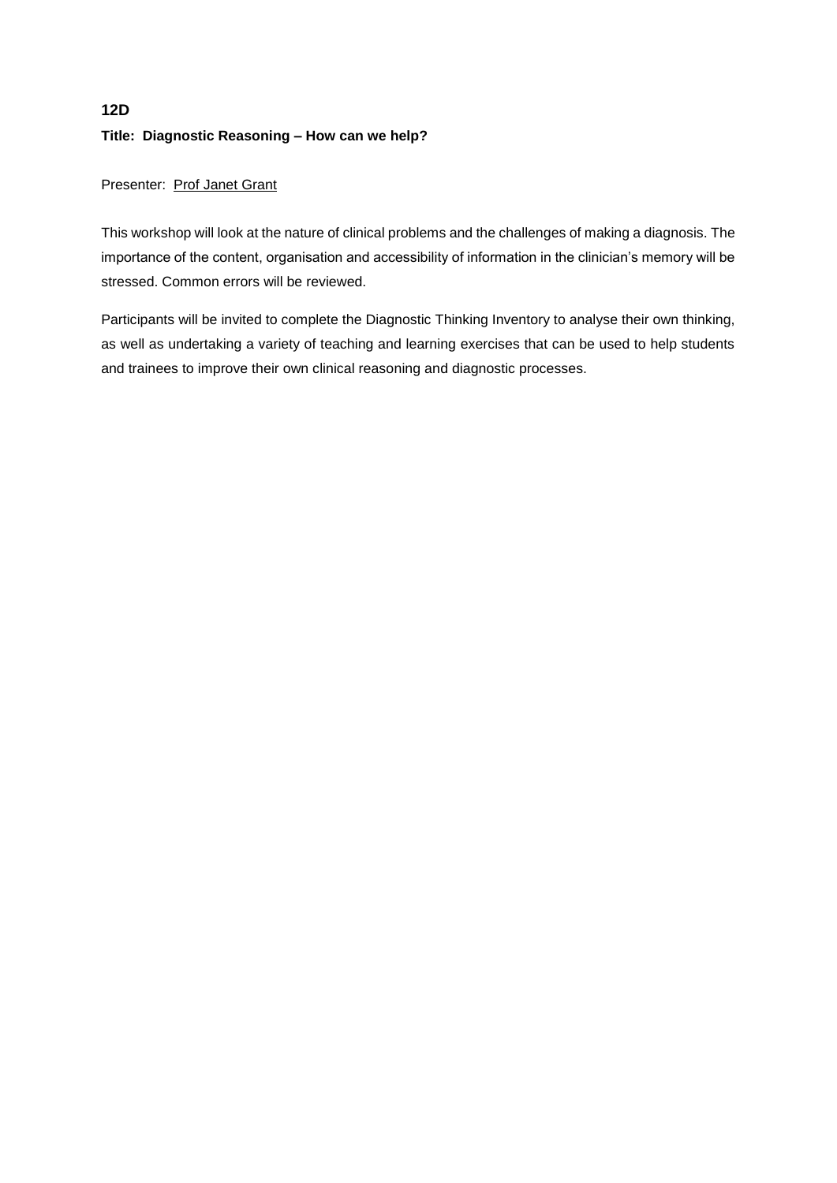## **12D Title: Diagnostic Reasoning – How can we help?**

Presenter: Prof Janet Grant

This workshop will look at the nature of clinical problems and the challenges of making a diagnosis. The importance of the content, organisation and accessibility of information in the clinician's memory will be stressed. Common errors will be reviewed.

Participants will be invited to complete the Diagnostic Thinking Inventory to analyse their own thinking, as well as undertaking a variety of teaching and learning exercises that can be used to help students and trainees to improve their own clinical reasoning and diagnostic processes.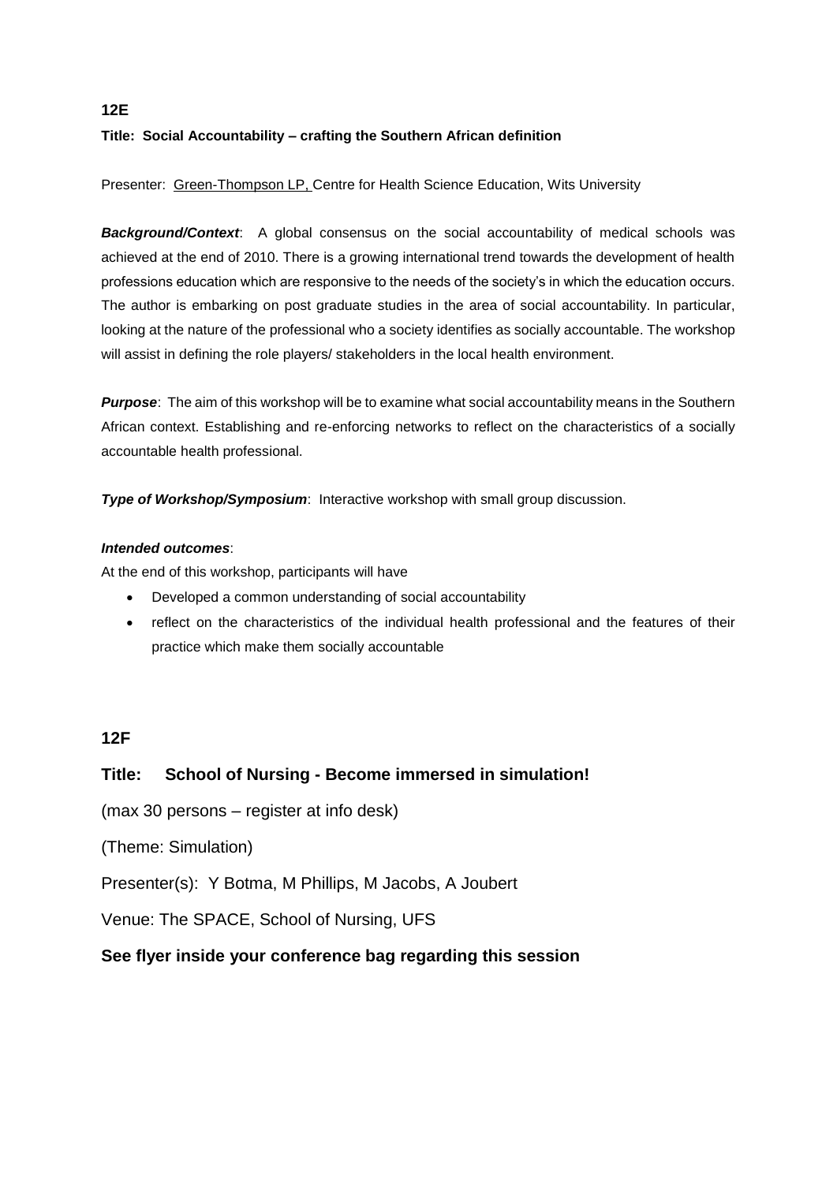### **Title: Social Accountability – crafting the Southern African definition**

Presenter: Green-Thompson LP, Centre for Health Science Education, Wits University

*Background/Context*: A global consensus on the social accountability of medical schools was achieved at the end of 2010. There is a growing international trend towards the development of health professions education which are responsive to the needs of the society's in which the education occurs. The author is embarking on post graduate studies in the area of social accountability. In particular, looking at the nature of the professional who a society identifies as socially accountable. The workshop will assist in defining the role players/ stakeholders in the local health environment.

*Purpose*: The aim of this workshop will be to examine what social accountability means in the Southern African context. Establishing and re-enforcing networks to reflect on the characteristics of a socially accountable health professional.

*Type of Workshop/Symposium*: Interactive workshop with small group discussion.

### *Intended outcomes*:

At the end of this workshop, participants will have

- Developed a common understanding of social accountability
- reflect on the characteristics of the individual health professional and the features of their practice which make them socially accountable

### **12F**

### **Title: School of Nursing - Become immersed in simulation!**

(max 30 persons – register at info desk)

(Theme: Simulation)

Presenter(s): Y Botma, M Phillips, M Jacobs, A Joubert

Venue: The SPACE, School of Nursing, UFS

### **See flyer inside your conference bag regarding this session**

### **12E**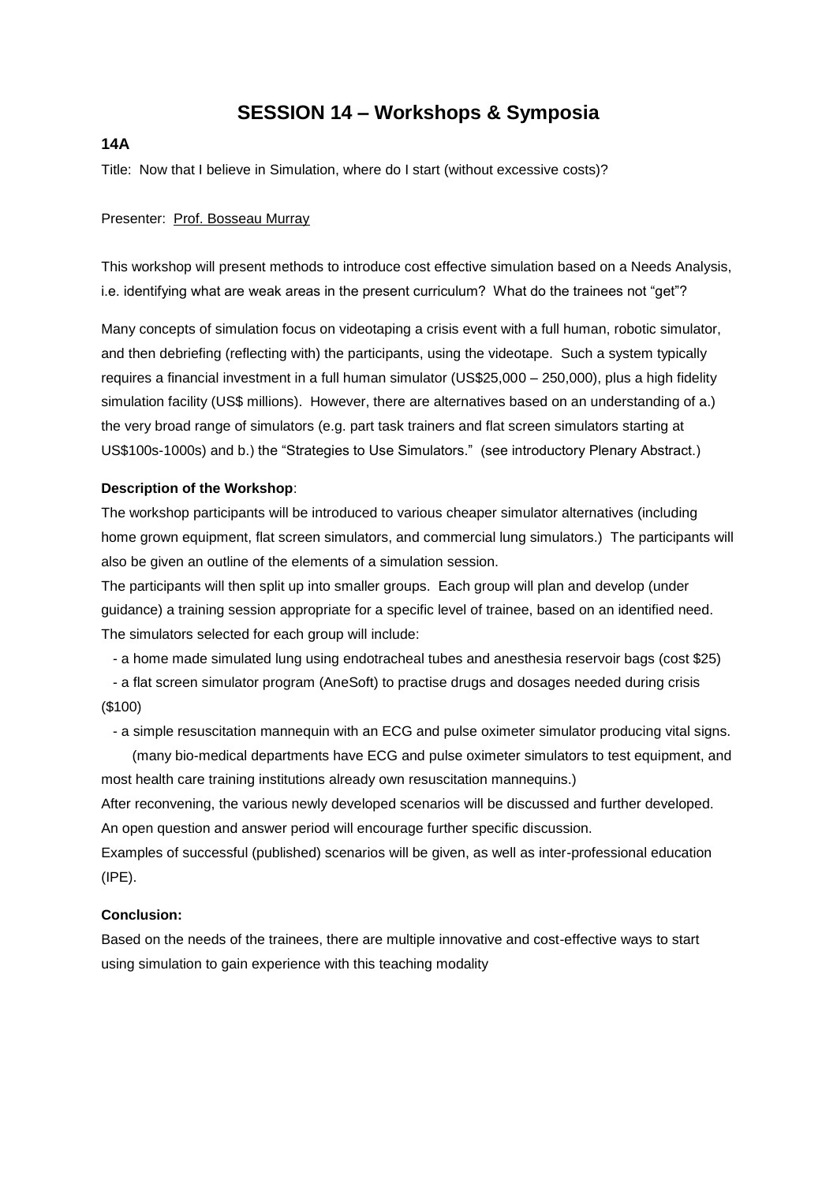### **SESSION 14 – Workshops & Symposia**

### **14A**

Title: Now that I believe in Simulation, where do I start (without excessive costs)?

### Presenter: Prof. Bosseau Murray

This workshop will present methods to introduce cost effective simulation based on a Needs Analysis, i.e. identifying what are weak areas in the present curriculum? What do the trainees not "get"?

Many concepts of simulation focus on videotaping a crisis event with a full human, robotic simulator, and then debriefing (reflecting with) the participants, using the videotape. Such a system typically requires a financial investment in a full human simulator (US\$25,000 – 250,000), plus a high fidelity simulation facility (US\$ millions). However, there are alternatives based on an understanding of a.) the very broad range of simulators (e.g. part task trainers and flat screen simulators starting at US\$100s-1000s) and b.) the "Strategies to Use Simulators." (see introductory Plenary Abstract.)

### **Description of the Workshop**:

The workshop participants will be introduced to various cheaper simulator alternatives (including home grown equipment, flat screen simulators, and commercial lung simulators.) The participants will also be given an outline of the elements of a simulation session.

The participants will then split up into smaller groups. Each group will plan and develop (under guidance) a training session appropriate for a specific level of trainee, based on an identified need. The simulators selected for each group will include:

- a home made simulated lung using endotracheal tubes and anesthesia reservoir bags (cost \$25)

 - a flat screen simulator program (AneSoft) to practise drugs and dosages needed during crisis (\$100)

- a simple resuscitation mannequin with an ECG and pulse oximeter simulator producing vital signs.

 (many bio-medical departments have ECG and pulse oximeter simulators to test equipment, and most health care training institutions already own resuscitation mannequins.)

After reconvening, the various newly developed scenarios will be discussed and further developed. An open question and answer period will encourage further specific discussion.

Examples of successful (published) scenarios will be given, as well as inter-professional education (IPE).

### **Conclusion:**

Based on the needs of the trainees, there are multiple innovative and cost-effective ways to start using simulation to gain experience with this teaching modality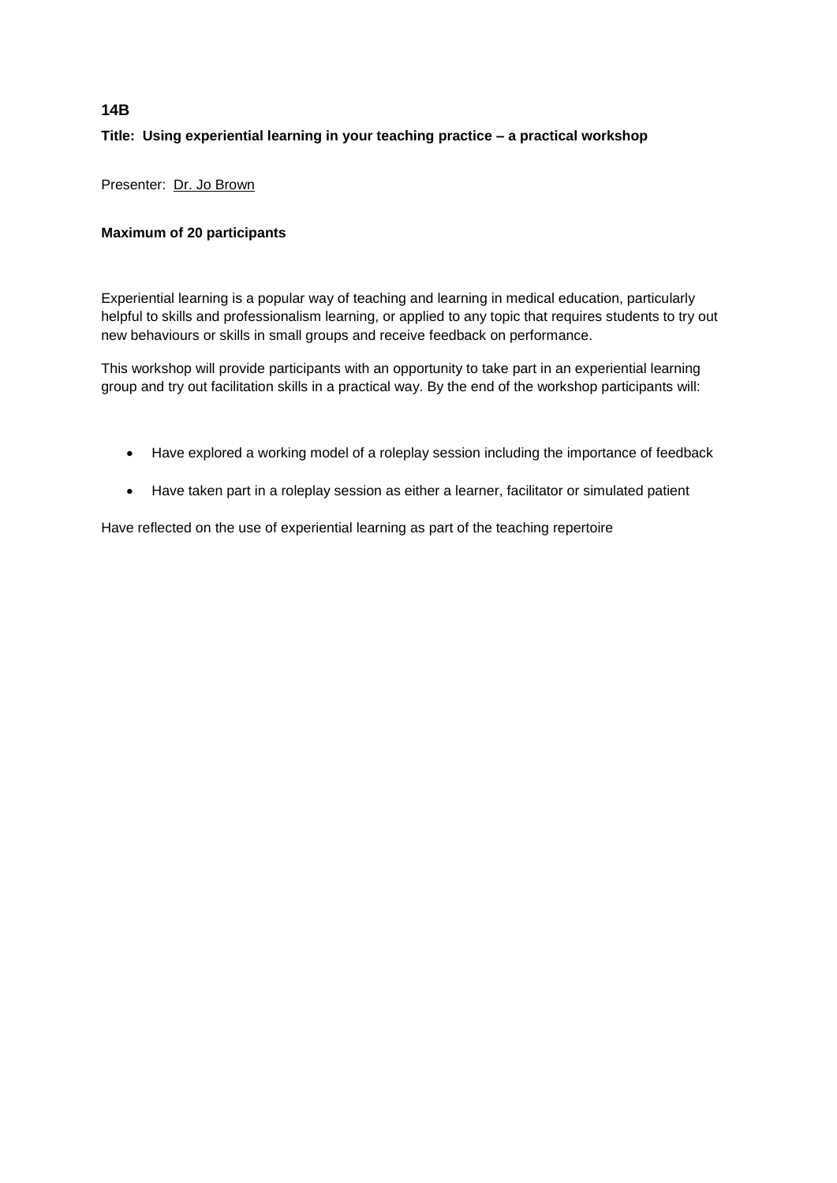## **Title: Using experiential learning in your teaching practice – a practical workshop**

Presenter: Dr. Jo Brown

### **Maximum of 20 participants**

Experiential learning is a popular way of teaching and learning in medical education, particularly helpful to skills and professionalism learning, or applied to any topic that requires students to try out new behaviours or skills in small groups and receive feedback on performance.

This workshop will provide participants with an opportunity to take part in an experiential learning group and try out facilitation skills in a practical way. By the end of the workshop participants will:

- Have explored a working model of a roleplay session including the importance of feedback
- Have taken part in a roleplay session as either a learner, facilitator or simulated patient

Have reflected on the use of experiential learning as part of the teaching repertoire

### **14B**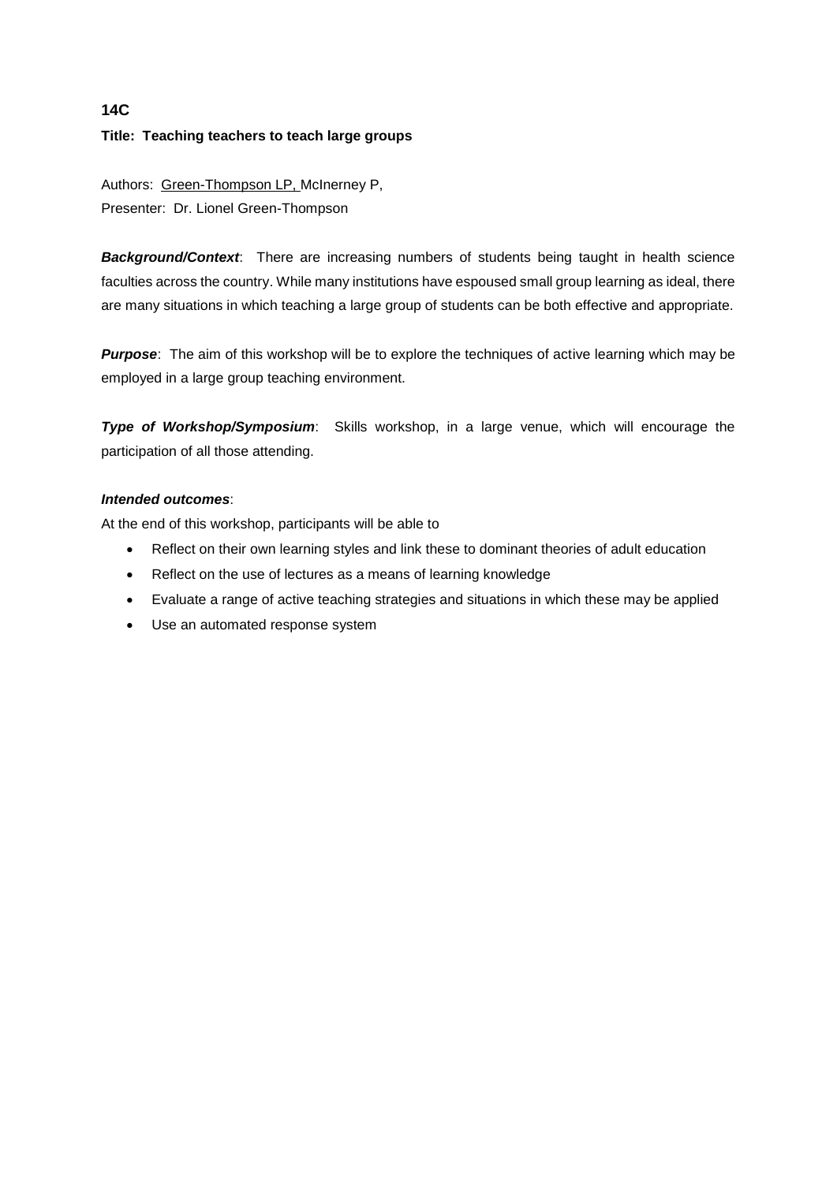### **Title: Teaching teachers to teach large groups**

Authors: Green-Thompson LP, McInerney P, Presenter: Dr. Lionel Green-Thompson

**Background/Context**: There are increasing numbers of students being taught in health science faculties across the country. While many institutions have espoused small group learning as ideal, there are many situations in which teaching a large group of students can be both effective and appropriate.

**Purpose:** The aim of this workshop will be to explore the techniques of active learning which may be employed in a large group teaching environment.

*Type of Workshop/Symposium*: Skills workshop, in a large venue, which will encourage the participation of all those attending.

### *Intended outcomes*:

At the end of this workshop, participants will be able to

- Reflect on their own learning styles and link these to dominant theories of adult education
- Reflect on the use of lectures as a means of learning knowledge
- Evaluate a range of active teaching strategies and situations in which these may be applied
- Use an automated response system

### **14C**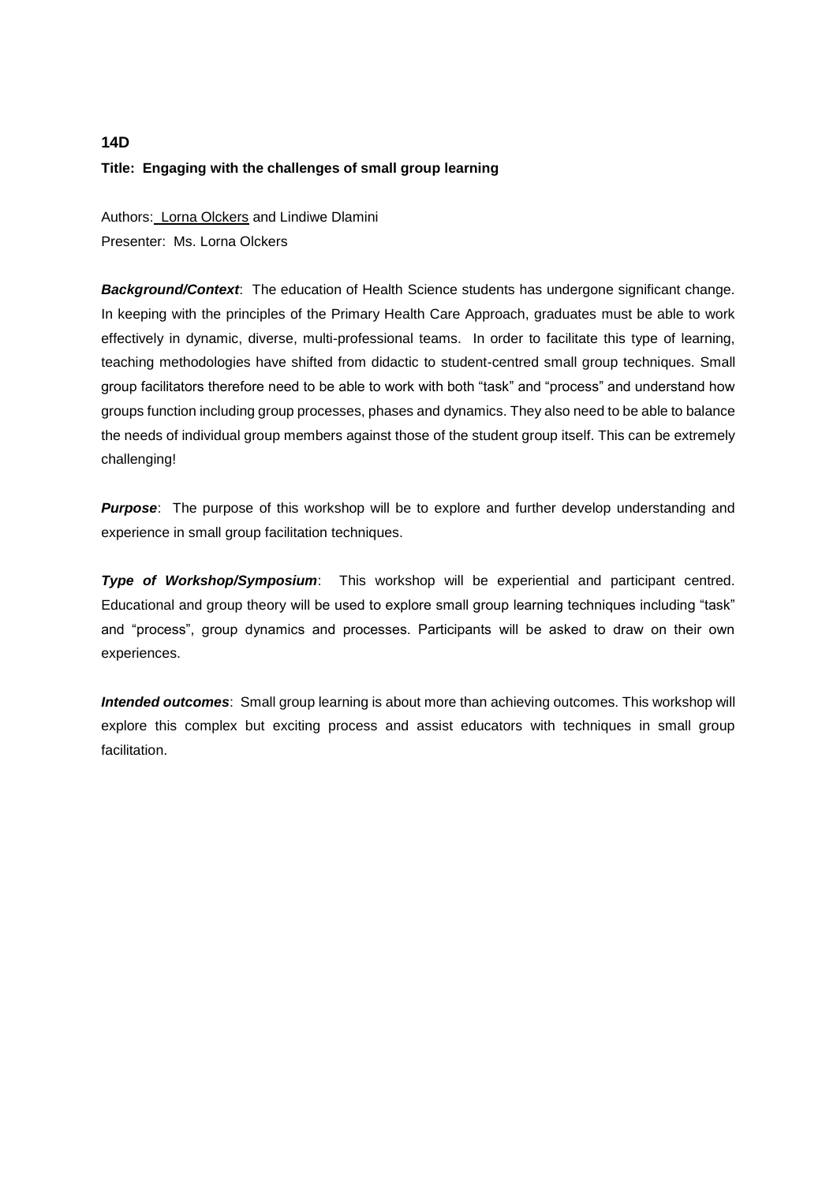### **14D Title: Engaging with the challenges of small group learning**

Authors: Lorna Olckers and Lindiwe Dlamini Presenter: Ms. Lorna Olckers

*Background/Context*: The education of Health Science students has undergone significant change. In keeping with the principles of the Primary Health Care Approach, graduates must be able to work effectively in dynamic, diverse, multi-professional teams. In order to facilitate this type of learning, teaching methodologies have shifted from didactic to student-centred small group techniques. Small group facilitators therefore need to be able to work with both "task" and "process" and understand how groups function including group processes, phases and dynamics. They also need to be able to balance the needs of individual group members against those of the student group itself. This can be extremely challenging!

**Purpose:** The purpose of this workshop will be to explore and further develop understanding and experience in small group facilitation techniques.

*Type of Workshop/Symposium*: This workshop will be experiential and participant centred. Educational and group theory will be used to explore small group learning techniques including "task" and "process", group dynamics and processes. Participants will be asked to draw on their own experiences.

*Intended outcomes*: Small group learning is about more than achieving outcomes. This workshop will explore this complex but exciting process and assist educators with techniques in small group facilitation.